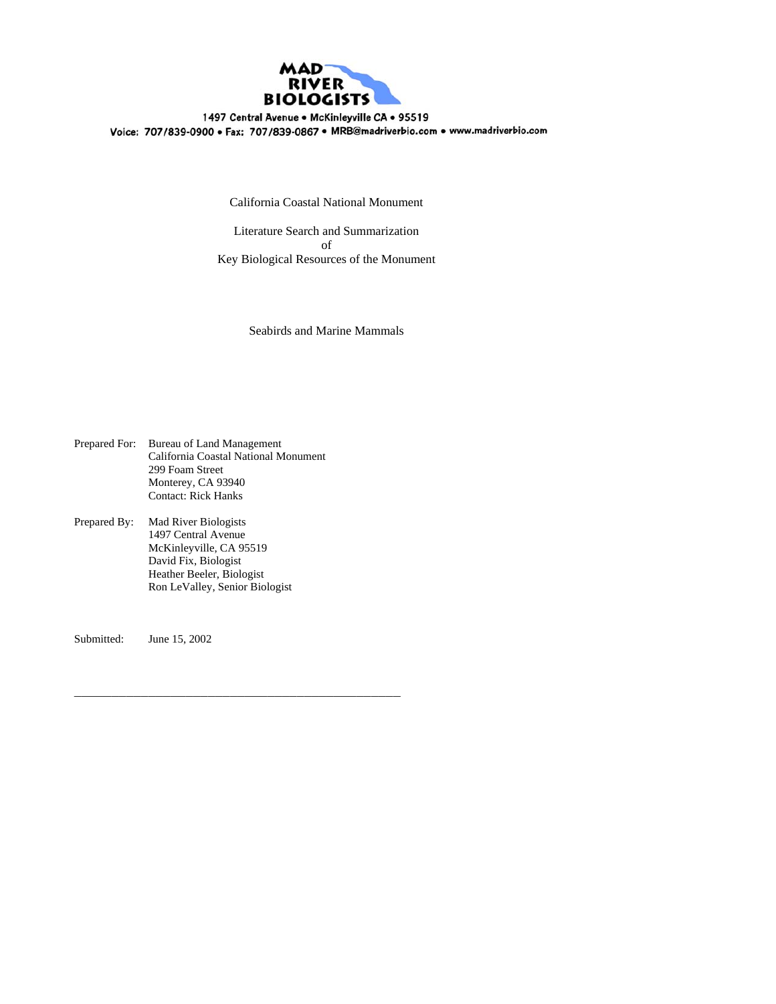

1497 Central Avenue . McKinleyville CA . 95519 Voice: 707/839-0900 · Fax: 707/839-0867 · MRB@madriverbio.com · www.madriverbio.com

California Coastal National Monument

Literature Search and Summarization of Key Biological Resources of the Monument

Seabirds and Marine Mammals

Prepared For: Bureau of Land Management California Coastal National Monument 299 Foam Street Monterey, CA 93940 Contact: Rick Hanks

\_\_\_\_\_\_\_\_\_\_\_\_\_\_\_\_\_\_\_\_\_\_\_\_\_\_\_\_\_\_\_\_\_\_\_\_\_\_\_\_\_\_\_\_

Prepared By: Mad River Biologists 1497 Central Avenue McKinleyville, CA 95519 David Fix, Biologist Heather Beeler, Biologist Ron LeValley, Senior Biologist

Submitted: June 15, 2002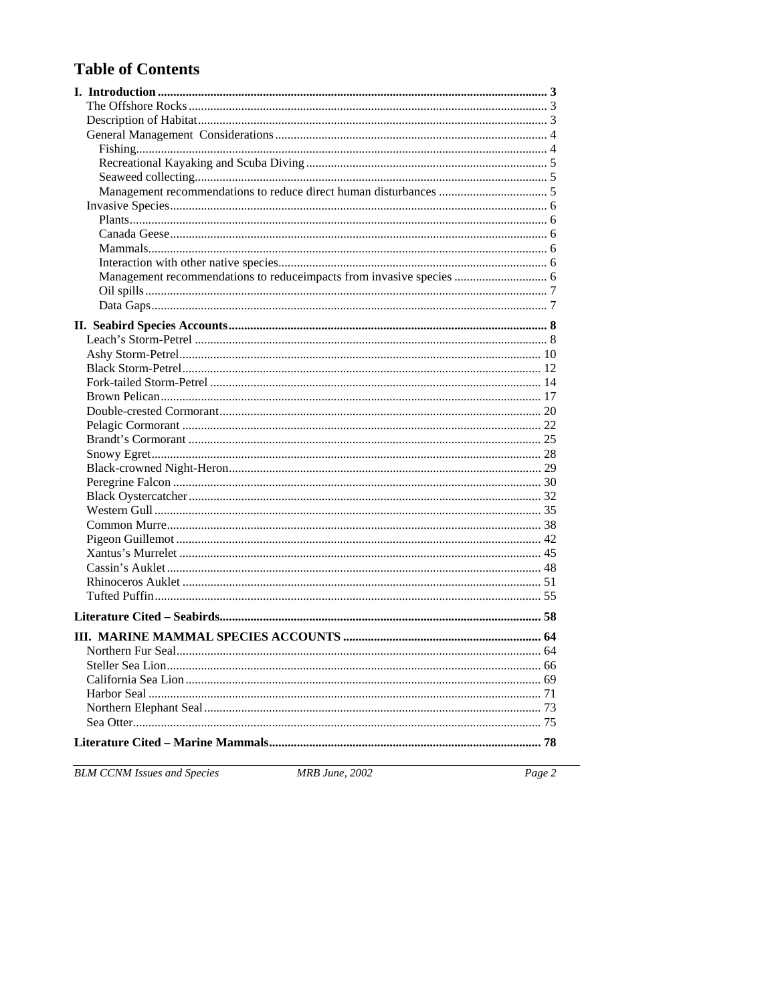# **Table of Contents**

| Management recommendations to reduceimpacts from invasive species  6 |  |
|----------------------------------------------------------------------|--|
|                                                                      |  |
|                                                                      |  |
|                                                                      |  |
|                                                                      |  |
|                                                                      |  |
|                                                                      |  |
|                                                                      |  |
|                                                                      |  |
|                                                                      |  |
|                                                                      |  |
|                                                                      |  |
|                                                                      |  |
|                                                                      |  |
|                                                                      |  |
|                                                                      |  |
|                                                                      |  |
|                                                                      |  |
|                                                                      |  |
|                                                                      |  |
|                                                                      |  |
|                                                                      |  |
|                                                                      |  |
|                                                                      |  |
|                                                                      |  |
|                                                                      |  |
| Northern Fur Seal<br>64                                              |  |
|                                                                      |  |
|                                                                      |  |
|                                                                      |  |
|                                                                      |  |
|                                                                      |  |
|                                                                      |  |
|                                                                      |  |

**BLM CCNM Issues and Species** 

MRB June, 2002

 $Page 2$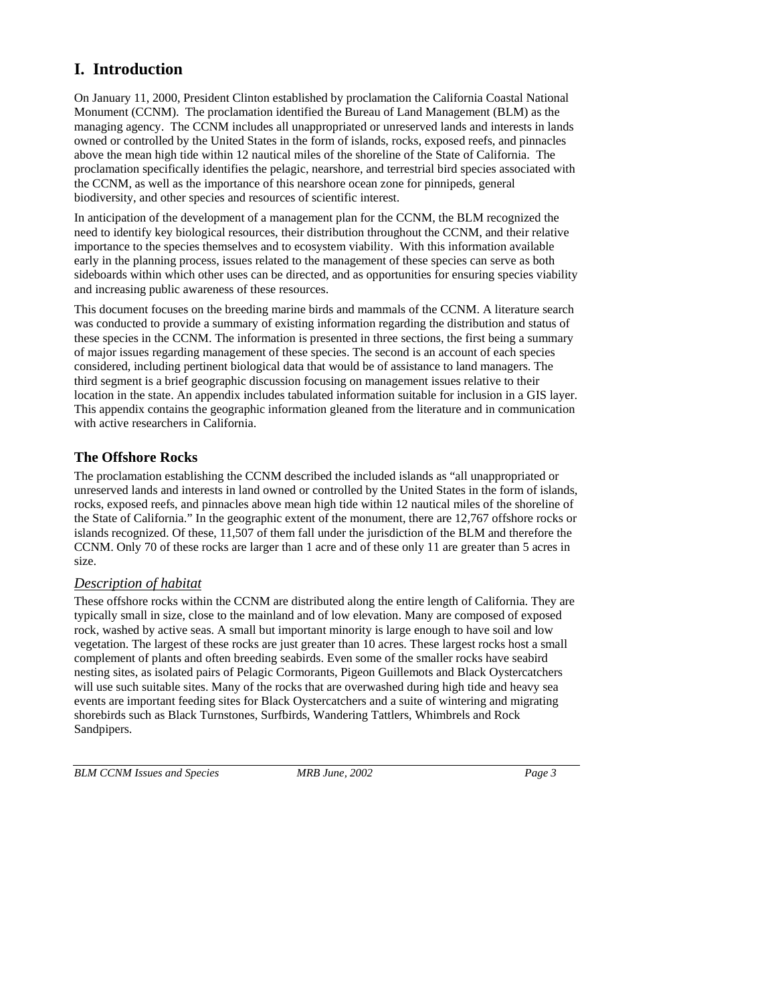# **I. Introduction**

On January 11, 2000, President Clinton established by proclamation the California Coastal National Monument (CCNM). The proclamation identified the Bureau of Land Management (BLM) as the managing agency. The CCNM includes all unappropriated or unreserved lands and interests in lands owned or controlled by the United States in the form of islands, rocks, exposed reefs, and pinnacles above the mean high tide within 12 nautical miles of the shoreline of the State of California. The proclamation specifically identifies the pelagic, nearshore, and terrestrial bird species associated with the CCNM, as well as the importance of this nearshore ocean zone for pinnipeds, general biodiversity, and other species and resources of scientific interest.

In anticipation of the development of a management plan for the CCNM, the BLM recognized the need to identify key biological resources, their distribution throughout the CCNM, and their relative importance to the species themselves and to ecosystem viability. With this information available early in the planning process, issues related to the management of these species can serve as both sideboards within which other uses can be directed, and as opportunities for ensuring species viability and increasing public awareness of these resources.

This document focuses on the breeding marine birds and mammals of the CCNM. A literature search was conducted to provide a summary of existing information regarding the distribution and status of these species in the CCNM. The information is presented in three sections, the first being a summary of major issues regarding management of these species. The second is an account of each species considered, including pertinent biological data that would be of assistance to land managers. The third segment is a brief geographic discussion focusing on management issues relative to their location in the state. An appendix includes tabulated information suitable for inclusion in a GIS layer. This appendix contains the geographic information gleaned from the literature and in communication with active researchers in California.

# **The Offshore Rocks**

The proclamation establishing the CCNM described the included islands as "all unappropriated or unreserved lands and interests in land owned or controlled by the United States in the form of islands, rocks, exposed reefs, and pinnacles above mean high tide within 12 nautical miles of the shoreline of the State of California." In the geographic extent of the monument, there are 12,767 offshore rocks or islands recognized. Of these, 11,507 of them fall under the jurisdiction of the BLM and therefore the CCNM. Only 70 of these rocks are larger than 1 acre and of these only 11 are greater than 5 acres in size.

# *Description of habitat*

These offshore rocks within the CCNM are distributed along the entire length of California. They are typically small in size, close to the mainland and of low elevation. Many are composed of exposed rock, washed by active seas. A small but important minority is large enough to have soil and low vegetation. The largest of these rocks are just greater than 10 acres. These largest rocks host a small complement of plants and often breeding seabirds. Even some of the smaller rocks have seabird nesting sites, as isolated pairs of Pelagic Cormorants, Pigeon Guillemots and Black Oystercatchers will use such suitable sites. Many of the rocks that are overwashed during high tide and heavy sea events are important feeding sites for Black Oystercatchers and a suite of wintering and migrating shorebirds such as Black Turnstones, Surfbirds, Wandering Tattlers, Whimbrels and Rock Sandpipers.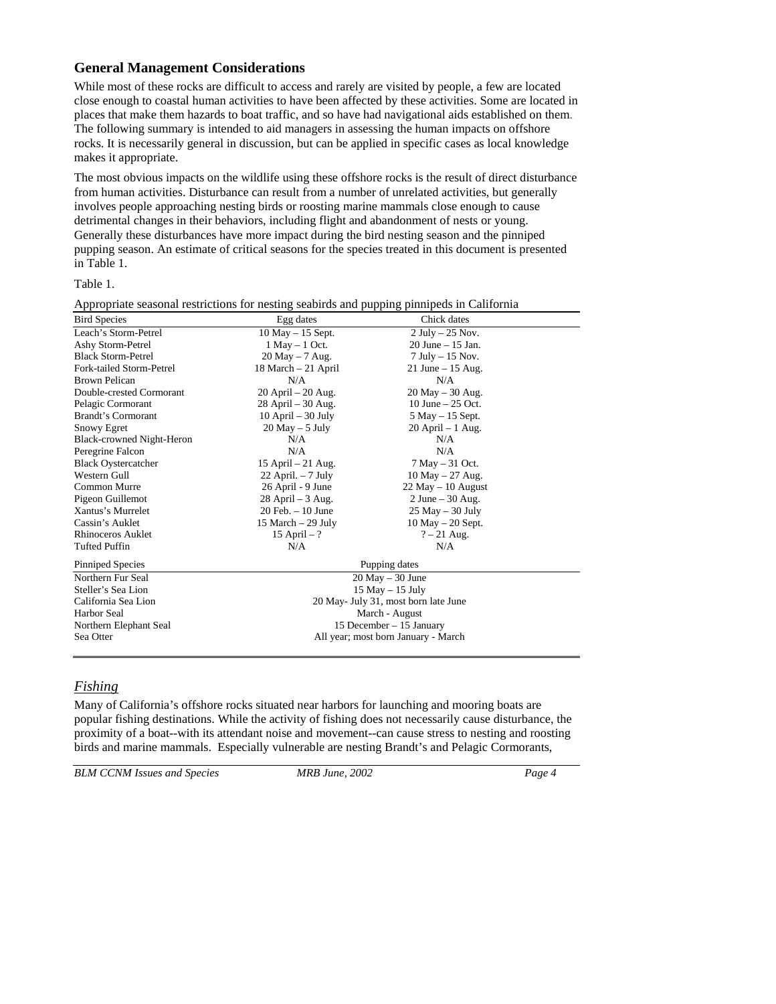## **General Management Considerations**

While most of these rocks are difficult to access and rarely are visited by people, a few are located close enough to coastal human activities to have been affected by these activities. Some are located in places that make them hazards to boat traffic, and so have had navigational aids established on them. The following summary is intended to aid managers in assessing the human impacts on offshore rocks. It is necessarily general in discussion, but can be applied in specific cases as local knowledge makes it appropriate.

The most obvious impacts on the wildlife using these offshore rocks is the result of direct disturbance from human activities. Disturbance can result from a number of unrelated activities, but generally involves people approaching nesting birds or roosting marine mammals close enough to cause detrimental changes in their behaviors, including flight and abandonment of nests or young. Generally these disturbances have more impact during the bird nesting season and the pinniped pupping season. An estimate of critical seasons for the species treated in this document is presented in Table 1.

Appropriate seasonal restrictions for nesting seabirds and pupping pinnipeds in California

#### Table 1.

| <b>Bird Species</b>        | Egg dates                            | Chick dates                         |  |
|----------------------------|--------------------------------------|-------------------------------------|--|
| Leach's Storm-Petrel       | $10$ May $- 15$ Sept.                | $2$ July $-25$ Nov.                 |  |
| Ashy Storm-Petrel          | $1$ May $-1$ Oct.                    | $20$ June $-15$ Jan.                |  |
| <b>Black Storm-Petrel</b>  | $20$ May $-7$ Aug.                   | $7$ July $-15$ Nov.                 |  |
| Fork-tailed Storm-Petrel   | 18 March - 21 April                  | 21 June $-15$ Aug.                  |  |
| <b>Brown Pelican</b>       | N/A                                  | N/A                                 |  |
| Double-crested Cormorant   | $20$ April $- 20$ Aug.               | $20$ May $- 30$ Aug.                |  |
| Pelagic Cormorant          | $28$ April $-30$ Aug.                | 10 June $-25$ Oct.                  |  |
| Brandt's Cormorant         | $10$ April $-30$ July                | $5$ May $-15$ Sept.                 |  |
| Snowy Egret                | $20$ May $-5$ July                   | $20$ April $-1$ Aug.                |  |
| Black-crowned Night-Heron  | N/A                                  | N/A                                 |  |
| Peregrine Falcon           | N/A                                  | N/A                                 |  |
| <b>Black Oystercatcher</b> | 15 April $-21$ Aug.                  | $7$ May $-$ 31 Oct.                 |  |
| Western Gull               | $22$ April. $-7$ July                | 10 May $- 27$ Aug.                  |  |
| Common Murre               | 26 April - 9 June                    | $22$ May $-10$ August               |  |
| Pigeon Guillemot           | $28$ April $-3$ Aug.                 | $2$ June $-30$ Aug.                 |  |
| Xantus's Murrelet          | $20$ Feb. $-10$ June                 | $25$ May $-30$ July                 |  |
| Cassin's Auklet            | 15 March $-$ 29 July                 | $10$ May $- 20$ Sept.               |  |
| Rhinoceros Auklet          | 15 April $-$ ?                       | $? - 21$ Aug.                       |  |
| <b>Tufted Puffin</b>       | N/A                                  | N/A                                 |  |
| Pinniped Species           | Pupping dates                        |                                     |  |
| Northern Fur Seal          | $20$ May $-30$ June                  |                                     |  |
| Steller's Sea Lion         | $15$ May $- 15$ July                 |                                     |  |
| California Sea Lion        | 20 May- July 31, most born late June |                                     |  |
| Harbor Seal                | March - August                       |                                     |  |
| Northern Elephant Seal     | 15 December - 15 January             |                                     |  |
| Sea Otter                  |                                      | All year; most born January - March |  |
|                            |                                      |                                     |  |

## *Fishing*

Many of California's offshore rocks situated near harbors for launching and mooring boats are popular fishing destinations. While the activity of fishing does not necessarily cause disturbance, the proximity of a boat--with its attendant noise and movement--can cause stress to nesting and roosting birds and marine mammals. Especially vulnerable are nesting Brandt's and Pelagic Cormorants,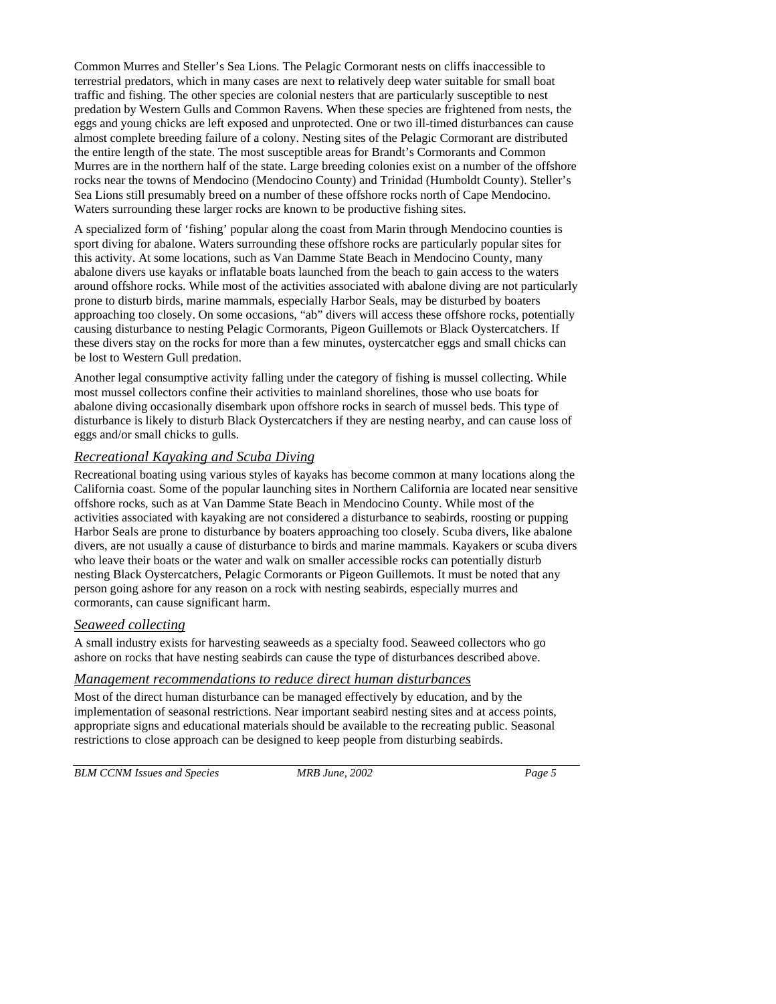Common Murres and Steller's Sea Lions. The Pelagic Cormorant nests on cliffs inaccessible to terrestrial predators, which in many cases are next to relatively deep water suitable for small boat traffic and fishing. The other species are colonial nesters that are particularly susceptible to nest predation by Western Gulls and Common Ravens. When these species are frightened from nests, the eggs and young chicks are left exposed and unprotected. One or two ill-timed disturbances can cause almost complete breeding failure of a colony. Nesting sites of the Pelagic Cormorant are distributed the entire length of the state. The most susceptible areas for Brandt's Cormorants and Common Murres are in the northern half of the state. Large breeding colonies exist on a number of the offshore rocks near the towns of Mendocino (Mendocino County) and Trinidad (Humboldt County). Steller's Sea Lions still presumably breed on a number of these offshore rocks north of Cape Mendocino. Waters surrounding these larger rocks are known to be productive fishing sites.

A specialized form of 'fishing' popular along the coast from Marin through Mendocino counties is sport diving for abalone. Waters surrounding these offshore rocks are particularly popular sites for this activity. At some locations, such as Van Damme State Beach in Mendocino County, many abalone divers use kayaks or inflatable boats launched from the beach to gain access to the waters around offshore rocks. While most of the activities associated with abalone diving are not particularly prone to disturb birds, marine mammals, especially Harbor Seals, may be disturbed by boaters approaching too closely. On some occasions, "ab" divers will access these offshore rocks, potentially causing disturbance to nesting Pelagic Cormorants, Pigeon Guillemots or Black Oystercatchers. If these divers stay on the rocks for more than a few minutes, oystercatcher eggs and small chicks can be lost to Western Gull predation.

Another legal consumptive activity falling under the category of fishing is mussel collecting. While most mussel collectors confine their activities to mainland shorelines, those who use boats for abalone diving occasionally disembark upon offshore rocks in search of mussel beds. This type of disturbance is likely to disturb Black Oystercatchers if they are nesting nearby, and can cause loss of eggs and/or small chicks to gulls.

# *Recreational Kayaking and Scuba Diving*

Recreational boating using various styles of kayaks has become common at many locations along the California coast. Some of the popular launching sites in Northern California are located near sensitive offshore rocks, such as at Van Damme State Beach in Mendocino County. While most of the activities associated with kayaking are not considered a disturbance to seabirds, roosting or pupping Harbor Seals are prone to disturbance by boaters approaching too closely. Scuba divers, like abalone divers, are not usually a cause of disturbance to birds and marine mammals. Kayakers or scuba divers who leave their boats or the water and walk on smaller accessible rocks can potentially disturb nesting Black Oystercatchers, Pelagic Cormorants or Pigeon Guillemots. It must be noted that any person going ashore for any reason on a rock with nesting seabirds, especially murres and cormorants, can cause significant harm.

## *Seaweed collecting*

A small industry exists for harvesting seaweeds as a specialty food. Seaweed collectors who go ashore on rocks that have nesting seabirds can cause the type of disturbances described above.

#### *Management recommendations to reduce direct human disturbances*

Most of the direct human disturbance can be managed effectively by education, and by the implementation of seasonal restrictions. Near important seabird nesting sites and at access points, appropriate signs and educational materials should be available to the recreating public. Seasonal restrictions to close approach can be designed to keep people from disturbing seabirds.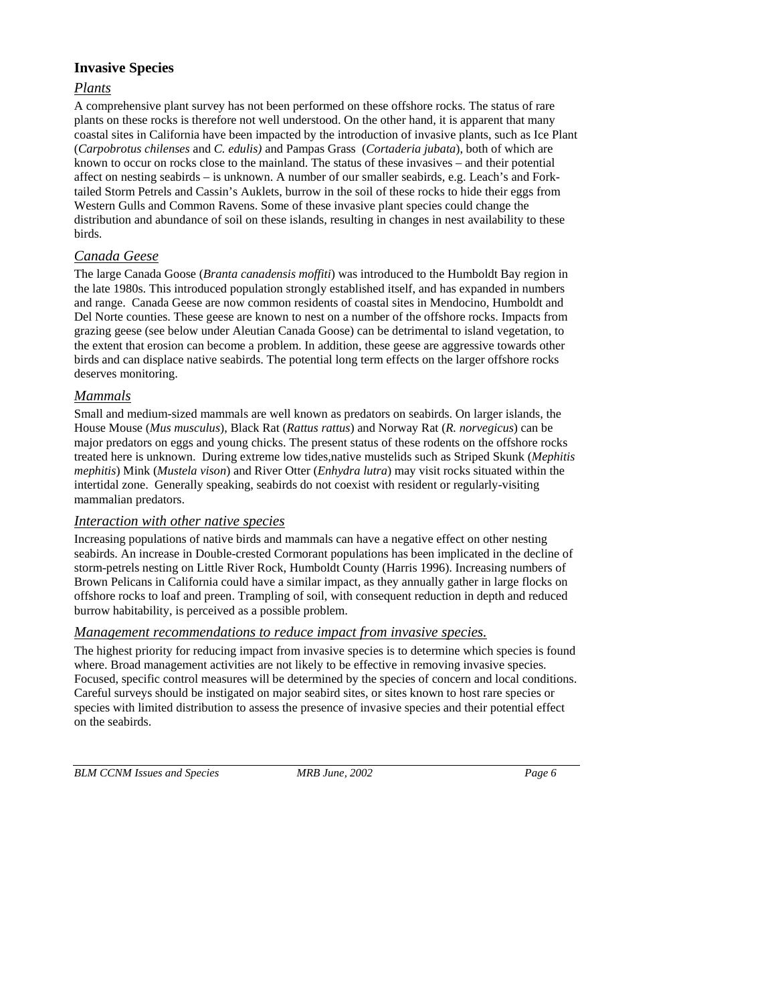# **Invasive Species**

# *Plants*

A comprehensive plant survey has not been performed on these offshore rocks. The status of rare plants on these rocks is therefore not well understood. On the other hand, it is apparent that many coastal sites in California have been impacted by the introduction of invasive plants, such as Ice Plant (*Carpobrotus chilenses* and *C. edulis)* and Pampas Grass (*Cortaderia jubata*), both of which are known to occur on rocks close to the mainland. The status of these invasives – and their potential affect on nesting seabirds – is unknown. A number of our smaller seabirds, e.g. Leach's and Forktailed Storm Petrels and Cassin's Auklets, burrow in the soil of these rocks to hide their eggs from Western Gulls and Common Ravens. Some of these invasive plant species could change the distribution and abundance of soil on these islands, resulting in changes in nest availability to these birds.

# *Canada Geese*

The large Canada Goose (*Branta canadensis moffiti*) was introduced to the Humboldt Bay region in the late 1980s. This introduced population strongly established itself, and has expanded in numbers and range. Canada Geese are now common residents of coastal sites in Mendocino, Humboldt and Del Norte counties. These geese are known to nest on a number of the offshore rocks. Impacts from grazing geese (see below under Aleutian Canada Goose) can be detrimental to island vegetation, to the extent that erosion can become a problem. In addition, these geese are aggressive towards other birds and can displace native seabirds. The potential long term effects on the larger offshore rocks deserves monitoring.

## *Mammals*

Small and medium-sized mammals are well known as predators on seabirds. On larger islands, the House Mouse (*Mus musculus*), Black Rat (*Rattus rattus*) and Norway Rat (*R. norvegicus*) can be major predators on eggs and young chicks. The present status of these rodents on the offshore rocks treated here is unknown. During extreme low tides,native mustelids such as Striped Skunk (*Mephitis mephitis*) Mink (*Mustela vison*) and River Otter (*Enhydra lutra*) may visit rocks situated within the intertidal zone. Generally speaking, seabirds do not coexist with resident or regularly-visiting mammalian predators.

## *Interaction with other native species*

Increasing populations of native birds and mammals can have a negative effect on other nesting seabirds. An increase in Double-crested Cormorant populations has been implicated in the decline of storm-petrels nesting on Little River Rock, Humboldt County (Harris 1996). Increasing numbers of Brown Pelicans in California could have a similar impact, as they annually gather in large flocks on offshore rocks to loaf and preen. Trampling of soil, with consequent reduction in depth and reduced burrow habitability, is perceived as a possible problem.

## *Management recommendations to reduce impact from invasive species.*

The highest priority for reducing impact from invasive species is to determine which species is found where. Broad management activities are not likely to be effective in removing invasive species. Focused, specific control measures will be determined by the species of concern and local conditions. Careful surveys should be instigated on major seabird sites, or sites known to host rare species or species with limited distribution to assess the presence of invasive species and their potential effect on the seabirds.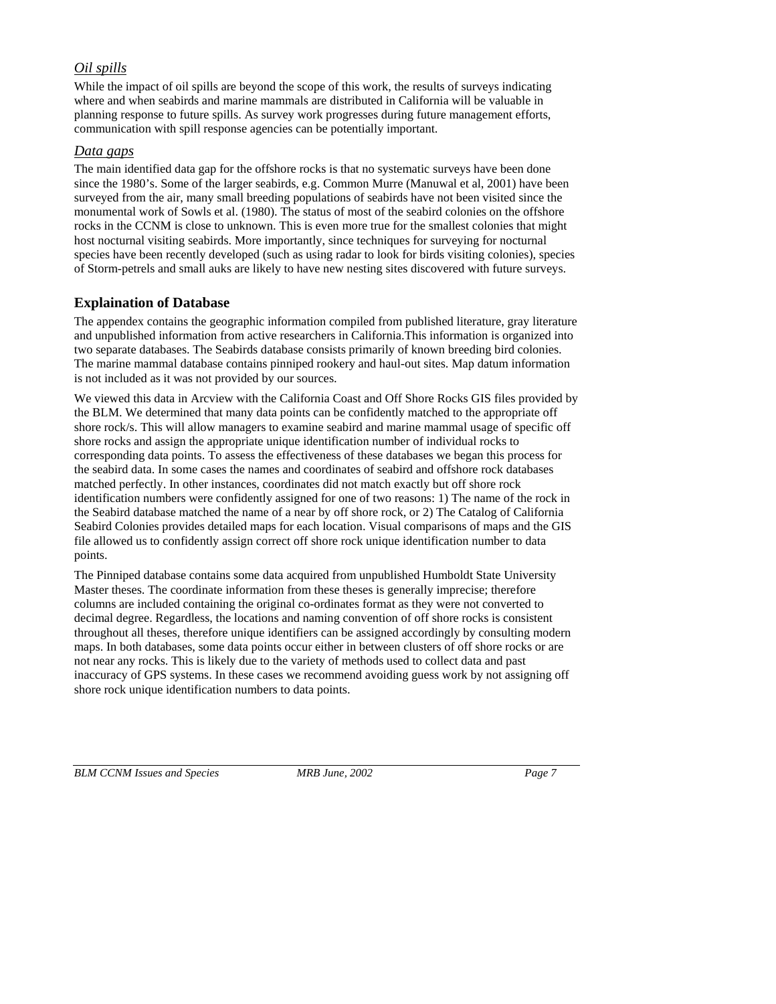# *Oil spills*

While the impact of oil spills are beyond the scope of this work, the results of surveys indicating where and when seabirds and marine mammals are distributed in California will be valuable in planning response to future spills. As survey work progresses during future management efforts, communication with spill response agencies can be potentially important.

#### *Data gaps*

The main identified data gap for the offshore rocks is that no systematic surveys have been done since the 1980's. Some of the larger seabirds, e.g. Common Murre (Manuwal et al, 2001) have been surveyed from the air, many small breeding populations of seabirds have not been visited since the monumental work of Sowls et al. (1980). The status of most of the seabird colonies on the offshore rocks in the CCNM is close to unknown. This is even more true for the smallest colonies that might host nocturnal visiting seabirds. More importantly, since techniques for surveying for nocturnal species have been recently developed (such as using radar to look for birds visiting colonies), species of Storm-petrels and small auks are likely to have new nesting sites discovered with future surveys.

# **Explaination of Database**

The appendex contains the geographic information compiled from published literature, gray literature and unpublished information from active researchers in California.This information is organized into two separate databases. The Seabirds database consists primarily of known breeding bird colonies. The marine mammal database contains pinniped rookery and haul-out sites. Map datum information is not included as it was not provided by our sources.

We viewed this data in Arcview with the California Coast and Off Shore Rocks GIS files provided by the BLM. We determined that many data points can be confidently matched to the appropriate off shore rock/s. This will allow managers to examine seabird and marine mammal usage of specific off shore rocks and assign the appropriate unique identification number of individual rocks to corresponding data points. To assess the effectiveness of these databases we began this process for the seabird data. In some cases the names and coordinates of seabird and offshore rock databases matched perfectly. In other instances, coordinates did not match exactly but off shore rock identification numbers were confidently assigned for one of two reasons: 1) The name of the rock in the Seabird database matched the name of a near by off shore rock, or 2) The Catalog of California Seabird Colonies provides detailed maps for each location. Visual comparisons of maps and the GIS file allowed us to confidently assign correct off shore rock unique identification number to data points.

The Pinniped database contains some data acquired from unpublished Humboldt State University Master theses. The coordinate information from these theses is generally imprecise; therefore columns are included containing the original co-ordinates format as they were not converted to decimal degree. Regardless, the locations and naming convention of off shore rocks is consistent throughout all theses, therefore unique identifiers can be assigned accordingly by consulting modern maps. In both databases, some data points occur either in between clusters of off shore rocks or are not near any rocks. This is likely due to the variety of methods used to collect data and past inaccuracy of GPS systems. In these cases we recommend avoiding guess work by not assigning off shore rock unique identification numbers to data points.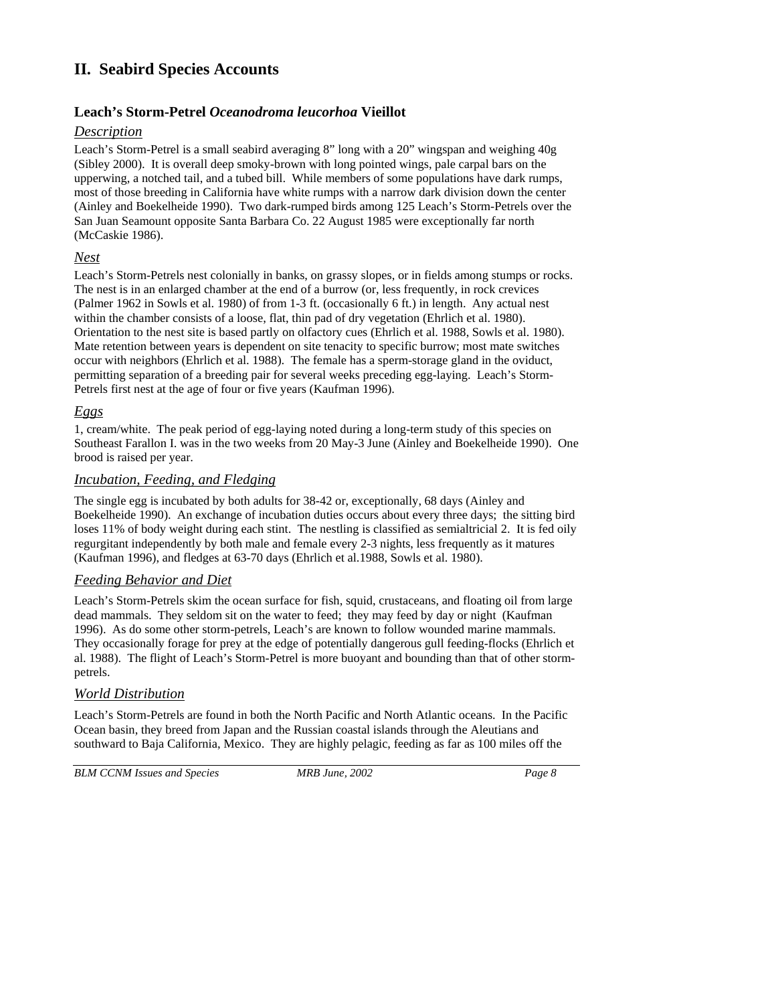# **II. Seabird Species Accounts**

# **Leach's Storm-Petrel** *Oceanodroma leucorhoa* **Vieillot**

## *Description*

Leach's Storm-Petrel is a small seabird averaging 8" long with a 20" wingspan and weighing 40g (Sibley 2000). It is overall deep smoky-brown with long pointed wings, pale carpal bars on the upperwing, a notched tail, and a tubed bill. While members of some populations have dark rumps, most of those breeding in California have white rumps with a narrow dark division down the center (Ainley and Boekelheide 1990). Two dark-rumped birds among 125 Leach's Storm-Petrels over the San Juan Seamount opposite Santa Barbara Co. 22 August 1985 were exceptionally far north (McCaskie 1986).

## *Nest*

Leach's Storm-Petrels nest colonially in banks, on grassy slopes, or in fields among stumps or rocks. The nest is in an enlarged chamber at the end of a burrow (or, less frequently, in rock crevices (Palmer 1962 in Sowls et al. 1980) of from 1-3 ft. (occasionally 6 ft.) in length. Any actual nest within the chamber consists of a loose, flat, thin pad of dry vegetation (Ehrlich et al. 1980). Orientation to the nest site is based partly on olfactory cues (Ehrlich et al. 1988, Sowls et al. 1980). Mate retention between years is dependent on site tenacity to specific burrow; most mate switches occur with neighbors (Ehrlich et al. 1988). The female has a sperm-storage gland in the oviduct, permitting separation of a breeding pair for several weeks preceding egg-laying. Leach's Storm-Petrels first nest at the age of four or five years (Kaufman 1996).

## *Eggs*

1, cream/white. The peak period of egg-laying noted during a long-term study of this species on Southeast Farallon I. was in the two weeks from 20 May-3 June (Ainley and Boekelheide 1990). One brood is raised per year.

## *Incubation, Feeding, and Fledging*

The single egg is incubated by both adults for 38-42 or, exceptionally, 68 days (Ainley and Boekelheide 1990). An exchange of incubation duties occurs about every three days; the sitting bird loses 11% of body weight during each stint. The nestling is classified as semialtricial 2. It is fed oily regurgitant independently by both male and female every 2-3 nights, less frequently as it matures (Kaufman 1996), and fledges at 63-70 days (Ehrlich et al.1988, Sowls et al. 1980).

## *Feeding Behavior and Diet*

Leach's Storm-Petrels skim the ocean surface for fish, squid, crustaceans, and floating oil from large dead mammals. They seldom sit on the water to feed; they may feed by day or night (Kaufman 1996). As do some other storm-petrels, Leach's are known to follow wounded marine mammals. They occasionally forage for prey at the edge of potentially dangerous gull feeding-flocks (Ehrlich et al. 1988). The flight of Leach's Storm-Petrel is more buoyant and bounding than that of other stormpetrels.

## *World Distribution*

Leach's Storm-Petrels are found in both the North Pacific and North Atlantic oceans. In the Pacific Ocean basin, they breed from Japan and the Russian coastal islands through the Aleutians and southward to Baja California, Mexico. They are highly pelagic, feeding as far as 100 miles off the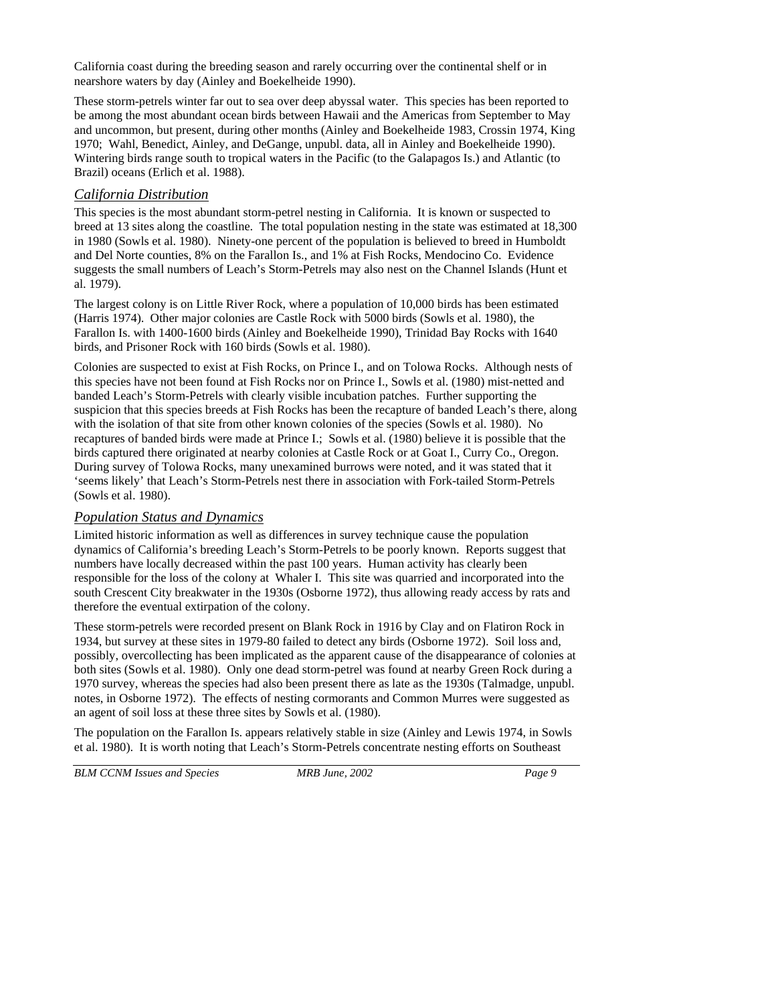California coast during the breeding season and rarely occurring over the continental shelf or in nearshore waters by day (Ainley and Boekelheide 1990).

These storm-petrels winter far out to sea over deep abyssal water. This species has been reported to be among the most abundant ocean birds between Hawaii and the Americas from September to May and uncommon, but present, during other months (Ainley and Boekelheide 1983, Crossin 1974, King 1970; Wahl, Benedict, Ainley, and DeGange, unpubl. data, all in Ainley and Boekelheide 1990). Wintering birds range south to tropical waters in the Pacific (to the Galapagos Is.) and Atlantic (to Brazil) oceans (Erlich et al. 1988).

#### *California Distribution*

This species is the most abundant storm-petrel nesting in California. It is known or suspected to breed at 13 sites along the coastline. The total population nesting in the state was estimated at 18,300 in 1980 (Sowls et al. 1980). Ninety-one percent of the population is believed to breed in Humboldt and Del Norte counties, 8% on the Farallon Is., and 1% at Fish Rocks, Mendocino Co. Evidence suggests the small numbers of Leach's Storm-Petrels may also nest on the Channel Islands (Hunt et al. 1979).

The largest colony is on Little River Rock, where a population of 10,000 birds has been estimated (Harris 1974). Other major colonies are Castle Rock with 5000 birds (Sowls et al. 1980), the Farallon Is. with 1400-1600 birds (Ainley and Boekelheide 1990), Trinidad Bay Rocks with 1640 birds, and Prisoner Rock with 160 birds (Sowls et al. 1980).

Colonies are suspected to exist at Fish Rocks, on Prince I., and on Tolowa Rocks. Although nests of this species have not been found at Fish Rocks nor on Prince I., Sowls et al. (1980) mist-netted and banded Leach's Storm-Petrels with clearly visible incubation patches. Further supporting the suspicion that this species breeds at Fish Rocks has been the recapture of banded Leach's there, along with the isolation of that site from other known colonies of the species (Sowls et al. 1980). No recaptures of banded birds were made at Prince I.; Sowls et al. (1980) believe it is possible that the birds captured there originated at nearby colonies at Castle Rock or at Goat I., Curry Co., Oregon. During survey of Tolowa Rocks, many unexamined burrows were noted, and it was stated that it 'seems likely' that Leach's Storm-Petrels nest there in association with Fork-tailed Storm-Petrels (Sowls et al. 1980).

## *Population Status and Dynamics*

Limited historic information as well as differences in survey technique cause the population dynamics of California's breeding Leach's Storm-Petrels to be poorly known. Reports suggest that numbers have locally decreased within the past 100 years. Human activity has clearly been responsible for the loss of the colony at Whaler I. This site was quarried and incorporated into the south Crescent City breakwater in the 1930s (Osborne 1972), thus allowing ready access by rats and therefore the eventual extirpation of the colony.

These storm-petrels were recorded present on Blank Rock in 1916 by Clay and on Flatiron Rock in 1934, but survey at these sites in 1979-80 failed to detect any birds (Osborne 1972). Soil loss and, possibly, overcollecting has been implicated as the apparent cause of the disappearance of colonies at both sites (Sowls et al. 1980). Only one dead storm-petrel was found at nearby Green Rock during a 1970 survey, whereas the species had also been present there as late as the 1930s (Talmadge, unpubl. notes, in Osborne 1972). The effects of nesting cormorants and Common Murres were suggested as an agent of soil loss at these three sites by Sowls et al. (1980).

The population on the Farallon Is. appears relatively stable in size (Ainley and Lewis 1974, in Sowls et al. 1980). It is worth noting that Leach's Storm-Petrels concentrate nesting efforts on Southeast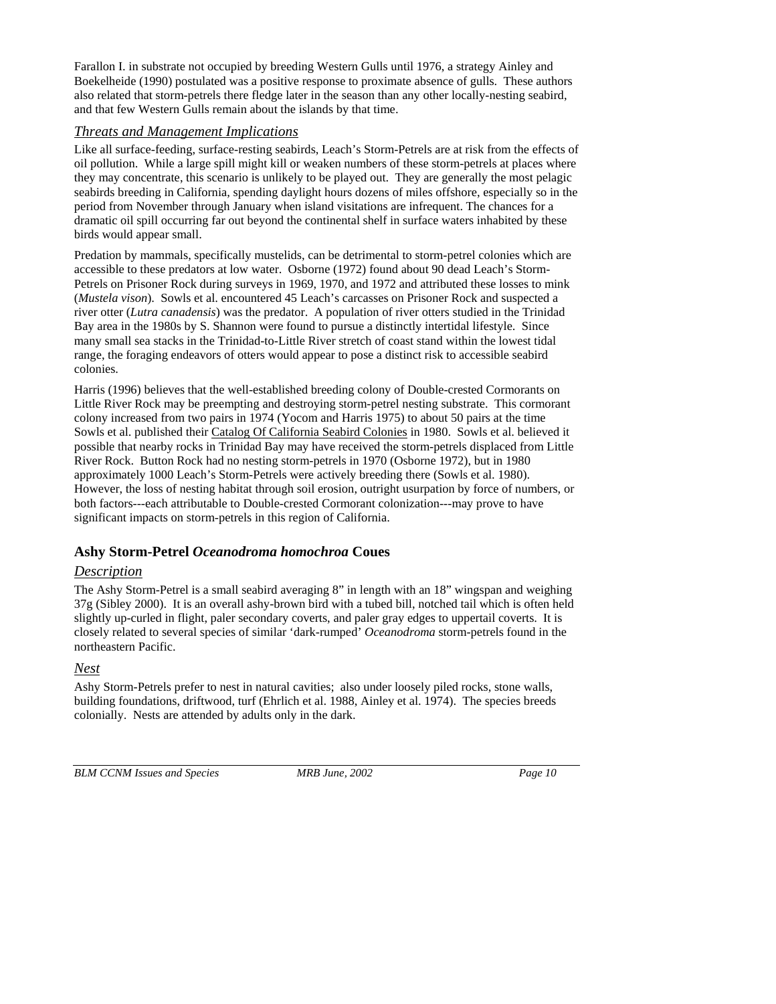Farallon I. in substrate not occupied by breeding Western Gulls until 1976, a strategy Ainley and Boekelheide (1990) postulated was a positive response to proximate absence of gulls. These authors also related that storm-petrels there fledge later in the season than any other locally-nesting seabird, and that few Western Gulls remain about the islands by that time.

## *Threats and Management Implications*

Like all surface-feeding, surface-resting seabirds, Leach's Storm-Petrels are at risk from the effects of oil pollution. While a large spill might kill or weaken numbers of these storm-petrels at places where they may concentrate, this scenario is unlikely to be played out. They are generally the most pelagic seabirds breeding in California, spending daylight hours dozens of miles offshore, especially so in the period from November through January when island visitations are infrequent. The chances for a dramatic oil spill occurring far out beyond the continental shelf in surface waters inhabited by these birds would appear small.

Predation by mammals, specifically mustelids, can be detrimental to storm-petrel colonies which are accessible to these predators at low water. Osborne (1972) found about 90 dead Leach's Storm-Petrels on Prisoner Rock during surveys in 1969, 1970, and 1972 and attributed these losses to mink (*Mustela vison*). Sowls et al. encountered 45 Leach's carcasses on Prisoner Rock and suspected a river otter (*Lutra canadensis*) was the predator. A population of river otters studied in the Trinidad Bay area in the 1980s by S. Shannon were found to pursue a distinctly intertidal lifestyle. Since many small sea stacks in the Trinidad-to-Little River stretch of coast stand within the lowest tidal range, the foraging endeavors of otters would appear to pose a distinct risk to accessible seabird colonies.

Harris (1996) believes that the well-established breeding colony of Double-crested Cormorants on Little River Rock may be preempting and destroying storm-petrel nesting substrate. This cormorant colony increased from two pairs in 1974 (Yocom and Harris 1975) to about 50 pairs at the time Sowls et al. published their Catalog Of California Seabird Colonies in 1980. Sowls et al. believed it possible that nearby rocks in Trinidad Bay may have received the storm-petrels displaced from Little River Rock. Button Rock had no nesting storm-petrels in 1970 (Osborne 1972), but in 1980 approximately 1000 Leach's Storm-Petrels were actively breeding there (Sowls et al. 1980). However, the loss of nesting habitat through soil erosion, outright usurpation by force of numbers, or both factors---each attributable to Double-crested Cormorant colonization---may prove to have significant impacts on storm-petrels in this region of California.

# **Ashy Storm-Petrel** *Oceanodroma homochroa* **Coues**

## *Description*

The Ashy Storm-Petrel is a small seabird averaging 8" in length with an 18" wingspan and weighing 37g (Sibley 2000). It is an overall ashy-brown bird with a tubed bill, notched tail which is often held slightly up-curled in flight, paler secondary coverts, and paler gray edges to uppertail coverts. It is closely related to several species of similar 'dark-rumped' *Oceanodroma* storm-petrels found in the northeastern Pacific.

## *Nest*

Ashy Storm-Petrels prefer to nest in natural cavities; also under loosely piled rocks, stone walls, building foundations, driftwood, turf (Ehrlich et al. 1988, Ainley et al. 1974). The species breeds colonially. Nests are attended by adults only in the dark.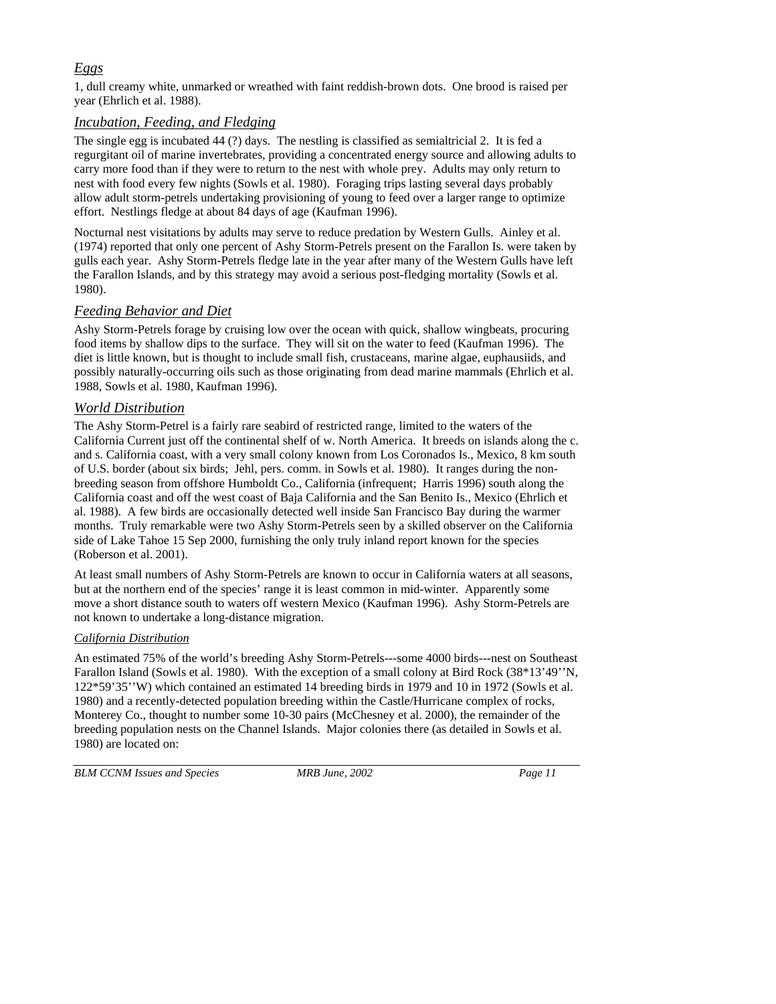# *Eggs*

1, dull creamy white, unmarked or wreathed with faint reddish-brown dots. One brood is raised per year (Ehrlich et al. 1988).

## *Incubation, Feeding, and Fledging*

The single egg is incubated 44 (?) days. The nestling is classified as semialtricial 2. It is fed a regurgitant oil of marine invertebrates, providing a concentrated energy source and allowing adults to carry more food than if they were to return to the nest with whole prey. Adults may only return to nest with food every few nights (Sowls et al. 1980). Foraging trips lasting several days probably allow adult storm-petrels undertaking provisioning of young to feed over a larger range to optimize effort. Nestlings fledge at about 84 days of age (Kaufman 1996).

Nocturnal nest visitations by adults may serve to reduce predation by Western Gulls. Ainley et al. (1974) reported that only one percent of Ashy Storm-Petrels present on the Farallon Is. were taken by gulls each year. Ashy Storm-Petrels fledge late in the year after many of the Western Gulls have left the Farallon Islands, and by this strategy may avoid a serious post-fledging mortality (Sowls et al. 1980).

# *Feeding Behavior and Diet*

Ashy Storm-Petrels forage by cruising low over the ocean with quick, shallow wingbeats, procuring food items by shallow dips to the surface. They will sit on the water to feed (Kaufman 1996). The diet is little known, but is thought to include small fish, crustaceans, marine algae, euphausiids, and possibly naturally-occurring oils such as those originating from dead marine mammals (Ehrlich et al. 1988, Sowls et al. 1980, Kaufman 1996).

# *World Distribution*

The Ashy Storm-Petrel is a fairly rare seabird of restricted range, limited to the waters of the California Current just off the continental shelf of w. North America. It breeds on islands along the c. and s. California coast, with a very small colony known from Los Coronados Is., Mexico, 8 km south of U.S. border (about six birds; Jehl, pers. comm. in Sowls et al. 1980). It ranges during the nonbreeding season from offshore Humboldt Co., California (infrequent; Harris 1996) south along the California coast and off the west coast of Baja California and the San Benito Is., Mexico (Ehrlich et al. 1988). A few birds are occasionally detected well inside San Francisco Bay during the warmer months. Truly remarkable were two Ashy Storm-Petrels seen by a skilled observer on the California side of Lake Tahoe 15 Sep 2000, furnishing the only truly inland report known for the species (Roberson et al. 2001).

At least small numbers of Ashy Storm-Petrels are known to occur in California waters at all seasons, but at the northern end of the species' range it is least common in mid-winter. Apparently some move a short distance south to waters off western Mexico (Kaufman 1996). Ashy Storm-Petrels are not known to undertake a long-distance migration.

## *California Distribution*

An estimated 75% of the world's breeding Ashy Storm-Petrels---some 4000 birds---nest on Southeast Farallon Island (Sowls et al. 1980). With the exception of a small colony at Bird Rock (38\*13'49''N, 122\*59'35''W) which contained an estimated 14 breeding birds in 1979 and 10 in 1972 (Sowls et al. 1980) and a recently-detected population breeding within the Castle/Hurricane complex of rocks, Monterey Co., thought to number some 10-30 pairs (McChesney et al. 2000), the remainder of the breeding population nests on the Channel Islands. Major colonies there (as detailed in Sowls et al. 1980) are located on: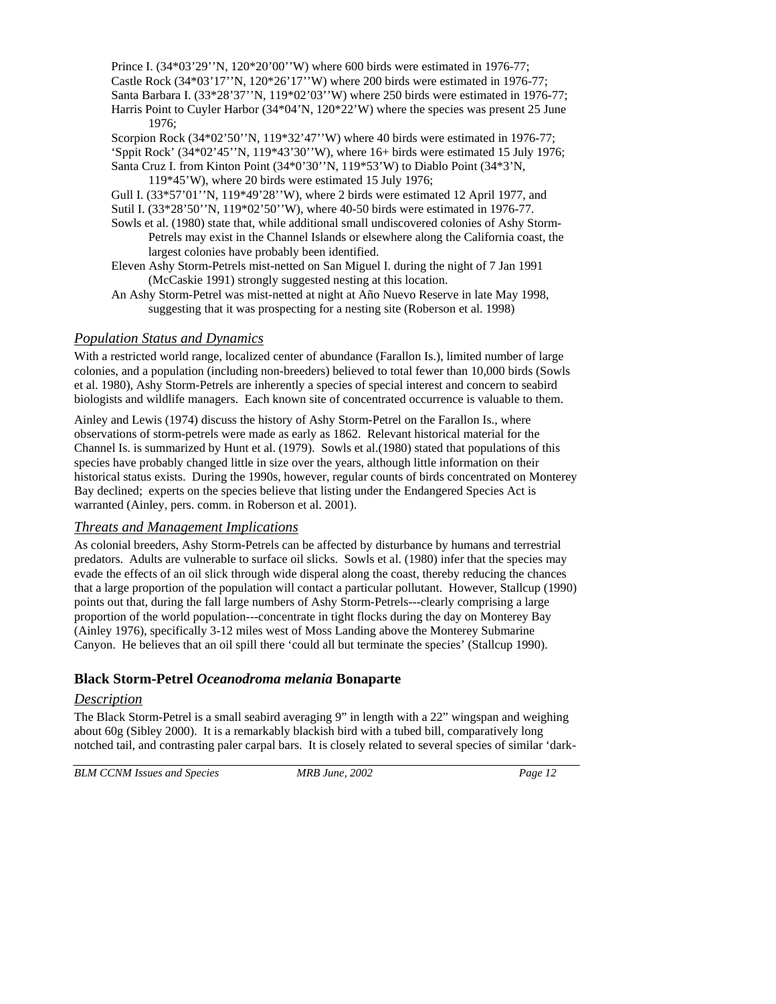Prince I. (34\*03'29''N, 120\*20'00''W) where 600 birds were estimated in 1976-77; Castle Rock  $(34*03'17''N, 120*26'17''W)$  where 200 birds were estimated in 1976-77; Santa Barbara I. (33\*28'37''N, 119\*02'03''W) where 250 birds were estimated in 1976-77; Harris Point to Cuyler Harbor (34\*04'N, 120\*22'W) where the species was present 25 June

1976; Scorpion Rock (34\*02'50''N, 119\*32'47''W) where 40 birds were estimated in 1976-77; 'Sppit Rock' (34\*02'45''N, 119\*43'30''W), where 16+ birds were estimated 15 July 1976; Santa Cruz I. from Kinton Point (34\*0'30''N, 119\*53'W) to Diablo Point (34\*3'N,

119\*45'W), where 20 birds were estimated 15 July 1976;

Gull I. (33\*57'01''N, 119\*49'28''W), where 2 birds were estimated 12 April 1977, and Sutil I. (33\*28'50''N, 119\*02'50''W), where 40-50 birds were estimated in 1976-77.

Sowls et al. (1980) state that, while additional small undiscovered colonies of Ashy Storm-Petrels may exist in the Channel Islands or elsewhere along the California coast, the largest colonies have probably been identified.

Eleven Ashy Storm-Petrels mist-netted on San Miguel I. during the night of 7 Jan 1991 (McCaskie 1991) strongly suggested nesting at this location.

An Ashy Storm-Petrel was mist-netted at night at Año Nuevo Reserve in late May 1998, suggesting that it was prospecting for a nesting site (Roberson et al. 1998)

#### *Population Status and Dynamics*

With a restricted world range, localized center of abundance (Farallon Is.), limited number of large colonies, and a population (including non-breeders) believed to total fewer than 10,000 birds (Sowls et al. 1980), Ashy Storm-Petrels are inherently a species of special interest and concern to seabird biologists and wildlife managers. Each known site of concentrated occurrence is valuable to them.

Ainley and Lewis (1974) discuss the history of Ashy Storm-Petrel on the Farallon Is., where observations of storm-petrels were made as early as 1862. Relevant historical material for the Channel Is. is summarized by Hunt et al. (1979). Sowls et al.(1980) stated that populations of this species have probably changed little in size over the years, although little information on their historical status exists. During the 1990s, however, regular counts of birds concentrated on Monterey Bay declined; experts on the species believe that listing under the Endangered Species Act is warranted (Ainley, pers. comm. in Roberson et al. 2001).

#### *Threats and Management Implications*

As colonial breeders, Ashy Storm-Petrels can be affected by disturbance by humans and terrestrial predators. Adults are vulnerable to surface oil slicks. Sowls et al. (1980) infer that the species may evade the effects of an oil slick through wide disperal along the coast, thereby reducing the chances that a large proportion of the population will contact a particular pollutant. However, Stallcup (1990) points out that, during the fall large numbers of Ashy Storm-Petrels---clearly comprising a large proportion of the world population---concentrate in tight flocks during the day on Monterey Bay (Ainley 1976), specifically 3-12 miles west of Moss Landing above the Monterey Submarine Canyon. He believes that an oil spill there 'could all but terminate the species' (Stallcup 1990).

## **Black Storm-Petrel** *Oceanodroma melania* **Bonaparte**

## *Description*

The Black Storm-Petrel is a small seabird averaging 9" in length with a 22" wingspan and weighing about 60g (Sibley 2000). It is a remarkably blackish bird with a tubed bill, comparatively long notched tail, and contrasting paler carpal bars. It is closely related to several species of similar 'dark-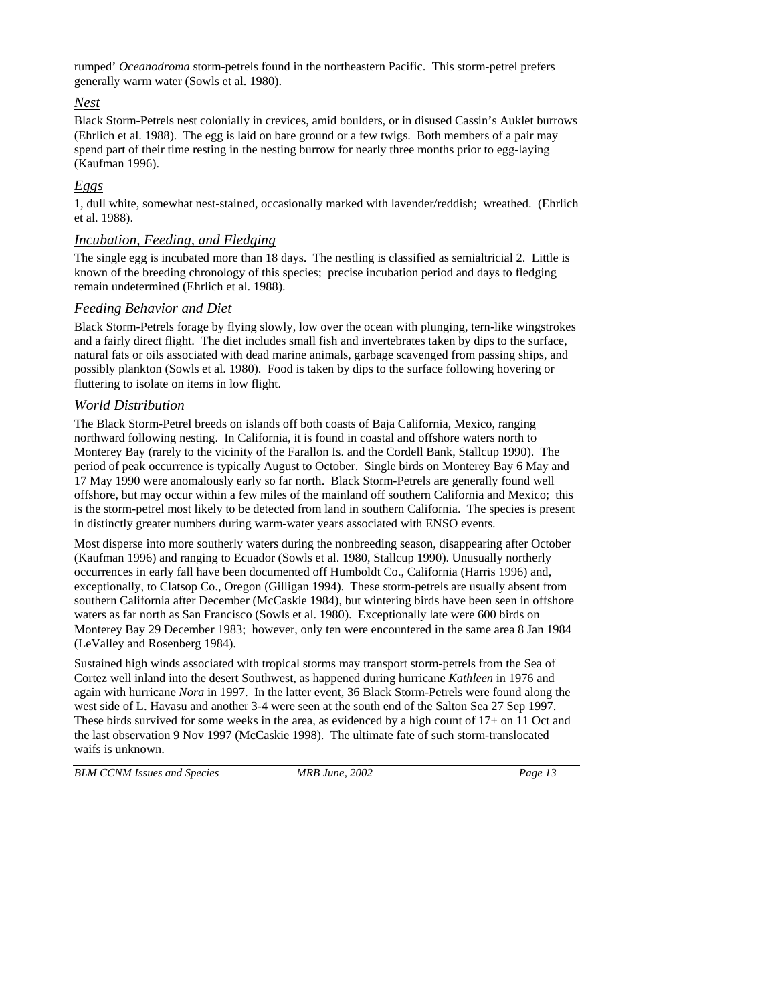rumped' *Oceanodroma* storm-petrels found in the northeastern Pacific. This storm-petrel prefers generally warm water (Sowls et al. 1980).

## *Nest*

Black Storm-Petrels nest colonially in crevices, amid boulders, or in disused Cassin's Auklet burrows (Ehrlich et al. 1988). The egg is laid on bare ground or a few twigs. Both members of a pair may spend part of their time resting in the nesting burrow for nearly three months prior to egg-laying (Kaufman 1996).

## *Eggs*

1, dull white, somewhat nest-stained, occasionally marked with lavender/reddish; wreathed. (Ehrlich et al. 1988).

#### *Incubation, Feeding, and Fledging*

The single egg is incubated more than 18 days. The nestling is classified as semialtricial 2. Little is known of the breeding chronology of this species; precise incubation period and days to fledging remain undetermined (Ehrlich et al. 1988).

## *Feeding Behavior and Diet*

Black Storm-Petrels forage by flying slowly, low over the ocean with plunging, tern-like wingstrokes and a fairly direct flight. The diet includes small fish and invertebrates taken by dips to the surface, natural fats or oils associated with dead marine animals, garbage scavenged from passing ships, and possibly plankton (Sowls et al. 1980). Food is taken by dips to the surface following hovering or fluttering to isolate on items in low flight.

## *World Distribution*

The Black Storm-Petrel breeds on islands off both coasts of Baja California, Mexico, ranging northward following nesting. In California, it is found in coastal and offshore waters north to Monterey Bay (rarely to the vicinity of the Farallon Is. and the Cordell Bank, Stallcup 1990). The period of peak occurrence is typically August to October. Single birds on Monterey Bay 6 May and 17 May 1990 were anomalously early so far north. Black Storm-Petrels are generally found well offshore, but may occur within a few miles of the mainland off southern California and Mexico; this is the storm-petrel most likely to be detected from land in southern California. The species is present in distinctly greater numbers during warm-water years associated with ENSO events.

Most disperse into more southerly waters during the nonbreeding season, disappearing after October (Kaufman 1996) and ranging to Ecuador (Sowls et al. 1980, Stallcup 1990). Unusually northerly occurrences in early fall have been documented off Humboldt Co., California (Harris 1996) and, exceptionally, to Clatsop Co., Oregon (Gilligan 1994). These storm-petrels are usually absent from southern California after December (McCaskie 1984), but wintering birds have been seen in offshore waters as far north as San Francisco (Sowls et al. 1980). Exceptionally late were 600 birds on Monterey Bay 29 December 1983; however, only ten were encountered in the same area 8 Jan 1984 (LeValley and Rosenberg 1984).

Sustained high winds associated with tropical storms may transport storm-petrels from the Sea of Cortez well inland into the desert Southwest, as happened during hurricane *Kathleen* in 1976 and again with hurricane *Nora* in 1997. In the latter event, 36 Black Storm-Petrels were found along the west side of L. Havasu and another 3-4 were seen at the south end of the Salton Sea 27 Sep 1997. These birds survived for some weeks in the area, as evidenced by a high count of 17+ on 11 Oct and the last observation 9 Nov 1997 (McCaskie 1998). The ultimate fate of such storm-translocated waifs is unknown.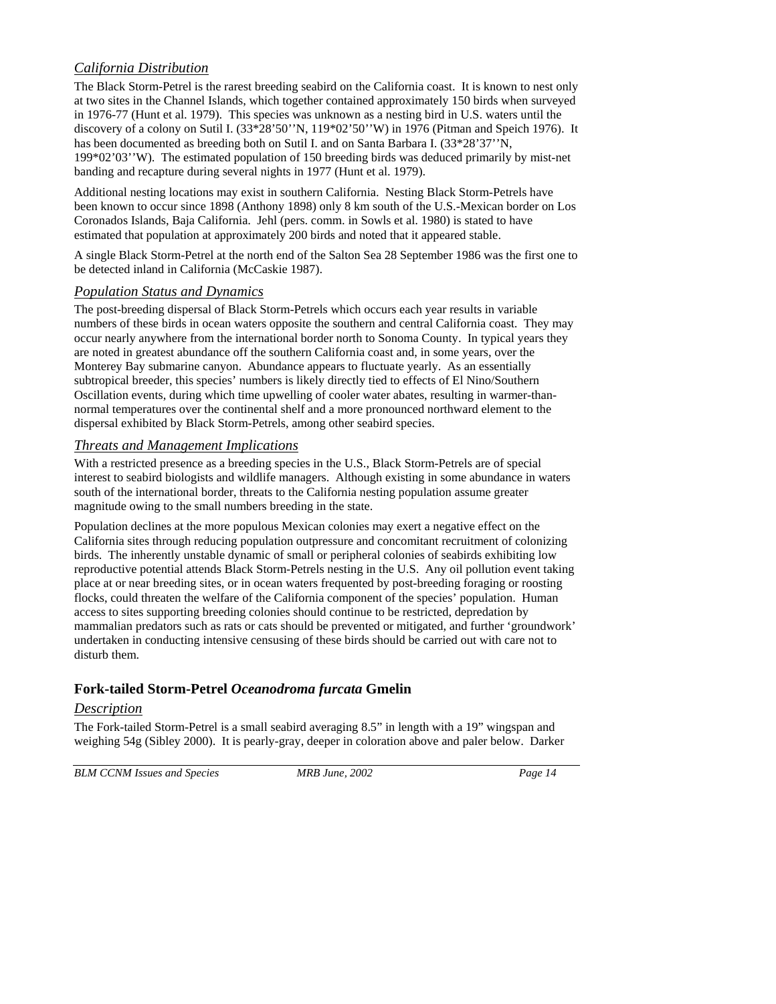# *California Distribution*

The Black Storm-Petrel is the rarest breeding seabird on the California coast. It is known to nest only at two sites in the Channel Islands, which together contained approximately 150 birds when surveyed in 1976-77 (Hunt et al. 1979). This species was unknown as a nesting bird in U.S. waters until the discovery of a colony on Sutil I. (33\*28'50''N, 119\*02'50''W) in 1976 (Pitman and Speich 1976). It has been documented as breeding both on Sutil I. and on Santa Barbara I. (33\*28'37''N, 199\*02'03''W). The estimated population of 150 breeding birds was deduced primarily by mist-net banding and recapture during several nights in 1977 (Hunt et al. 1979).

Additional nesting locations may exist in southern California. Nesting Black Storm-Petrels have been known to occur since 1898 (Anthony 1898) only 8 km south of the U.S.-Mexican border on Los Coronados Islands, Baja California. Jehl (pers. comm. in Sowls et al. 1980) is stated to have estimated that population at approximately 200 birds and noted that it appeared stable.

A single Black Storm-Petrel at the north end of the Salton Sea 28 September 1986 was the first one to be detected inland in California (McCaskie 1987).

#### *Population Status and Dynamics*

The post-breeding dispersal of Black Storm-Petrels which occurs each year results in variable numbers of these birds in ocean waters opposite the southern and central California coast. They may occur nearly anywhere from the international border north to Sonoma County. In typical years they are noted in greatest abundance off the southern California coast and, in some years, over the Monterey Bay submarine canyon. Abundance appears to fluctuate yearly. As an essentially subtropical breeder, this species' numbers is likely directly tied to effects of El Nino/Southern Oscillation events, during which time upwelling of cooler water abates, resulting in warmer-thannormal temperatures over the continental shelf and a more pronounced northward element to the dispersal exhibited by Black Storm-Petrels, among other seabird species.

## *Threats and Management Implications*

With a restricted presence as a breeding species in the U.S., Black Storm-Petrels are of special interest to seabird biologists and wildlife managers. Although existing in some abundance in waters south of the international border, threats to the California nesting population assume greater magnitude owing to the small numbers breeding in the state.

Population declines at the more populous Mexican colonies may exert a negative effect on the California sites through reducing population outpressure and concomitant recruitment of colonizing birds. The inherently unstable dynamic of small or peripheral colonies of seabirds exhibiting low reproductive potential attends Black Storm-Petrels nesting in the U.S. Any oil pollution event taking place at or near breeding sites, or in ocean waters frequented by post-breeding foraging or roosting flocks, could threaten the welfare of the California component of the species' population. Human access to sites supporting breeding colonies should continue to be restricted, depredation by mammalian predators such as rats or cats should be prevented or mitigated, and further 'groundwork' undertaken in conducting intensive censusing of these birds should be carried out with care not to disturb them.

# **Fork-tailed Storm-Petrel** *Oceanodroma furcata* **Gmelin**

## *Description*

The Fork-tailed Storm-Petrel is a small seabird averaging 8.5" in length with a 19" wingspan and weighing 54g (Sibley 2000). It is pearly-gray, deeper in coloration above and paler below. Darker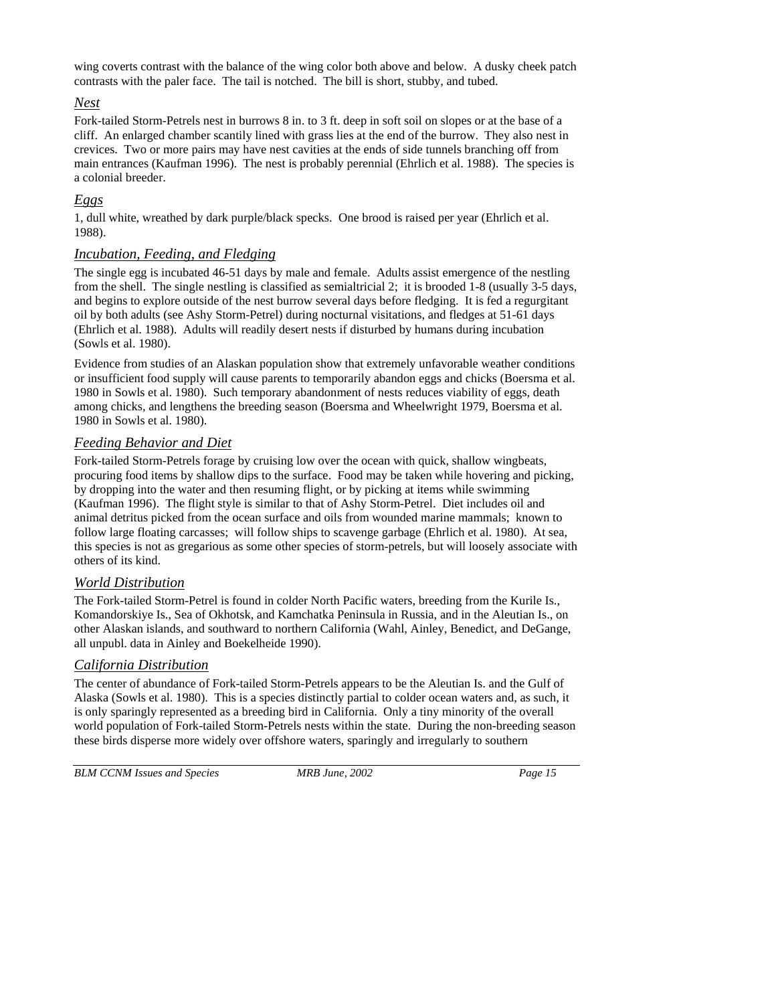wing coverts contrast with the balance of the wing color both above and below. A dusky cheek patch contrasts with the paler face. The tail is notched. The bill is short, stubby, and tubed.

#### *Nest*

Fork-tailed Storm-Petrels nest in burrows 8 in. to 3 ft. deep in soft soil on slopes or at the base of a cliff. An enlarged chamber scantily lined with grass lies at the end of the burrow. They also nest in crevices. Two or more pairs may have nest cavities at the ends of side tunnels branching off from main entrances (Kaufman 1996). The nest is probably perennial (Ehrlich et al. 1988). The species is a colonial breeder.

# *Eggs*

1, dull white, wreathed by dark purple/black specks. One brood is raised per year (Ehrlich et al. 1988).

## *Incubation, Feeding, and Fledging*

The single egg is incubated 46-51 days by male and female. Adults assist emergence of the nestling from the shell. The single nestling is classified as semialtricial 2; it is brooded 1-8 (usually 3-5 days, and begins to explore outside of the nest burrow several days before fledging. It is fed a regurgitant oil by both adults (see Ashy Storm-Petrel) during nocturnal visitations, and fledges at 51-61 days (Ehrlich et al. 1988). Adults will readily desert nests if disturbed by humans during incubation (Sowls et al. 1980).

Evidence from studies of an Alaskan population show that extremely unfavorable weather conditions or insufficient food supply will cause parents to temporarily abandon eggs and chicks (Boersma et al. 1980 in Sowls et al. 1980). Such temporary abandonment of nests reduces viability of eggs, death among chicks, and lengthens the breeding season (Boersma and Wheelwright 1979, Boersma et al. 1980 in Sowls et al. 1980).

# *Feeding Behavior and Diet*

Fork-tailed Storm-Petrels forage by cruising low over the ocean with quick, shallow wingbeats, procuring food items by shallow dips to the surface. Food may be taken while hovering and picking, by dropping into the water and then resuming flight, or by picking at items while swimming (Kaufman 1996). The flight style is similar to that of Ashy Storm-Petrel. Diet includes oil and animal detritus picked from the ocean surface and oils from wounded marine mammals; known to follow large floating carcasses; will follow ships to scavenge garbage (Ehrlich et al. 1980). At sea, this species is not as gregarious as some other species of storm-petrels, but will loosely associate with others of its kind.

## *World Distribution*

The Fork-tailed Storm-Petrel is found in colder North Pacific waters, breeding from the Kurile Is., Komandorskiye Is., Sea of Okhotsk, and Kamchatka Peninsula in Russia, and in the Aleutian Is., on other Alaskan islands, and southward to northern California (Wahl, Ainley, Benedict, and DeGange, all unpubl. data in Ainley and Boekelheide 1990).

## *California Distribution*

The center of abundance of Fork-tailed Storm-Petrels appears to be the Aleutian Is. and the Gulf of Alaska (Sowls et al. 1980). This is a species distinctly partial to colder ocean waters and, as such, it is only sparingly represented as a breeding bird in California. Only a tiny minority of the overall world population of Fork-tailed Storm-Petrels nests within the state. During the non-breeding season these birds disperse more widely over offshore waters, sparingly and irregularly to southern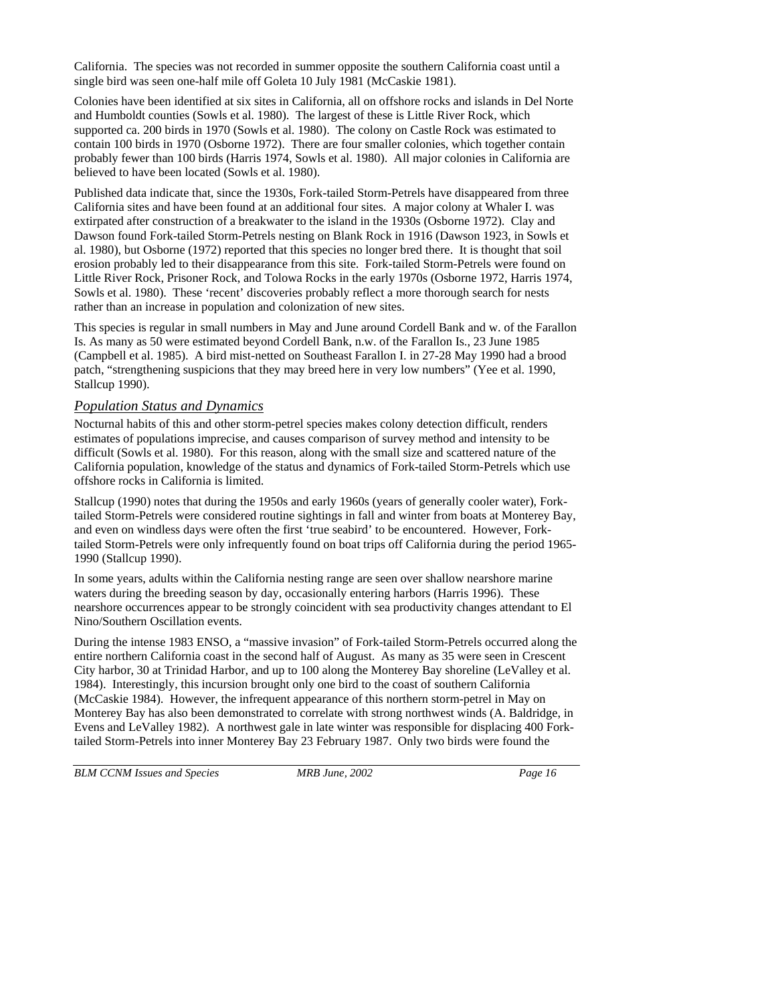California. The species was not recorded in summer opposite the southern California coast until a single bird was seen one-half mile off Goleta 10 July 1981 (McCaskie 1981).

Colonies have been identified at six sites in California, all on offshore rocks and islands in Del Norte and Humboldt counties (Sowls et al. 1980). The largest of these is Little River Rock, which supported ca. 200 birds in 1970 (Sowls et al. 1980). The colony on Castle Rock was estimated to contain 100 birds in 1970 (Osborne 1972). There are four smaller colonies, which together contain probably fewer than 100 birds (Harris 1974, Sowls et al. 1980). All major colonies in California are believed to have been located (Sowls et al. 1980).

Published data indicate that, since the 1930s, Fork-tailed Storm-Petrels have disappeared from three California sites and have been found at an additional four sites. A major colony at Whaler I. was extirpated after construction of a breakwater to the island in the 1930s (Osborne 1972). Clay and Dawson found Fork-tailed Storm-Petrels nesting on Blank Rock in 1916 (Dawson 1923, in Sowls et al. 1980), but Osborne (1972) reported that this species no longer bred there. It is thought that soil erosion probably led to their disappearance from this site. Fork-tailed Storm-Petrels were found on Little River Rock, Prisoner Rock, and Tolowa Rocks in the early 1970s (Osborne 1972, Harris 1974, Sowls et al. 1980). These 'recent' discoveries probably reflect a more thorough search for nests rather than an increase in population and colonization of new sites.

This species is regular in small numbers in May and June around Cordell Bank and w. of the Farallon Is. As many as 50 were estimated beyond Cordell Bank, n.w. of the Farallon Is., 23 June 1985 (Campbell et al. 1985). A bird mist-netted on Southeast Farallon I. in 27-28 May 1990 had a brood patch, "strengthening suspicions that they may breed here in very low numbers" (Yee et al. 1990, Stallcup 1990).

#### *Population Status and Dynamics*

Nocturnal habits of this and other storm-petrel species makes colony detection difficult, renders estimates of populations imprecise, and causes comparison of survey method and intensity to be difficult (Sowls et al. 1980). For this reason, along with the small size and scattered nature of the California population, knowledge of the status and dynamics of Fork-tailed Storm-Petrels which use offshore rocks in California is limited.

Stallcup (1990) notes that during the 1950s and early 1960s (years of generally cooler water), Forktailed Storm-Petrels were considered routine sightings in fall and winter from boats at Monterey Bay, and even on windless days were often the first 'true seabird' to be encountered. However, Forktailed Storm-Petrels were only infrequently found on boat trips off California during the period 1965- 1990 (Stallcup 1990).

In some years, adults within the California nesting range are seen over shallow nearshore marine waters during the breeding season by day, occasionally entering harbors (Harris 1996). These nearshore occurrences appear to be strongly coincident with sea productivity changes attendant to El Nino/Southern Oscillation events.

During the intense 1983 ENSO, a "massive invasion" of Fork-tailed Storm-Petrels occurred along the entire northern California coast in the second half of August. As many as 35 were seen in Crescent City harbor, 30 at Trinidad Harbor, and up to 100 along the Monterey Bay shoreline (LeValley et al. 1984). Interestingly, this incursion brought only one bird to the coast of southern California (McCaskie 1984). However, the infrequent appearance of this northern storm-petrel in May on Monterey Bay has also been demonstrated to correlate with strong northwest winds (A. Baldridge, in Evens and LeValley 1982). A northwest gale in late winter was responsible for displacing 400 Forktailed Storm-Petrels into inner Monterey Bay 23 February 1987. Only two birds were found the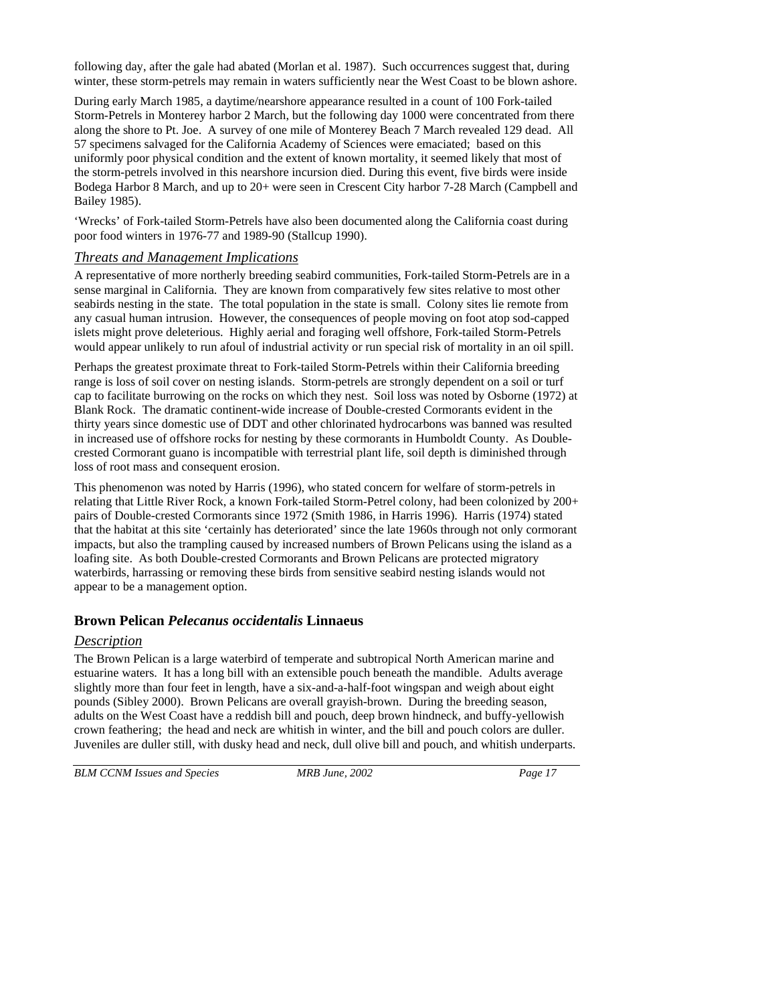following day, after the gale had abated (Morlan et al. 1987). Such occurrences suggest that, during winter, these storm-petrels may remain in waters sufficiently near the West Coast to be blown ashore.

During early March 1985, a daytime/nearshore appearance resulted in a count of 100 Fork-tailed Storm-Petrels in Monterey harbor 2 March, but the following day 1000 were concentrated from there along the shore to Pt. Joe. A survey of one mile of Monterey Beach 7 March revealed 129 dead. All 57 specimens salvaged for the California Academy of Sciences were emaciated; based on this uniformly poor physical condition and the extent of known mortality, it seemed likely that most of the storm-petrels involved in this nearshore incursion died. During this event, five birds were inside Bodega Harbor 8 March, and up to 20+ were seen in Crescent City harbor 7-28 March (Campbell and Bailey 1985).

'Wrecks' of Fork-tailed Storm-Petrels have also been documented along the California coast during poor food winters in 1976-77 and 1989-90 (Stallcup 1990).

#### *Threats and Management Implications*

A representative of more northerly breeding seabird communities, Fork-tailed Storm-Petrels are in a sense marginal in California. They are known from comparatively few sites relative to most other seabirds nesting in the state. The total population in the state is small. Colony sites lie remote from any casual human intrusion. However, the consequences of people moving on foot atop sod-capped islets might prove deleterious. Highly aerial and foraging well offshore, Fork-tailed Storm-Petrels would appear unlikely to run afoul of industrial activity or run special risk of mortality in an oil spill.

Perhaps the greatest proximate threat to Fork-tailed Storm-Petrels within their California breeding range is loss of soil cover on nesting islands. Storm-petrels are strongly dependent on a soil or turf cap to facilitate burrowing on the rocks on which they nest. Soil loss was noted by Osborne (1972) at Blank Rock. The dramatic continent-wide increase of Double-crested Cormorants evident in the thirty years since domestic use of DDT and other chlorinated hydrocarbons was banned was resulted in increased use of offshore rocks for nesting by these cormorants in Humboldt County. As Doublecrested Cormorant guano is incompatible with terrestrial plant life, soil depth is diminished through loss of root mass and consequent erosion.

This phenomenon was noted by Harris (1996), who stated concern for welfare of storm-petrels in relating that Little River Rock, a known Fork-tailed Storm-Petrel colony, had been colonized by 200+ pairs of Double-crested Cormorants since 1972 (Smith 1986, in Harris 1996). Harris (1974) stated that the habitat at this site 'certainly has deteriorated' since the late 1960s through not only cormorant impacts, but also the trampling caused by increased numbers of Brown Pelicans using the island as a loafing site. As both Double-crested Cormorants and Brown Pelicans are protected migratory waterbirds, harrassing or removing these birds from sensitive seabird nesting islands would not appear to be a management option.

## **Brown Pelican** *Pelecanus occidentalis* **Linnaeus**

## *Description*

The Brown Pelican is a large waterbird of temperate and subtropical North American marine and estuarine waters. It has a long bill with an extensible pouch beneath the mandible. Adults average slightly more than four feet in length, have a six-and-a-half-foot wingspan and weigh about eight pounds (Sibley 2000). Brown Pelicans are overall grayish-brown. During the breeding season, adults on the West Coast have a reddish bill and pouch, deep brown hindneck, and buffy-yellowish crown feathering; the head and neck are whitish in winter, and the bill and pouch colors are duller. Juveniles are duller still, with dusky head and neck, dull olive bill and pouch, and whitish underparts.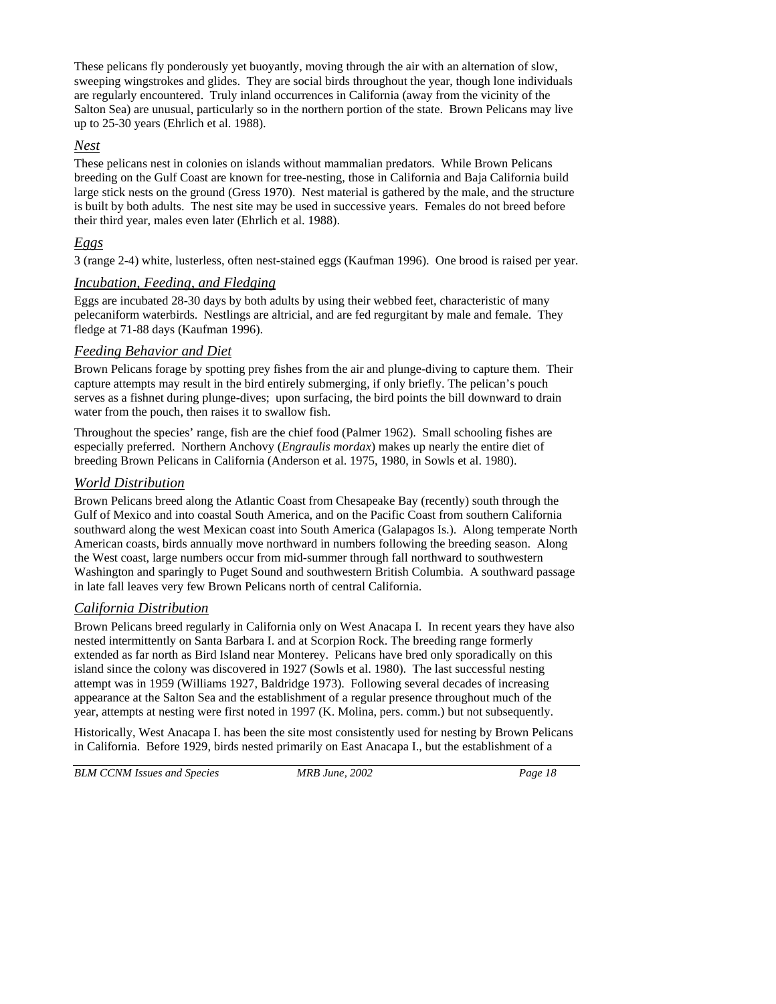These pelicans fly ponderously yet buoyantly, moving through the air with an alternation of slow, sweeping wingstrokes and glides. They are social birds throughout the year, though lone individuals are regularly encountered. Truly inland occurrences in California (away from the vicinity of the Salton Sea) are unusual, particularly so in the northern portion of the state. Brown Pelicans may live up to 25-30 years (Ehrlich et al. 1988).

#### *Nest*

These pelicans nest in colonies on islands without mammalian predators. While Brown Pelicans breeding on the Gulf Coast are known for tree-nesting, those in California and Baja California build large stick nests on the ground (Gress 1970). Nest material is gathered by the male, and the structure is built by both adults. The nest site may be used in successive years. Females do not breed before their third year, males even later (Ehrlich et al. 1988).

# *Eggs*

3 (range 2-4) white, lusterless, often nest-stained eggs (Kaufman 1996). One brood is raised per year.

# *Incubation, Feeding, and Fledging*

Eggs are incubated 28-30 days by both adults by using their webbed feet, characteristic of many pelecaniform waterbirds. Nestlings are altricial, and are fed regurgitant by male and female. They fledge at 71-88 days (Kaufman 1996).

# *Feeding Behavior and Diet*

Brown Pelicans forage by spotting prey fishes from the air and plunge-diving to capture them. Their capture attempts may result in the bird entirely submerging, if only briefly. The pelican's pouch serves as a fishnet during plunge-dives; upon surfacing, the bird points the bill downward to drain water from the pouch, then raises it to swallow fish.

Throughout the species' range, fish are the chief food (Palmer 1962). Small schooling fishes are especially preferred. Northern Anchovy (*Engraulis mordax*) makes up nearly the entire diet of breeding Brown Pelicans in California (Anderson et al. 1975, 1980, in Sowls et al. 1980).

## *World Distribution*

Brown Pelicans breed along the Atlantic Coast from Chesapeake Bay (recently) south through the Gulf of Mexico and into coastal South America, and on the Pacific Coast from southern California southward along the west Mexican coast into South America (Galapagos Is.). Along temperate North American coasts, birds annually move northward in numbers following the breeding season. Along the West coast, large numbers occur from mid-summer through fall northward to southwestern Washington and sparingly to Puget Sound and southwestern British Columbia. A southward passage in late fall leaves very few Brown Pelicans north of central California.

## *California Distribution*

Brown Pelicans breed regularly in California only on West Anacapa I. In recent years they have also nested intermittently on Santa Barbara I. and at Scorpion Rock. The breeding range formerly extended as far north as Bird Island near Monterey. Pelicans have bred only sporadically on this island since the colony was discovered in 1927 (Sowls et al. 1980). The last successful nesting attempt was in 1959 (Williams 1927, Baldridge 1973). Following several decades of increasing appearance at the Salton Sea and the establishment of a regular presence throughout much of the year, attempts at nesting were first noted in 1997 (K. Molina, pers. comm.) but not subsequently.

Historically, West Anacapa I. has been the site most consistently used for nesting by Brown Pelicans in California. Before 1929, birds nested primarily on East Anacapa I., but the establishment of a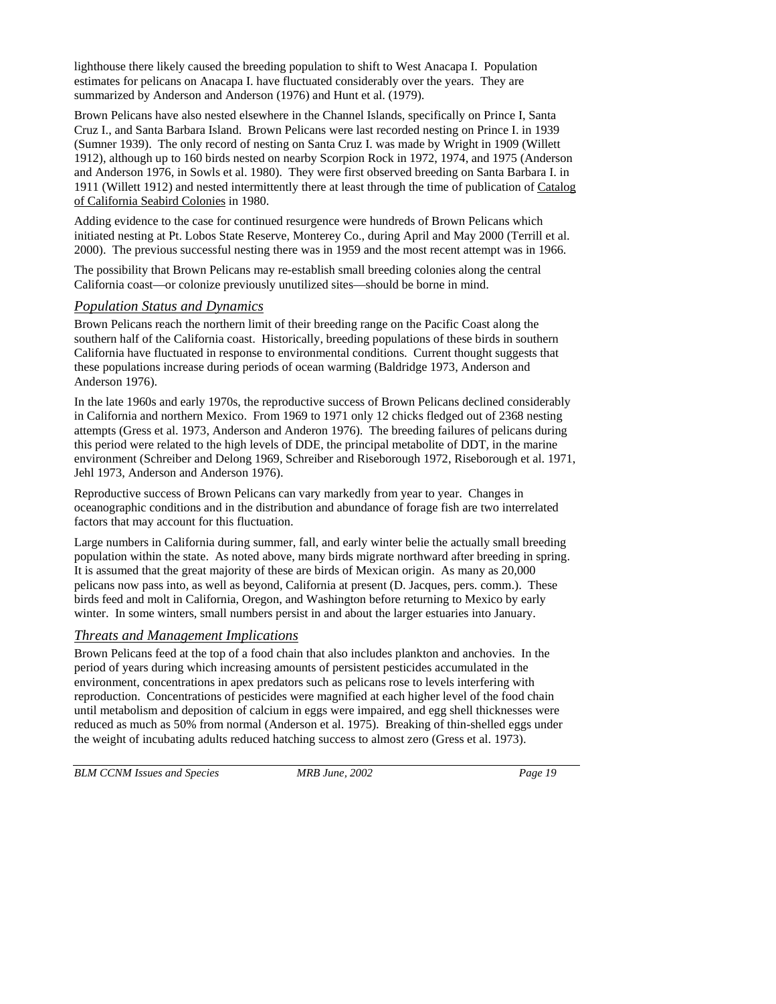lighthouse there likely caused the breeding population to shift to West Anacapa I. Population estimates for pelicans on Anacapa I. have fluctuated considerably over the years. They are summarized by Anderson and Anderson (1976) and Hunt et al. (1979).

Brown Pelicans have also nested elsewhere in the Channel Islands, specifically on Prince I, Santa Cruz I., and Santa Barbara Island. Brown Pelicans were last recorded nesting on Prince I. in 1939 (Sumner 1939). The only record of nesting on Santa Cruz I. was made by Wright in 1909 (Willett 1912), although up to 160 birds nested on nearby Scorpion Rock in 1972, 1974, and 1975 (Anderson and Anderson 1976, in Sowls et al. 1980). They were first observed breeding on Santa Barbara I. in 1911 (Willett 1912) and nested intermittently there at least through the time of publication of Catalog of California Seabird Colonies in 1980.

Adding evidence to the case for continued resurgence were hundreds of Brown Pelicans which initiated nesting at Pt. Lobos State Reserve, Monterey Co., during April and May 2000 (Terrill et al. 2000). The previous successful nesting there was in 1959 and the most recent attempt was in 1966.

The possibility that Brown Pelicans may re-establish small breeding colonies along the central California coast—or colonize previously unutilized sites—should be borne in mind.

#### *Population Status and Dynamics*

Brown Pelicans reach the northern limit of their breeding range on the Pacific Coast along the southern half of the California coast. Historically, breeding populations of these birds in southern California have fluctuated in response to environmental conditions. Current thought suggests that these populations increase during periods of ocean warming (Baldridge 1973, Anderson and Anderson 1976).

In the late 1960s and early 1970s, the reproductive success of Brown Pelicans declined considerably in California and northern Mexico. From 1969 to 1971 only 12 chicks fledged out of 2368 nesting attempts (Gress et al. 1973, Anderson and Anderon 1976). The breeding failures of pelicans during this period were related to the high levels of DDE, the principal metabolite of DDT, in the marine environment (Schreiber and Delong 1969, Schreiber and Riseborough 1972, Riseborough et al. 1971, Jehl 1973, Anderson and Anderson 1976).

Reproductive success of Brown Pelicans can vary markedly from year to year. Changes in oceanographic conditions and in the distribution and abundance of forage fish are two interrelated factors that may account for this fluctuation.

Large numbers in California during summer, fall, and early winter belie the actually small breeding population within the state. As noted above, many birds migrate northward after breeding in spring. It is assumed that the great majority of these are birds of Mexican origin. As many as 20,000 pelicans now pass into, as well as beyond, California at present (D. Jacques, pers. comm.). These birds feed and molt in California, Oregon, and Washington before returning to Mexico by early winter. In some winters, small numbers persist in and about the larger estuaries into January.

#### *Threats and Management Implications*

Brown Pelicans feed at the top of a food chain that also includes plankton and anchovies. In the period of years during which increasing amounts of persistent pesticides accumulated in the environment, concentrations in apex predators such as pelicans rose to levels interfering with reproduction. Concentrations of pesticides were magnified at each higher level of the food chain until metabolism and deposition of calcium in eggs were impaired, and egg shell thicknesses were reduced as much as 50% from normal (Anderson et al. 1975). Breaking of thin-shelled eggs under the weight of incubating adults reduced hatching success to almost zero (Gress et al. 1973).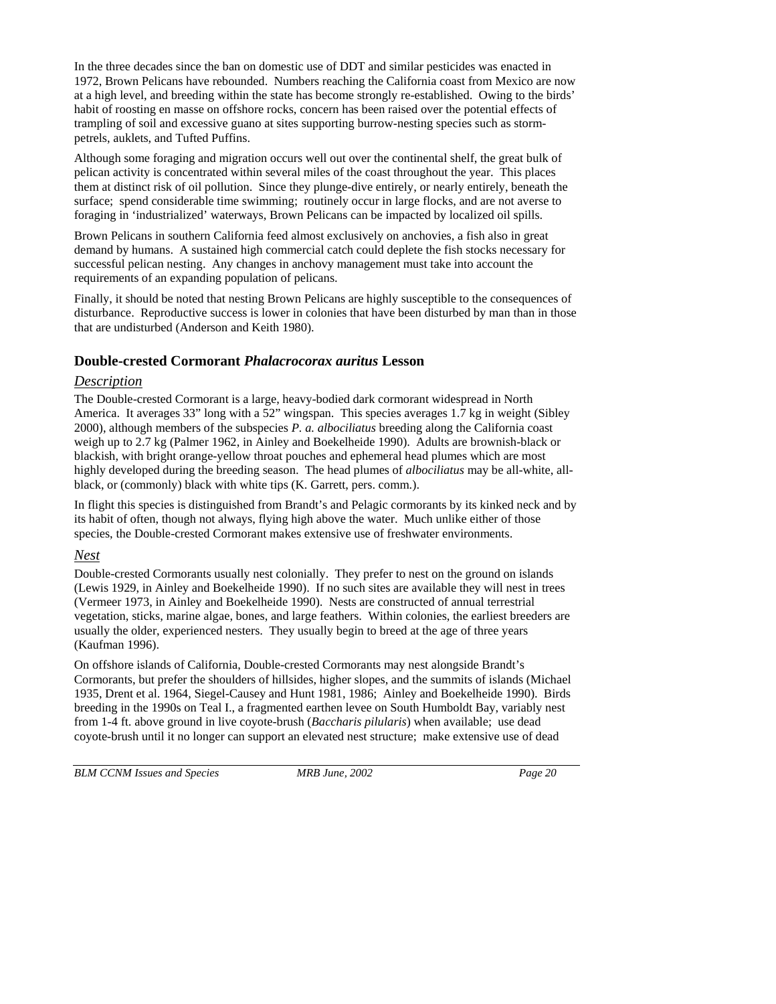In the three decades since the ban on domestic use of DDT and similar pesticides was enacted in 1972, Brown Pelicans have rebounded. Numbers reaching the California coast from Mexico are now at a high level, and breeding within the state has become strongly re-established. Owing to the birds' habit of roosting en masse on offshore rocks, concern has been raised over the potential effects of trampling of soil and excessive guano at sites supporting burrow-nesting species such as stormpetrels, auklets, and Tufted Puffins.

Although some foraging and migration occurs well out over the continental shelf, the great bulk of pelican activity is concentrated within several miles of the coast throughout the year. This places them at distinct risk of oil pollution. Since they plunge-dive entirely, or nearly entirely, beneath the surface; spend considerable time swimming; routinely occur in large flocks, and are not averse to foraging in 'industrialized' waterways, Brown Pelicans can be impacted by localized oil spills.

Brown Pelicans in southern California feed almost exclusively on anchovies, a fish also in great demand by humans. A sustained high commercial catch could deplete the fish stocks necessary for successful pelican nesting. Any changes in anchovy management must take into account the requirements of an expanding population of pelicans.

Finally, it should be noted that nesting Brown Pelicans are highly susceptible to the consequences of disturbance. Reproductive success is lower in colonies that have been disturbed by man than in those that are undisturbed (Anderson and Keith 1980).

#### **Double-crested Cormorant** *Phalacrocorax auritus* **Lesson**

#### *Description*

The Double-crested Cormorant is a large, heavy-bodied dark cormorant widespread in North America. It averages 33" long with a 52" wingspan. This species averages 1.7 kg in weight (Sibley 2000), although members of the subspecies *P. a. albociliatus* breeding along the California coast weigh up to 2.7 kg (Palmer 1962, in Ainley and Boekelheide 1990). Adults are brownish-black or blackish, with bright orange-yellow throat pouches and ephemeral head plumes which are most highly developed during the breeding season. The head plumes of *albociliatus* may be all-white, allblack, or (commonly) black with white tips (K. Garrett, pers. comm.).

In flight this species is distinguished from Brandt's and Pelagic cormorants by its kinked neck and by its habit of often, though not always, flying high above the water. Much unlike either of those species, the Double-crested Cormorant makes extensive use of freshwater environments.

#### *Nest*

Double-crested Cormorants usually nest colonially. They prefer to nest on the ground on islands (Lewis 1929, in Ainley and Boekelheide 1990). If no such sites are available they will nest in trees (Vermeer 1973, in Ainley and Boekelheide 1990). Nests are constructed of annual terrestrial vegetation, sticks, marine algae, bones, and large feathers. Within colonies, the earliest breeders are usually the older, experienced nesters. They usually begin to breed at the age of three years (Kaufman 1996).

On offshore islands of California, Double-crested Cormorants may nest alongside Brandt's Cormorants, but prefer the shoulders of hillsides, higher slopes, and the summits of islands (Michael 1935, Drent et al. 1964, Siegel-Causey and Hunt 1981, 1986; Ainley and Boekelheide 1990). Birds breeding in the 1990s on Teal I., a fragmented earthen levee on South Humboldt Bay, variably nest from 1-4 ft. above ground in live coyote-brush (*Baccharis pilularis*) when available; use dead coyote-brush until it no longer can support an elevated nest structure; make extensive use of dead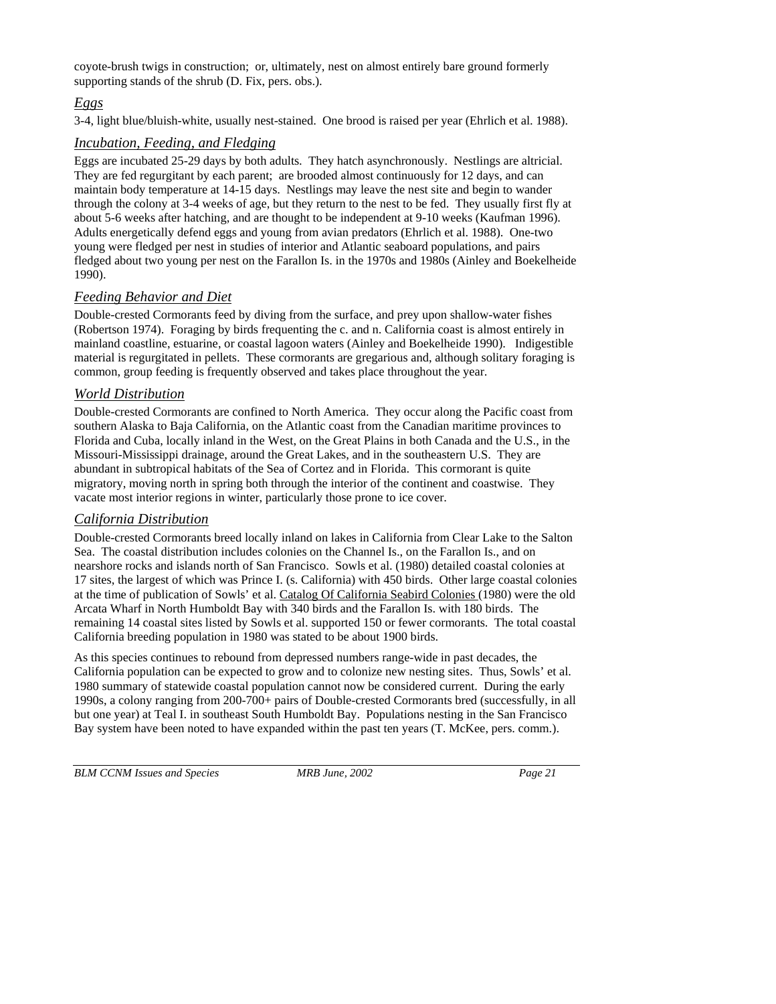coyote-brush twigs in construction; or, ultimately, nest on almost entirely bare ground formerly supporting stands of the shrub (D. Fix, pers. obs.).

# *Eggs*

3-4, light blue/bluish-white, usually nest-stained. One brood is raised per year (Ehrlich et al. 1988).

# *Incubation, Feeding, and Fledging*

Eggs are incubated 25-29 days by both adults. They hatch asynchronously. Nestlings are altricial. They are fed regurgitant by each parent; are brooded almost continuously for 12 days, and can maintain body temperature at 14-15 days. Nestlings may leave the nest site and begin to wander through the colony at 3-4 weeks of age, but they return to the nest to be fed. They usually first fly at about 5-6 weeks after hatching, and are thought to be independent at 9-10 weeks (Kaufman 1996). Adults energetically defend eggs and young from avian predators (Ehrlich et al. 1988). One-two young were fledged per nest in studies of interior and Atlantic seaboard populations, and pairs fledged about two young per nest on the Farallon Is. in the 1970s and 1980s (Ainley and Boekelheide 1990).

# *Feeding Behavior and Diet*

Double-crested Cormorants feed by diving from the surface, and prey upon shallow-water fishes (Robertson 1974). Foraging by birds frequenting the c. and n. California coast is almost entirely in mainland coastline, estuarine, or coastal lagoon waters (Ainley and Boekelheide 1990). Indigestible material is regurgitated in pellets. These cormorants are gregarious and, although solitary foraging is common, group feeding is frequently observed and takes place throughout the year.

# *World Distribution*

Double-crested Cormorants are confined to North America. They occur along the Pacific coast from southern Alaska to Baja California, on the Atlantic coast from the Canadian maritime provinces to Florida and Cuba, locally inland in the West, on the Great Plains in both Canada and the U.S., in the Missouri-Mississippi drainage, around the Great Lakes, and in the southeastern U.S. They are abundant in subtropical habitats of the Sea of Cortez and in Florida. This cormorant is quite migratory, moving north in spring both through the interior of the continent and coastwise. They vacate most interior regions in winter, particularly those prone to ice cover.

# *California Distribution*

Double-crested Cormorants breed locally inland on lakes in California from Clear Lake to the Salton Sea. The coastal distribution includes colonies on the Channel Is., on the Farallon Is., and on nearshore rocks and islands north of San Francisco. Sowls et al. (1980) detailed coastal colonies at 17 sites, the largest of which was Prince I. (s. California) with 450 birds. Other large coastal colonies at the time of publication of Sowls' et al. Catalog Of California Seabird Colonies (1980) were the old Arcata Wharf in North Humboldt Bay with 340 birds and the Farallon Is. with 180 birds. The remaining 14 coastal sites listed by Sowls et al. supported 150 or fewer cormorants. The total coastal California breeding population in 1980 was stated to be about 1900 birds.

As this species continues to rebound from depressed numbers range-wide in past decades, the California population can be expected to grow and to colonize new nesting sites. Thus, Sowls' et al. 1980 summary of statewide coastal population cannot now be considered current. During the early 1990s, a colony ranging from 200-700+ pairs of Double-crested Cormorants bred (successfully, in all but one year) at Teal I. in southeast South Humboldt Bay. Populations nesting in the San Francisco Bay system have been noted to have expanded within the past ten years (T. McKee, pers. comm.).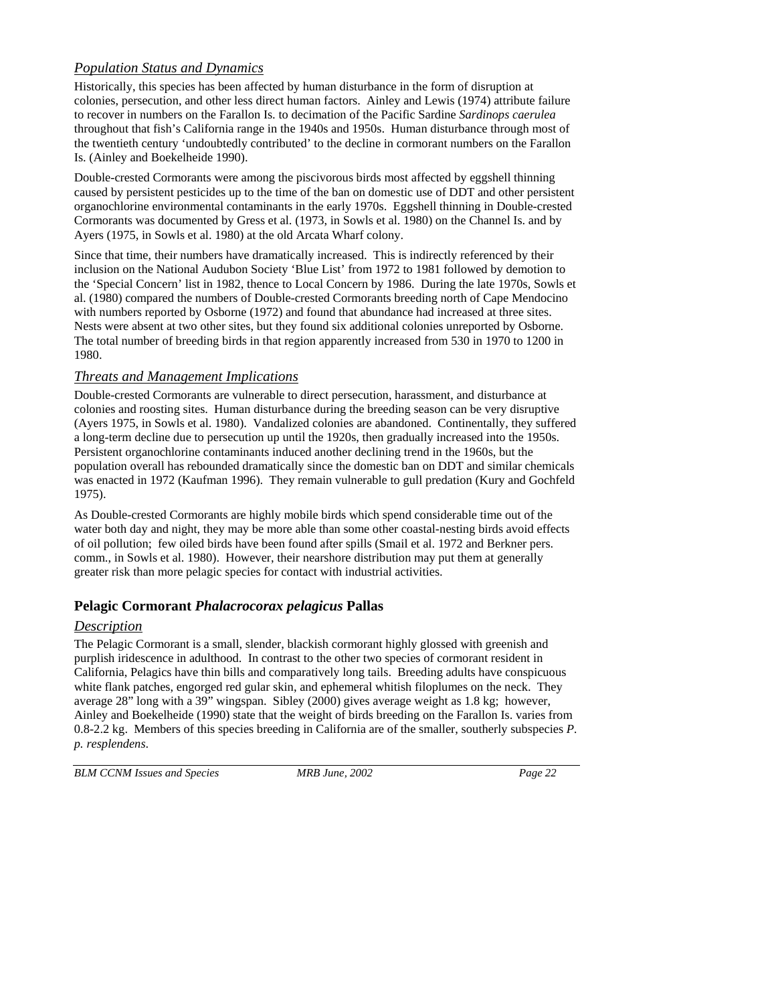# *Population Status and Dynamics*

Historically, this species has been affected by human disturbance in the form of disruption at colonies, persecution, and other less direct human factors. Ainley and Lewis (1974) attribute failure to recover in numbers on the Farallon Is. to decimation of the Pacific Sardine *Sardinops caerulea* throughout that fish's California range in the 1940s and 1950s. Human disturbance through most of the twentieth century 'undoubtedly contributed' to the decline in cormorant numbers on the Farallon Is. (Ainley and Boekelheide 1990).

Double-crested Cormorants were among the piscivorous birds most affected by eggshell thinning caused by persistent pesticides up to the time of the ban on domestic use of DDT and other persistent organochlorine environmental contaminants in the early 1970s. Eggshell thinning in Double-crested Cormorants was documented by Gress et al. (1973, in Sowls et al. 1980) on the Channel Is. and by Ayers (1975, in Sowls et al. 1980) at the old Arcata Wharf colony.

Since that time, their numbers have dramatically increased. This is indirectly referenced by their inclusion on the National Audubon Society 'Blue List' from 1972 to 1981 followed by demotion to the 'Special Concern' list in 1982, thence to Local Concern by 1986. During the late 1970s, Sowls et al. (1980) compared the numbers of Double-crested Cormorants breeding north of Cape Mendocino with numbers reported by Osborne (1972) and found that abundance had increased at three sites. Nests were absent at two other sites, but they found six additional colonies unreported by Osborne. The total number of breeding birds in that region apparently increased from 530 in 1970 to 1200 in 1980.

#### *Threats and Management Implications*

Double-crested Cormorants are vulnerable to direct persecution, harassment, and disturbance at colonies and roosting sites. Human disturbance during the breeding season can be very disruptive (Ayers 1975, in Sowls et al. 1980). Vandalized colonies are abandoned. Continentally, they suffered a long-term decline due to persecution up until the 1920s, then gradually increased into the 1950s. Persistent organochlorine contaminants induced another declining trend in the 1960s, but the population overall has rebounded dramatically since the domestic ban on DDT and similar chemicals was enacted in 1972 (Kaufman 1996). They remain vulnerable to gull predation (Kury and Gochfeld 1975).

As Double-crested Cormorants are highly mobile birds which spend considerable time out of the water both day and night, they may be more able than some other coastal-nesting birds avoid effects of oil pollution; few oiled birds have been found after spills (Smail et al. 1972 and Berkner pers. comm., in Sowls et al. 1980). However, their nearshore distribution may put them at generally greater risk than more pelagic species for contact with industrial activities.

## **Pelagic Cormorant** *Phalacrocorax pelagicus* **Pallas**

## *Description*

The Pelagic Cormorant is a small, slender, blackish cormorant highly glossed with greenish and purplish iridescence in adulthood. In contrast to the other two species of cormorant resident in California, Pelagics have thin bills and comparatively long tails. Breeding adults have conspicuous white flank patches, engorged red gular skin, and ephemeral whitish filoplumes on the neck. They average 28" long with a 39" wingspan. Sibley (2000) gives average weight as 1.8 kg; however, Ainley and Boekelheide (1990) state that the weight of birds breeding on the Farallon Is. varies from 0.8-2.2 kg. Members of this species breeding in California are of the smaller, southerly subspecies *P. p. resplendens*.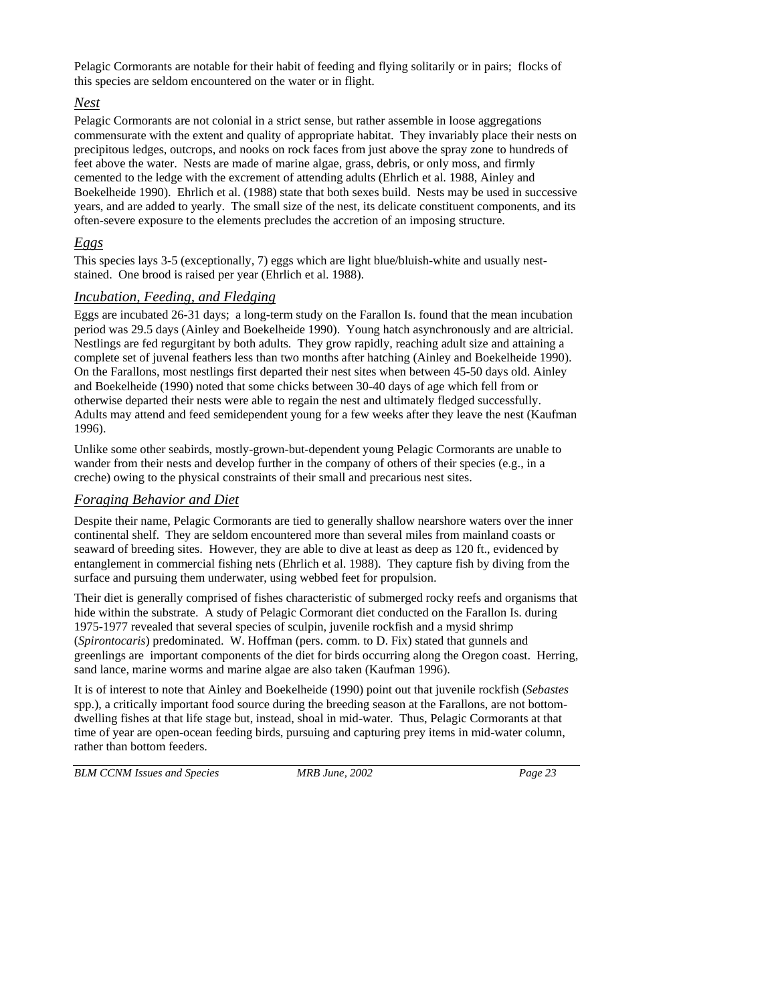Pelagic Cormorants are notable for their habit of feeding and flying solitarily or in pairs; flocks of this species are seldom encountered on the water or in flight.

#### *Nest*

Pelagic Cormorants are not colonial in a strict sense, but rather assemble in loose aggregations commensurate with the extent and quality of appropriate habitat. They invariably place their nests on precipitous ledges, outcrops, and nooks on rock faces from just above the spray zone to hundreds of feet above the water. Nests are made of marine algae, grass, debris, or only moss, and firmly cemented to the ledge with the excrement of attending adults (Ehrlich et al. 1988, Ainley and Boekelheide 1990). Ehrlich et al. (1988) state that both sexes build. Nests may be used in successive years, and are added to yearly. The small size of the nest, its delicate constituent components, and its often-severe exposure to the elements precludes the accretion of an imposing structure.

## *Eggs*

This species lays 3-5 (exceptionally, 7) eggs which are light blue/bluish-white and usually neststained. One brood is raised per year (Ehrlich et al. 1988).

#### *Incubation, Feeding, and Fledging*

Eggs are incubated 26-31 days; a long-term study on the Farallon Is. found that the mean incubation period was 29.5 days (Ainley and Boekelheide 1990). Young hatch asynchronously and are altricial. Nestlings are fed regurgitant by both adults. They grow rapidly, reaching adult size and attaining a complete set of juvenal feathers less than two months after hatching (Ainley and Boekelheide 1990). On the Farallons, most nestlings first departed their nest sites when between 45-50 days old. Ainley and Boekelheide (1990) noted that some chicks between 30-40 days of age which fell from or otherwise departed their nests were able to regain the nest and ultimately fledged successfully. Adults may attend and feed semidependent young for a few weeks after they leave the nest (Kaufman 1996).

Unlike some other seabirds, mostly-grown-but-dependent young Pelagic Cormorants are unable to wander from their nests and develop further in the company of others of their species (e.g., in a creche) owing to the physical constraints of their small and precarious nest sites.

#### *Foraging Behavior and Diet*

Despite their name, Pelagic Cormorants are tied to generally shallow nearshore waters over the inner continental shelf. They are seldom encountered more than several miles from mainland coasts or seaward of breeding sites. However, they are able to dive at least as deep as 120 ft., evidenced by entanglement in commercial fishing nets (Ehrlich et al. 1988). They capture fish by diving from the surface and pursuing them underwater, using webbed feet for propulsion.

Their diet is generally comprised of fishes characteristic of submerged rocky reefs and organisms that hide within the substrate. A study of Pelagic Cormorant diet conducted on the Farallon Is. during 1975-1977 revealed that several species of sculpin, juvenile rockfish and a mysid shrimp (*Spirontocaris*) predominated. W. Hoffman (pers. comm. to D. Fix) stated that gunnels and greenlings are important components of the diet for birds occurring along the Oregon coast. Herring, sand lance, marine worms and marine algae are also taken (Kaufman 1996).

It is of interest to note that Ainley and Boekelheide (1990) point out that juvenile rockfish (*Sebastes* spp.), a critically important food source during the breeding season at the Farallons, are not bottomdwelling fishes at that life stage but, instead, shoal in mid-water. Thus, Pelagic Cormorants at that time of year are open-ocean feeding birds, pursuing and capturing prey items in mid-water column, rather than bottom feeders.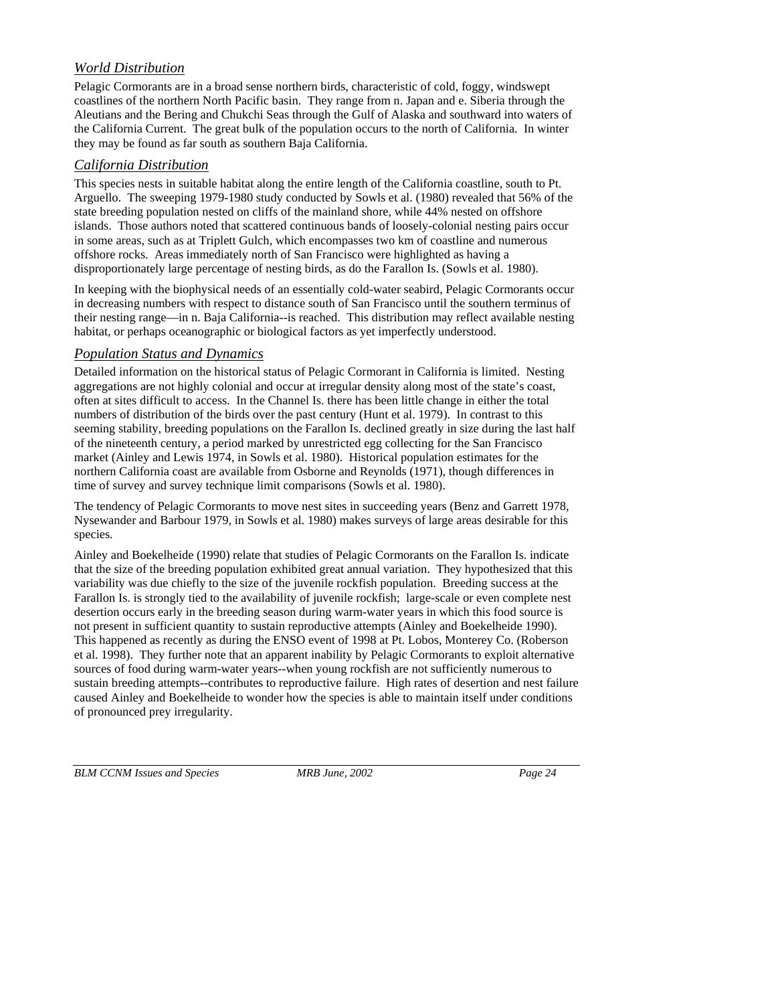# *World Distribution*

Pelagic Cormorants are in a broad sense northern birds, characteristic of cold, foggy, windswept coastlines of the northern North Pacific basin. They range from n. Japan and e. Siberia through the Aleutians and the Bering and Chukchi Seas through the Gulf of Alaska and southward into waters of the California Current. The great bulk of the population occurs to the north of California. In winter they may be found as far south as southern Baja California.

#### *California Distribution*

This species nests in suitable habitat along the entire length of the California coastline, south to Pt. Arguello. The sweeping 1979-1980 study conducted by Sowls et al. (1980) revealed that 56% of the state breeding population nested on cliffs of the mainland shore, while 44% nested on offshore islands. Those authors noted that scattered continuous bands of loosely-colonial nesting pairs occur in some areas, such as at Triplett Gulch, which encompasses two km of coastline and numerous offshore rocks. Areas immediately north of San Francisco were highlighted as having a disproportionately large percentage of nesting birds, as do the Farallon Is. (Sowls et al. 1980).

In keeping with the biophysical needs of an essentially cold-water seabird, Pelagic Cormorants occur in decreasing numbers with respect to distance south of San Francisco until the southern terminus of their nesting range—in n. Baja California--is reached. This distribution may reflect available nesting habitat, or perhaps oceanographic or biological factors as yet imperfectly understood.

#### *Population Status and Dynamics*

Detailed information on the historical status of Pelagic Cormorant in California is limited. Nesting aggregations are not highly colonial and occur at irregular density along most of the state's coast, often at sites difficult to access. In the Channel Is. there has been little change in either the total numbers of distribution of the birds over the past century (Hunt et al. 1979). In contrast to this seeming stability, breeding populations on the Farallon Is. declined greatly in size during the last half of the nineteenth century, a period marked by unrestricted egg collecting for the San Francisco market (Ainley and Lewis 1974, in Sowls et al. 1980). Historical population estimates for the northern California coast are available from Osborne and Reynolds (1971), though differences in time of survey and survey technique limit comparisons (Sowls et al. 1980).

The tendency of Pelagic Cormorants to move nest sites in succeeding years (Benz and Garrett 1978, Nysewander and Barbour 1979, in Sowls et al. 1980) makes surveys of large areas desirable for this species.

Ainley and Boekelheide (1990) relate that studies of Pelagic Cormorants on the Farallon Is. indicate that the size of the breeding population exhibited great annual variation. They hypothesized that this variability was due chiefly to the size of the juvenile rockfish population. Breeding success at the Farallon Is. is strongly tied to the availability of juvenile rockfish; large-scale or even complete nest desertion occurs early in the breeding season during warm-water years in which this food source is not present in sufficient quantity to sustain reproductive attempts (Ainley and Boekelheide 1990). This happened as recently as during the ENSO event of 1998 at Pt. Lobos, Monterey Co. (Roberson et al. 1998). They further note that an apparent inability by Pelagic Cormorants to exploit alternative sources of food during warm-water years--when young rockfish are not sufficiently numerous to sustain breeding attempts--contributes to reproductive failure. High rates of desertion and nest failure caused Ainley and Boekelheide to wonder how the species is able to maintain itself under conditions of pronounced prey irregularity.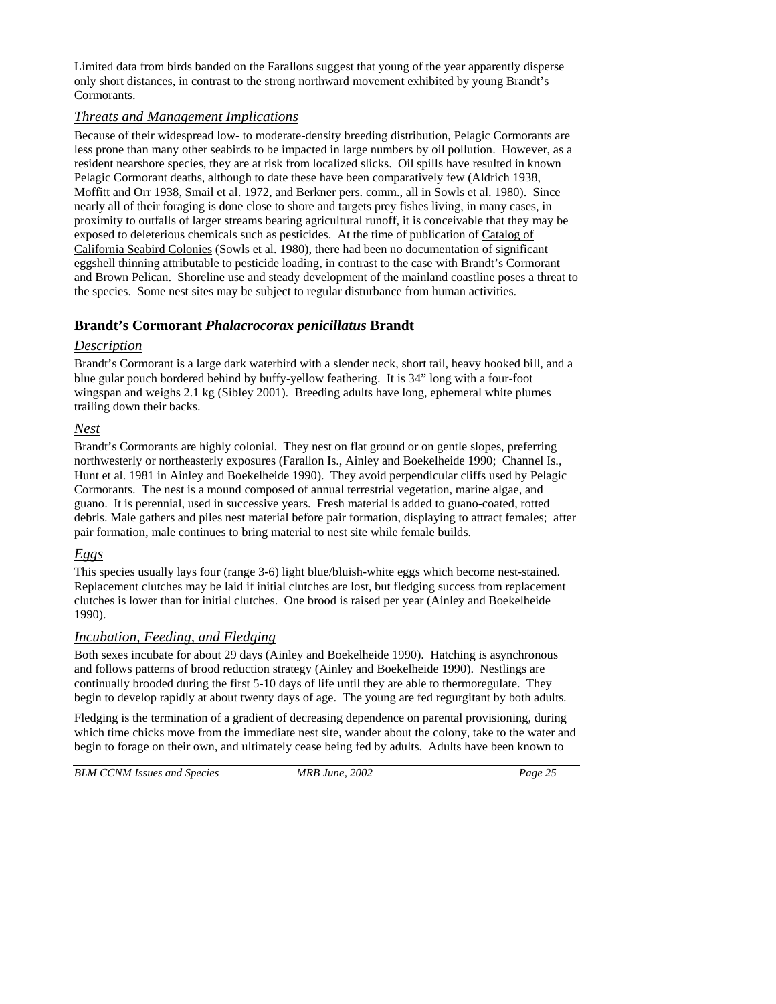Limited data from birds banded on the Farallons suggest that young of the year apparently disperse only short distances, in contrast to the strong northward movement exhibited by young Brandt's Cormorants.

#### *Threats and Management Implications*

Because of their widespread low- to moderate-density breeding distribution, Pelagic Cormorants are less prone than many other seabirds to be impacted in large numbers by oil pollution. However, as a resident nearshore species, they are at risk from localized slicks. Oil spills have resulted in known Pelagic Cormorant deaths, although to date these have been comparatively few (Aldrich 1938, Moffitt and Orr 1938, Smail et al. 1972, and Berkner pers. comm., all in Sowls et al. 1980). Since nearly all of their foraging is done close to shore and targets prey fishes living, in many cases, in proximity to outfalls of larger streams bearing agricultural runoff, it is conceivable that they may be exposed to deleterious chemicals such as pesticides. At the time of publication of Catalog of California Seabird Colonies (Sowls et al. 1980), there had been no documentation of significant eggshell thinning attributable to pesticide loading, in contrast to the case with Brandt's Cormorant and Brown Pelican. Shoreline use and steady development of the mainland coastline poses a threat to the species. Some nest sites may be subject to regular disturbance from human activities.

## **Brandt's Cormorant** *Phalacrocorax penicillatus* **Brandt**

#### *Description*

Brandt's Cormorant is a large dark waterbird with a slender neck, short tail, heavy hooked bill, and a blue gular pouch bordered behind by buffy-yellow feathering. It is 34" long with a four-foot wingspan and weighs 2.1 kg (Sibley 2001). Breeding adults have long, ephemeral white plumes trailing down their backs.

#### *Nest*

Brandt's Cormorants are highly colonial. They nest on flat ground or on gentle slopes, preferring northwesterly or northeasterly exposures (Farallon Is., Ainley and Boekelheide 1990; Channel Is., Hunt et al. 1981 in Ainley and Boekelheide 1990). They avoid perpendicular cliffs used by Pelagic Cormorants. The nest is a mound composed of annual terrestrial vegetation, marine algae, and guano. It is perennial, used in successive years. Fresh material is added to guano-coated, rotted debris. Male gathers and piles nest material before pair formation, displaying to attract females; after pair formation, male continues to bring material to nest site while female builds.

## *Eggs*

This species usually lays four (range 3-6) light blue/bluish-white eggs which become nest-stained. Replacement clutches may be laid if initial clutches are lost, but fledging success from replacement clutches is lower than for initial clutches. One brood is raised per year (Ainley and Boekelheide 1990).

#### *Incubation, Feeding, and Fledging*

Both sexes incubate for about 29 days (Ainley and Boekelheide 1990). Hatching is asynchronous and follows patterns of brood reduction strategy (Ainley and Boekelheide 1990). Nestlings are continually brooded during the first 5-10 days of life until they are able to thermoregulate. They begin to develop rapidly at about twenty days of age. The young are fed regurgitant by both adults.

Fledging is the termination of a gradient of decreasing dependence on parental provisioning, during which time chicks move from the immediate nest site, wander about the colony, take to the water and begin to forage on their own, and ultimately cease being fed by adults. Adults have been known to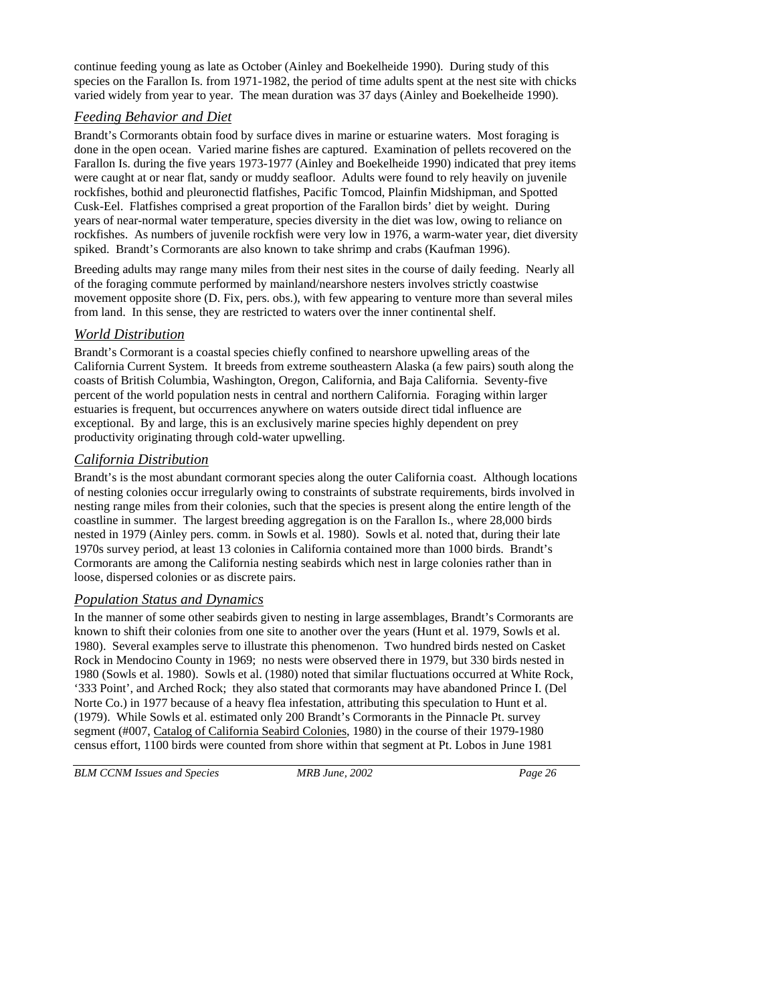continue feeding young as late as October (Ainley and Boekelheide 1990). During study of this species on the Farallon Is. from 1971-1982, the period of time adults spent at the nest site with chicks varied widely from year to year. The mean duration was 37 days (Ainley and Boekelheide 1990).

#### *Feeding Behavior and Diet*

Brandt's Cormorants obtain food by surface dives in marine or estuarine waters. Most foraging is done in the open ocean. Varied marine fishes are captured. Examination of pellets recovered on the Farallon Is. during the five years 1973-1977 (Ainley and Boekelheide 1990) indicated that prey items were caught at or near flat, sandy or muddy seafloor. Adults were found to rely heavily on juvenile rockfishes, bothid and pleuronectid flatfishes, Pacific Tomcod, Plainfin Midshipman, and Spotted Cusk-Eel. Flatfishes comprised a great proportion of the Farallon birds' diet by weight. During years of near-normal water temperature, species diversity in the diet was low, owing to reliance on rockfishes. As numbers of juvenile rockfish were very low in 1976, a warm-water year, diet diversity spiked. Brandt's Cormorants are also known to take shrimp and crabs (Kaufman 1996).

Breeding adults may range many miles from their nest sites in the course of daily feeding. Nearly all of the foraging commute performed by mainland/nearshore nesters involves strictly coastwise movement opposite shore (D. Fix, pers. obs.), with few appearing to venture more than several miles from land. In this sense, they are restricted to waters over the inner continental shelf.

#### *World Distribution*

Brandt's Cormorant is a coastal species chiefly confined to nearshore upwelling areas of the California Current System. It breeds from extreme southeastern Alaska (a few pairs) south along the coasts of British Columbia, Washington, Oregon, California, and Baja California. Seventy-five percent of the world population nests in central and northern California. Foraging within larger estuaries is frequent, but occurrences anywhere on waters outside direct tidal influence are exceptional. By and large, this is an exclusively marine species highly dependent on prey productivity originating through cold-water upwelling.

#### *California Distribution*

Brandt's is the most abundant cormorant species along the outer California coast. Although locations of nesting colonies occur irregularly owing to constraints of substrate requirements, birds involved in nesting range miles from their colonies, such that the species is present along the entire length of the coastline in summer. The largest breeding aggregation is on the Farallon Is., where 28,000 birds nested in 1979 (Ainley pers. comm. in Sowls et al. 1980). Sowls et al. noted that, during their late 1970s survey period, at least 13 colonies in California contained more than 1000 birds. Brandt's Cormorants are among the California nesting seabirds which nest in large colonies rather than in loose, dispersed colonies or as discrete pairs.

#### *Population Status and Dynamics*

In the manner of some other seabirds given to nesting in large assemblages, Brandt's Cormorants are known to shift their colonies from one site to another over the years (Hunt et al. 1979, Sowls et al. 1980). Several examples serve to illustrate this phenomenon. Two hundred birds nested on Casket Rock in Mendocino County in 1969; no nests were observed there in 1979, but 330 birds nested in 1980 (Sowls et al. 1980). Sowls et al. (1980) noted that similar fluctuations occurred at White Rock, '333 Point', and Arched Rock; they also stated that cormorants may have abandoned Prince I. (Del Norte Co.) in 1977 because of a heavy flea infestation, attributing this speculation to Hunt et al. (1979). While Sowls et al. estimated only 200 Brandt's Cormorants in the Pinnacle Pt. survey segment (#007, Catalog of California Seabird Colonies, 1980) in the course of their 1979-1980 census effort, 1100 birds were counted from shore within that segment at Pt. Lobos in June 1981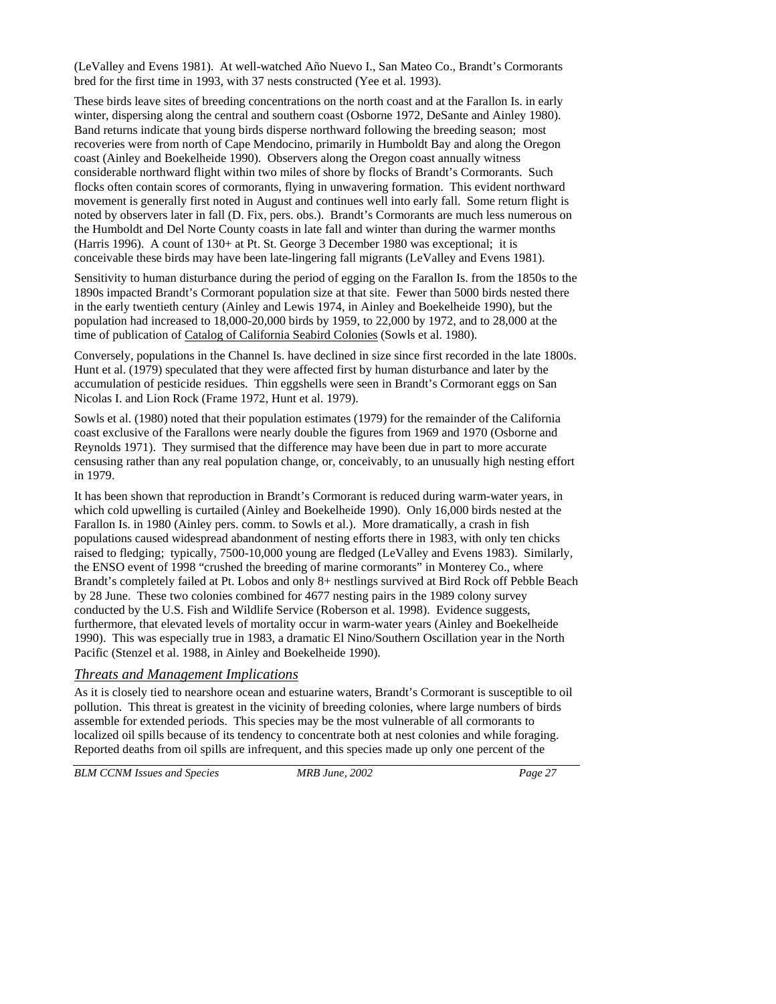(LeValley and Evens 1981). At well-watched Año Nuevo I., San Mateo Co., Brandt's Cormorants bred for the first time in 1993, with 37 nests constructed (Yee et al. 1993).

These birds leave sites of breeding concentrations on the north coast and at the Farallon Is. in early winter, dispersing along the central and southern coast (Osborne 1972, DeSante and Ainley 1980). Band returns indicate that young birds disperse northward following the breeding season; most recoveries were from north of Cape Mendocino, primarily in Humboldt Bay and along the Oregon coast (Ainley and Boekelheide 1990). Observers along the Oregon coast annually witness considerable northward flight within two miles of shore by flocks of Brandt's Cormorants. Such flocks often contain scores of cormorants, flying in unwavering formation. This evident northward movement is generally first noted in August and continues well into early fall. Some return flight is noted by observers later in fall (D. Fix, pers. obs.). Brandt's Cormorants are much less numerous on the Humboldt and Del Norte County coasts in late fall and winter than during the warmer months (Harris 1996). A count of 130+ at Pt. St. George 3 December 1980 was exceptional; it is conceivable these birds may have been late-lingering fall migrants (LeValley and Evens 1981).

Sensitivity to human disturbance during the period of egging on the Farallon Is. from the 1850s to the 1890s impacted Brandt's Cormorant population size at that site. Fewer than 5000 birds nested there in the early twentieth century (Ainley and Lewis 1974, in Ainley and Boekelheide 1990), but the population had increased to 18,000-20,000 birds by 1959, to 22,000 by 1972, and to 28,000 at the time of publication of Catalog of California Seabird Colonies (Sowls et al. 1980).

Conversely, populations in the Channel Is. have declined in size since first recorded in the late 1800s. Hunt et al. (1979) speculated that they were affected first by human disturbance and later by the accumulation of pesticide residues. Thin eggshells were seen in Brandt's Cormorant eggs on San Nicolas I. and Lion Rock (Frame 1972, Hunt et al. 1979).

Sowls et al. (1980) noted that their population estimates (1979) for the remainder of the California coast exclusive of the Farallons were nearly double the figures from 1969 and 1970 (Osborne and Reynolds 1971). They surmised that the difference may have been due in part to more accurate censusing rather than any real population change, or, conceivably, to an unusually high nesting effort in 1979.

It has been shown that reproduction in Brandt's Cormorant is reduced during warm-water years, in which cold upwelling is curtailed (Ainley and Boekelheide 1990). Only 16,000 birds nested at the Farallon Is. in 1980 (Ainley pers. comm. to Sowls et al.). More dramatically, a crash in fish populations caused widespread abandonment of nesting efforts there in 1983, with only ten chicks raised to fledging; typically, 7500-10,000 young are fledged (LeValley and Evens 1983). Similarly, the ENSO event of 1998 "crushed the breeding of marine cormorants" in Monterey Co., where Brandt's completely failed at Pt. Lobos and only 8+ nestlings survived at Bird Rock off Pebble Beach by 28 June. These two colonies combined for 4677 nesting pairs in the 1989 colony survey conducted by the U.S. Fish and Wildlife Service (Roberson et al. 1998). Evidence suggests, furthermore, that elevated levels of mortality occur in warm-water years (Ainley and Boekelheide 1990). This was especially true in 1983, a dramatic El Nino/Southern Oscillation year in the North Pacific (Stenzel et al. 1988, in Ainley and Boekelheide 1990).

#### *Threats and Management Implications*

As it is closely tied to nearshore ocean and estuarine waters, Brandt's Cormorant is susceptible to oil pollution. This threat is greatest in the vicinity of breeding colonies, where large numbers of birds assemble for extended periods. This species may be the most vulnerable of all cormorants to localized oil spills because of its tendency to concentrate both at nest colonies and while foraging. Reported deaths from oil spills are infrequent, and this species made up only one percent of the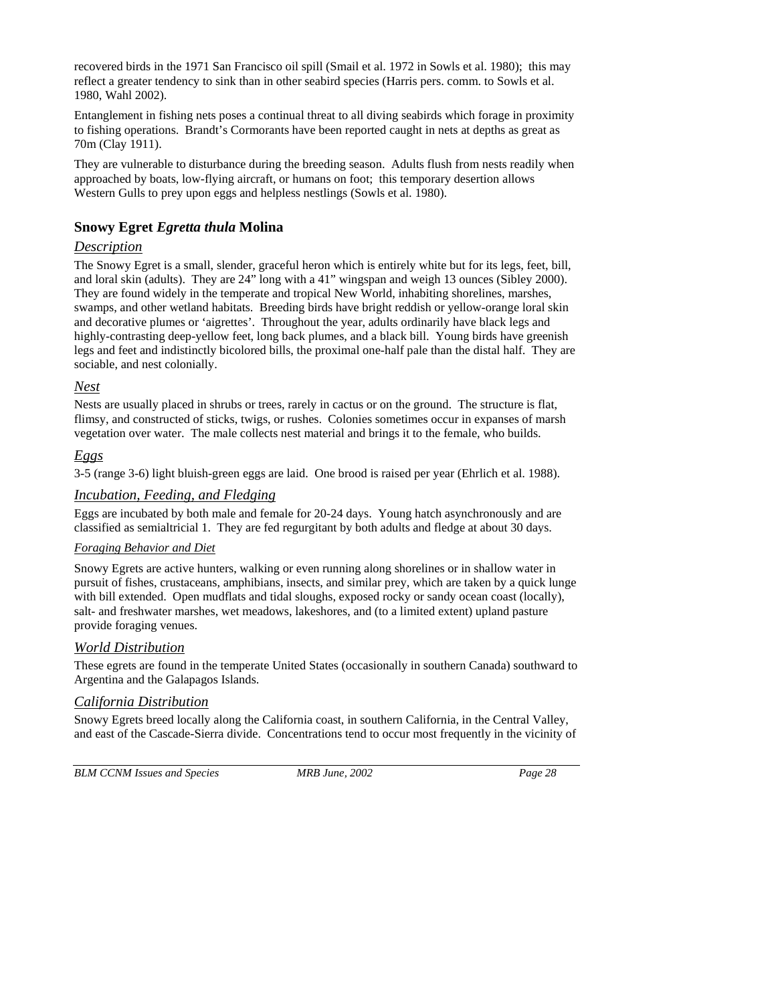recovered birds in the 1971 San Francisco oil spill (Smail et al. 1972 in Sowls et al. 1980); this may reflect a greater tendency to sink than in other seabird species (Harris pers. comm. to Sowls et al. 1980, Wahl 2002).

Entanglement in fishing nets poses a continual threat to all diving seabirds which forage in proximity to fishing operations. Brandt's Cormorants have been reported caught in nets at depths as great as 70m (Clay 1911).

They are vulnerable to disturbance during the breeding season. Adults flush from nests readily when approached by boats, low-flying aircraft, or humans on foot; this temporary desertion allows Western Gulls to prey upon eggs and helpless nestlings (Sowls et al. 1980).

# **Snowy Egret** *Egretta thula* **Molina**

# *Description*

The Snowy Egret is a small, slender, graceful heron which is entirely white but for its legs, feet, bill, and loral skin (adults). They are 24" long with a 41" wingspan and weigh 13 ounces (Sibley 2000). They are found widely in the temperate and tropical New World, inhabiting shorelines, marshes, swamps, and other wetland habitats. Breeding birds have bright reddish or yellow-orange loral skin and decorative plumes or 'aigrettes'. Throughout the year, adults ordinarily have black legs and highly-contrasting deep-yellow feet, long back plumes, and a black bill. Young birds have greenish legs and feet and indistinctly bicolored bills, the proximal one-half pale than the distal half. They are sociable, and nest colonially.

# *Nest*

Nests are usually placed in shrubs or trees, rarely in cactus or on the ground. The structure is flat, flimsy, and constructed of sticks, twigs, or rushes. Colonies sometimes occur in expanses of marsh vegetation over water. The male collects nest material and brings it to the female, who builds.

# *Eggs*

3-5 (range 3-6) light bluish-green eggs are laid. One brood is raised per year (Ehrlich et al. 1988).

## *Incubation, Feeding, and Fledging*

Eggs are incubated by both male and female for 20-24 days. Young hatch asynchronously and are classified as semialtricial 1. They are fed regurgitant by both adults and fledge at about 30 days.

## *Foraging Behavior and Diet*

Snowy Egrets are active hunters, walking or even running along shorelines or in shallow water in pursuit of fishes, crustaceans, amphibians, insects, and similar prey, which are taken by a quick lunge with bill extended. Open mudflats and tidal sloughs, exposed rocky or sandy ocean coast (locally), salt- and freshwater marshes, wet meadows, lakeshores, and (to a limited extent) upland pasture provide foraging venues.

## *World Distribution*

These egrets are found in the temperate United States (occasionally in southern Canada) southward to Argentina and the Galapagos Islands.

## *California Distribution*

Snowy Egrets breed locally along the California coast, in southern California, in the Central Valley, and east of the Cascade-Sierra divide. Concentrations tend to occur most frequently in the vicinity of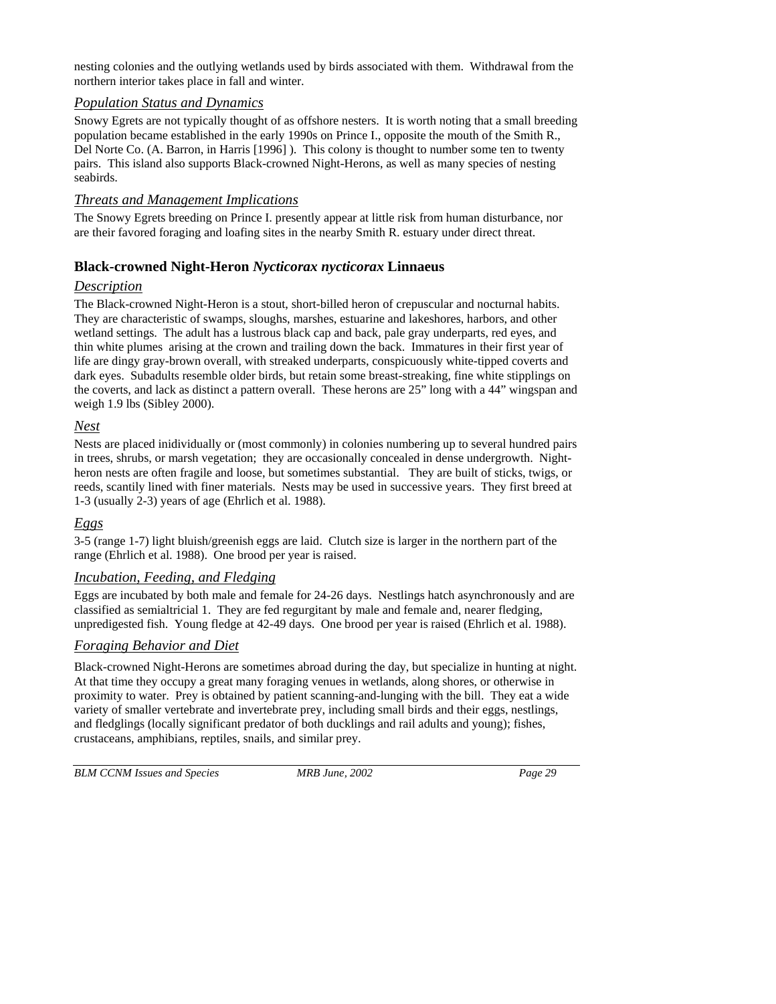nesting colonies and the outlying wetlands used by birds associated with them. Withdrawal from the northern interior takes place in fall and winter.

#### *Population Status and Dynamics*

Snowy Egrets are not typically thought of as offshore nesters. It is worth noting that a small breeding population became established in the early 1990s on Prince I., opposite the mouth of the Smith R., Del Norte Co. (A. Barron, in Harris [1996] ). This colony is thought to number some ten to twenty pairs. This island also supports Black-crowned Night-Herons, as well as many species of nesting seabirds.

#### *Threats and Management Implications*

The Snowy Egrets breeding on Prince I. presently appear at little risk from human disturbance, nor are their favored foraging and loafing sites in the nearby Smith R. estuary under direct threat.

## **Black-crowned Night-Heron** *Nycticorax nycticorax* **Linnaeus**

#### *Description*

The Black-crowned Night-Heron is a stout, short-billed heron of crepuscular and nocturnal habits. They are characteristic of swamps, sloughs, marshes, estuarine and lakeshores, harbors, and other wetland settings. The adult has a lustrous black cap and back, pale gray underparts, red eyes, and thin white plumes arising at the crown and trailing down the back. Immatures in their first year of life are dingy gray-brown overall, with streaked underparts, conspicuously white-tipped coverts and dark eyes. Subadults resemble older birds, but retain some breast-streaking, fine white stipplings on the coverts, and lack as distinct a pattern overall. These herons are 25" long with a 44" wingspan and weigh 1.9 lbs (Sibley 2000).

## *Nest*

Nests are placed inidividually or (most commonly) in colonies numbering up to several hundred pairs in trees, shrubs, or marsh vegetation; they are occasionally concealed in dense undergrowth. Nightheron nests are often fragile and loose, but sometimes substantial. They are built of sticks, twigs, or reeds, scantily lined with finer materials. Nests may be used in successive years. They first breed at 1-3 (usually 2-3) years of age (Ehrlich et al. 1988).

#### *Eggs*

3-5 (range 1-7) light bluish/greenish eggs are laid. Clutch size is larger in the northern part of the range (Ehrlich et al. 1988). One brood per year is raised.

## *Incubation, Feeding, and Fledging*

Eggs are incubated by both male and female for 24-26 days. Nestlings hatch asynchronously and are classified as semialtricial 1. They are fed regurgitant by male and female and, nearer fledging, unpredigested fish. Young fledge at 42-49 days. One brood per year is raised (Ehrlich et al. 1988).

## *Foraging Behavior and Diet*

Black-crowned Night-Herons are sometimes abroad during the day, but specialize in hunting at night. At that time they occupy a great many foraging venues in wetlands, along shores, or otherwise in proximity to water. Prey is obtained by patient scanning-and-lunging with the bill. They eat a wide variety of smaller vertebrate and invertebrate prey, including small birds and their eggs, nestlings, and fledglings (locally significant predator of both ducklings and rail adults and young); fishes, crustaceans, amphibians, reptiles, snails, and similar prey.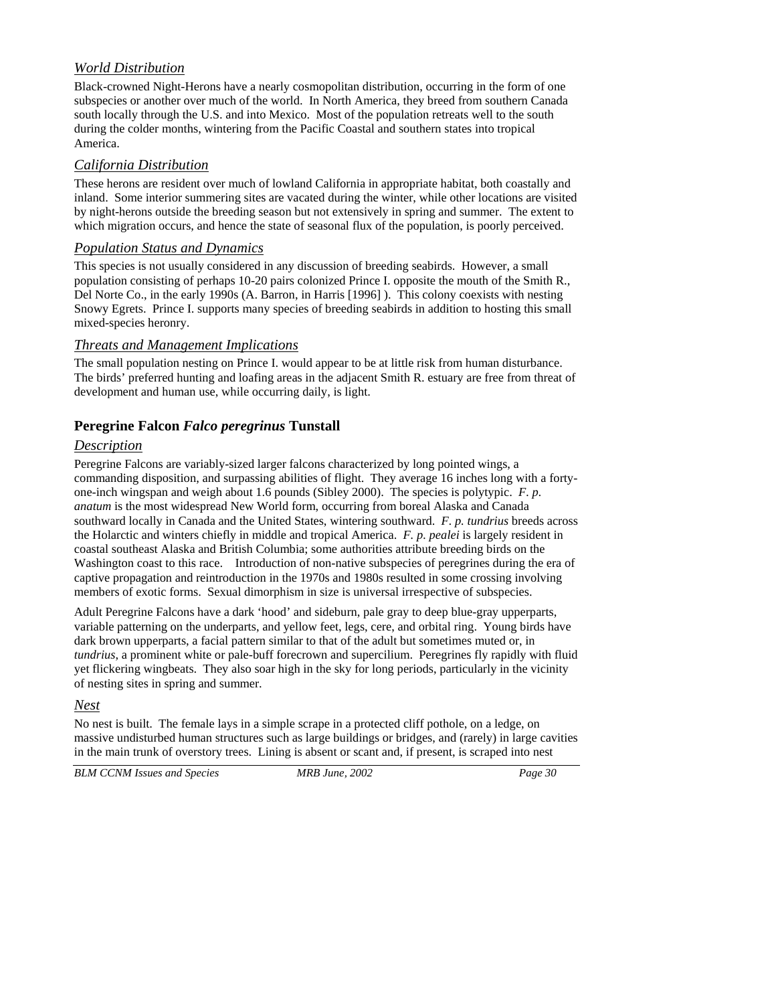## *World Distribution*

Black-crowned Night-Herons have a nearly cosmopolitan distribution, occurring in the form of one subspecies or another over much of the world. In North America, they breed from southern Canada south locally through the U.S. and into Mexico. Most of the population retreats well to the south during the colder months, wintering from the Pacific Coastal and southern states into tropical America.

# *California Distribution*

These herons are resident over much of lowland California in appropriate habitat, both coastally and inland. Some interior summering sites are vacated during the winter, while other locations are visited by night-herons outside the breeding season but not extensively in spring and summer. The extent to which migration occurs, and hence the state of seasonal flux of the population, is poorly perceived.

#### *Population Status and Dynamics*

This species is not usually considered in any discussion of breeding seabirds. However, a small population consisting of perhaps 10-20 pairs colonized Prince I. opposite the mouth of the Smith R., Del Norte Co., in the early 1990s (A. Barron, in Harris [1996] ). This colony coexists with nesting Snowy Egrets. Prince I. supports many species of breeding seabirds in addition to hosting this small mixed-species heronry.

#### *Threats and Management Implications*

The small population nesting on Prince I. would appear to be at little risk from human disturbance. The birds' preferred hunting and loafing areas in the adjacent Smith R. estuary are free from threat of development and human use, while occurring daily, is light.

# **Peregrine Falcon** *Falco peregrinus* **Tunstall**

## *Description*

Peregrine Falcons are variably-sized larger falcons characterized by long pointed wings, a commanding disposition, and surpassing abilities of flight. They average 16 inches long with a fortyone-inch wingspan and weigh about 1.6 pounds (Sibley 2000). The species is polytypic. *F. p. anatum* is the most widespread New World form, occurring from boreal Alaska and Canada southward locally in Canada and the United States, wintering southward. *F. p. tundrius* breeds across the Holarctic and winters chiefly in middle and tropical America. *F. p. pealei* is largely resident in coastal southeast Alaska and British Columbia; some authorities attribute breeding birds on the Washington coast to this race. Introduction of non-native subspecies of peregrines during the era of captive propagation and reintroduction in the 1970s and 1980s resulted in some crossing involving members of exotic forms. Sexual dimorphism in size is universal irrespective of subspecies.

Adult Peregrine Falcons have a dark 'hood' and sideburn, pale gray to deep blue-gray upperparts, variable patterning on the underparts, and yellow feet, legs, cere, and orbital ring. Young birds have dark brown upperparts, a facial pattern similar to that of the adult but sometimes muted or, in *tundrius*, a prominent white or pale-buff forecrown and supercilium. Peregrines fly rapidly with fluid yet flickering wingbeats. They also soar high in the sky for long periods, particularly in the vicinity of nesting sites in spring and summer.

#### *Nest*

No nest is built. The female lays in a simple scrape in a protected cliff pothole, on a ledge, on massive undisturbed human structures such as large buildings or bridges, and (rarely) in large cavities in the main trunk of overstory trees. Lining is absent or scant and, if present, is scraped into nest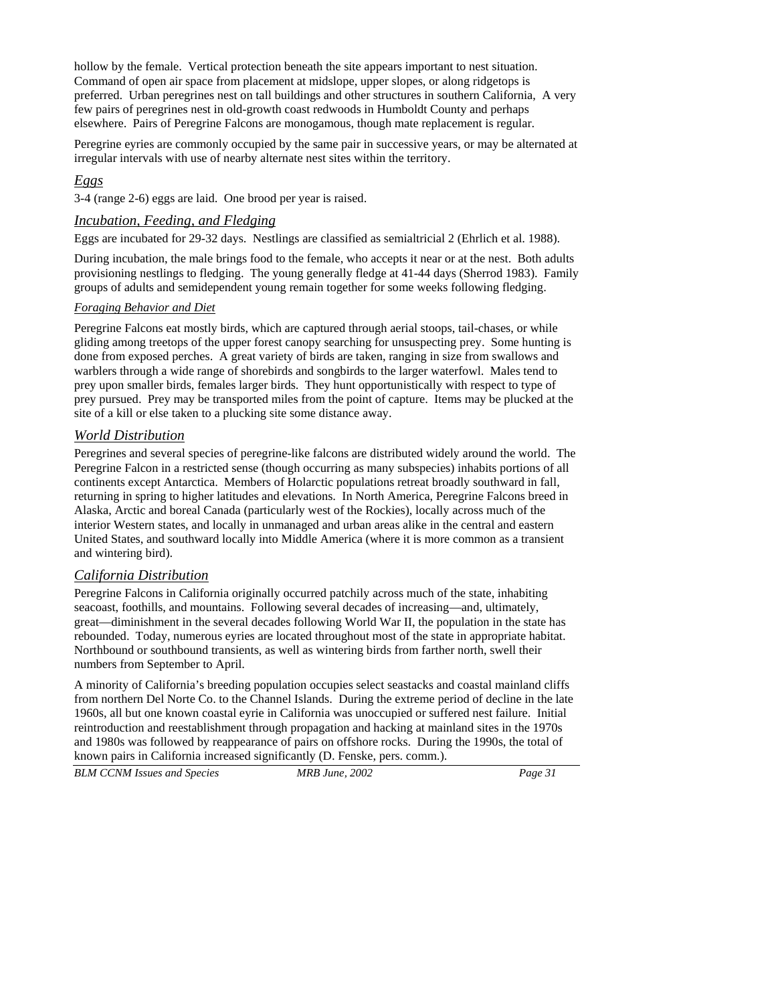hollow by the female. Vertical protection beneath the site appears important to nest situation. Command of open air space from placement at midslope, upper slopes, or along ridgetops is preferred. Urban peregrines nest on tall buildings and other structures in southern California, A very few pairs of peregrines nest in old-growth coast redwoods in Humboldt County and perhaps elsewhere. Pairs of Peregrine Falcons are monogamous, though mate replacement is regular.

Peregrine eyries are commonly occupied by the same pair in successive years, or may be alternated at irregular intervals with use of nearby alternate nest sites within the territory.

#### *Eggs*

3-4 (range 2-6) eggs are laid. One brood per year is raised.

#### *Incubation, Feeding, and Fledging*

Eggs are incubated for 29-32 days. Nestlings are classified as semialtricial 2 (Ehrlich et al. 1988).

During incubation, the male brings food to the female, who accepts it near or at the nest. Both adults provisioning nestlings to fledging. The young generally fledge at 41-44 days (Sherrod 1983). Family groups of adults and semidependent young remain together for some weeks following fledging.

#### *Foraging Behavior and Diet*

Peregrine Falcons eat mostly birds, which are captured through aerial stoops, tail-chases, or while gliding among treetops of the upper forest canopy searching for unsuspecting prey. Some hunting is done from exposed perches. A great variety of birds are taken, ranging in size from swallows and warblers through a wide range of shorebirds and songbirds to the larger waterfowl. Males tend to prey upon smaller birds, females larger birds. They hunt opportunistically with respect to type of prey pursued. Prey may be transported miles from the point of capture. Items may be plucked at the site of a kill or else taken to a plucking site some distance away.

#### *World Distribution*

Peregrines and several species of peregrine-like falcons are distributed widely around the world. The Peregrine Falcon in a restricted sense (though occurring as many subspecies) inhabits portions of all continents except Antarctica. Members of Holarctic populations retreat broadly southward in fall, returning in spring to higher latitudes and elevations. In North America, Peregrine Falcons breed in Alaska, Arctic and boreal Canada (particularly west of the Rockies), locally across much of the interior Western states, and locally in unmanaged and urban areas alike in the central and eastern United States, and southward locally into Middle America (where it is more common as a transient and wintering bird).

#### *California Distribution*

Peregrine Falcons in California originally occurred patchily across much of the state, inhabiting seacoast, foothills, and mountains. Following several decades of increasing—and, ultimately, great—diminishment in the several decades following World War II, the population in the state has rebounded. Today, numerous eyries are located throughout most of the state in appropriate habitat. Northbound or southbound transients, as well as wintering birds from farther north, swell their numbers from September to April.

A minority of California's breeding population occupies select seastacks and coastal mainland cliffs from northern Del Norte Co. to the Channel Islands. During the extreme period of decline in the late 1960s, all but one known coastal eyrie in California was unoccupied or suffered nest failure. Initial reintroduction and reestablishment through propagation and hacking at mainland sites in the 1970s and 1980s was followed by reappearance of pairs on offshore rocks. During the 1990s, the total of known pairs in California increased significantly (D. Fenske, pers. comm.).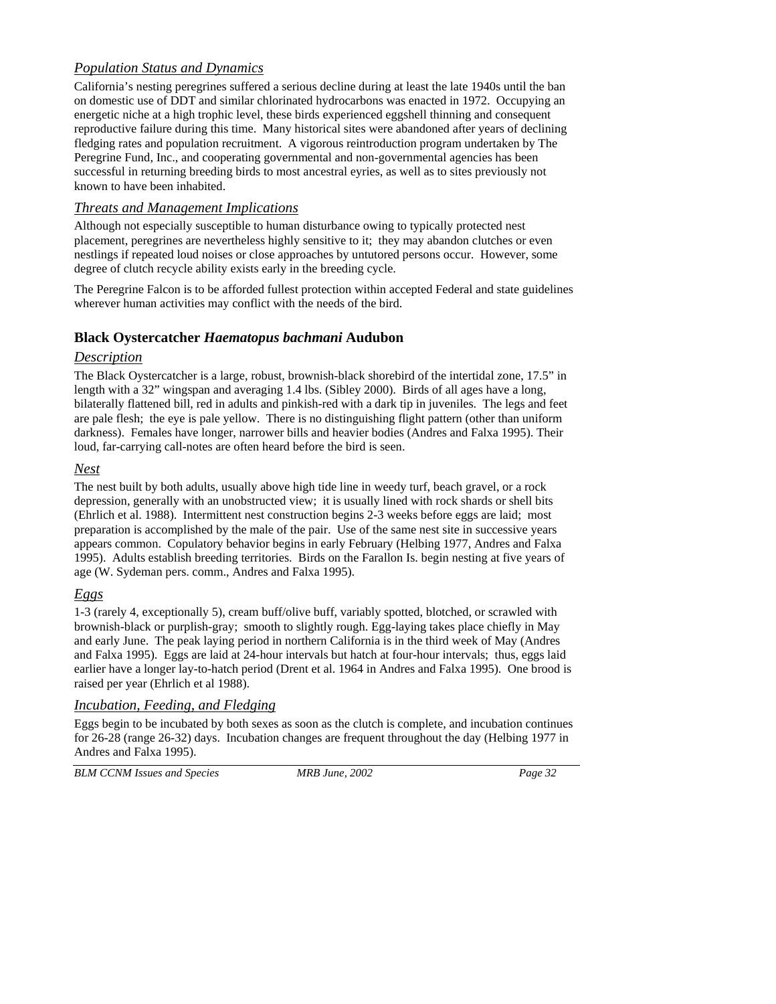# *Population Status and Dynamics*

California's nesting peregrines suffered a serious decline during at least the late 1940s until the ban on domestic use of DDT and similar chlorinated hydrocarbons was enacted in 1972. Occupying an energetic niche at a high trophic level, these birds experienced eggshell thinning and consequent reproductive failure during this time. Many historical sites were abandoned after years of declining fledging rates and population recruitment. A vigorous reintroduction program undertaken by The Peregrine Fund, Inc., and cooperating governmental and non-governmental agencies has been successful in returning breeding birds to most ancestral eyries, as well as to sites previously not known to have been inhabited.

#### *Threats and Management Implications*

Although not especially susceptible to human disturbance owing to typically protected nest placement, peregrines are nevertheless highly sensitive to it; they may abandon clutches or even nestlings if repeated loud noises or close approaches by untutored persons occur. However, some degree of clutch recycle ability exists early in the breeding cycle.

The Peregrine Falcon is to be afforded fullest protection within accepted Federal and state guidelines wherever human activities may conflict with the needs of the bird.

# **Black Oystercatcher** *Haematopus bachmani* **Audubon**

#### *Description*

The Black Oystercatcher is a large, robust, brownish-black shorebird of the intertidal zone, 17.5" in length with a 32" wingspan and averaging 1.4 lbs. (Sibley 2000). Birds of all ages have a long, bilaterally flattened bill, red in adults and pinkish-red with a dark tip in juveniles. The legs and feet are pale flesh; the eye is pale yellow. There is no distinguishing flight pattern (other than uniform darkness). Females have longer, narrower bills and heavier bodies (Andres and Falxa 1995). Their loud, far-carrying call-notes are often heard before the bird is seen.

#### *Nest*

The nest built by both adults, usually above high tide line in weedy turf, beach gravel, or a rock depression, generally with an unobstructed view; it is usually lined with rock shards or shell bits (Ehrlich et al. 1988). Intermittent nest construction begins 2-3 weeks before eggs are laid; most preparation is accomplished by the male of the pair. Use of the same nest site in successive years appears common. Copulatory behavior begins in early February (Helbing 1977, Andres and Falxa 1995). Adults establish breeding territories. Birds on the Farallon Is. begin nesting at five years of age (W. Sydeman pers. comm., Andres and Falxa 1995).

## *Eggs*

1-3 (rarely 4, exceptionally 5), cream buff/olive buff, variably spotted, blotched, or scrawled with brownish-black or purplish-gray; smooth to slightly rough. Egg-laying takes place chiefly in May and early June. The peak laying period in northern California is in the third week of May (Andres and Falxa 1995). Eggs are laid at 24-hour intervals but hatch at four-hour intervals; thus, eggs laid earlier have a longer lay-to-hatch period (Drent et al. 1964 in Andres and Falxa 1995). One brood is raised per year (Ehrlich et al 1988).

## *Incubation, Feeding, and Fledging*

Eggs begin to be incubated by both sexes as soon as the clutch is complete, and incubation continues for 26-28 (range 26-32) days. Incubation changes are frequent throughout the day (Helbing 1977 in Andres and Falxa 1995).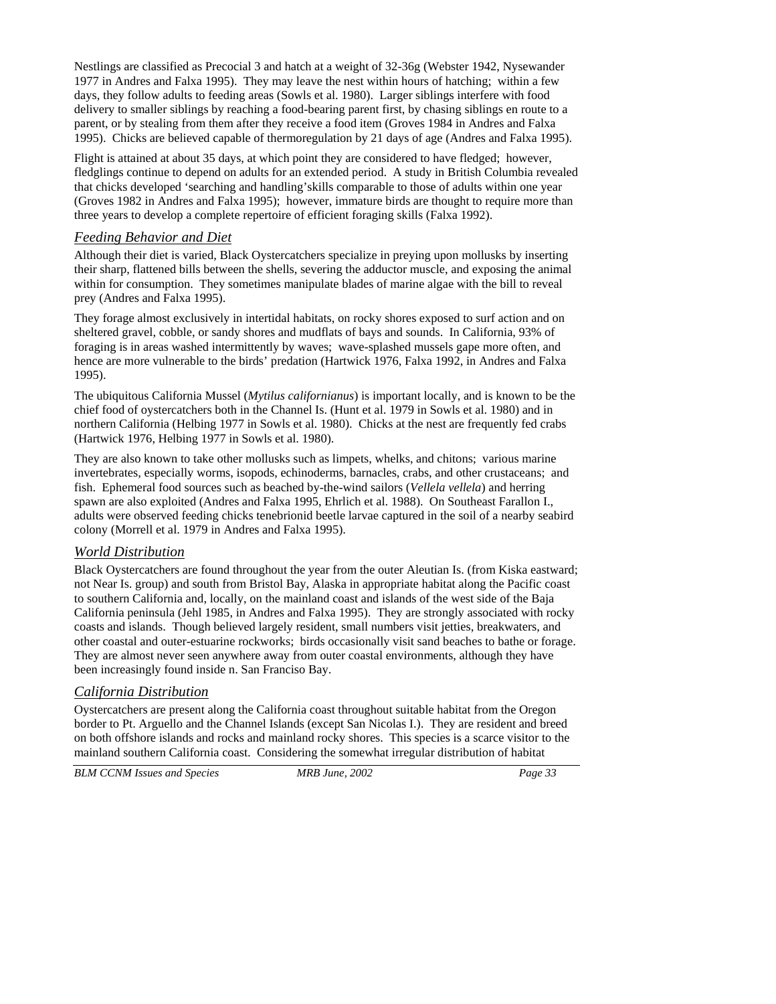Nestlings are classified as Precocial 3 and hatch at a weight of 32-36g (Webster 1942, Nysewander 1977 in Andres and Falxa 1995). They may leave the nest within hours of hatching; within a few days, they follow adults to feeding areas (Sowls et al. 1980). Larger siblings interfere with food delivery to smaller siblings by reaching a food-bearing parent first, by chasing siblings en route to a parent, or by stealing from them after they receive a food item (Groves 1984 in Andres and Falxa 1995). Chicks are believed capable of thermoregulation by 21 days of age (Andres and Falxa 1995).

Flight is attained at about 35 days, at which point they are considered to have fledged; however, fledglings continue to depend on adults for an extended period. A study in British Columbia revealed that chicks developed 'searching and handling'skills comparable to those of adults within one year (Groves 1982 in Andres and Falxa 1995); however, immature birds are thought to require more than three years to develop a complete repertoire of efficient foraging skills (Falxa 1992).

#### *Feeding Behavior and Diet*

Although their diet is varied, Black Oystercatchers specialize in preying upon mollusks by inserting their sharp, flattened bills between the shells, severing the adductor muscle, and exposing the animal within for consumption. They sometimes manipulate blades of marine algae with the bill to reveal prey (Andres and Falxa 1995).

They forage almost exclusively in intertidal habitats, on rocky shores exposed to surf action and on sheltered gravel, cobble, or sandy shores and mudflats of bays and sounds. In California, 93% of foraging is in areas washed intermittently by waves; wave-splashed mussels gape more often, and hence are more vulnerable to the birds' predation (Hartwick 1976, Falxa 1992, in Andres and Falxa 1995).

The ubiquitous California Mussel (*Mytilus californianus*) is important locally, and is known to be the chief food of oystercatchers both in the Channel Is. (Hunt et al. 1979 in Sowls et al. 1980) and in northern California (Helbing 1977 in Sowls et al. 1980). Chicks at the nest are frequently fed crabs (Hartwick 1976, Helbing 1977 in Sowls et al. 1980).

They are also known to take other mollusks such as limpets, whelks, and chitons; various marine invertebrates, especially worms, isopods, echinoderms, barnacles, crabs, and other crustaceans; and fish. Ephemeral food sources such as beached by-the-wind sailors (*Vellela vellela*) and herring spawn are also exploited (Andres and Falxa 1995, Ehrlich et al. 1988). On Southeast Farallon I., adults were observed feeding chicks tenebrionid beetle larvae captured in the soil of a nearby seabird colony (Morrell et al. 1979 in Andres and Falxa 1995).

## *World Distribution*

Black Oystercatchers are found throughout the year from the outer Aleutian Is. (from Kiska eastward; not Near Is. group) and south from Bristol Bay, Alaska in appropriate habitat along the Pacific coast to southern California and, locally, on the mainland coast and islands of the west side of the Baja California peninsula (Jehl 1985, in Andres and Falxa 1995). They are strongly associated with rocky coasts and islands. Though believed largely resident, small numbers visit jetties, breakwaters, and other coastal and outer-estuarine rockworks; birds occasionally visit sand beaches to bathe or forage. They are almost never seen anywhere away from outer coastal environments, although they have been increasingly found inside n. San Franciso Bay.

## *California Distribution*

Oystercatchers are present along the California coast throughout suitable habitat from the Oregon border to Pt. Arguello and the Channel Islands (except San Nicolas I.). They are resident and breed on both offshore islands and rocks and mainland rocky shores. This species is a scarce visitor to the mainland southern California coast. Considering the somewhat irregular distribution of habitat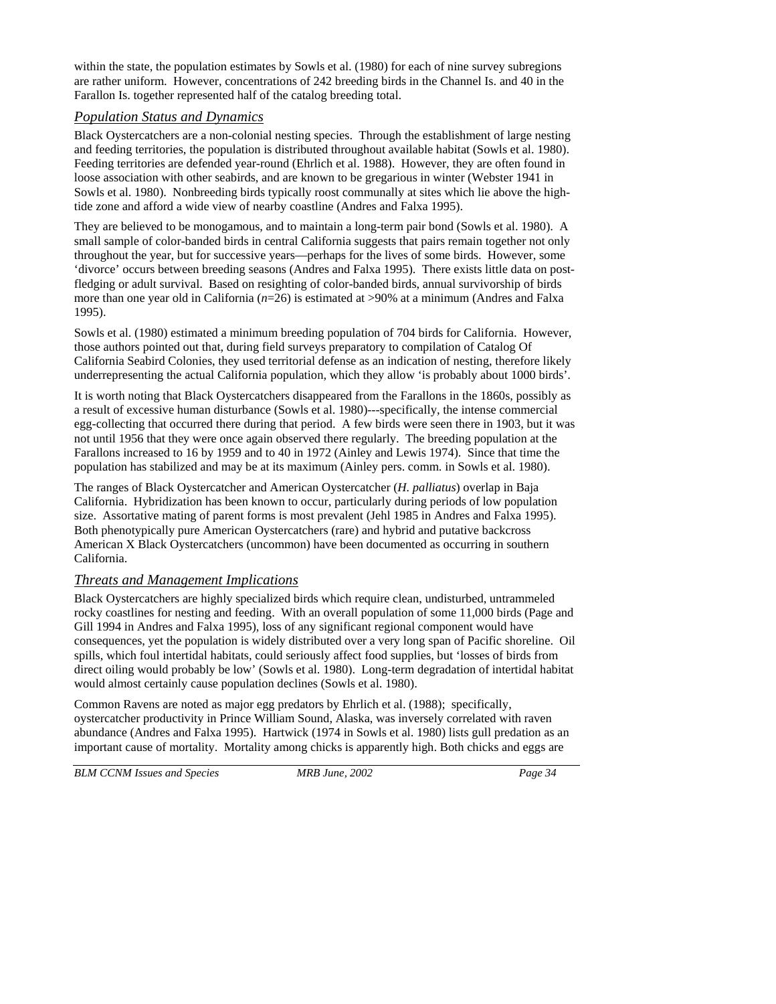within the state, the population estimates by Sowls et al. (1980) for each of nine survey subregions are rather uniform. However, concentrations of 242 breeding birds in the Channel Is. and 40 in the Farallon Is. together represented half of the catalog breeding total.

#### *Population Status and Dynamics*

Black Oystercatchers are a non-colonial nesting species. Through the establishment of large nesting and feeding territories, the population is distributed throughout available habitat (Sowls et al. 1980). Feeding territories are defended year-round (Ehrlich et al. 1988). However, they are often found in loose association with other seabirds, and are known to be gregarious in winter (Webster 1941 in Sowls et al. 1980). Nonbreeding birds typically roost communally at sites which lie above the hightide zone and afford a wide view of nearby coastline (Andres and Falxa 1995).

They are believed to be monogamous, and to maintain a long-term pair bond (Sowls et al. 1980). A small sample of color-banded birds in central California suggests that pairs remain together not only throughout the year, but for successive years—perhaps for the lives of some birds. However, some 'divorce' occurs between breeding seasons (Andres and Falxa 1995). There exists little data on postfledging or adult survival. Based on resighting of color-banded birds, annual survivorship of birds more than one year old in California (*n*=26) is estimated at >90% at a minimum (Andres and Falxa 1995).

Sowls et al. (1980) estimated a minimum breeding population of 704 birds for California. However, those authors pointed out that, during field surveys preparatory to compilation of Catalog Of California Seabird Colonies, they used territorial defense as an indication of nesting, therefore likely underrepresenting the actual California population, which they allow 'is probably about 1000 birds'.

It is worth noting that Black Oystercatchers disappeared from the Farallons in the 1860s, possibly as a result of excessive human disturbance (Sowls et al. 1980)---specifically, the intense commercial egg-collecting that occurred there during that period. A few birds were seen there in 1903, but it was not until 1956 that they were once again observed there regularly. The breeding population at the Farallons increased to 16 by 1959 and to 40 in 1972 (Ainley and Lewis 1974). Since that time the population has stabilized and may be at its maximum (Ainley pers. comm. in Sowls et al. 1980).

The ranges of Black Oystercatcher and American Oystercatcher (*H. palliatus*) overlap in Baja California. Hybridization has been known to occur, particularly during periods of low population size. Assortative mating of parent forms is most prevalent (Jehl 1985 in Andres and Falxa 1995). Both phenotypically pure American Oystercatchers (rare) and hybrid and putative backcross American X Black Oystercatchers (uncommon) have been documented as occurring in southern California.

#### *Threats and Management Implications*

Black Oystercatchers are highly specialized birds which require clean, undisturbed, untrammeled rocky coastlines for nesting and feeding. With an overall population of some 11,000 birds (Page and Gill 1994 in Andres and Falxa 1995), loss of any significant regional component would have consequences, yet the population is widely distributed over a very long span of Pacific shoreline. Oil spills, which foul intertidal habitats, could seriously affect food supplies, but 'losses of birds from direct oiling would probably be low' (Sowls et al. 1980). Long-term degradation of intertidal habitat would almost certainly cause population declines (Sowls et al. 1980).

Common Ravens are noted as major egg predators by Ehrlich et al. (1988); specifically, oystercatcher productivity in Prince William Sound, Alaska, was inversely correlated with raven abundance (Andres and Falxa 1995). Hartwick (1974 in Sowls et al. 1980) lists gull predation as an important cause of mortality. Mortality among chicks is apparently high. Both chicks and eggs are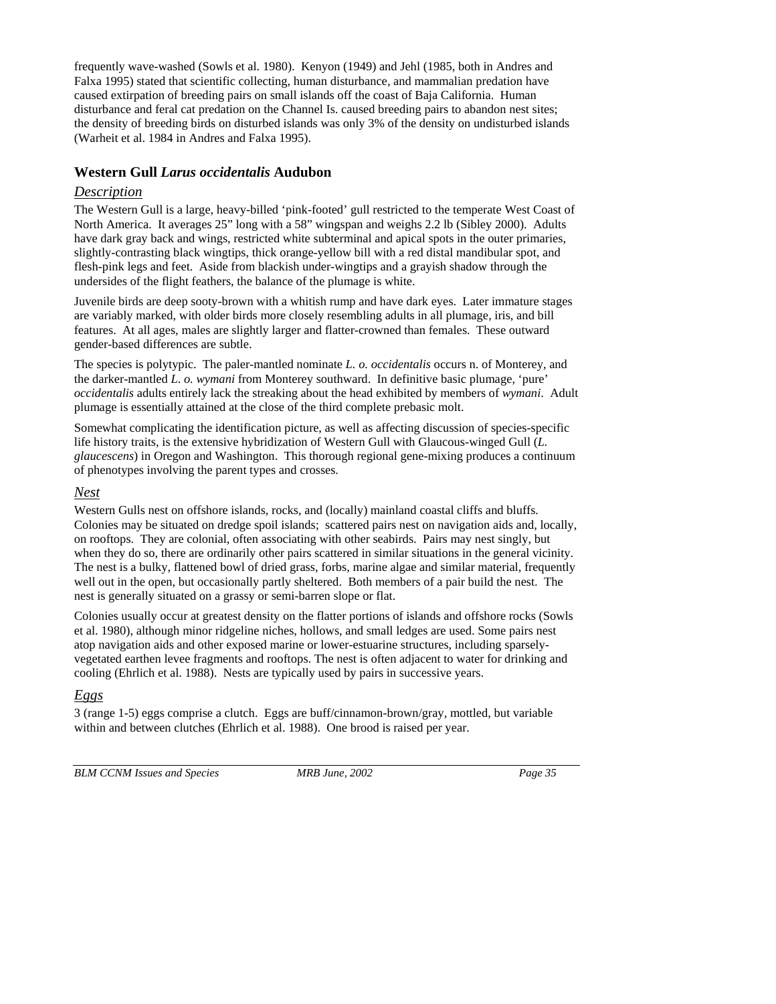frequently wave-washed (Sowls et al. 1980). Kenyon (1949) and Jehl (1985, both in Andres and Falxa 1995) stated that scientific collecting, human disturbance, and mammalian predation have caused extirpation of breeding pairs on small islands off the coast of Baja California. Human disturbance and feral cat predation on the Channel Is. caused breeding pairs to abandon nest sites; the density of breeding birds on disturbed islands was only 3% of the density on undisturbed islands (Warheit et al. 1984 in Andres and Falxa 1995).

# **Western Gull** *Larus occidentalis* **Audubon**

#### *Description*

The Western Gull is a large, heavy-billed 'pink-footed' gull restricted to the temperate West Coast of North America. It averages 25" long with a 58" wingspan and weighs 2.2 lb (Sibley 2000). Adults have dark gray back and wings, restricted white subterminal and apical spots in the outer primaries, slightly-contrasting black wingtips, thick orange-yellow bill with a red distal mandibular spot, and flesh-pink legs and feet. Aside from blackish under-wingtips and a grayish shadow through the undersides of the flight feathers, the balance of the plumage is white.

Juvenile birds are deep sooty-brown with a whitish rump and have dark eyes. Later immature stages are variably marked, with older birds more closely resembling adults in all plumage, iris, and bill features. At all ages, males are slightly larger and flatter-crowned than females. These outward gender-based differences are subtle.

The species is polytypic. The paler-mantled nominate *L. o. occidentalis* occurs n. of Monterey, and the darker-mantled *L. o. wymani* from Monterey southward. In definitive basic plumage, 'pure' *occidentalis* adults entirely lack the streaking about the head exhibited by members of *wymani*. Adult plumage is essentially attained at the close of the third complete prebasic molt.

Somewhat complicating the identification picture, as well as affecting discussion of species-specific life history traits, is the extensive hybridization of Western Gull with Glaucous-winged Gull (*L. glaucescens*) in Oregon and Washington. This thorough regional gene-mixing produces a continuum of phenotypes involving the parent types and crosses.

## *Nest*

Western Gulls nest on offshore islands, rocks, and (locally) mainland coastal cliffs and bluffs. Colonies may be situated on dredge spoil islands; scattered pairs nest on navigation aids and, locally, on rooftops. They are colonial, often associating with other seabirds. Pairs may nest singly, but when they do so, there are ordinarily other pairs scattered in similar situations in the general vicinity. The nest is a bulky, flattened bowl of dried grass, forbs, marine algae and similar material, frequently well out in the open, but occasionally partly sheltered. Both members of a pair build the nest. The nest is generally situated on a grassy or semi-barren slope or flat.

Colonies usually occur at greatest density on the flatter portions of islands and offshore rocks (Sowls et al. 1980), although minor ridgeline niches, hollows, and small ledges are used. Some pairs nest atop navigation aids and other exposed marine or lower-estuarine structures, including sparselyvegetated earthen levee fragments and rooftops. The nest is often adjacent to water for drinking and cooling (Ehrlich et al. 1988). Nests are typically used by pairs in successive years.

## *Eggs*

3 (range 1-5) eggs comprise a clutch. Eggs are buff/cinnamon-brown/gray, mottled, but variable within and between clutches (Ehrlich et al. 1988). One brood is raised per year.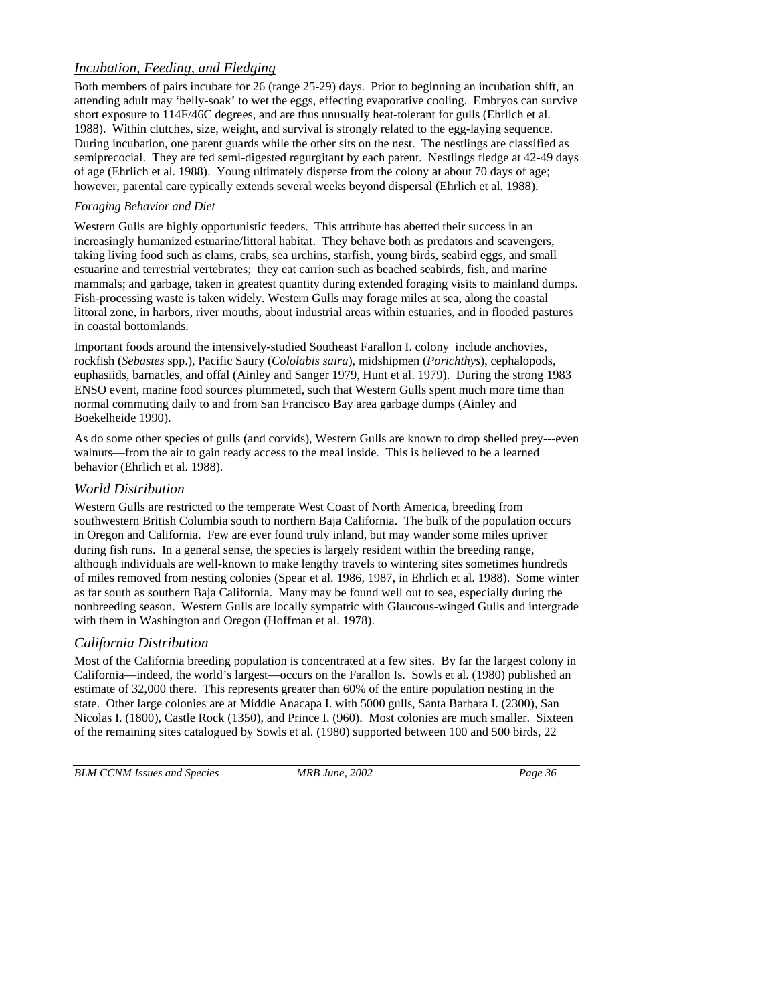# *Incubation, Feeding, and Fledging*

Both members of pairs incubate for 26 (range 25-29) days. Prior to beginning an incubation shift, an attending adult may 'belly-soak' to wet the eggs, effecting evaporative cooling. Embryos can survive short exposure to 114F/46C degrees, and are thus unusually heat-tolerant for gulls (Ehrlich et al. 1988). Within clutches, size, weight, and survival is strongly related to the egg-laying sequence. During incubation, one parent guards while the other sits on the nest. The nestlings are classified as semiprecocial. They are fed semi-digested regurgitant by each parent. Nestlings fledge at 42-49 days of age (Ehrlich et al. 1988). Young ultimately disperse from the colony at about 70 days of age; however, parental care typically extends several weeks beyond dispersal (Ehrlich et al. 1988).

#### *Foraging Behavior and Diet*

Western Gulls are highly opportunistic feeders. This attribute has abetted their success in an increasingly humanized estuarine/littoral habitat. They behave both as predators and scavengers, taking living food such as clams, crabs, sea urchins, starfish, young birds, seabird eggs, and small estuarine and terrestrial vertebrates; they eat carrion such as beached seabirds, fish, and marine mammals; and garbage, taken in greatest quantity during extended foraging visits to mainland dumps. Fish-processing waste is taken widely. Western Gulls may forage miles at sea, along the coastal littoral zone, in harbors, river mouths, about industrial areas within estuaries, and in flooded pastures in coastal bottomlands.

Important foods around the intensively-studied Southeast Farallon I. colony include anchovies, rockfish (*Sebastes* spp.), Pacific Saury (*Cololabis saira*), midshipmen (*Porichthys*), cephalopods, euphasiids, barnacles, and offal (Ainley and Sanger 1979, Hunt et al. 1979). During the strong 1983 ENSO event, marine food sources plummeted, such that Western Gulls spent much more time than normal commuting daily to and from San Francisco Bay area garbage dumps (Ainley and Boekelheide 1990).

As do some other species of gulls (and corvids), Western Gulls are known to drop shelled prey---even walnuts—from the air to gain ready access to the meal inside*.* This is believed to be a learned behavior (Ehrlich et al. 1988).

## *World Distribution*

Western Gulls are restricted to the temperate West Coast of North America, breeding from southwestern British Columbia south to northern Baja California. The bulk of the population occurs in Oregon and California. Few are ever found truly inland, but may wander some miles upriver during fish runs. In a general sense, the species is largely resident within the breeding range, although individuals are well-known to make lengthy travels to wintering sites sometimes hundreds of miles removed from nesting colonies (Spear et al. 1986, 1987, in Ehrlich et al. 1988). Some winter as far south as southern Baja California. Many may be found well out to sea, especially during the nonbreeding season. Western Gulls are locally sympatric with Glaucous-winged Gulls and intergrade with them in Washington and Oregon (Hoffman et al. 1978).

## *California Distribution*

Most of the California breeding population is concentrated at a few sites. By far the largest colony in California—indeed, the world's largest—occurs on the Farallon Is. Sowls et al. (1980) published an estimate of 32,000 there. This represents greater than 60% of the entire population nesting in the state. Other large colonies are at Middle Anacapa I. with 5000 gulls, Santa Barbara I. (2300), San Nicolas I. (1800), Castle Rock (1350), and Prince I. (960). Most colonies are much smaller. Sixteen of the remaining sites catalogued by Sowls et al. (1980) supported between 100 and 500 birds, 22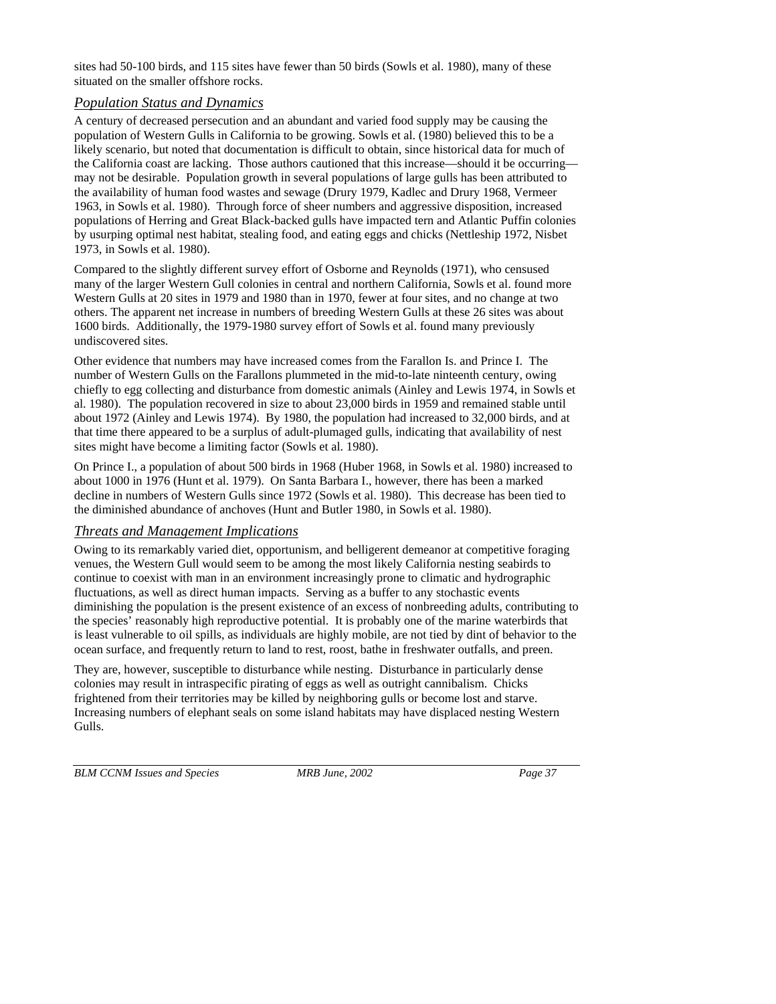sites had 50-100 birds, and 115 sites have fewer than 50 birds (Sowls et al. 1980), many of these situated on the smaller offshore rocks.

### *Population Status and Dynamics*

A century of decreased persecution and an abundant and varied food supply may be causing the population of Western Gulls in California to be growing. Sowls et al. (1980) believed this to be a likely scenario, but noted that documentation is difficult to obtain, since historical data for much of the California coast are lacking. Those authors cautioned that this increase—should it be occurring may not be desirable. Population growth in several populations of large gulls has been attributed to the availability of human food wastes and sewage (Drury 1979, Kadlec and Drury 1968, Vermeer 1963, in Sowls et al. 1980). Through force of sheer numbers and aggressive disposition, increased populations of Herring and Great Black-backed gulls have impacted tern and Atlantic Puffin colonies by usurping optimal nest habitat, stealing food, and eating eggs and chicks (Nettleship 1972, Nisbet 1973, in Sowls et al. 1980).

Compared to the slightly different survey effort of Osborne and Reynolds (1971), who censused many of the larger Western Gull colonies in central and northern California, Sowls et al. found more Western Gulls at 20 sites in 1979 and 1980 than in 1970, fewer at four sites, and no change at two others. The apparent net increase in numbers of breeding Western Gulls at these 26 sites was about 1600 birds. Additionally, the 1979-1980 survey effort of Sowls et al. found many previously undiscovered sites.

Other evidence that numbers may have increased comes from the Farallon Is. and Prince I. The number of Western Gulls on the Farallons plummeted in the mid-to-late ninteenth century, owing chiefly to egg collecting and disturbance from domestic animals (Ainley and Lewis 1974, in Sowls et al. 1980). The population recovered in size to about 23,000 birds in 1959 and remained stable until about 1972 (Ainley and Lewis 1974). By 1980, the population had increased to 32,000 birds, and at that time there appeared to be a surplus of adult-plumaged gulls, indicating that availability of nest sites might have become a limiting factor (Sowls et al. 1980).

On Prince I., a population of about 500 birds in 1968 (Huber 1968, in Sowls et al. 1980) increased to about 1000 in 1976 (Hunt et al. 1979). On Santa Barbara I., however, there has been a marked decline in numbers of Western Gulls since 1972 (Sowls et al. 1980). This decrease has been tied to the diminished abundance of anchoves (Hunt and Butler 1980, in Sowls et al. 1980).

## *Threats and Management Implications*

Owing to its remarkably varied diet, opportunism, and belligerent demeanor at competitive foraging venues, the Western Gull would seem to be among the most likely California nesting seabirds to continue to coexist with man in an environment increasingly prone to climatic and hydrographic fluctuations, as well as direct human impacts. Serving as a buffer to any stochastic events diminishing the population is the present existence of an excess of nonbreeding adults, contributing to the species' reasonably high reproductive potential. It is probably one of the marine waterbirds that is least vulnerable to oil spills, as individuals are highly mobile, are not tied by dint of behavior to the ocean surface, and frequently return to land to rest, roost, bathe in freshwater outfalls, and preen.

They are, however, susceptible to disturbance while nesting. Disturbance in particularly dense colonies may result in intraspecific pirating of eggs as well as outright cannibalism. Chicks frightened from their territories may be killed by neighboring gulls or become lost and starve. Increasing numbers of elephant seals on some island habitats may have displaced nesting Western Gulls.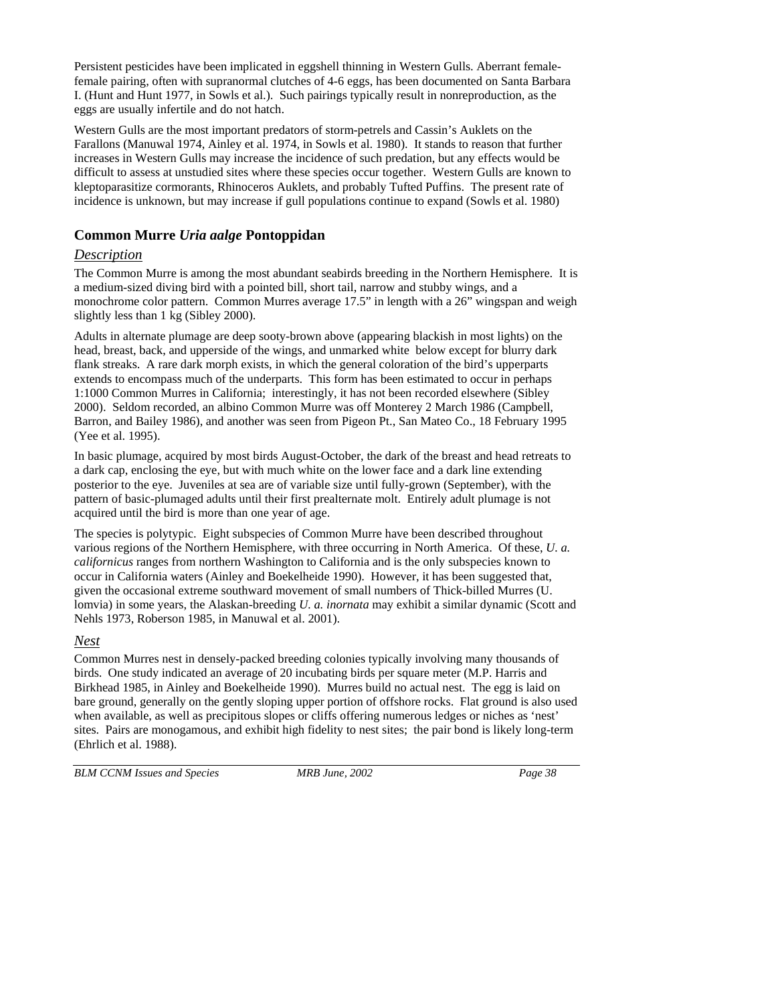Persistent pesticides have been implicated in eggshell thinning in Western Gulls. Aberrant femalefemale pairing, often with supranormal clutches of 4-6 eggs, has been documented on Santa Barbara I. (Hunt and Hunt 1977, in Sowls et al.). Such pairings typically result in nonreproduction, as the eggs are usually infertile and do not hatch.

Western Gulls are the most important predators of storm-petrels and Cassin's Auklets on the Farallons (Manuwal 1974, Ainley et al. 1974, in Sowls et al. 1980). It stands to reason that further increases in Western Gulls may increase the incidence of such predation, but any effects would be difficult to assess at unstudied sites where these species occur together. Western Gulls are known to kleptoparasitize cormorants, Rhinoceros Auklets, and probably Tufted Puffins. The present rate of incidence is unknown, but may increase if gull populations continue to expand (Sowls et al. 1980)

## **Common Murre** *Uria aalge* **Pontoppidan**

## *Description*

The Common Murre is among the most abundant seabirds breeding in the Northern Hemisphere. It is a medium-sized diving bird with a pointed bill, short tail, narrow and stubby wings, and a monochrome color pattern. Common Murres average 17.5" in length with a 26" wingspan and weigh slightly less than 1 kg (Sibley 2000).

Adults in alternate plumage are deep sooty-brown above (appearing blackish in most lights) on the head, breast, back, and upperside of the wings, and unmarked white below except for blurry dark flank streaks. A rare dark morph exists, in which the general coloration of the bird's upperparts extends to encompass much of the underparts. This form has been estimated to occur in perhaps 1:1000 Common Murres in California; interestingly, it has not been recorded elsewhere (Sibley 2000). Seldom recorded, an albino Common Murre was off Monterey 2 March 1986 (Campbell, Barron, and Bailey 1986), and another was seen from Pigeon Pt., San Mateo Co., 18 February 1995 (Yee et al. 1995).

In basic plumage, acquired by most birds August-October, the dark of the breast and head retreats to a dark cap, enclosing the eye, but with much white on the lower face and a dark line extending posterior to the eye. Juveniles at sea are of variable size until fully-grown (September), with the pattern of basic-plumaged adults until their first prealternate molt. Entirely adult plumage is not acquired until the bird is more than one year of age.

The species is polytypic. Eight subspecies of Common Murre have been described throughout various regions of the Northern Hemisphere, with three occurring in North America. Of these, *U. a. californicus* ranges from northern Washington to California and is the only subspecies known to occur in California waters (Ainley and Boekelheide 1990). However, it has been suggested that, given the occasional extreme southward movement of small numbers of Thick-billed Murres (U. lomvia) in some years, the Alaskan-breeding *U. a. inornata* may exhibit a similar dynamic (Scott and Nehls 1973, Roberson 1985, in Manuwal et al. 2001).

## *Nest*

Common Murres nest in densely-packed breeding colonies typically involving many thousands of birds. One study indicated an average of 20 incubating birds per square meter (M.P. Harris and Birkhead 1985, in Ainley and Boekelheide 1990). Murres build no actual nest. The egg is laid on bare ground, generally on the gently sloping upper portion of offshore rocks. Flat ground is also used when available, as well as precipitous slopes or cliffs offering numerous ledges or niches as 'nest' sites. Pairs are monogamous, and exhibit high fidelity to nest sites; the pair bond is likely long-term (Ehrlich et al. 1988).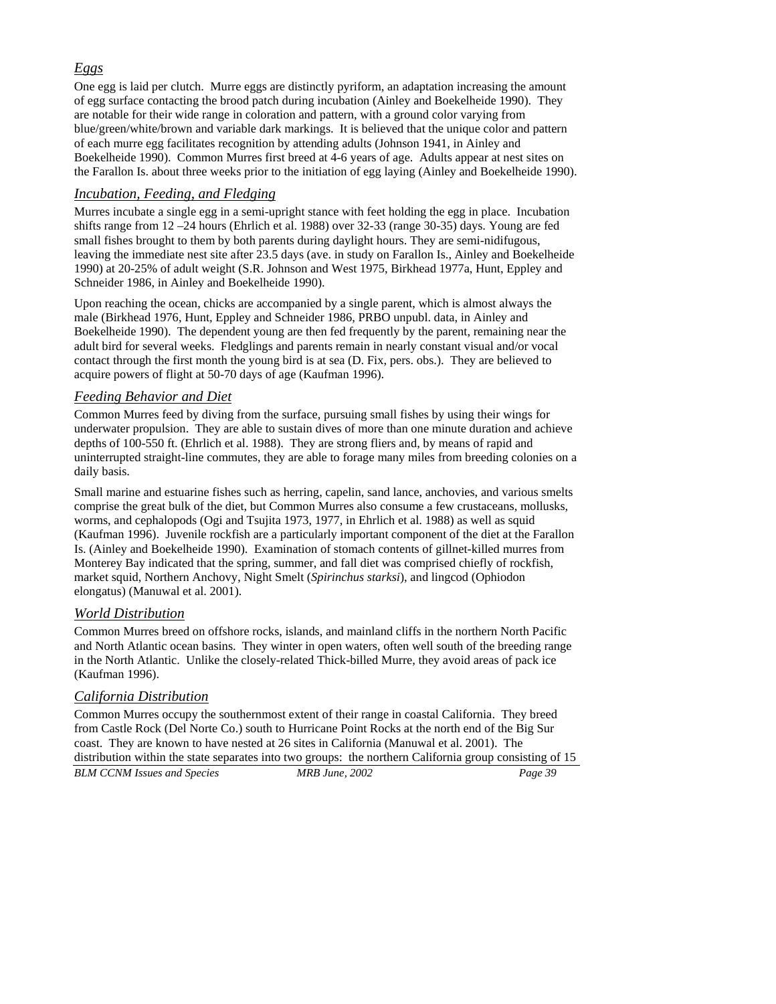## *Eggs*

One egg is laid per clutch. Murre eggs are distinctly pyriform, an adaptation increasing the amount of egg surface contacting the brood patch during incubation (Ainley and Boekelheide 1990). They are notable for their wide range in coloration and pattern, with a ground color varying from blue/green/white/brown and variable dark markings. It is believed that the unique color and pattern of each murre egg facilitates recognition by attending adults (Johnson 1941, in Ainley and Boekelheide 1990). Common Murres first breed at 4-6 years of age. Adults appear at nest sites on the Farallon Is. about three weeks prior to the initiation of egg laying (Ainley and Boekelheide 1990).

### *Incubation, Feeding, and Fledging*

Murres incubate a single egg in a semi-upright stance with feet holding the egg in place. Incubation shifts range from 12 –24 hours (Ehrlich et al. 1988) over 32-33 (range 30-35) days. Young are fed small fishes brought to them by both parents during daylight hours. They are semi-nidifugous, leaving the immediate nest site after 23.5 days (ave. in study on Farallon Is., Ainley and Boekelheide 1990) at 20-25% of adult weight (S.R. Johnson and West 1975, Birkhead 1977a, Hunt, Eppley and Schneider 1986, in Ainley and Boekelheide 1990).

Upon reaching the ocean, chicks are accompanied by a single parent, which is almost always the male (Birkhead 1976, Hunt, Eppley and Schneider 1986, PRBO unpubl. data, in Ainley and Boekelheide 1990). The dependent young are then fed frequently by the parent, remaining near the adult bird for several weeks. Fledglings and parents remain in nearly constant visual and/or vocal contact through the first month the young bird is at sea (D. Fix, pers. obs.). They are believed to acquire powers of flight at 50-70 days of age (Kaufman 1996).

### *Feeding Behavior and Diet*

Common Murres feed by diving from the surface, pursuing small fishes by using their wings for underwater propulsion. They are able to sustain dives of more than one minute duration and achieve depths of 100-550 ft. (Ehrlich et al. 1988). They are strong fliers and, by means of rapid and uninterrupted straight-line commutes, they are able to forage many miles from breeding colonies on a daily basis.

Small marine and estuarine fishes such as herring, capelin, sand lance, anchovies, and various smelts comprise the great bulk of the diet, but Common Murres also consume a few crustaceans, mollusks, worms, and cephalopods (Ogi and Tsujita 1973, 1977, in Ehrlich et al. 1988) as well as squid (Kaufman 1996). Juvenile rockfish are a particularly important component of the diet at the Farallon Is. (Ainley and Boekelheide 1990). Examination of stomach contents of gillnet-killed murres from Monterey Bay indicated that the spring, summer, and fall diet was comprised chiefly of rockfish, market squid, Northern Anchovy, Night Smelt (*Spirinchus starksi*), and lingcod (Ophiodon elongatus) (Manuwal et al. 2001).

## *World Distribution*

Common Murres breed on offshore rocks, islands, and mainland cliffs in the northern North Pacific and North Atlantic ocean basins. They winter in open waters, often well south of the breeding range in the North Atlantic. Unlike the closely-related Thick-billed Murre, they avoid areas of pack ice (Kaufman 1996).

## *California Distribution*

*BLM CCNM Issues and Species MRB June, 2002 Page 39*  Common Murres occupy the southernmost extent of their range in coastal California. They breed from Castle Rock (Del Norte Co.) south to Hurricane Point Rocks at the north end of the Big Sur coast. They are known to have nested at 26 sites in California (Manuwal et al. 2001). The distribution within the state separates into two groups: the northern California group consisting of 15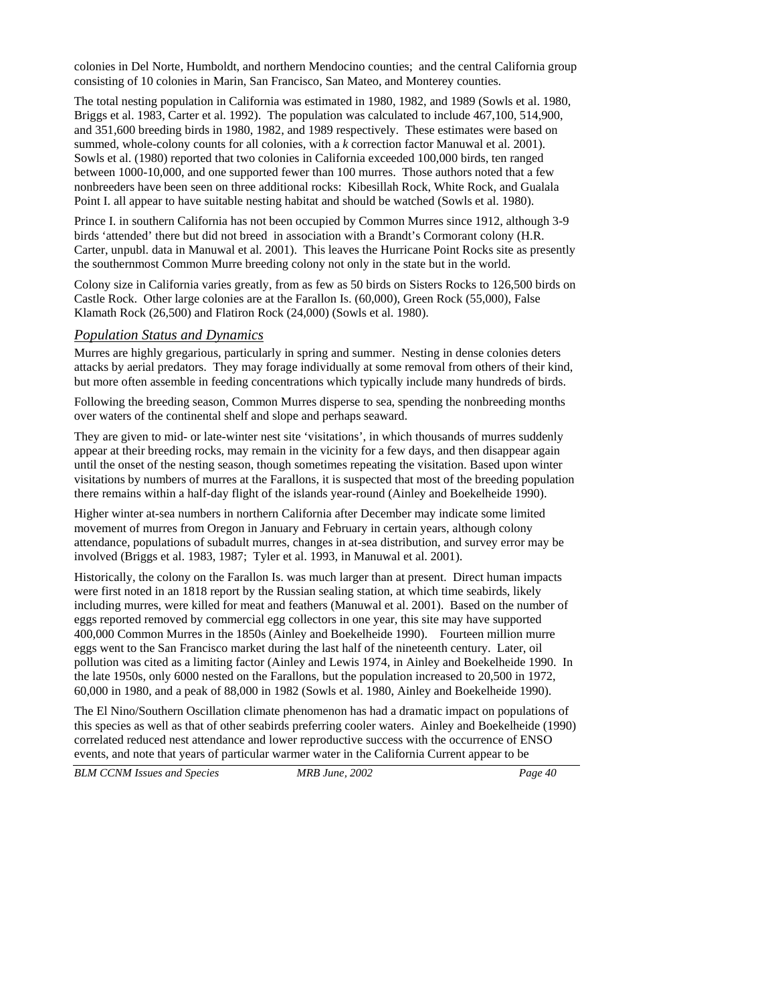colonies in Del Norte, Humboldt, and northern Mendocino counties; and the central California group consisting of 10 colonies in Marin, San Francisco, San Mateo, and Monterey counties.

The total nesting population in California was estimated in 1980, 1982, and 1989 (Sowls et al. 1980, Briggs et al. 1983, Carter et al. 1992). The population was calculated to include 467,100, 514,900, and 351,600 breeding birds in 1980, 1982, and 1989 respectively. These estimates were based on summed, whole-colony counts for all colonies, with a *k* correction factor Manuwal et al. 2001). Sowls et al. (1980) reported that two colonies in California exceeded 100,000 birds, ten ranged between 1000-10,000, and one supported fewer than 100 murres. Those authors noted that a few nonbreeders have been seen on three additional rocks: Kibesillah Rock, White Rock, and Gualala Point I. all appear to have suitable nesting habitat and should be watched (Sowls et al. 1980).

Prince I. in southern California has not been occupied by Common Murres since 1912, although 3-9 birds 'attended' there but did not breed in association with a Brandt's Cormorant colony (H.R. Carter, unpubl. data in Manuwal et al. 2001). This leaves the Hurricane Point Rocks site as presently the southernmost Common Murre breeding colony not only in the state but in the world.

Colony size in California varies greatly, from as few as 50 birds on Sisters Rocks to 126,500 birds on Castle Rock. Other large colonies are at the Farallon Is. (60,000), Green Rock (55,000), False Klamath Rock (26,500) and Flatiron Rock (24,000) (Sowls et al. 1980).

#### *Population Status and Dynamics*

Murres are highly gregarious, particularly in spring and summer. Nesting in dense colonies deters attacks by aerial predators. They may forage individually at some removal from others of their kind, but more often assemble in feeding concentrations which typically include many hundreds of birds.

Following the breeding season, Common Murres disperse to sea, spending the nonbreeding months over waters of the continental shelf and slope and perhaps seaward.

They are given to mid- or late-winter nest site 'visitations', in which thousands of murres suddenly appear at their breeding rocks, may remain in the vicinity for a few days, and then disappear again until the onset of the nesting season, though sometimes repeating the visitation. Based upon winter visitations by numbers of murres at the Farallons, it is suspected that most of the breeding population there remains within a half-day flight of the islands year-round (Ainley and Boekelheide 1990).

Higher winter at-sea numbers in northern California after December may indicate some limited movement of murres from Oregon in January and February in certain years, although colony attendance, populations of subadult murres, changes in at-sea distribution, and survey error may be involved (Briggs et al. 1983, 1987; Tyler et al. 1993, in Manuwal et al. 2001).

Historically, the colony on the Farallon Is. was much larger than at present. Direct human impacts were first noted in an 1818 report by the Russian sealing station, at which time seabirds, likely including murres, were killed for meat and feathers (Manuwal et al. 2001). Based on the number of eggs reported removed by commercial egg collectors in one year, this site may have supported 400,000 Common Murres in the 1850s (Ainley and Boekelheide 1990). Fourteen million murre eggs went to the San Francisco market during the last half of the nineteenth century. Later, oil pollution was cited as a limiting factor (Ainley and Lewis 1974, in Ainley and Boekelheide 1990. In the late 1950s, only 6000 nested on the Farallons, but the population increased to 20,500 in 1972, 60,000 in 1980, and a peak of 88,000 in 1982 (Sowls et al. 1980, Ainley and Boekelheide 1990).

The El Nino/Southern Oscillation climate phenomenon has had a dramatic impact on populations of this species as well as that of other seabirds preferring cooler waters. Ainley and Boekelheide (1990) correlated reduced nest attendance and lower reproductive success with the occurrence of ENSO events, and note that years of particular warmer water in the California Current appear to be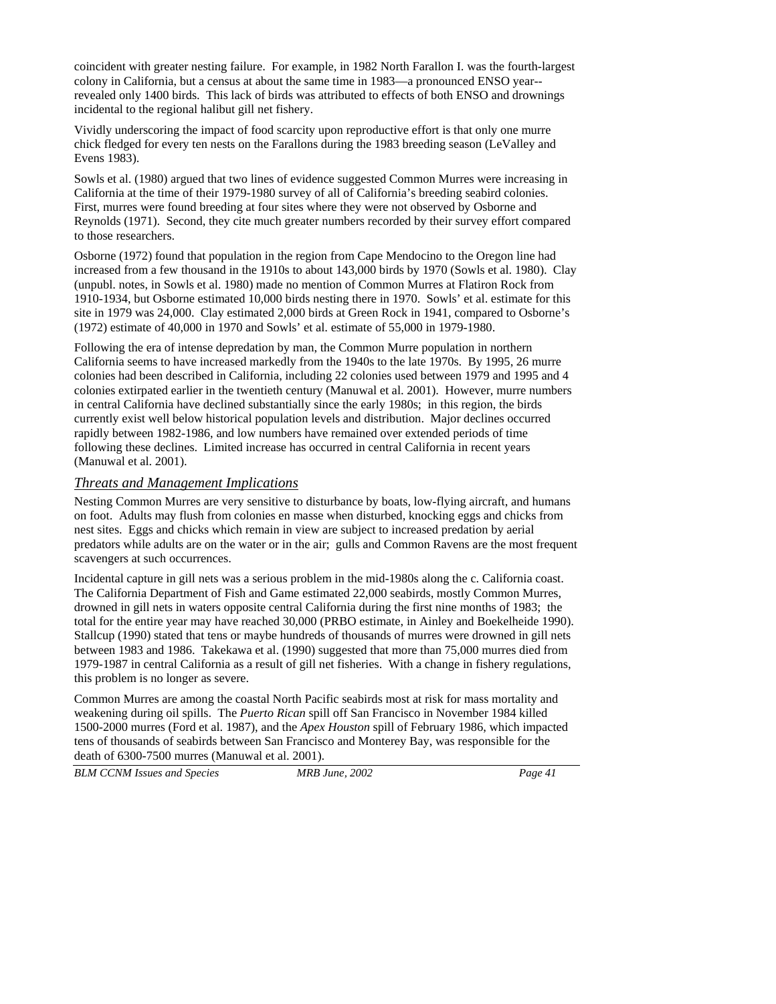coincident with greater nesting failure. For example, in 1982 North Farallon I. was the fourth-largest colony in California, but a census at about the same time in 1983—a pronounced ENSO year- revealed only 1400 birds. This lack of birds was attributed to effects of both ENSO and drownings incidental to the regional halibut gill net fishery.

Vividly underscoring the impact of food scarcity upon reproductive effort is that only one murre chick fledged for every ten nests on the Farallons during the 1983 breeding season (LeValley and Evens 1983).

Sowls et al. (1980) argued that two lines of evidence suggested Common Murres were increasing in California at the time of their 1979-1980 survey of all of California's breeding seabird colonies. First, murres were found breeding at four sites where they were not observed by Osborne and Reynolds (1971). Second, they cite much greater numbers recorded by their survey effort compared to those researchers.

Osborne (1972) found that population in the region from Cape Mendocino to the Oregon line had increased from a few thousand in the 1910s to about 143,000 birds by 1970 (Sowls et al. 1980). Clay (unpubl. notes, in Sowls et al. 1980) made no mention of Common Murres at Flatiron Rock from 1910-1934, but Osborne estimated 10,000 birds nesting there in 1970. Sowls' et al. estimate for this site in 1979 was 24,000. Clay estimated 2,000 birds at Green Rock in 1941, compared to Osborne's (1972) estimate of 40,000 in 1970 and Sowls' et al. estimate of 55,000 in 1979-1980.

Following the era of intense depredation by man, the Common Murre population in northern California seems to have increased markedly from the 1940s to the late 1970s. By 1995, 26 murre colonies had been described in California, including 22 colonies used between 1979 and 1995 and 4 colonies extirpated earlier in the twentieth century (Manuwal et al. 2001). However, murre numbers in central California have declined substantially since the early 1980s; in this region, the birds currently exist well below historical population levels and distribution. Major declines occurred rapidly between 1982-1986, and low numbers have remained over extended periods of time following these declines. Limited increase has occurred in central California in recent years (Manuwal et al. 2001).

### *Threats and Management Implications*

Nesting Common Murres are very sensitive to disturbance by boats, low-flying aircraft, and humans on foot. Adults may flush from colonies en masse when disturbed, knocking eggs and chicks from nest sites. Eggs and chicks which remain in view are subject to increased predation by aerial predators while adults are on the water or in the air; gulls and Common Ravens are the most frequent scavengers at such occurrences.

Incidental capture in gill nets was a serious problem in the mid-1980s along the c. California coast. The California Department of Fish and Game estimated 22,000 seabirds, mostly Common Murres, drowned in gill nets in waters opposite central California during the first nine months of 1983; the total for the entire year may have reached 30,000 (PRBO estimate, in Ainley and Boekelheide 1990). Stallcup (1990) stated that tens or maybe hundreds of thousands of murres were drowned in gill nets between 1983 and 1986. Takekawa et al. (1990) suggested that more than 75,000 murres died from 1979-1987 in central California as a result of gill net fisheries. With a change in fishery regulations, this problem is no longer as severe.

Common Murres are among the coastal North Pacific seabirds most at risk for mass mortality and weakening during oil spills. The *Puerto Rican* spill off San Francisco in November 1984 killed 1500-2000 murres (Ford et al. 1987), and the *Apex Houston* spill of February 1986, which impacted tens of thousands of seabirds between San Francisco and Monterey Bay, was responsible for the death of 6300-7500 murres (Manuwal et al. 2001).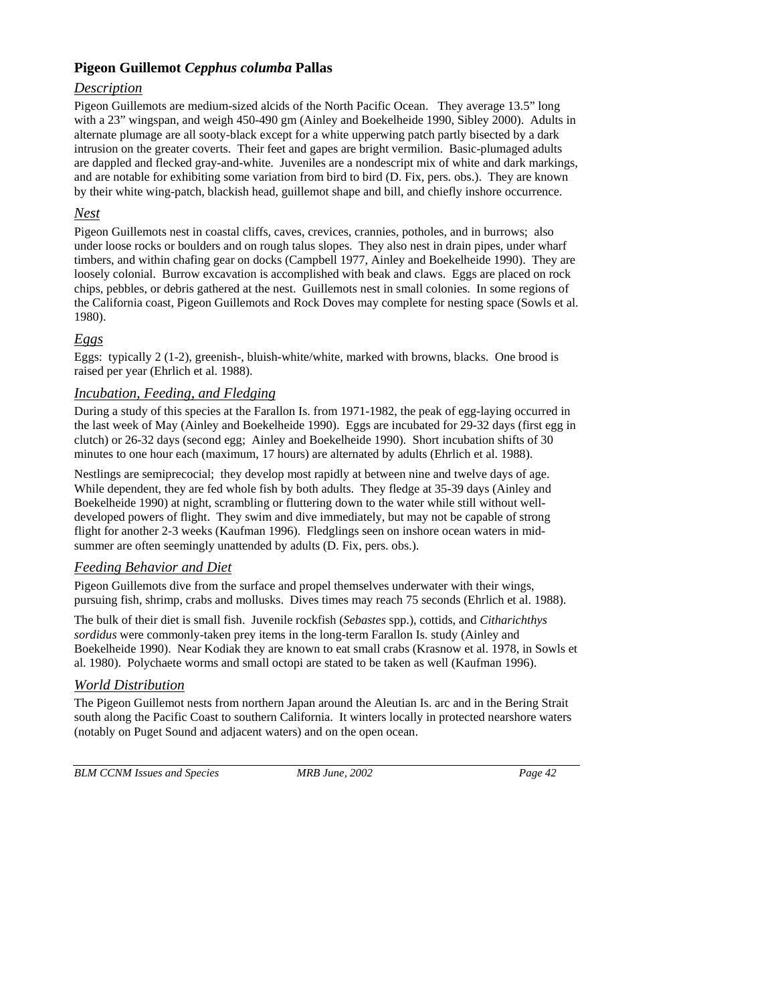## **Pigeon Guillemot** *Cepphus columba* **Pallas**

## *Description*

Pigeon Guillemots are medium-sized alcids of the North Pacific Ocean. They average 13.5" long with a 23" wingspan, and weigh 450-490 gm (Ainley and Boekelheide 1990, Sibley 2000). Adults in alternate plumage are all sooty-black except for a white upperwing patch partly bisected by a dark intrusion on the greater coverts. Their feet and gapes are bright vermilion. Basic-plumaged adults are dappled and flecked gray-and-white. Juveniles are a nondescript mix of white and dark markings, and are notable for exhibiting some variation from bird to bird (D. Fix, pers. obs.). They are known by their white wing-patch, blackish head, guillemot shape and bill, and chiefly inshore occurrence.

## *Nest*

Pigeon Guillemots nest in coastal cliffs, caves, crevices, crannies, potholes, and in burrows; also under loose rocks or boulders and on rough talus slopes. They also nest in drain pipes, under wharf timbers, and within chafing gear on docks (Campbell 1977, Ainley and Boekelheide 1990). They are loosely colonial. Burrow excavation is accomplished with beak and claws. Eggs are placed on rock chips, pebbles, or debris gathered at the nest. Guillemots nest in small colonies. In some regions of the California coast, Pigeon Guillemots and Rock Doves may complete for nesting space (Sowls et al. 1980).

## *Eggs*

Eggs: typically 2 (1-2), greenish-, bluish-white/white, marked with browns, blacks. One brood is raised per year (Ehrlich et al. 1988).

## *Incubation, Feeding, and Fledging*

During a study of this species at the Farallon Is. from 1971-1982, the peak of egg-laying occurred in the last week of May (Ainley and Boekelheide 1990). Eggs are incubated for 29-32 days (first egg in clutch) or 26-32 days (second egg; Ainley and Boekelheide 1990). Short incubation shifts of 30 minutes to one hour each (maximum, 17 hours) are alternated by adults (Ehrlich et al. 1988).

Nestlings are semiprecocial; they develop most rapidly at between nine and twelve days of age. While dependent, they are fed whole fish by both adults. They fledge at 35-39 days (Ainley and Boekelheide 1990) at night, scrambling or fluttering down to the water while still without welldeveloped powers of flight. They swim and dive immediately, but may not be capable of strong flight for another 2-3 weeks (Kaufman 1996). Fledglings seen on inshore ocean waters in midsummer are often seemingly unattended by adults (D. Fix, pers. obs.).

## *Feeding Behavior and Diet*

Pigeon Guillemots dive from the surface and propel themselves underwater with their wings, pursuing fish, shrimp, crabs and mollusks. Dives times may reach 75 seconds (Ehrlich et al. 1988).

The bulk of their diet is small fish. Juvenile rockfish (*Sebastes* spp.), cottids, and *Citharichthys sordidus* were commonly-taken prey items in the long-term Farallon Is. study (Ainley and Boekelheide 1990). Near Kodiak they are known to eat small crabs (Krasnow et al. 1978, in Sowls et al. 1980). Polychaete worms and small octopi are stated to be taken as well (Kaufman 1996).

## *World Distribution*

The Pigeon Guillemot nests from northern Japan around the Aleutian Is. arc and in the Bering Strait south along the Pacific Coast to southern California. It winters locally in protected nearshore waters (notably on Puget Sound and adjacent waters) and on the open ocean.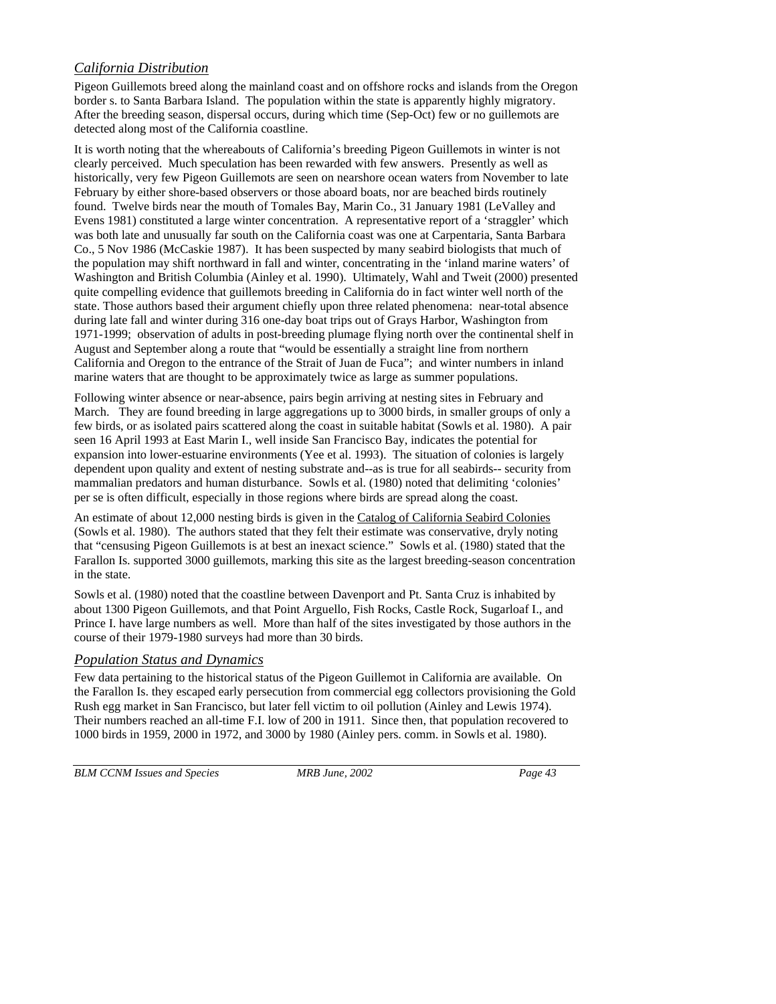## *California Distribution*

Pigeon Guillemots breed along the mainland coast and on offshore rocks and islands from the Oregon border s. to Santa Barbara Island. The population within the state is apparently highly migratory. After the breeding season, dispersal occurs, during which time (Sep-Oct) few or no guillemots are detected along most of the California coastline.

It is worth noting that the whereabouts of California's breeding Pigeon Guillemots in winter is not clearly perceived. Much speculation has been rewarded with few answers. Presently as well as historically, very few Pigeon Guillemots are seen on nearshore ocean waters from November to late February by either shore-based observers or those aboard boats, nor are beached birds routinely found. Twelve birds near the mouth of Tomales Bay, Marin Co., 31 January 1981 (LeValley and Evens 1981) constituted a large winter concentration. A representative report of a 'straggler' which was both late and unusually far south on the California coast was one at Carpentaria, Santa Barbara Co., 5 Nov 1986 (McCaskie 1987). It has been suspected by many seabird biologists that much of the population may shift northward in fall and winter, concentrating in the 'inland marine waters' of Washington and British Columbia (Ainley et al. 1990). Ultimately, Wahl and Tweit (2000) presented quite compelling evidence that guillemots breeding in California do in fact winter well north of the state. Those authors based their argument chiefly upon three related phenomena: near-total absence during late fall and winter during 316 one-day boat trips out of Grays Harbor, Washington from 1971-1999; observation of adults in post-breeding plumage flying north over the continental shelf in August and September along a route that "would be essentially a straight line from northern California and Oregon to the entrance of the Strait of Juan de Fuca"; and winter numbers in inland marine waters that are thought to be approximately twice as large as summer populations.

Following winter absence or near-absence, pairs begin arriving at nesting sites in February and March. They are found breeding in large aggregations up to 3000 birds, in smaller groups of only a few birds, or as isolated pairs scattered along the coast in suitable habitat (Sowls et al. 1980). A pair seen 16 April 1993 at East Marin I., well inside San Francisco Bay, indicates the potential for expansion into lower-estuarine environments (Yee et al. 1993). The situation of colonies is largely dependent upon quality and extent of nesting substrate and--as is true for all seabirds-- security from mammalian predators and human disturbance. Sowls et al. (1980) noted that delimiting 'colonies' per se is often difficult, especially in those regions where birds are spread along the coast.

An estimate of about 12,000 nesting birds is given in the Catalog of California Seabird Colonies (Sowls et al. 1980). The authors stated that they felt their estimate was conservative, dryly noting that "censusing Pigeon Guillemots is at best an inexact science." Sowls et al. (1980) stated that the Farallon Is. supported 3000 guillemots, marking this site as the largest breeding-season concentration in the state.

Sowls et al. (1980) noted that the coastline between Davenport and Pt. Santa Cruz is inhabited by about 1300 Pigeon Guillemots, and that Point Arguello, Fish Rocks, Castle Rock, Sugarloaf I., and Prince I. have large numbers as well. More than half of the sites investigated by those authors in the course of their 1979-1980 surveys had more than 30 birds.

## *Population Status and Dynamics*

Few data pertaining to the historical status of the Pigeon Guillemot in California are available. On the Farallon Is. they escaped early persecution from commercial egg collectors provisioning the Gold Rush egg market in San Francisco, but later fell victim to oil pollution (Ainley and Lewis 1974). Their numbers reached an all-time F.I. low of 200 in 1911. Since then, that population recovered to 1000 birds in 1959, 2000 in 1972, and 3000 by 1980 (Ainley pers. comm. in Sowls et al. 1980).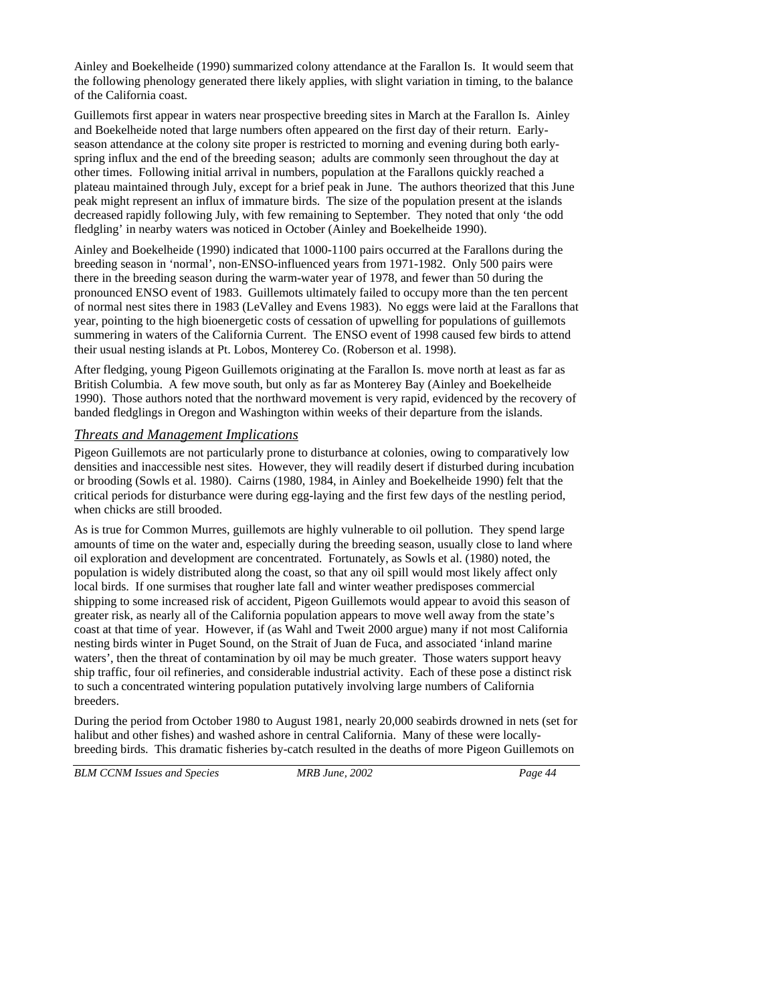Ainley and Boekelheide (1990) summarized colony attendance at the Farallon Is. It would seem that the following phenology generated there likely applies, with slight variation in timing, to the balance of the California coast.

Guillemots first appear in waters near prospective breeding sites in March at the Farallon Is. Ainley and Boekelheide noted that large numbers often appeared on the first day of their return. Earlyseason attendance at the colony site proper is restricted to morning and evening during both earlyspring influx and the end of the breeding season; adults are commonly seen throughout the day at other times. Following initial arrival in numbers, population at the Farallons quickly reached a plateau maintained through July, except for a brief peak in June. The authors theorized that this June peak might represent an influx of immature birds. The size of the population present at the islands decreased rapidly following July, with few remaining to September. They noted that only 'the odd fledgling' in nearby waters was noticed in October (Ainley and Boekelheide 1990).

Ainley and Boekelheide (1990) indicated that 1000-1100 pairs occurred at the Farallons during the breeding season in 'normal', non-ENSO-influenced years from 1971-1982. Only 500 pairs were there in the breeding season during the warm-water year of 1978, and fewer than 50 during the pronounced ENSO event of 1983. Guillemots ultimately failed to occupy more than the ten percent of normal nest sites there in 1983 (LeValley and Evens 1983). No eggs were laid at the Farallons that year, pointing to the high bioenergetic costs of cessation of upwelling for populations of guillemots summering in waters of the California Current. The ENSO event of 1998 caused few birds to attend their usual nesting islands at Pt. Lobos, Monterey Co. (Roberson et al. 1998).

After fledging, young Pigeon Guillemots originating at the Farallon Is. move north at least as far as British Columbia. A few move south, but only as far as Monterey Bay (Ainley and Boekelheide 1990). Those authors noted that the northward movement is very rapid, evidenced by the recovery of banded fledglings in Oregon and Washington within weeks of their departure from the islands.

### *Threats and Management Implications*

Pigeon Guillemots are not particularly prone to disturbance at colonies, owing to comparatively low densities and inaccessible nest sites. However, they will readily desert if disturbed during incubation or brooding (Sowls et al. 1980). Cairns (1980, 1984, in Ainley and Boekelheide 1990) felt that the critical periods for disturbance were during egg-laying and the first few days of the nestling period, when chicks are still brooded.

As is true for Common Murres, guillemots are highly vulnerable to oil pollution. They spend large amounts of time on the water and, especially during the breeding season, usually close to land where oil exploration and development are concentrated. Fortunately, as Sowls et al. (1980) noted, the population is widely distributed along the coast, so that any oil spill would most likely affect only local birds. If one surmises that rougher late fall and winter weather predisposes commercial shipping to some increased risk of accident, Pigeon Guillemots would appear to avoid this season of greater risk, as nearly all of the California population appears to move well away from the state's coast at that time of year. However, if (as Wahl and Tweit 2000 argue) many if not most California nesting birds winter in Puget Sound, on the Strait of Juan de Fuca, and associated 'inland marine waters', then the threat of contamination by oil may be much greater. Those waters support heavy ship traffic, four oil refineries, and considerable industrial activity. Each of these pose a distinct risk to such a concentrated wintering population putatively involving large numbers of California breeders.

During the period from October 1980 to August 1981, nearly 20,000 seabirds drowned in nets (set for halibut and other fishes) and washed ashore in central California. Many of these were locallybreeding birds. This dramatic fisheries by-catch resulted in the deaths of more Pigeon Guillemots on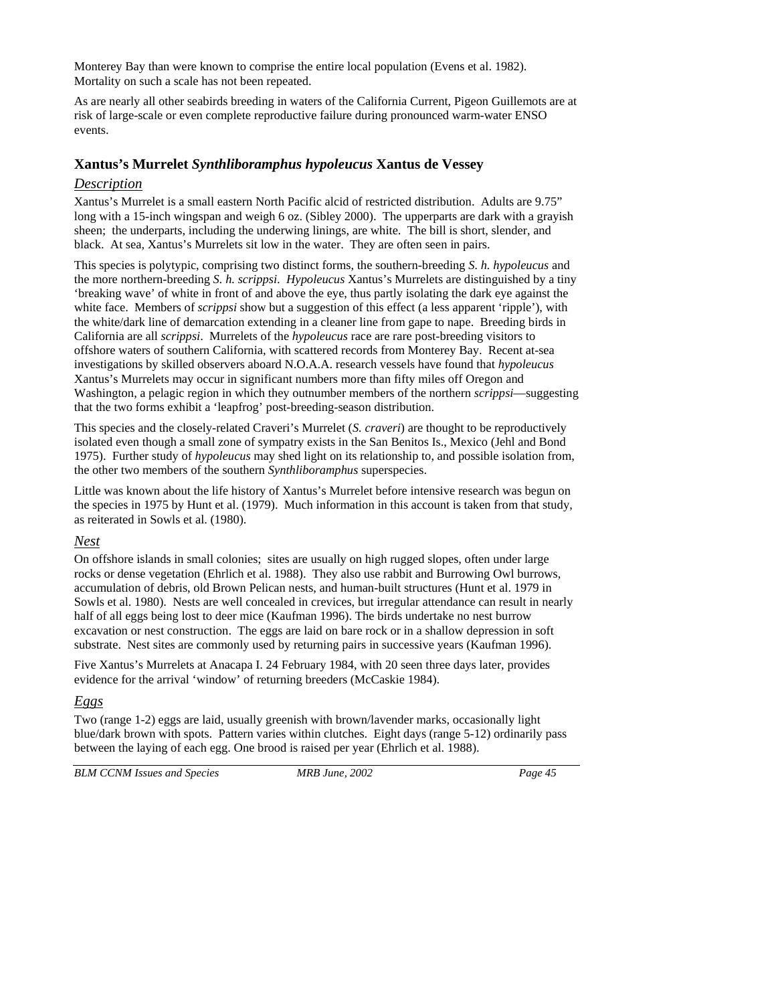Monterey Bay than were known to comprise the entire local population (Evens et al. 1982). Mortality on such a scale has not been repeated.

As are nearly all other seabirds breeding in waters of the California Current, Pigeon Guillemots are at risk of large-scale or even complete reproductive failure during pronounced warm-water ENSO events.

## **Xantus's Murrelet** *Synthliboramphus hypoleucus* **Xantus de Vessey**

### *Description*

Xantus's Murrelet is a small eastern North Pacific alcid of restricted distribution. Adults are 9.75" long with a 15-inch wingspan and weigh 6 oz. (Sibley 2000). The upperparts are dark with a grayish sheen; the underparts, including the underwing linings, are white. The bill is short, slender, and black. At sea, Xantus's Murrelets sit low in the water. They are often seen in pairs.

This species is polytypic, comprising two distinct forms, the southern-breeding *S. h. hypoleucus* and the more northern-breeding *S. h. scrippsi*. *Hypoleucus* Xantus's Murrelets are distinguished by a tiny 'breaking wave' of white in front of and above the eye, thus partly isolating the dark eye against the white face. Members of *scrippsi* show but a suggestion of this effect (a less apparent 'ripple'), with the white/dark line of demarcation extending in a cleaner line from gape to nape. Breeding birds in California are all *scrippsi*. Murrelets of the *hypoleucus* race are rare post-breeding visitors to offshore waters of southern California, with scattered records from Monterey Bay. Recent at-sea investigations by skilled observers aboard N.O.A.A. research vessels have found that *hypoleucus* Xantus's Murrelets may occur in significant numbers more than fifty miles off Oregon and Washington, a pelagic region in which they outnumber members of the northern *scrippsi*—suggesting that the two forms exhibit a 'leapfrog' post-breeding-season distribution.

This species and the closely-related Craveri's Murrelet (*S. craveri*) are thought to be reproductively isolated even though a small zone of sympatry exists in the San Benitos Is., Mexico (Jehl and Bond 1975). Further study of *hypoleucus* may shed light on its relationship to, and possible isolation from, the other two members of the southern *Synthliboramphus* superspecies.

Little was known about the life history of Xantus's Murrelet before intensive research was begun on the species in 1975 by Hunt et al. (1979). Much information in this account is taken from that study, as reiterated in Sowls et al. (1980).

## *Nest*

On offshore islands in small colonies; sites are usually on high rugged slopes, often under large rocks or dense vegetation (Ehrlich et al. 1988). They also use rabbit and Burrowing Owl burrows, accumulation of debris, old Brown Pelican nests, and human-built structures (Hunt et al. 1979 in Sowls et al. 1980). Nests are well concealed in crevices, but irregular attendance can result in nearly half of all eggs being lost to deer mice (Kaufman 1996). The birds undertake no nest burrow excavation or nest construction. The eggs are laid on bare rock or in a shallow depression in soft substrate. Nest sites are commonly used by returning pairs in successive years (Kaufman 1996).

Five Xantus's Murrelets at Anacapa I. 24 February 1984, with 20 seen three days later, provides evidence for the arrival 'window' of returning breeders (McCaskie 1984).

## *Eggs*

Two (range 1-2) eggs are laid, usually greenish with brown/lavender marks, occasionally light blue/dark brown with spots. Pattern varies within clutches. Eight days (range 5-12) ordinarily pass between the laying of each egg. One brood is raised per year (Ehrlich et al. 1988).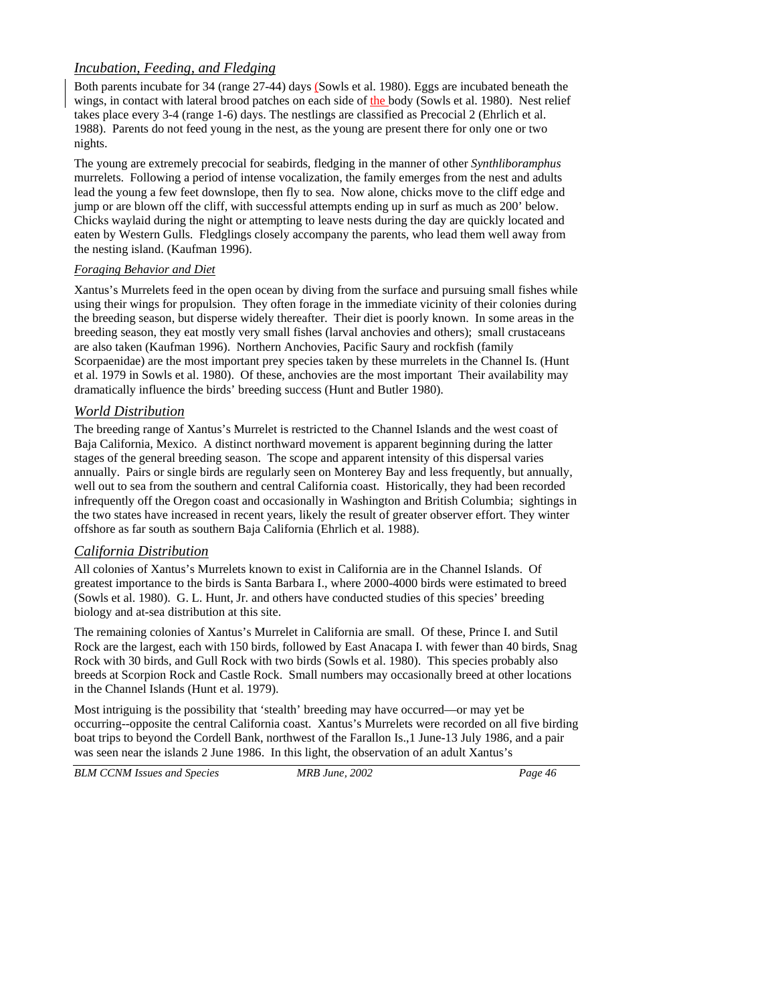## *Incubation, Feeding, and Fledging*

Both parents incubate for 34 (range 27-44) days (Sowls et al. 1980). Eggs are incubated beneath the wings, in contact with lateral brood patches on each side of the body (Sowls et al. 1980). Nest relief takes place every 3-4 (range 1-6) days. The nestlings are classified as Precocial 2 (Ehrlich et al. 1988). Parents do not feed young in the nest, as the young are present there for only one or two nights.

The young are extremely precocial for seabirds, fledging in the manner of other *Synthliboramphus* murrelets. Following a period of intense vocalization, the family emerges from the nest and adults lead the young a few feet downslope, then fly to sea. Now alone, chicks move to the cliff edge and jump or are blown off the cliff, with successful attempts ending up in surf as much as 200' below. Chicks waylaid during the night or attempting to leave nests during the day are quickly located and eaten by Western Gulls. Fledglings closely accompany the parents, who lead them well away from the nesting island. (Kaufman 1996).

### *Foraging Behavior and Diet*

Xantus's Murrelets feed in the open ocean by diving from the surface and pursuing small fishes while using their wings for propulsion. They often forage in the immediate vicinity of their colonies during the breeding season, but disperse widely thereafter. Their diet is poorly known. In some areas in the breeding season, they eat mostly very small fishes (larval anchovies and others); small crustaceans are also taken (Kaufman 1996). Northern Anchovies, Pacific Saury and rockfish (family Scorpaenidae) are the most important prey species taken by these murrelets in the Channel Is. (Hunt et al. 1979 in Sowls et al. 1980). Of these, anchovies are the most important Their availability may dramatically influence the birds' breeding success (Hunt and Butler 1980).

## *World Distribution*

The breeding range of Xantus's Murrelet is restricted to the Channel Islands and the west coast of Baja California, Mexico. A distinct northward movement is apparent beginning during the latter stages of the general breeding season. The scope and apparent intensity of this dispersal varies annually. Pairs or single birds are regularly seen on Monterey Bay and less frequently, but annually, well out to sea from the southern and central California coast. Historically, they had been recorded infrequently off the Oregon coast and occasionally in Washington and British Columbia; sightings in the two states have increased in recent years, likely the result of greater observer effort. They winter offshore as far south as southern Baja California (Ehrlich et al. 1988).

## *California Distribution*

All colonies of Xantus's Murrelets known to exist in California are in the Channel Islands. Of greatest importance to the birds is Santa Barbara I., where 2000-4000 birds were estimated to breed (Sowls et al. 1980). G. L. Hunt, Jr. and others have conducted studies of this species' breeding biology and at-sea distribution at this site.

The remaining colonies of Xantus's Murrelet in California are small. Of these, Prince I. and Sutil Rock are the largest, each with 150 birds, followed by East Anacapa I. with fewer than 40 birds, Snag Rock with 30 birds, and Gull Rock with two birds (Sowls et al. 1980). This species probably also breeds at Scorpion Rock and Castle Rock. Small numbers may occasionally breed at other locations in the Channel Islands (Hunt et al. 1979).

Most intriguing is the possibility that 'stealth' breeding may have occurred—or may yet be occurring--opposite the central California coast. Xantus's Murrelets were recorded on all five birding boat trips to beyond the Cordell Bank, northwest of the Farallon Is.,1 June-13 July 1986, and a pair was seen near the islands 2 June 1986. In this light, the observation of an adult Xantus's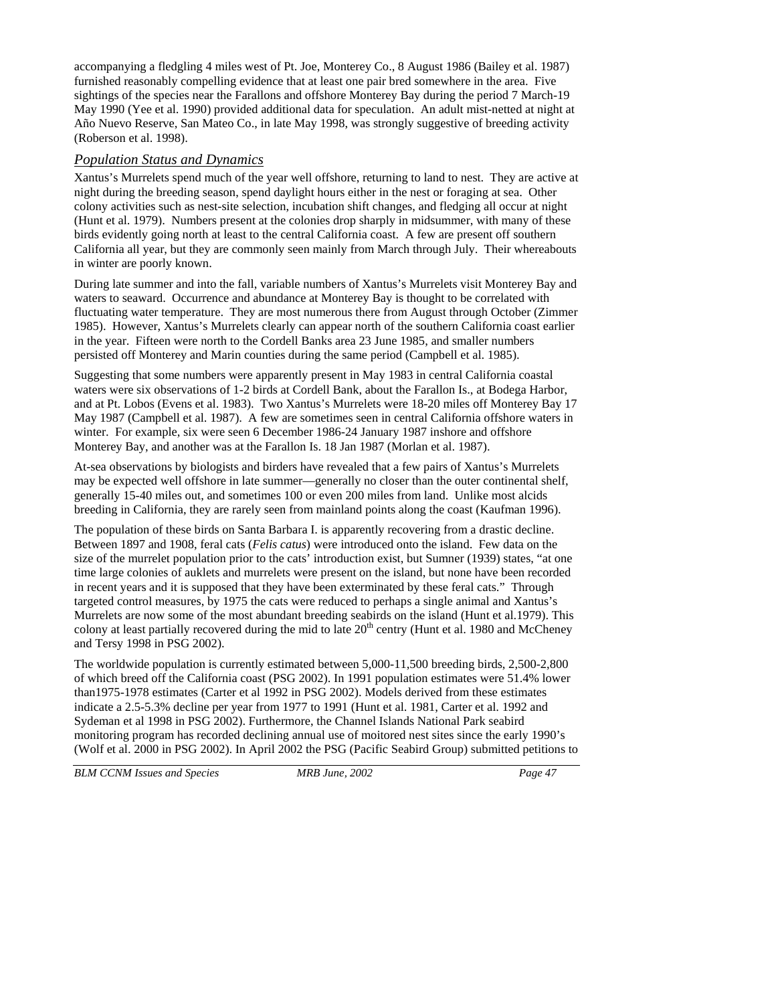accompanying a fledgling 4 miles west of Pt. Joe, Monterey Co., 8 August 1986 (Bailey et al. 1987) furnished reasonably compelling evidence that at least one pair bred somewhere in the area. Five sightings of the species near the Farallons and offshore Monterey Bay during the period 7 March-19 May 1990 (Yee et al. 1990) provided additional data for speculation. An adult mist-netted at night at Año Nuevo Reserve, San Mateo Co., in late May 1998, was strongly suggestive of breeding activity (Roberson et al. 1998).

### *Population Status and Dynamics*

Xantus's Murrelets spend much of the year well offshore, returning to land to nest. They are active at night during the breeding season, spend daylight hours either in the nest or foraging at sea. Other colony activities such as nest-site selection, incubation shift changes, and fledging all occur at night (Hunt et al. 1979). Numbers present at the colonies drop sharply in midsummer, with many of these birds evidently going north at least to the central California coast. A few are present off southern California all year, but they are commonly seen mainly from March through July. Their whereabouts in winter are poorly known.

During late summer and into the fall, variable numbers of Xantus's Murrelets visit Monterey Bay and waters to seaward. Occurrence and abundance at Monterey Bay is thought to be correlated with fluctuating water temperature. They are most numerous there from August through October (Zimmer 1985). However, Xantus's Murrelets clearly can appear north of the southern California coast earlier in the year. Fifteen were north to the Cordell Banks area 23 June 1985, and smaller numbers persisted off Monterey and Marin counties during the same period (Campbell et al. 1985).

Suggesting that some numbers were apparently present in May 1983 in central California coastal waters were six observations of 1-2 birds at Cordell Bank, about the Farallon Is., at Bodega Harbor, and at Pt. Lobos (Evens et al. 1983). Two Xantus's Murrelets were 18-20 miles off Monterey Bay 17 May 1987 (Campbell et al. 1987). A few are sometimes seen in central California offshore waters in winter. For example, six were seen 6 December 1986-24 January 1987 inshore and offshore Monterey Bay, and another was at the Farallon Is. 18 Jan 1987 (Morlan et al. 1987).

At-sea observations by biologists and birders have revealed that a few pairs of Xantus's Murrelets may be expected well offshore in late summer—generally no closer than the outer continental shelf, generally 15-40 miles out, and sometimes 100 or even 200 miles from land. Unlike most alcids breeding in California, they are rarely seen from mainland points along the coast (Kaufman 1996).

The population of these birds on Santa Barbara I. is apparently recovering from a drastic decline. Between 1897 and 1908, feral cats (*Felis catus*) were introduced onto the island. Few data on the size of the murrelet population prior to the cats' introduction exist, but Sumner (1939) states, "at one time large colonies of auklets and murrelets were present on the island, but none have been recorded in recent years and it is supposed that they have been exterminated by these feral cats." Through targeted control measures, by 1975 the cats were reduced to perhaps a single animal and Xantus's Murrelets are now some of the most abundant breeding seabirds on the island (Hunt et al.1979). This colony at least partially recovered during the mid to late 20<sup>th</sup> centry (Hunt et al. 1980 and McCheney and Tersy 1998 in PSG 2002).

The worldwide population is currently estimated between 5,000-11,500 breeding birds, 2,500-2,800 of which breed off the California coast (PSG 2002). In 1991 population estimates were 51.4% lower than1975-1978 estimates (Carter et al 1992 in PSG 2002). Models derived from these estimates indicate a 2.5-5.3% decline per year from 1977 to 1991 (Hunt et al. 1981, Carter et al. 1992 and Sydeman et al 1998 in PSG 2002). Furthermore, the Channel Islands National Park seabird monitoring program has recorded declining annual use of moitored nest sites since the early 1990's (Wolf et al. 2000 in PSG 2002). In April 2002 the PSG (Pacific Seabird Group) submitted petitions to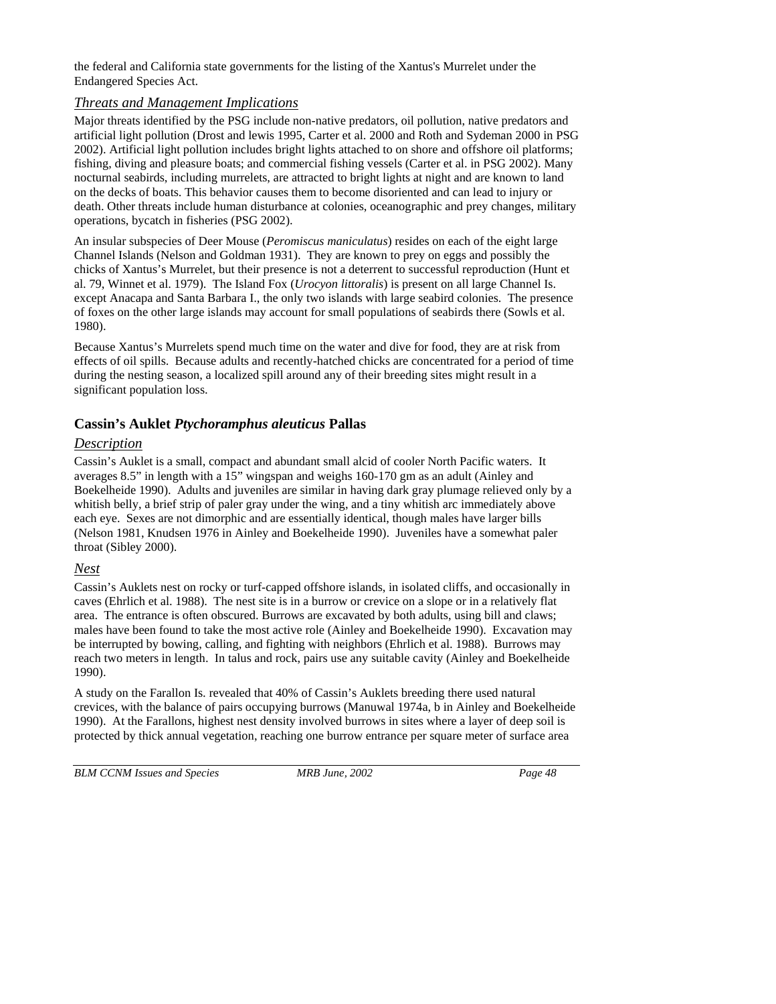the federal and California state governments for the listing of the Xantus's Murrelet under the Endangered Species Act.

### *Threats and Management Implications*

Major threats identified by the PSG include non-native predators, oil pollution, native predators and artificial light pollution (Drost and lewis 1995, Carter et al. 2000 and Roth and Sydeman 2000 in PSG 2002). Artificial light pollution includes bright lights attached to on shore and offshore oil platforms; fishing, diving and pleasure boats; and commercial fishing vessels (Carter et al. in PSG 2002). Many nocturnal seabirds, including murrelets, are attracted to bright lights at night and are known to land on the decks of boats. This behavior causes them to become disoriented and can lead to injury or death. Other threats include human disturbance at colonies, oceanographic and prey changes, military operations, bycatch in fisheries (PSG 2002).

An insular subspecies of Deer Mouse (*Peromiscus maniculatus*) resides on each of the eight large Channel Islands (Nelson and Goldman 1931). They are known to prey on eggs and possibly the chicks of Xantus's Murrelet, but their presence is not a deterrent to successful reproduction (Hunt et al. 79, Winnet et al. 1979). The Island Fox (*Urocyon littoralis*) is present on all large Channel Is. except Anacapa and Santa Barbara I., the only two islands with large seabird colonies. The presence of foxes on the other large islands may account for small populations of seabirds there (Sowls et al. 1980).

Because Xantus's Murrelets spend much time on the water and dive for food, they are at risk from effects of oil spills. Because adults and recently-hatched chicks are concentrated for a period of time during the nesting season, a localized spill around any of their breeding sites might result in a significant population loss.

## **Cassin's Auklet** *Ptychoramphus aleuticus* **Pallas**

## *Description*

Cassin's Auklet is a small, compact and abundant small alcid of cooler North Pacific waters. It averages 8.5" in length with a 15" wingspan and weighs 160-170 gm as an adult (Ainley and Boekelheide 1990). Adults and juveniles are similar in having dark gray plumage relieved only by a whitish belly, a brief strip of paler gray under the wing, and a tiny whitish arc immediately above each eye. Sexes are not dimorphic and are essentially identical, though males have larger bills (Nelson 1981, Knudsen 1976 in Ainley and Boekelheide 1990). Juveniles have a somewhat paler throat (Sibley 2000).

## *Nest*

Cassin's Auklets nest on rocky or turf-capped offshore islands, in isolated cliffs, and occasionally in caves (Ehrlich et al. 1988). The nest site is in a burrow or crevice on a slope or in a relatively flat area. The entrance is often obscured. Burrows are excavated by both adults, using bill and claws; males have been found to take the most active role (Ainley and Boekelheide 1990). Excavation may be interrupted by bowing, calling, and fighting with neighbors (Ehrlich et al. 1988). Burrows may reach two meters in length. In talus and rock, pairs use any suitable cavity (Ainley and Boekelheide 1990).

A study on the Farallon Is. revealed that 40% of Cassin's Auklets breeding there used natural crevices, with the balance of pairs occupying burrows (Manuwal 1974a, b in Ainley and Boekelheide 1990). At the Farallons, highest nest density involved burrows in sites where a layer of deep soil is protected by thick annual vegetation, reaching one burrow entrance per square meter of surface area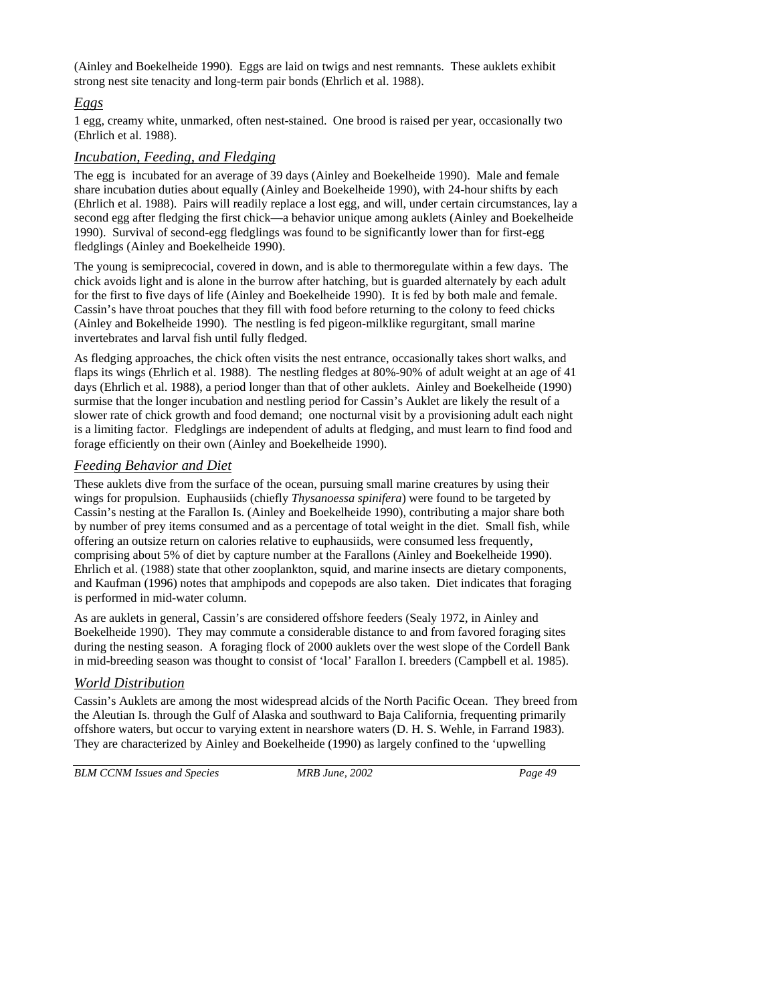(Ainley and Boekelheide 1990). Eggs are laid on twigs and nest remnants. These auklets exhibit strong nest site tenacity and long-term pair bonds (Ehrlich et al. 1988).

## *Eggs*

1 egg, creamy white, unmarked, often nest-stained. One brood is raised per year, occasionally two (Ehrlich et al. 1988).

## *Incubation, Feeding, and Fledging*

The egg is incubated for an average of 39 days (Ainley and Boekelheide 1990). Male and female share incubation duties about equally (Ainley and Boekelheide 1990), with 24-hour shifts by each (Ehrlich et al. 1988). Pairs will readily replace a lost egg, and will, under certain circumstances, lay a second egg after fledging the first chick—a behavior unique among auklets (Ainley and Boekelheide 1990). Survival of second-egg fledglings was found to be significantly lower than for first-egg fledglings (Ainley and Boekelheide 1990).

The young is semiprecocial, covered in down, and is able to thermoregulate within a few days. The chick avoids light and is alone in the burrow after hatching, but is guarded alternately by each adult for the first to five days of life (Ainley and Boekelheide 1990). It is fed by both male and female. Cassin's have throat pouches that they fill with food before returning to the colony to feed chicks (Ainley and Bokelheide 1990). The nestling is fed pigeon-milklike regurgitant, small marine invertebrates and larval fish until fully fledged.

As fledging approaches, the chick often visits the nest entrance, occasionally takes short walks, and flaps its wings (Ehrlich et al. 1988). The nestling fledges at 80%-90% of adult weight at an age of 41 days (Ehrlich et al. 1988), a period longer than that of other auklets. Ainley and Boekelheide (1990) surmise that the longer incubation and nestling period for Cassin's Auklet are likely the result of a slower rate of chick growth and food demand; one nocturnal visit by a provisioning adult each night is a limiting factor. Fledglings are independent of adults at fledging, and must learn to find food and forage efficiently on their own (Ainley and Boekelheide 1990).

## *Feeding Behavior and Diet*

These auklets dive from the surface of the ocean, pursuing small marine creatures by using their wings for propulsion. Euphausiids (chiefly *Thysanoessa spinifera*) were found to be targeted by Cassin's nesting at the Farallon Is. (Ainley and Boekelheide 1990), contributing a major share both by number of prey items consumed and as a percentage of total weight in the diet. Small fish, while offering an outsize return on calories relative to euphausiids, were consumed less frequently, comprising about 5% of diet by capture number at the Farallons (Ainley and Boekelheide 1990). Ehrlich et al. (1988) state that other zooplankton, squid, and marine insects are dietary components, and Kaufman (1996) notes that amphipods and copepods are also taken. Diet indicates that foraging is performed in mid-water column.

As are auklets in general, Cassin's are considered offshore feeders (Sealy 1972, in Ainley and Boekelheide 1990). They may commute a considerable distance to and from favored foraging sites during the nesting season. A foraging flock of 2000 auklets over the west slope of the Cordell Bank in mid-breeding season was thought to consist of 'local' Farallon I. breeders (Campbell et al. 1985).

## *World Distribution*

Cassin's Auklets are among the most widespread alcids of the North Pacific Ocean. They breed from the Aleutian Is. through the Gulf of Alaska and southward to Baja California, frequenting primarily offshore waters, but occur to varying extent in nearshore waters (D. H. S. Wehle, in Farrand 1983). They are characterized by Ainley and Boekelheide (1990) as largely confined to the 'upwelling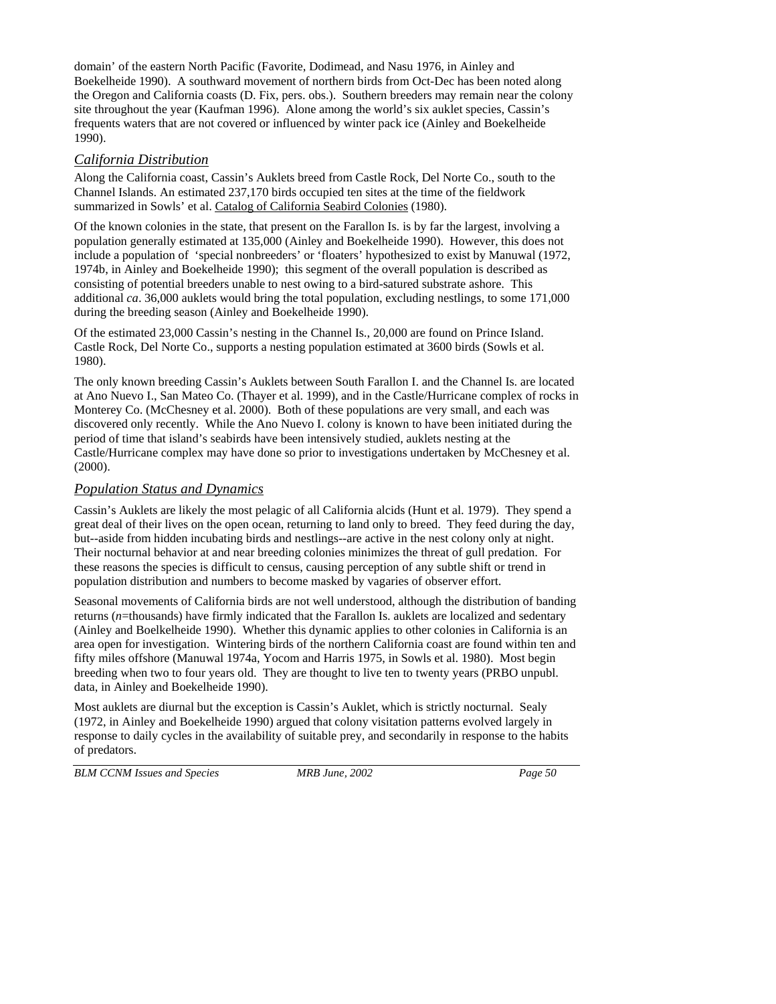domain' of the eastern North Pacific (Favorite, Dodimead, and Nasu 1976, in Ainley and Boekelheide 1990). A southward movement of northern birds from Oct-Dec has been noted along the Oregon and California coasts (D. Fix, pers. obs.). Southern breeders may remain near the colony site throughout the year (Kaufman 1996). Alone among the world's six auklet species, Cassin's frequents waters that are not covered or influenced by winter pack ice (Ainley and Boekelheide 1990).

## *California Distribution*

Along the California coast, Cassin's Auklets breed from Castle Rock, Del Norte Co., south to the Channel Islands. An estimated 237,170 birds occupied ten sites at the time of the fieldwork summarized in Sowls' et al. Catalog of California Seabird Colonies (1980).

Of the known colonies in the state, that present on the Farallon Is. is by far the largest, involving a population generally estimated at 135,000 (Ainley and Boekelheide 1990). However, this does not include a population of 'special nonbreeders' or 'floaters' hypothesized to exist by Manuwal (1972, 1974b, in Ainley and Boekelheide 1990); this segment of the overall population is described as consisting of potential breeders unable to nest owing to a bird-satured substrate ashore. This additional *ca*. 36,000 auklets would bring the total population, excluding nestlings, to some 171,000 during the breeding season (Ainley and Boekelheide 1990).

Of the estimated 23,000 Cassin's nesting in the Channel Is., 20,000 are found on Prince Island. Castle Rock, Del Norte Co., supports a nesting population estimated at 3600 birds (Sowls et al. 1980).

The only known breeding Cassin's Auklets between South Farallon I. and the Channel Is. are located at Ano Nuevo I., San Mateo Co. (Thayer et al. 1999), and in the Castle/Hurricane complex of rocks in Monterey Co. (McChesney et al. 2000). Both of these populations are very small, and each was discovered only recently. While the Ano Nuevo I. colony is known to have been initiated during the period of time that island's seabirds have been intensively studied, auklets nesting at the Castle/Hurricane complex may have done so prior to investigations undertaken by McChesney et al. (2000).

## *Population Status and Dynamics*

Cassin's Auklets are likely the most pelagic of all California alcids (Hunt et al. 1979). They spend a great deal of their lives on the open ocean, returning to land only to breed. They feed during the day, but--aside from hidden incubating birds and nestlings--are active in the nest colony only at night. Their nocturnal behavior at and near breeding colonies minimizes the threat of gull predation. For these reasons the species is difficult to census, causing perception of any subtle shift or trend in population distribution and numbers to become masked by vagaries of observer effort.

Seasonal movements of California birds are not well understood, although the distribution of banding returns (*n*=thousands) have firmly indicated that the Farallon Is. auklets are localized and sedentary (Ainley and Boelkelheide 1990). Whether this dynamic applies to other colonies in California is an area open for investigation. Wintering birds of the northern California coast are found within ten and fifty miles offshore (Manuwal 1974a, Yocom and Harris 1975, in Sowls et al. 1980). Most begin breeding when two to four years old. They are thought to live ten to twenty years (PRBO unpubl. data, in Ainley and Boekelheide 1990).

Most auklets are diurnal but the exception is Cassin's Auklet, which is strictly nocturnal. Sealy (1972, in Ainley and Boekelheide 1990) argued that colony visitation patterns evolved largely in response to daily cycles in the availability of suitable prey, and secondarily in response to the habits of predators.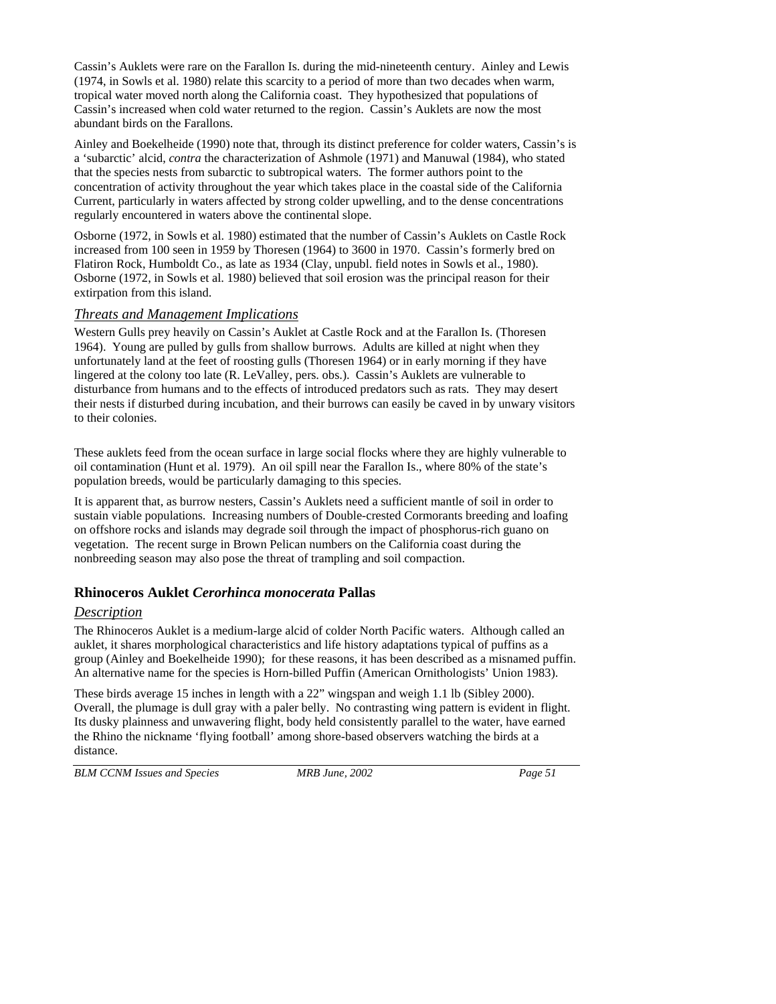Cassin's Auklets were rare on the Farallon Is. during the mid-nineteenth century. Ainley and Lewis (1974, in Sowls et al. 1980) relate this scarcity to a period of more than two decades when warm, tropical water moved north along the California coast. They hypothesized that populations of Cassin's increased when cold water returned to the region. Cassin's Auklets are now the most abundant birds on the Farallons.

Ainley and Boekelheide (1990) note that, through its distinct preference for colder waters, Cassin's is a 'subarctic' alcid, *contra* the characterization of Ashmole (1971) and Manuwal (1984), who stated that the species nests from subarctic to subtropical waters. The former authors point to the concentration of activity throughout the year which takes place in the coastal side of the California Current, particularly in waters affected by strong colder upwelling, and to the dense concentrations regularly encountered in waters above the continental slope.

Osborne (1972, in Sowls et al. 1980) estimated that the number of Cassin's Auklets on Castle Rock increased from 100 seen in 1959 by Thoresen (1964) to 3600 in 1970. Cassin's formerly bred on Flatiron Rock, Humboldt Co., as late as 1934 (Clay, unpubl. field notes in Sowls et al., 1980). Osborne (1972, in Sowls et al. 1980) believed that soil erosion was the principal reason for their extirpation from this island.

### *Threats and Management Implications*

Western Gulls prey heavily on Cassin's Auklet at Castle Rock and at the Farallon Is. (Thoresen 1964). Young are pulled by gulls from shallow burrows. Adults are killed at night when they unfortunately land at the feet of roosting gulls (Thoresen 1964) or in early morning if they have lingered at the colony too late (R. LeValley, pers. obs.). Cassin's Auklets are vulnerable to disturbance from humans and to the effects of introduced predators such as rats. They may desert their nests if disturbed during incubation, and their burrows can easily be caved in by unwary visitors to their colonies.

These auklets feed from the ocean surface in large social flocks where they are highly vulnerable to oil contamination (Hunt et al. 1979). An oil spill near the Farallon Is., where 80% of the state's population breeds, would be particularly damaging to this species.

It is apparent that, as burrow nesters, Cassin's Auklets need a sufficient mantle of soil in order to sustain viable populations. Increasing numbers of Double-crested Cormorants breeding and loafing on offshore rocks and islands may degrade soil through the impact of phosphorus-rich guano on vegetation. The recent surge in Brown Pelican numbers on the California coast during the nonbreeding season may also pose the threat of trampling and soil compaction.

## **Rhinoceros Auklet** *Cerorhinca monocerata* **Pallas**

## *Description*

The Rhinoceros Auklet is a medium-large alcid of colder North Pacific waters. Although called an auklet, it shares morphological characteristics and life history adaptations typical of puffins as a group (Ainley and Boekelheide 1990); for these reasons, it has been described as a misnamed puffin. An alternative name for the species is Horn-billed Puffin (American Ornithologists' Union 1983).

These birds average 15 inches in length with a 22" wingspan and weigh 1.1 lb (Sibley 2000). Overall, the plumage is dull gray with a paler belly. No contrasting wing pattern is evident in flight. Its dusky plainness and unwavering flight, body held consistently parallel to the water, have earned the Rhino the nickname 'flying football' among shore-based observers watching the birds at a distance.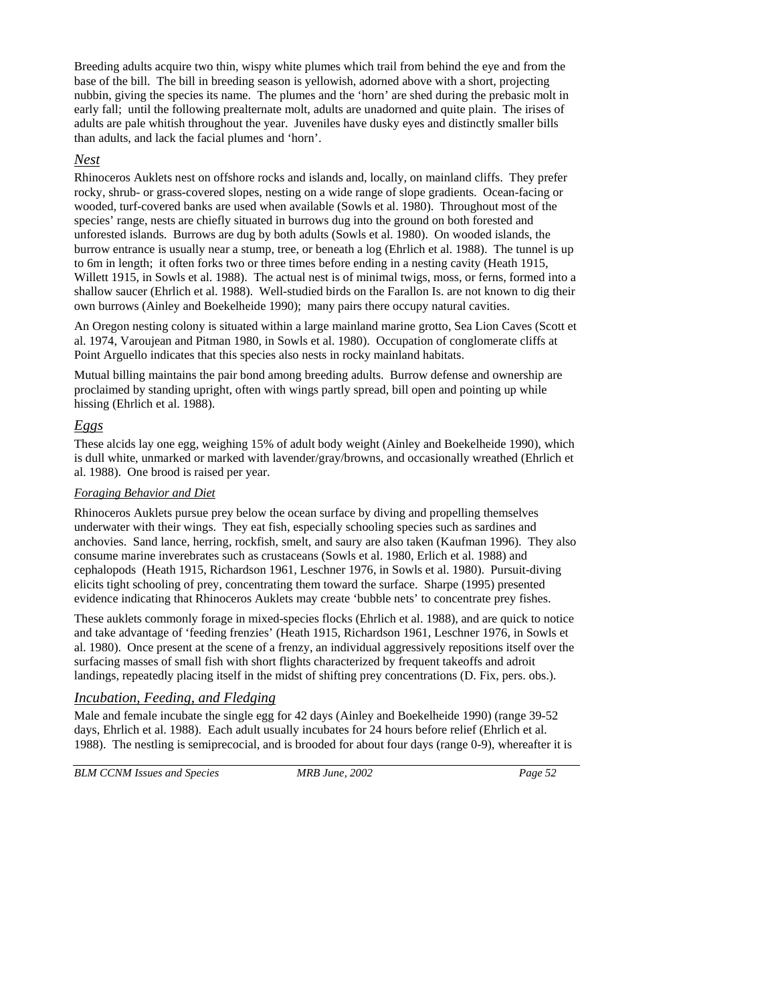Breeding adults acquire two thin, wispy white plumes which trail from behind the eye and from the base of the bill. The bill in breeding season is yellowish, adorned above with a short, projecting nubbin, giving the species its name. The plumes and the 'horn' are shed during the prebasic molt in early fall; until the following prealternate molt, adults are unadorned and quite plain. The irises of adults are pale whitish throughout the year. Juveniles have dusky eyes and distinctly smaller bills than adults, and lack the facial plumes and 'horn'.

### *Nest*

Rhinoceros Auklets nest on offshore rocks and islands and, locally, on mainland cliffs. They prefer rocky, shrub- or grass-covered slopes, nesting on a wide range of slope gradients. Ocean-facing or wooded, turf-covered banks are used when available (Sowls et al. 1980). Throughout most of the species' range, nests are chiefly situated in burrows dug into the ground on both forested and unforested islands. Burrows are dug by both adults (Sowls et al. 1980). On wooded islands, the burrow entrance is usually near a stump, tree, or beneath a log (Ehrlich et al. 1988). The tunnel is up to 6m in length; it often forks two or three times before ending in a nesting cavity (Heath 1915, Willett 1915, in Sowls et al. 1988). The actual nest is of minimal twigs, moss, or ferns, formed into a shallow saucer (Ehrlich et al. 1988). Well-studied birds on the Farallon Is. are not known to dig their own burrows (Ainley and Boekelheide 1990); many pairs there occupy natural cavities.

An Oregon nesting colony is situated within a large mainland marine grotto, Sea Lion Caves (Scott et al. 1974, Varoujean and Pitman 1980, in Sowls et al. 1980). Occupation of conglomerate cliffs at Point Arguello indicates that this species also nests in rocky mainland habitats.

Mutual billing maintains the pair bond among breeding adults. Burrow defense and ownership are proclaimed by standing upright, often with wings partly spread, bill open and pointing up while hissing (Ehrlich et al. 1988).

## *Eggs*

These alcids lay one egg, weighing 15% of adult body weight (Ainley and Boekelheide 1990), which is dull white, unmarked or marked with lavender/gray/browns, and occasionally wreathed (Ehrlich et al. 1988). One brood is raised per year.

### *Foraging Behavior and Diet*

Rhinoceros Auklets pursue prey below the ocean surface by diving and propelling themselves underwater with their wings. They eat fish, especially schooling species such as sardines and anchovies. Sand lance, herring, rockfish, smelt, and saury are also taken (Kaufman 1996). They also consume marine inverebrates such as crustaceans (Sowls et al. 1980, Erlich et al. 1988) and cephalopods (Heath 1915, Richardson 1961, Leschner 1976, in Sowls et al. 1980). Pursuit-diving elicits tight schooling of prey, concentrating them toward the surface. Sharpe (1995) presented evidence indicating that Rhinoceros Auklets may create 'bubble nets' to concentrate prey fishes.

These auklets commonly forage in mixed-species flocks (Ehrlich et al. 1988), and are quick to notice and take advantage of 'feeding frenzies' (Heath 1915, Richardson 1961, Leschner 1976, in Sowls et al. 1980). Once present at the scene of a frenzy, an individual aggressively repositions itself over the surfacing masses of small fish with short flights characterized by frequent takeoffs and adroit landings, repeatedly placing itself in the midst of shifting prey concentrations (D. Fix, pers. obs.).

## *Incubation, Feeding, and Fledging*

Male and female incubate the single egg for 42 days (Ainley and Boekelheide 1990) (range 39-52 days, Ehrlich et al. 1988). Each adult usually incubates for 24 hours before relief (Ehrlich et al. 1988). The nestling is semiprecocial, and is brooded for about four days (range 0-9), whereafter it is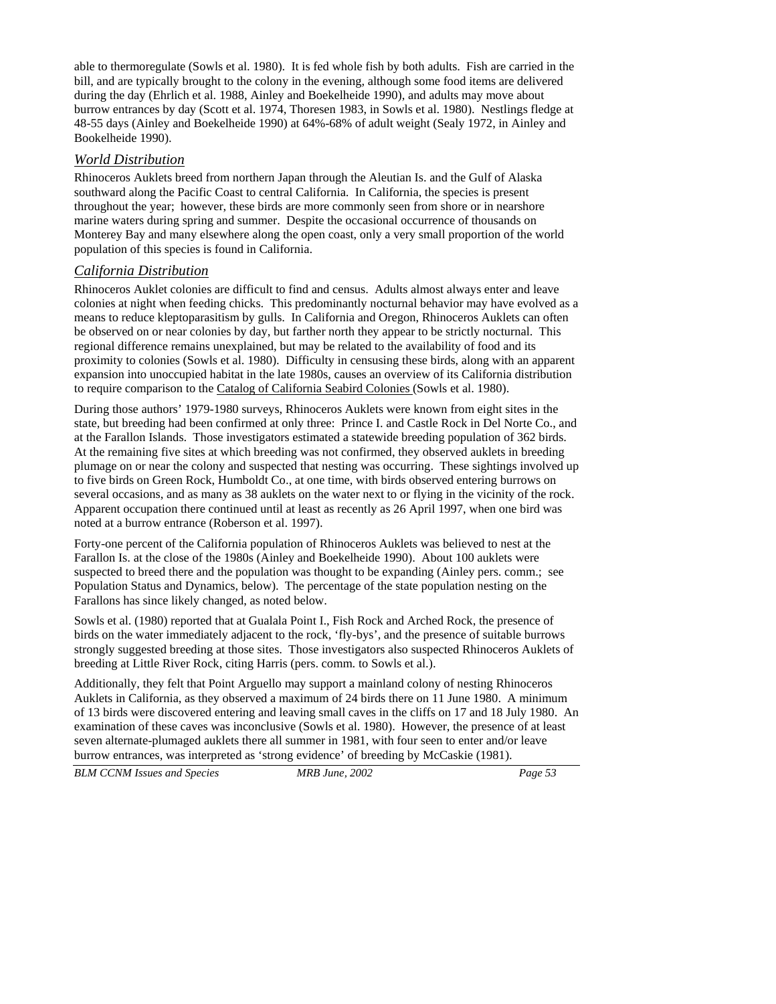able to thermoregulate (Sowls et al. 1980). It is fed whole fish by both adults. Fish are carried in the bill, and are typically brought to the colony in the evening, although some food items are delivered during the day (Ehrlich et al. 1988, Ainley and Boekelheide 1990), and adults may move about burrow entrances by day (Scott et al. 1974, Thoresen 1983, in Sowls et al. 1980). Nestlings fledge at 48-55 days (Ainley and Boekelheide 1990) at 64%-68% of adult weight (Sealy 1972, in Ainley and Bookelheide 1990).

### *World Distribution*

Rhinoceros Auklets breed from northern Japan through the Aleutian Is. and the Gulf of Alaska southward along the Pacific Coast to central California. In California, the species is present throughout the year; however, these birds are more commonly seen from shore or in nearshore marine waters during spring and summer. Despite the occasional occurrence of thousands on Monterey Bay and many elsewhere along the open coast, only a very small proportion of the world population of this species is found in California.

### *California Distribution*

Rhinoceros Auklet colonies are difficult to find and census. Adults almost always enter and leave colonies at night when feeding chicks. This predominantly nocturnal behavior may have evolved as a means to reduce kleptoparasitism by gulls. In California and Oregon, Rhinoceros Auklets can often be observed on or near colonies by day, but farther north they appear to be strictly nocturnal. This regional difference remains unexplained, but may be related to the availability of food and its proximity to colonies (Sowls et al. 1980). Difficulty in censusing these birds, along with an apparent expansion into unoccupied habitat in the late 1980s, causes an overview of its California distribution to require comparison to the Catalog of California Seabird Colonies (Sowls et al. 1980).

During those authors' 1979-1980 surveys, Rhinoceros Auklets were known from eight sites in the state, but breeding had been confirmed at only three: Prince I. and Castle Rock in Del Norte Co., and at the Farallon Islands. Those investigators estimated a statewide breeding population of 362 birds. At the remaining five sites at which breeding was not confirmed, they observed auklets in breeding plumage on or near the colony and suspected that nesting was occurring. These sightings involved up to five birds on Green Rock, Humboldt Co., at one time, with birds observed entering burrows on several occasions, and as many as 38 auklets on the water next to or flying in the vicinity of the rock. Apparent occupation there continued until at least as recently as 26 April 1997, when one bird was noted at a burrow entrance (Roberson et al. 1997).

Forty-one percent of the California population of Rhinoceros Auklets was believed to nest at the Farallon Is. at the close of the 1980s (Ainley and Boekelheide 1990). About 100 auklets were suspected to breed there and the population was thought to be expanding (Ainley pers. comm.; see Population Status and Dynamics, below). The percentage of the state population nesting on the Farallons has since likely changed, as noted below.

Sowls et al. (1980) reported that at Gualala Point I., Fish Rock and Arched Rock, the presence of birds on the water immediately adjacent to the rock, 'fly-bys', and the presence of suitable burrows strongly suggested breeding at those sites. Those investigators also suspected Rhinoceros Auklets of breeding at Little River Rock, citing Harris (pers. comm. to Sowls et al.).

Additionally, they felt that Point Arguello may support a mainland colony of nesting Rhinoceros Auklets in California, as they observed a maximum of 24 birds there on 11 June 1980. A minimum of 13 birds were discovered entering and leaving small caves in the cliffs on 17 and 18 July 1980. An examination of these caves was inconclusive (Sowls et al. 1980). However, the presence of at least seven alternate-plumaged auklets there all summer in 1981, with four seen to enter and/or leave burrow entrances, was interpreted as 'strong evidence' of breeding by McCaskie (1981).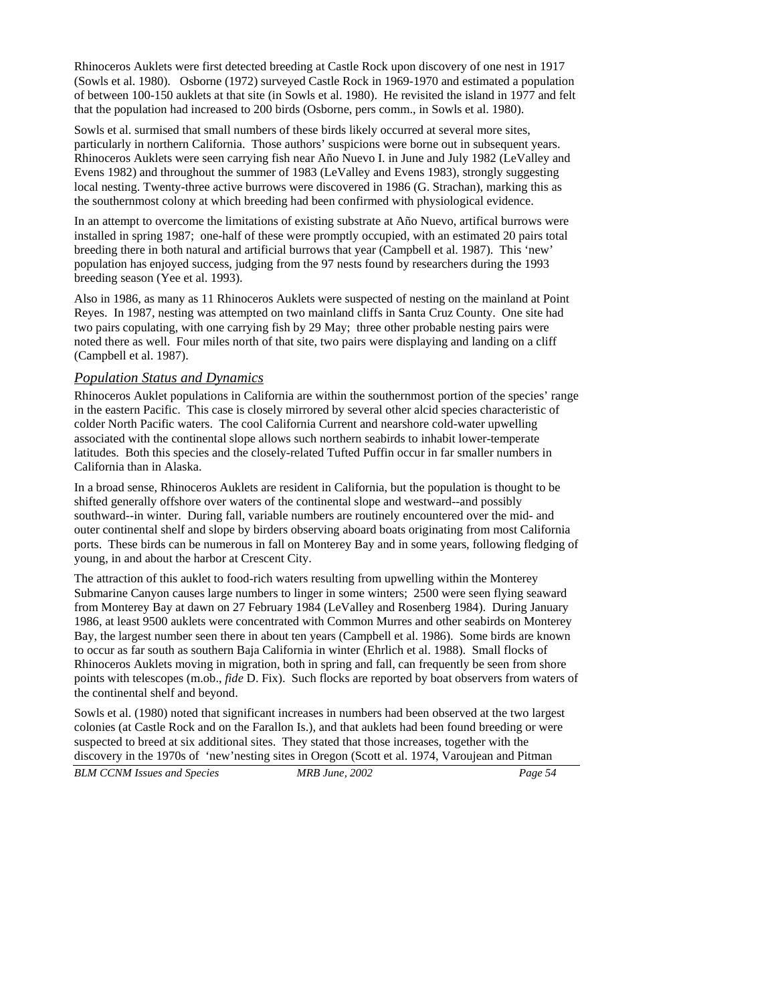Rhinoceros Auklets were first detected breeding at Castle Rock upon discovery of one nest in 1917 (Sowls et al. 1980). Osborne (1972) surveyed Castle Rock in 1969-1970 and estimated a population of between 100-150 auklets at that site (in Sowls et al. 1980). He revisited the island in 1977 and felt that the population had increased to 200 birds (Osborne, pers comm., in Sowls et al. 1980).

Sowls et al. surmised that small numbers of these birds likely occurred at several more sites, particularly in northern California. Those authors' suspicions were borne out in subsequent years. Rhinoceros Auklets were seen carrying fish near Año Nuevo I. in June and July 1982 (LeValley and Evens 1982) and throughout the summer of 1983 (LeValley and Evens 1983), strongly suggesting local nesting. Twenty-three active burrows were discovered in 1986 (G. Strachan), marking this as the southernmost colony at which breeding had been confirmed with physiological evidence.

In an attempt to overcome the limitations of existing substrate at Año Nuevo, artifical burrows were installed in spring 1987; one-half of these were promptly occupied, with an estimated 20 pairs total breeding there in both natural and artificial burrows that year (Campbell et al. 1987). This 'new' population has enjoyed success, judging from the 97 nests found by researchers during the 1993 breeding season (Yee et al. 1993).

Also in 1986, as many as 11 Rhinoceros Auklets were suspected of nesting on the mainland at Point Reyes. In 1987, nesting was attempted on two mainland cliffs in Santa Cruz County. One site had two pairs copulating, with one carrying fish by 29 May; three other probable nesting pairs were noted there as well. Four miles north of that site, two pairs were displaying and landing on a cliff (Campbell et al. 1987).

#### *Population Status and Dynamics*

Rhinoceros Auklet populations in California are within the southernmost portion of the species' range in the eastern Pacific. This case is closely mirrored by several other alcid species characteristic of colder North Pacific waters. The cool California Current and nearshore cold-water upwelling associated with the continental slope allows such northern seabirds to inhabit lower-temperate latitudes. Both this species and the closely-related Tufted Puffin occur in far smaller numbers in California than in Alaska.

In a broad sense, Rhinoceros Auklets are resident in California, but the population is thought to be shifted generally offshore over waters of the continental slope and westward--and possibly southward--in winter. During fall, variable numbers are routinely encountered over the mid- and outer continental shelf and slope by birders observing aboard boats originating from most California ports. These birds can be numerous in fall on Monterey Bay and in some years, following fledging of young, in and about the harbor at Crescent City.

The attraction of this auklet to food-rich waters resulting from upwelling within the Monterey Submarine Canyon causes large numbers to linger in some winters; 2500 were seen flying seaward from Monterey Bay at dawn on 27 February 1984 (LeValley and Rosenberg 1984). During January 1986, at least 9500 auklets were concentrated with Common Murres and other seabirds on Monterey Bay, the largest number seen there in about ten years (Campbell et al. 1986). Some birds are known to occur as far south as southern Baja California in winter (Ehrlich et al. 1988). Small flocks of Rhinoceros Auklets moving in migration, both in spring and fall, can frequently be seen from shore points with telescopes (m.ob., *fide* D. Fix). Such flocks are reported by boat observers from waters of the continental shelf and beyond.

Sowls et al. (1980) noted that significant increases in numbers had been observed at the two largest colonies (at Castle Rock and on the Farallon Is.), and that auklets had been found breeding or were suspected to breed at six additional sites. They stated that those increases, together with the discovery in the 1970s of 'new'nesting sites in Oregon (Scott et al. 1974, Varoujean and Pitman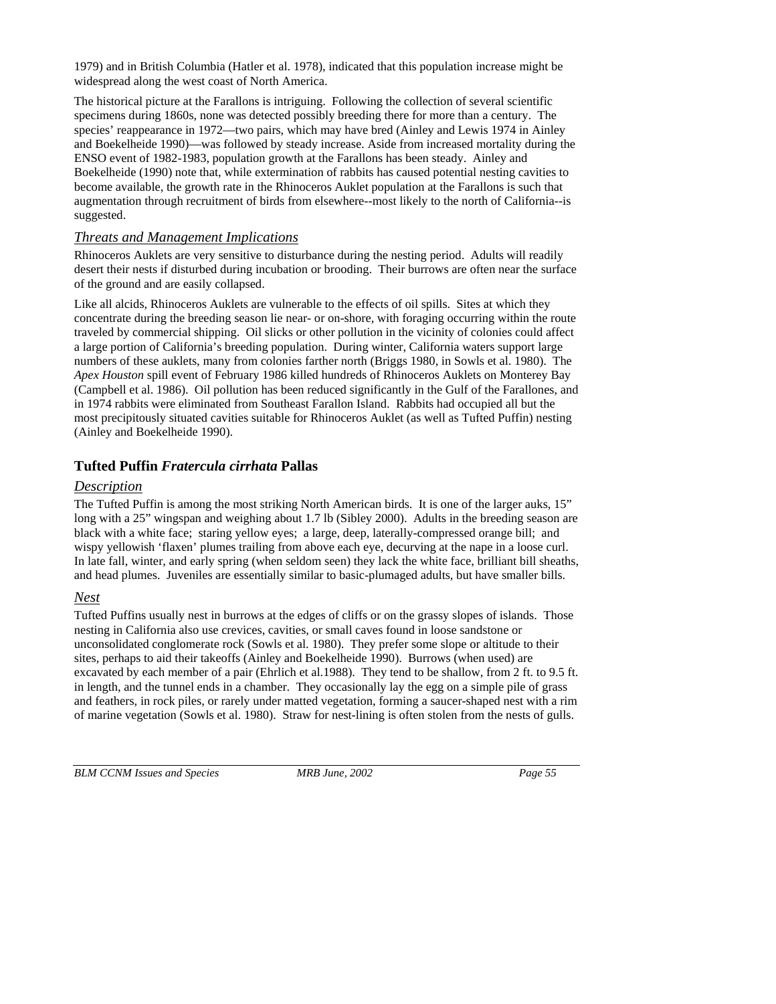1979) and in British Columbia (Hatler et al. 1978), indicated that this population increase might be widespread along the west coast of North America.

The historical picture at the Farallons is intriguing. Following the collection of several scientific specimens during 1860s, none was detected possibly breeding there for more than a century. The species' reappearance in 1972—two pairs, which may have bred (Ainley and Lewis 1974 in Ainley and Boekelheide 1990)—was followed by steady increase. Aside from increased mortality during the ENSO event of 1982-1983, population growth at the Farallons has been steady. Ainley and Boekelheide (1990) note that, while extermination of rabbits has caused potential nesting cavities to become available, the growth rate in the Rhinoceros Auklet population at the Farallons is such that augmentation through recruitment of birds from elsewhere--most likely to the north of California--is suggested.

## *Threats and Management Implications*

Rhinoceros Auklets are very sensitive to disturbance during the nesting period. Adults will readily desert their nests if disturbed during incubation or brooding. Their burrows are often near the surface of the ground and are easily collapsed.

Like all alcids, Rhinoceros Auklets are vulnerable to the effects of oil spills. Sites at which they concentrate during the breeding season lie near- or on-shore, with foraging occurring within the route traveled by commercial shipping. Oil slicks or other pollution in the vicinity of colonies could affect a large portion of California's breeding population. During winter, California waters support large numbers of these auklets, many from colonies farther north (Briggs 1980, in Sowls et al. 1980). The *Apex Houston* spill event of February 1986 killed hundreds of Rhinoceros Auklets on Monterey Bay (Campbell et al. 1986). Oil pollution has been reduced significantly in the Gulf of the Farallones, and in 1974 rabbits were eliminated from Southeast Farallon Island. Rabbits had occupied all but the most precipitously situated cavities suitable for Rhinoceros Auklet (as well as Tufted Puffin) nesting (Ainley and Boekelheide 1990).

## **Tufted Puffin** *Fratercula cirrhata* **Pallas**

## *Description*

The Tufted Puffin is among the most striking North American birds. It is one of the larger auks, 15" long with a 25" wingspan and weighing about 1.7 lb (Sibley 2000). Adults in the breeding season are black with a white face; staring yellow eyes; a large, deep, laterally-compressed orange bill; and wispy yellowish 'flaxen' plumes trailing from above each eye, decurving at the nape in a loose curl. In late fall, winter, and early spring (when seldom seen) they lack the white face, brilliant bill sheaths, and head plumes. Juveniles are essentially similar to basic-plumaged adults, but have smaller bills.

## *Nest*

Tufted Puffins usually nest in burrows at the edges of cliffs or on the grassy slopes of islands. Those nesting in California also use crevices, cavities, or small caves found in loose sandstone or unconsolidated conglomerate rock (Sowls et al. 1980). They prefer some slope or altitude to their sites, perhaps to aid their takeoffs (Ainley and Boekelheide 1990). Burrows (when used) are excavated by each member of a pair (Ehrlich et al.1988). They tend to be shallow, from 2 ft. to 9.5 ft. in length, and the tunnel ends in a chamber. They occasionally lay the egg on a simple pile of grass and feathers, in rock piles, or rarely under matted vegetation, forming a saucer-shaped nest with a rim of marine vegetation (Sowls et al. 1980). Straw for nest-lining is often stolen from the nests of gulls.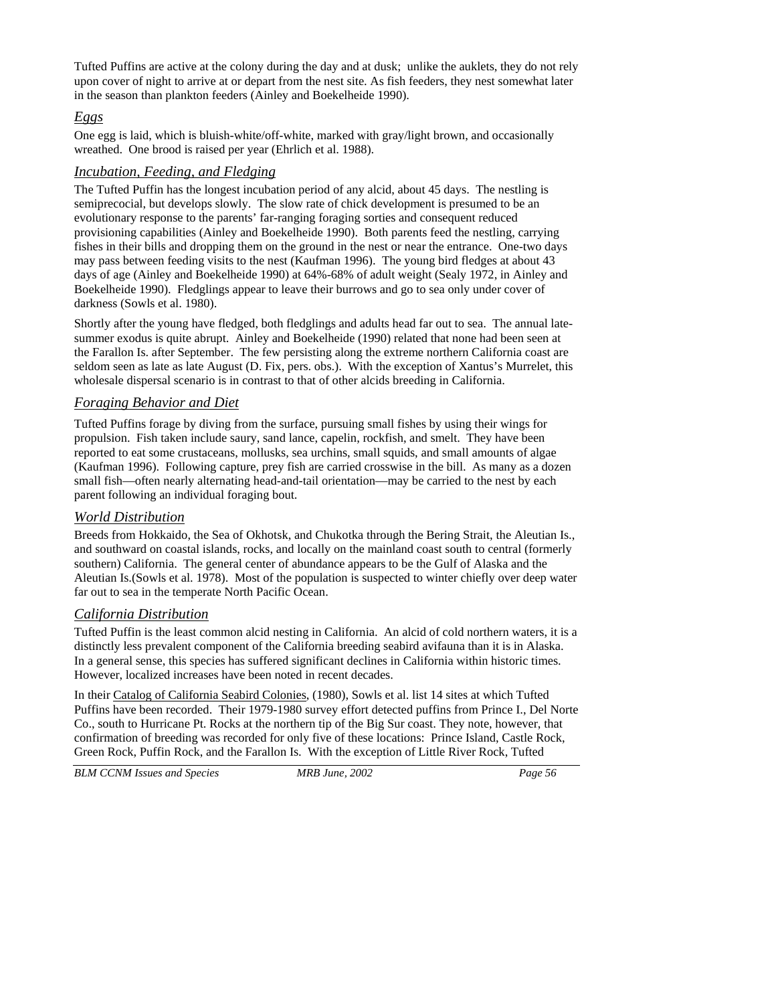Tufted Puffins are active at the colony during the day and at dusk; unlike the auklets, they do not rely upon cover of night to arrive at or depart from the nest site. As fish feeders, they nest somewhat later in the season than plankton feeders (Ainley and Boekelheide 1990).

## *Eggs*

One egg is laid, which is bluish-white/off-white, marked with gray/light brown, and occasionally wreathed. One brood is raised per year (Ehrlich et al. 1988).

### *Incubation, Feeding, and Fledging*

The Tufted Puffin has the longest incubation period of any alcid, about 45 days. The nestling is semiprecocial, but develops slowly. The slow rate of chick development is presumed to be an evolutionary response to the parents' far-ranging foraging sorties and consequent reduced provisioning capabilities (Ainley and Boekelheide 1990). Both parents feed the nestling, carrying fishes in their bills and dropping them on the ground in the nest or near the entrance. One-two days may pass between feeding visits to the nest (Kaufman 1996). The young bird fledges at about 43 days of age (Ainley and Boekelheide 1990) at 64%-68% of adult weight (Sealy 1972, in Ainley and Boekelheide 1990). Fledglings appear to leave their burrows and go to sea only under cover of darkness (Sowls et al. 1980).

Shortly after the young have fledged, both fledglings and adults head far out to sea. The annual latesummer exodus is quite abrupt. Ainley and Boekelheide (1990) related that none had been seen at the Farallon Is. after September. The few persisting along the extreme northern California coast are seldom seen as late as late August (D. Fix, pers. obs.). With the exception of Xantus's Murrelet, this wholesale dispersal scenario is in contrast to that of other alcids breeding in California.

## *Foraging Behavior and Diet*

Tufted Puffins forage by diving from the surface, pursuing small fishes by using their wings for propulsion. Fish taken include saury, sand lance, capelin, rockfish, and smelt. They have been reported to eat some crustaceans, mollusks, sea urchins, small squids, and small amounts of algae (Kaufman 1996). Following capture, prey fish are carried crosswise in the bill. As many as a dozen small fish—often nearly alternating head-and-tail orientation—may be carried to the nest by each parent following an individual foraging bout.

### *World Distribution*

Breeds from Hokkaido, the Sea of Okhotsk, and Chukotka through the Bering Strait, the Aleutian Is., and southward on coastal islands, rocks, and locally on the mainland coast south to central (formerly southern) California. The general center of abundance appears to be the Gulf of Alaska and the Aleutian Is.(Sowls et al. 1978). Most of the population is suspected to winter chiefly over deep water far out to sea in the temperate North Pacific Ocean.

### *California Distribution*

Tufted Puffin is the least common alcid nesting in California. An alcid of cold northern waters, it is a distinctly less prevalent component of the California breeding seabird avifauna than it is in Alaska. In a general sense, this species has suffered significant declines in California within historic times. However, localized increases have been noted in recent decades.

In their Catalog of California Seabird Colonies, (1980), Sowls et al. list 14 sites at which Tufted Puffins have been recorded. Their 1979-1980 survey effort detected puffins from Prince I., Del Norte Co., south to Hurricane Pt. Rocks at the northern tip of the Big Sur coast. They note, however, that confirmation of breeding was recorded for only five of these locations: Prince Island, Castle Rock, Green Rock, Puffin Rock, and the Farallon Is. With the exception of Little River Rock, Tufted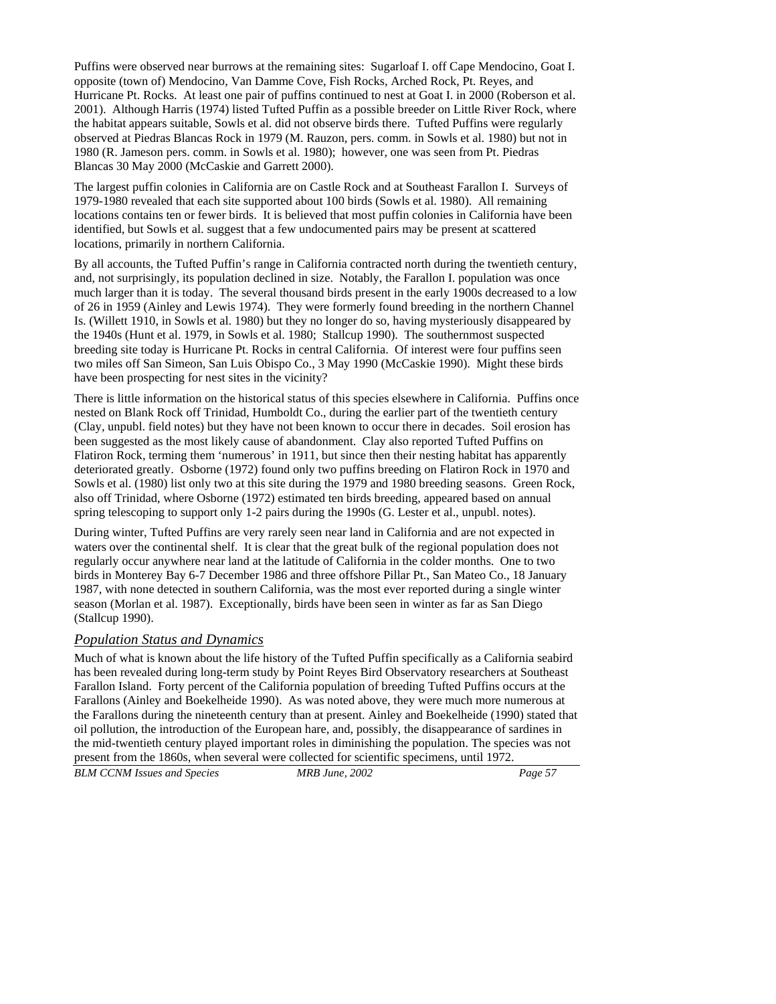Puffins were observed near burrows at the remaining sites: Sugarloaf I. off Cape Mendocino, Goat I. opposite (town of) Mendocino, Van Damme Cove, Fish Rocks, Arched Rock, Pt. Reyes, and Hurricane Pt. Rocks. At least one pair of puffins continued to nest at Goat I. in 2000 (Roberson et al. 2001). Although Harris (1974) listed Tufted Puffin as a possible breeder on Little River Rock, where the habitat appears suitable, Sowls et al. did not observe birds there. Tufted Puffins were regularly observed at Piedras Blancas Rock in 1979 (M. Rauzon, pers. comm. in Sowls et al. 1980) but not in 1980 (R. Jameson pers. comm. in Sowls et al. 1980); however, one was seen from Pt. Piedras Blancas 30 May 2000 (McCaskie and Garrett 2000).

The largest puffin colonies in California are on Castle Rock and at Southeast Farallon I. Surveys of 1979-1980 revealed that each site supported about 100 birds (Sowls et al. 1980). All remaining locations contains ten or fewer birds. It is believed that most puffin colonies in California have been identified, but Sowls et al. suggest that a few undocumented pairs may be present at scattered locations, primarily in northern California.

By all accounts, the Tufted Puffin's range in California contracted north during the twentieth century, and, not surprisingly, its population declined in size. Notably, the Farallon I. population was once much larger than it is today. The several thousand birds present in the early 1900s decreased to a low of 26 in 1959 (Ainley and Lewis 1974). They were formerly found breeding in the northern Channel Is. (Willett 1910, in Sowls et al. 1980) but they no longer do so, having mysteriously disappeared by the 1940s (Hunt et al. 1979, in Sowls et al. 1980; Stallcup 1990). The southernmost suspected breeding site today is Hurricane Pt. Rocks in central California. Of interest were four puffins seen two miles off San Simeon, San Luis Obispo Co., 3 May 1990 (McCaskie 1990). Might these birds have been prospecting for nest sites in the vicinity?

There is little information on the historical status of this species elsewhere in California. Puffins once nested on Blank Rock off Trinidad, Humboldt Co., during the earlier part of the twentieth century (Clay, unpubl. field notes) but they have not been known to occur there in decades. Soil erosion has been suggested as the most likely cause of abandonment. Clay also reported Tufted Puffins on Flatiron Rock, terming them 'numerous' in 1911, but since then their nesting habitat has apparently deteriorated greatly. Osborne (1972) found only two puffins breeding on Flatiron Rock in 1970 and Sowls et al. (1980) list only two at this site during the 1979 and 1980 breeding seasons. Green Rock, also off Trinidad, where Osborne (1972) estimated ten birds breeding, appeared based on annual spring telescoping to support only 1-2 pairs during the 1990s (G. Lester et al., unpubl. notes).

During winter, Tufted Puffins are very rarely seen near land in California and are not expected in waters over the continental shelf. It is clear that the great bulk of the regional population does not regularly occur anywhere near land at the latitude of California in the colder months. One to two birds in Monterey Bay 6-7 December 1986 and three offshore Pillar Pt., San Mateo Co., 18 January 1987, with none detected in southern California, was the most ever reported during a single winter season (Morlan et al. 1987). Exceptionally, birds have been seen in winter as far as San Diego (Stallcup 1990).

### *Population Status and Dynamics*

Much of what is known about the life history of the Tufted Puffin specifically as a California seabird has been revealed during long-term study by Point Reyes Bird Observatory researchers at Southeast Farallon Island. Forty percent of the California population of breeding Tufted Puffins occurs at the Farallons (Ainley and Boekelheide 1990). As was noted above, they were much more numerous at the Farallons during the nineteenth century than at present. Ainley and Boekelheide (1990) stated that oil pollution, the introduction of the European hare, and, possibly, the disappearance of sardines in the mid-twentieth century played important roles in diminishing the population. The species was not present from the 1860s, when several were collected for scientific specimens, until 1972.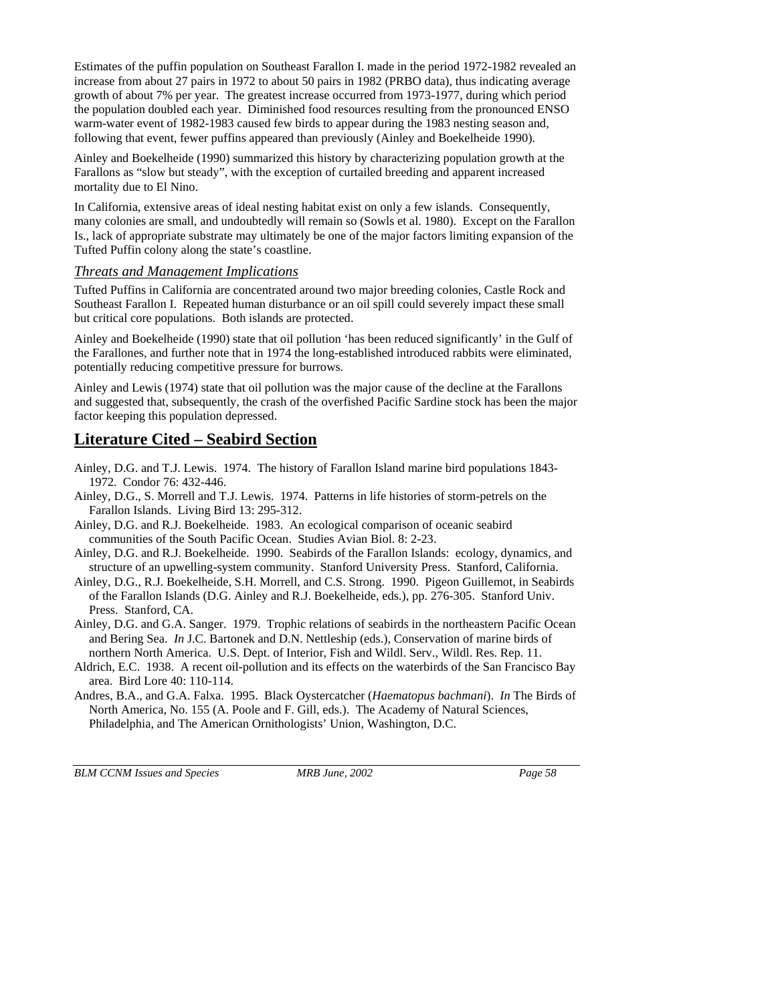Estimates of the puffin population on Southeast Farallon I. made in the period 1972-1982 revealed an increase from about 27 pairs in 1972 to about 50 pairs in 1982 (PRBO data), thus indicating average growth of about 7% per year. The greatest increase occurred from 1973-1977, during which period the population doubled each year. Diminished food resources resulting from the pronounced ENSO warm-water event of 1982-1983 caused few birds to appear during the 1983 nesting season and, following that event, fewer puffins appeared than previously (Ainley and Boekelheide 1990).

Ainley and Boekelheide (1990) summarized this history by characterizing population growth at the Farallons as "slow but steady", with the exception of curtailed breeding and apparent increased mortality due to El Nino.

In California, extensive areas of ideal nesting habitat exist on only a few islands. Consequently, many colonies are small, and undoubtedly will remain so (Sowls et al. 1980). Except on the Farallon Is., lack of appropriate substrate may ultimately be one of the major factors limiting expansion of the Tufted Puffin colony along the state's coastline.

### *Threats and Management Implications*

Tufted Puffins in California are concentrated around two major breeding colonies, Castle Rock and Southeast Farallon I. Repeated human disturbance or an oil spill could severely impact these small but critical core populations. Both islands are protected.

Ainley and Boekelheide (1990) state that oil pollution 'has been reduced significantly' in the Gulf of the Farallones, and further note that in 1974 the long-established introduced rabbits were eliminated, potentially reducing competitive pressure for burrows.

Ainley and Lewis (1974) state that oil pollution was the major cause of the decline at the Farallons and suggested that, subsequently, the crash of the overfished Pacific Sardine stock has been the major factor keeping this population depressed.

## **Literature Cited – Seabird Section**

Ainley, D.G. and T.J. Lewis. 1974. The history of Farallon Island marine bird populations 1843- 1972. Condor 76: 432-446.

Ainley, D.G., S. Morrell and T.J. Lewis. 1974. Patterns in life histories of storm-petrels on the Farallon Islands. Living Bird 13: 295-312.

- Ainley, D.G. and R.J. Boekelheide. 1983. An ecological comparison of oceanic seabird communities of the South Pacific Ocean. Studies Avian Biol. 8: 2-23.
- Ainley, D.G. and R.J. Boekelheide. 1990. Seabirds of the Farallon Islands: ecology, dynamics, and structure of an upwelling-system community. Stanford University Press. Stanford, California.
- Ainley, D.G., R.J. Boekelheide, S.H. Morrell, and C.S. Strong. 1990. Pigeon Guillemot, in Seabirds of the Farallon Islands (D.G. Ainley and R.J. Boekelheide, eds.), pp. 276-305. Stanford Univ. Press. Stanford, CA.
- Ainley, D.G. and G.A. Sanger. 1979. Trophic relations of seabirds in the northeastern Pacific Ocean and Bering Sea. *In* J.C. Bartonek and D.N. Nettleship (eds.), Conservation of marine birds of northern North America. U.S. Dept. of Interior, Fish and Wildl. Serv., Wildl. Res. Rep. 11.
- Aldrich, E.C. 1938. A recent oil-pollution and its effects on the waterbirds of the San Francisco Bay area. Bird Lore 40: 110-114.
- Andres, B.A., and G.A. Falxa. 1995. Black Oystercatcher (*Haematopus bachmani*). *In* The Birds of North America, No. 155 (A. Poole and F. Gill, eds.). The Academy of Natural Sciences, Philadelphia, and The American Ornithologists' Union, Washington, D.C.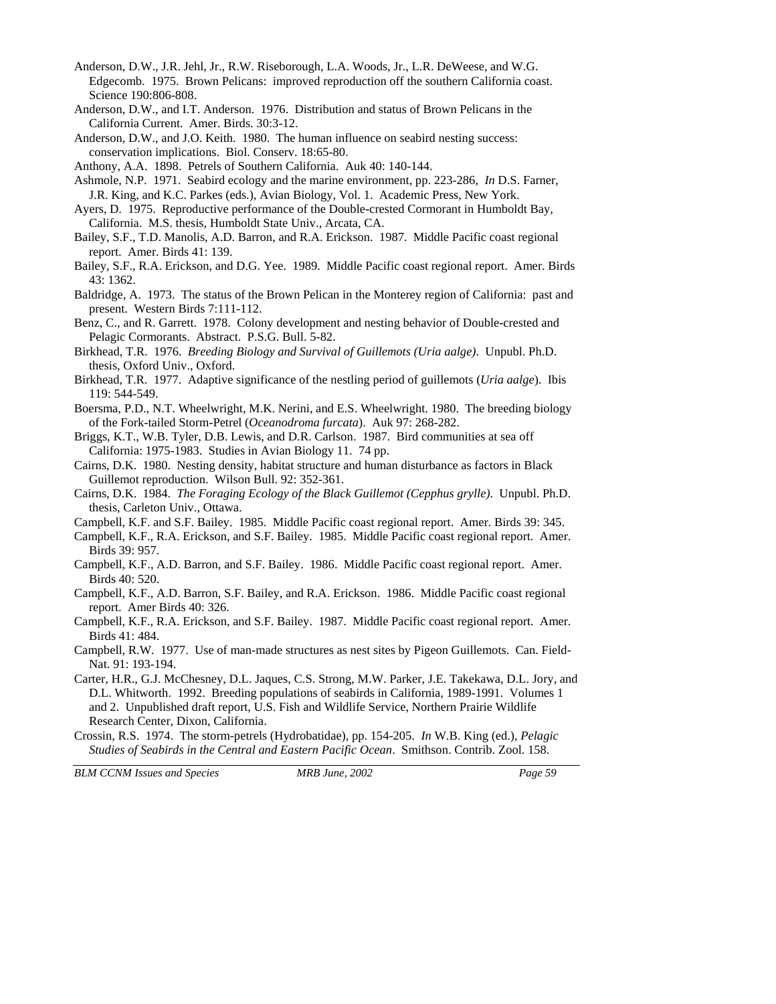- Anderson, D.W., J.R. Jehl, Jr., R.W. Riseborough, L.A. Woods, Jr., L.R. DeWeese, and W.G. Edgecomb. 1975. Brown Pelicans: improved reproduction off the southern California coast. Science 190:806-808.
- Anderson, D.W., and I.T. Anderson. 1976. Distribution and status of Brown Pelicans in the California Current. Amer. Birds. 30:3-12.
- Anderson, D.W., and J.O. Keith. 1980. The human influence on seabird nesting success: conservation implications. Biol. Conserv. 18:65-80.
- Anthony, A.A. 1898. Petrels of Southern California. Auk 40: 140-144.
- Ashmole, N.P. 1971. Seabird ecology and the marine environment, pp. 223-286, *In* D.S. Farner, J.R. King, and K.C. Parkes (eds.), Avian Biology, Vol. 1. Academic Press, New York.
- Ayers, D. 1975. Reproductive performance of the Double-crested Cormorant in Humboldt Bay, California. M.S. thesis, Humboldt State Univ., Arcata, CA.
- Bailey, S.F., T.D. Manolis, A.D. Barron, and R.A. Erickson. 1987. Middle Pacific coast regional report. Amer. Birds 41: 139.
- Bailey, S.F., R.A. Erickson, and D.G. Yee. 1989. Middle Pacific coast regional report. Amer. Birds 43: 1362.
- Baldridge, A. 1973. The status of the Brown Pelican in the Monterey region of California: past and present. Western Birds 7:111-112.
- Benz, C., and R. Garrett. 1978. Colony development and nesting behavior of Double-crested and Pelagic Cormorants. Abstract. P.S.G. Bull. 5-82.
- Birkhead, T.R. 1976. *Breeding Biology and Survival of Guillemots (Uria aalge)*. Unpubl. Ph.D. thesis, Oxford Univ., Oxford.
- Birkhead, T.R. 1977. Adaptive significance of the nestling period of guillemots (*Uria aalge*). Ibis 119: 544-549.
- Boersma, P.D., N.T. Wheelwright, M.K. Nerini, and E.S. Wheelwright. 1980. The breeding biology of the Fork-tailed Storm-Petrel (*Oceanodroma furcata*). Auk 97: 268-282.
- Briggs, K.T., W.B. Tyler, D.B. Lewis, and D.R. Carlson. 1987. Bird communities at sea off California: 1975-1983. Studies in Avian Biology 11. 74 pp.
- Cairns, D.K. 1980. Nesting density, habitat structure and human disturbance as factors in Black Guillemot reproduction. Wilson Bull. 92: 352-361.
- Cairns, D.K. 1984. *The Foraging Ecology of the Black Guillemot (Cepphus grylle)*. Unpubl. Ph.D. thesis, Carleton Univ., Ottawa.
- Campbell, K.F. and S.F. Bailey. 1985. Middle Pacific coast regional report. Amer. Birds 39: 345.
- Campbell, K.F., R.A. Erickson, and S.F. Bailey. 1985. Middle Pacific coast regional report. Amer. Birds 39: 957.
- Campbell, K.F., A.D. Barron, and S.F. Bailey. 1986. Middle Pacific coast regional report. Amer. Birds 40: 520.
- Campbell, K.F., A.D. Barron, S.F. Bailey, and R.A. Erickson. 1986. Middle Pacific coast regional report. Amer Birds 40: 326.
- Campbell, K.F., R.A. Erickson, and S.F. Bailey. 1987. Middle Pacific coast regional report. Amer. Birds 41: 484.
- Campbell, R.W. 1977. Use of man-made structures as nest sites by Pigeon Guillemots. Can. Field-Nat. 91: 193-194.
- Carter, H.R., G.J. McChesney, D.L. Jaques, C.S. Strong, M.W. Parker, J.E. Takekawa, D.L. Jory, and D.L. Whitworth. 1992. Breeding populations of seabirds in California, 1989-1991. Volumes 1 and 2. Unpublished draft report, U.S. Fish and Wildlife Service, Northern Prairie Wildlife Research Center, Dixon, California.
- Crossin, R.S. 1974. The storm-petrels (Hydrobatidae), pp. 154-205. *In* W.B. King (ed.), *Pelagic Studies of Seabirds in the Central and Eastern Pacific Ocean*. Smithson. Contrib. Zool. 158.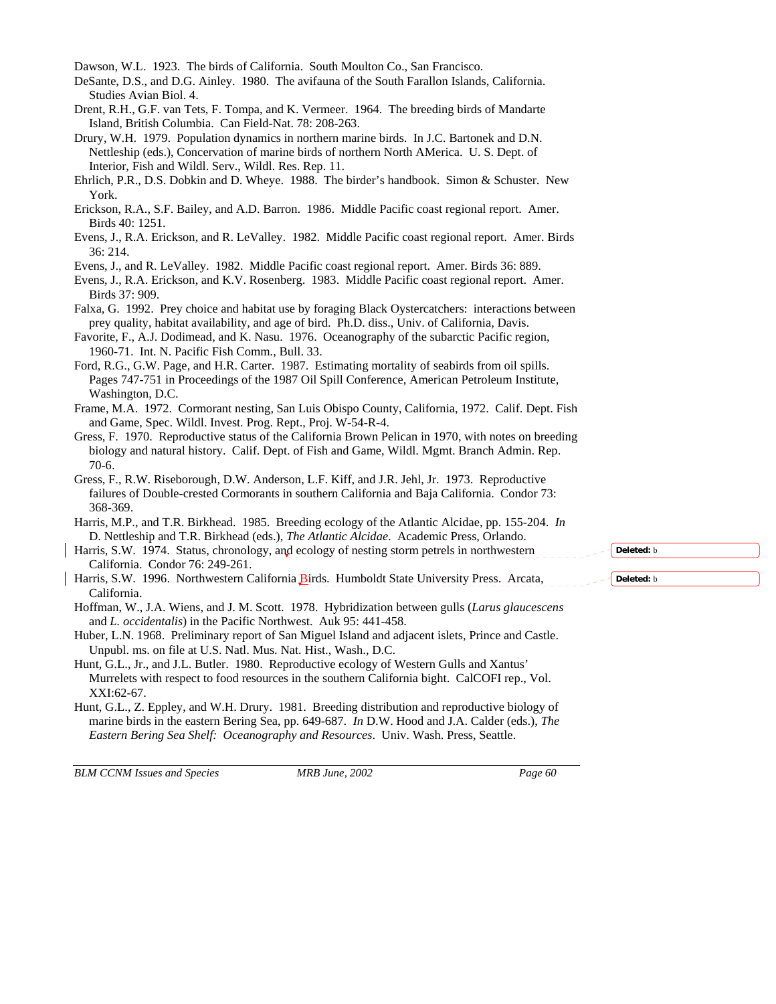Dawson, W.L. 1923. The birds of California. South Moulton Co., San Francisco.

- DeSante, D.S., and D.G. Ainley. 1980. The avifauna of the South Farallon Islands, California. Studies Avian Biol. 4.
- Drent, R.H., G.F. van Tets, F. Tompa, and K. Vermeer. 1964. The breeding birds of Mandarte Island, British Columbia. Can Field-Nat. 78: 208-263.
- Drury, W.H. 1979. Population dynamics in northern marine birds. In J.C. Bartonek and D.N. Nettleship (eds.), Concervation of marine birds of northern North AMerica. U. S. Dept. of Interior, Fish and Wildl. Serv., Wildl. Res. Rep. 11.
- Ehrlich, P.R., D.S. Dobkin and D. Wheye. 1988. The birder's handbook. Simon & Schuster. New York.
- Erickson, R.A., S.F. Bailey, and A.D. Barron. 1986. Middle Pacific coast regional report. Amer. Birds 40: 1251.
- Evens, J., R.A. Erickson, and R. LeValley. 1982. Middle Pacific coast regional report. Amer. Birds 36: 214.

Evens, J., and R. LeValley. 1982. Middle Pacific coast regional report. Amer. Birds 36: 889.

- Falxa, G. 1992. Prey choice and habitat use by foraging Black Oystercatchers: interactions between prey quality, habitat availability, and age of bird. Ph.D. diss., Univ. of California, Davis.
- Favorite, F., A.J. Dodimead, and K. Nasu. 1976. Oceanography of the subarctic Pacific region, 1960-71. Int. N. Pacific Fish Comm., Bull. 33.
- Pages 747-751 in Proceedings of the 1987 Oil Spill Conference, American Petroleum Institute, Washington, D.C.
- and Game, Spec. Wildl. Invest. Prog. Rept., Proj. W-54-R-4.
- biology and natural history. Calif. Dept. of Fish and Game, Wildl. Mgmt. Branch Admin. Rep. 70-6.
- failures of Double-crested Cormorants in southern California and Baja California. Condor 73: 368-369.
- Harris, M.P., and T.R. Birkhead. 1985. Breeding ecology of the Atlantic Alcidae, pp. 155-204. *In* D. Nettleship and T.R. Birkhead (eds.), *The Atlantic Alcidae*. Academic Press, Orlando.
- California. Condor 76: 249-261.
- California.
- Hoffman, W., J.A. Wiens, and J. M. Scott. 1978. Hybridization between gulls (*Larus glaucescens* and *L. occidentalis*) in the Pacific Northwest. Auk 95: 441-458.
- Huber, L.N. 1968. Preliminary report of San Miguel Island and adjacent islets, Prince and Castle. Unpubl. ms. on file at U.S. Natl. Mus. Nat. Hist., Wash., D.C.
- Hunt, G.L., Jr., and J.L. Butler. 1980. Reproductive ecology of Western Gulls and Xantus' Murrelets with respect to food resources in the southern California bight. CalCOFI rep., Vol. XXI:62-67.
- Hunt, G.L., Z. Eppley, and W.H. Drury. 1981. Breeding distribution and reproductive biology of marine birds in the eastern Bering Sea, pp. 649-687. *In* D.W. Hood and J.A. Calder (eds.), *The Eastern Bering Sea Shelf: Oceanography and Resources*. Univ. Wash. Press, Seattle.

*BLM CCNM Issues and Species MRB June, 2002 Page 60* 

**Deleted:** b

**Deleted:** b

Ford, R.G., G.W. Page, and H.R. Carter. 1987. Estimating mortality of seabirds from oil spills. Frame, M.A. 1972. Cormorant nesting, San Luis Obispo County, California, 1972. Calif. Dept. Fish Gress, F. 1970. Reproductive status of the California Brown Pelican in 1970, with notes on breeding Gress, F., R.W. Riseborough, D.W. Anderson, L.F. Kiff, and J.R. Jehl, Jr. 1973. Reproductive Harris, S.W. 1974. Status, chronology, and ecology of nesting storm petrels in northwestern Harris, S.W. 1996. Northwestern California Birds. Humboldt State University Press. Arcata,

Evens, J., R.A. Erickson, and K.V. Rosenberg. 1983. Middle Pacific coast regional report. Amer. Birds 37: 909.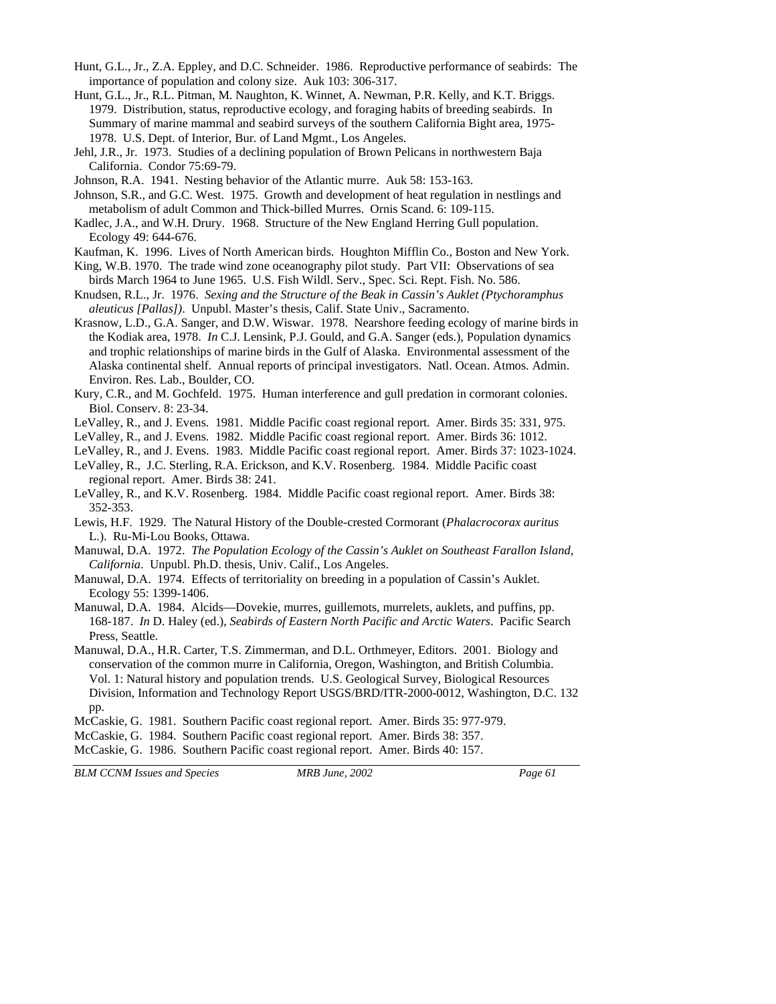- Hunt, G.L., Jr., Z.A. Eppley, and D.C. Schneider. 1986. Reproductive performance of seabirds: The importance of population and colony size. Auk 103: 306-317.
- Hunt, G.L., Jr., R.L. Pitman, M. Naughton, K. Winnet, A. Newman, P.R. Kelly, and K.T. Briggs. 1979. Distribution, status, reproductive ecology, and foraging habits of breeding seabirds. In Summary of marine mammal and seabird surveys of the southern California Bight area, 1975- 1978. U.S. Dept. of Interior, Bur. of Land Mgmt., Los Angeles.
- Jehl, J.R., Jr. 1973. Studies of a declining population of Brown Pelicans in northwestern Baja California. Condor 75:69-79.
- Johnson, R.A. 1941. Nesting behavior of the Atlantic murre. Auk 58: 153-163.
- Johnson, S.R., and G.C. West. 1975. Growth and development of heat regulation in nestlings and metabolism of adult Common and Thick-billed Murres. Ornis Scand. 6: 109-115.
- Kadlec, J.A., and W.H. Drury. 1968. Structure of the New England Herring Gull population. Ecology 49: 644-676.
- Kaufman, K. 1996. Lives of North American birds. Houghton Mifflin Co., Boston and New York.
- King, W.B. 1970. The trade wind zone oceanography pilot study. Part VII: Observations of sea birds March 1964 to June 1965. U.S. Fish Wildl. Serv., Spec. Sci. Rept. Fish. No. 586.
- Knudsen, R.L., Jr. 1976. *Sexing and the Structure of the Beak in Cassin's Auklet (Ptychoramphus aleuticus [Pallas])*. Unpubl. Master's thesis, Calif. State Univ., Sacramento.
- Krasnow, L.D., G.A. Sanger, and D.W. Wiswar. 1978. Nearshore feeding ecology of marine birds in the Kodiak area, 1978. *In* C.J. Lensink, P.J. Gould, and G.A. Sanger (eds.), Population dynamics and trophic relationships of marine birds in the Gulf of Alaska. Environmental assessment of the Alaska continental shelf. Annual reports of principal investigators. Natl. Ocean. Atmos. Admin. Environ. Res. Lab., Boulder, CO.
- Kury, C.R., and M. Gochfeld. 1975. Human interference and gull predation in cormorant colonies. Biol. Conserv. 8: 23-34.
- LeValley, R., and J. Evens. 1981. Middle Pacific coast regional report. Amer. Birds 35: 331, 975.
- LeValley, R., and J. Evens. 1982. Middle Pacific coast regional report. Amer. Birds 36: 1012.
- LeValley, R., and J. Evens. 1983. Middle Pacific coast regional report. Amer. Birds 37: 1023-1024.
- LeValley, R., J.C. Sterling, R.A. Erickson, and K.V. Rosenberg. 1984. Middle Pacific coast regional report. Amer. Birds 38: 241.
- LeValley, R., and K.V. Rosenberg. 1984. Middle Pacific coast regional report. Amer. Birds 38: 352-353.
- Lewis, H.F. 1929. The Natural History of the Double-crested Cormorant (*Phalacrocorax auritus* L.). Ru-Mi-Lou Books, Ottawa.
- Manuwal, D.A. 1972. *The Population Ecology of the Cassin's Auklet on Southeast Farallon Island, California*. Unpubl. Ph.D. thesis, Univ. Calif., Los Angeles.
- Manuwal, D.A. 1974. Effects of territoriality on breeding in a population of Cassin's Auklet. Ecology 55: 1399-1406.
- Manuwal, D.A. 1984. Alcids—Dovekie, murres, guillemots, murrelets, auklets, and puffins, pp. 168-187. *In* D. Haley (ed.), *Seabirds of Eastern North Pacific and Arctic Waters*. Pacific Search Press, Seattle.
- Manuwal, D.A., H.R. Carter, T.S. Zimmerman, and D.L. Orthmeyer, Editors. 2001. Biology and conservation of the common murre in California, Oregon, Washington, and British Columbia. Vol. 1: Natural history and population trends. U.S. Geological Survey, Biological Resources Division, Information and Technology Report USGS/BRD/ITR-2000-0012, Washington, D.C. 132 pp.
- McCaskie, G. 1981. Southern Pacific coast regional report. Amer. Birds 35: 977-979.
- McCaskie, G. 1984. Southern Pacific coast regional report. Amer. Birds 38: 357.
- McCaskie, G. 1986. Southern Pacific coast regional report. Amer. Birds 40: 157.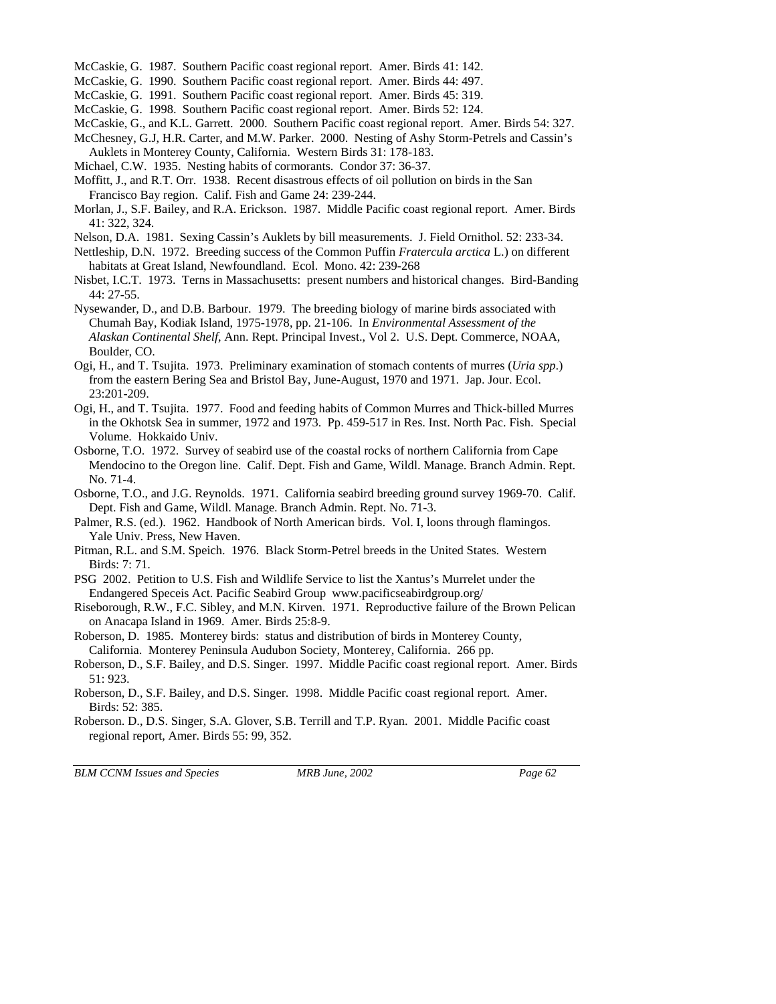McCaskie, G. 1987. Southern Pacific coast regional report. Amer. Birds 41: 142.

McCaskie, G. 1990. Southern Pacific coast regional report. Amer. Birds 44: 497.

McCaskie, G. 1991. Southern Pacific coast regional report. Amer. Birds 45: 319.

McCaskie, G. 1998. Southern Pacific coast regional report. Amer. Birds 52: 124.

McCaskie, G., and K.L. Garrett. 2000. Southern Pacific coast regional report. Amer. Birds 54: 327.

- McChesney, G.J, H.R. Carter, and M.W. Parker. 2000. Nesting of Ashy Storm-Petrels and Cassin's Auklets in Monterey County, California. Western Birds 31: 178-183.
- Michael, C.W. 1935. Nesting habits of cormorants. Condor 37: 36-37.
- Moffitt, J., and R.T. Orr. 1938. Recent disastrous effects of oil pollution on birds in the San Francisco Bay region. Calif. Fish and Game 24: 239-244.
- Morlan, J., S.F. Bailey, and R.A. Erickson. 1987. Middle Pacific coast regional report. Amer. Birds 41: 322, 324.

Nelson, D.A. 1981. Sexing Cassin's Auklets by bill measurements. J. Field Ornithol. 52: 233-34.

- Nettleship, D.N. 1972. Breeding success of the Common Puffin *Fratercula arctica* L.) on different habitats at Great Island, Newfoundland. Ecol. Mono. 42: 239-268
- Nisbet, I.C.T. 1973. Terns in Massachusetts: present numbers and historical changes. Bird-Banding 44: 27-55.
- Nysewander, D., and D.B. Barbour. 1979. The breeding biology of marine birds associated with Chumah Bay, Kodiak Island, 1975-1978, pp. 21-106. In *Environmental Assessment of the Alaskan Continental Shelf*, Ann. Rept. Principal Invest., Vol 2. U.S. Dept. Commerce, NOAA, Boulder, CO.
- Ogi, H., and T. Tsujita. 1973. Preliminary examination of stomach contents of murres (*Uria spp*.) from the eastern Bering Sea and Bristol Bay, June-August, 1970 and 1971. Jap. Jour. Ecol. 23:201-209.
- Ogi, H., and T. Tsujita. 1977. Food and feeding habits of Common Murres and Thick-billed Murres in the Okhotsk Sea in summer, 1972 and 1973. Pp. 459-517 in Res. Inst. North Pac. Fish. Special Volume. Hokkaido Univ.
- Osborne, T.O. 1972. Survey of seabird use of the coastal rocks of northern California from Cape Mendocino to the Oregon line. Calif. Dept. Fish and Game, Wildl. Manage. Branch Admin. Rept. No. 71-4.
- Osborne, T.O., and J.G. Reynolds. 1971. California seabird breeding ground survey 1969-70. Calif. Dept. Fish and Game, Wildl. Manage. Branch Admin. Rept. No. 71-3.
- Palmer, R.S. (ed.). 1962. Handbook of North American birds. Vol. I, loons through flamingos. Yale Univ. Press, New Haven.
- Pitman, R.L. and S.M. Speich. 1976. Black Storm-Petrel breeds in the United States. Western Birds: 7: 71.
- PSG 2002. Petition to U.S. Fish and Wildlife Service to list the Xantus's Murrelet under the Endangered Speceis Act. Pacific Seabird Group www.pacificseabirdgroup.org/
- Riseborough, R.W., F.C. Sibley, and M.N. Kirven. 1971. Reproductive failure of the Brown Pelican on Anacapa Island in 1969. Amer. Birds 25:8-9.
- Roberson, D. 1985. Monterey birds: status and distribution of birds in Monterey County, California. Monterey Peninsula Audubon Society, Monterey, California. 266 pp.
- Roberson, D., S.F. Bailey, and D.S. Singer. 1997. Middle Pacific coast regional report. Amer. Birds 51: 923.
- Roberson, D., S.F. Bailey, and D.S. Singer. 1998. Middle Pacific coast regional report. Amer. Birds: 52: 385.
- Roberson. D., D.S. Singer, S.A. Glover, S.B. Terrill and T.P. Ryan. 2001. Middle Pacific coast regional report, Amer. Birds 55: 99, 352.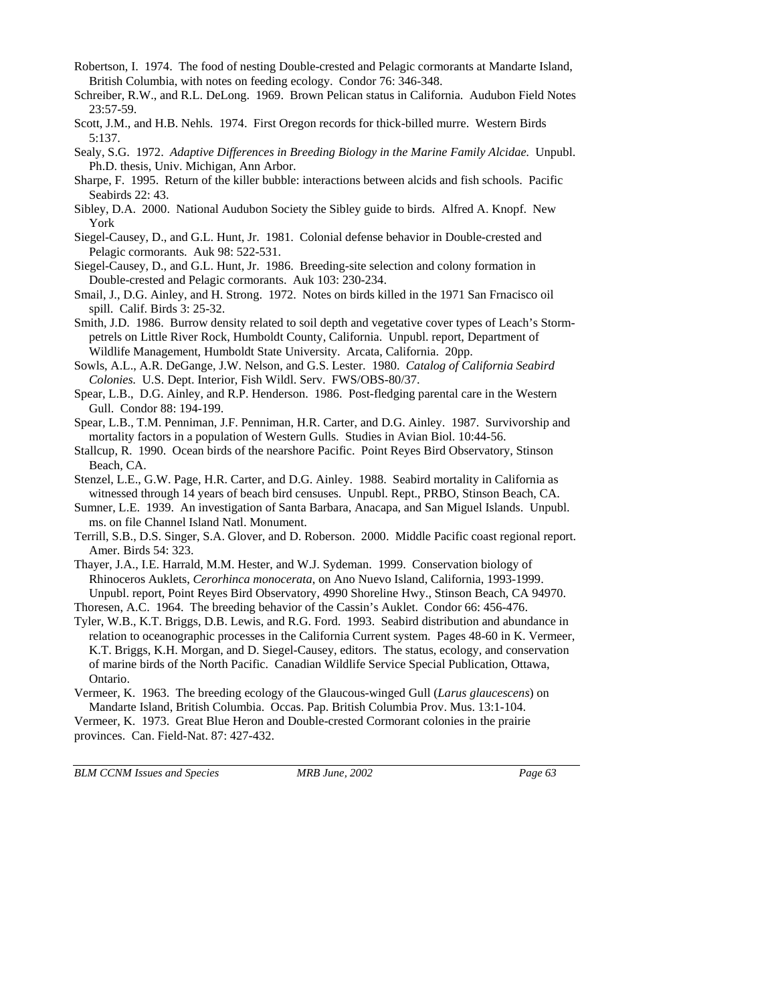- Robertson, I. 1974. The food of nesting Double-crested and Pelagic cormorants at Mandarte Island, British Columbia, with notes on feeding ecology. Condor 76: 346-348.
- Schreiber, R.W., and R.L. DeLong. 1969. Brown Pelican status in California. Audubon Field Notes 23:57-59.
- Scott, J.M., and H.B. Nehls. 1974. First Oregon records for thick-billed murre. Western Birds 5:137.
- Sealy, S.G. 1972. *Adaptive Differences in Breeding Biology in the Marine Family Alcidae.* Unpubl. Ph.D. thesis, Univ. Michigan, Ann Arbor.
- Sharpe, F. 1995. Return of the killer bubble: interactions between alcids and fish schools. Pacific Seabirds 22: 43.
- Sibley, D.A. 2000. National Audubon Society the Sibley guide to birds. Alfred A. Knopf. New York
- Siegel-Causey, D., and G.L. Hunt, Jr. 1981. Colonial defense behavior in Double-crested and Pelagic cormorants. Auk 98: 522-531.
- Siegel-Causey, D., and G.L. Hunt, Jr. 1986. Breeding-site selection and colony formation in Double-crested and Pelagic cormorants. Auk 103: 230-234.
- Smail, J., D.G. Ainley, and H. Strong. 1972. Notes on birds killed in the 1971 San Frnacisco oil spill. Calif. Birds 3: 25-32.
- Smith, J.D. 1986. Burrow density related to soil depth and vegetative cover types of Leach's Stormpetrels on Little River Rock, Humboldt County, California. Unpubl. report, Department of Wildlife Management, Humboldt State University. Arcata, California. 20pp.
- Sowls, A.L., A.R. DeGange, J.W. Nelson, and G.S. Lester. 1980. *Catalog of California Seabird Colonies.* U.S. Dept. Interior, Fish Wildl. Serv. FWS/OBS-80/37.
- Spear, L.B., D.G. Ainley, and R.P. Henderson. 1986. Post-fledging parental care in the Western Gull. Condor 88: 194-199.
- Spear, L.B., T.M. Penniman, J.F. Penniman, H.R. Carter, and D.G. Ainley. 1987. Survivorship and mortality factors in a population of Western Gulls. Studies in Avian Biol. 10:44-56.
- Stallcup, R. 1990. Ocean birds of the nearshore Pacific. Point Reyes Bird Observatory, Stinson Beach, CA.
- Stenzel, L.E., G.W. Page, H.R. Carter, and D.G. Ainley. 1988. Seabird mortality in California as witnessed through 14 years of beach bird censuses. Unpubl. Rept., PRBO, Stinson Beach, CA.
- Sumner, L.E. 1939. An investigation of Santa Barbara, Anacapa, and San Miguel Islands. Unpubl. ms. on file Channel Island Natl. Monument.
- Terrill, S.B., D.S. Singer, S.A. Glover, and D. Roberson. 2000. Middle Pacific coast regional report. Amer. Birds 54: 323.
- Thayer, J.A., I.E. Harrald, M.M. Hester, and W.J. Sydeman. 1999. Conservation biology of Rhinoceros Auklets, *Cerorhinca monocerata*, on Ano Nuevo Island, California, 1993-1999. Unpubl. report, Point Reyes Bird Observatory, 4990 Shoreline Hwy., Stinson Beach, CA 94970.

Thoresen, A.C. 1964. The breeding behavior of the Cassin's Auklet. Condor 66: 456-476.

- Tyler, W.B., K.T. Briggs, D.B. Lewis, and R.G. Ford. 1993. Seabird distribution and abundance in relation to oceanographic processes in the California Current system. Pages 48-60 in K. Vermeer, K.T. Briggs, K.H. Morgan, and D. Siegel-Causey, editors. The status, ecology, and conservation of marine birds of the North Pacific. Canadian Wildlife Service Special Publication, Ottawa, Ontario.
- Vermeer, K. 1963. The breeding ecology of the Glaucous-winged Gull (*Larus glaucescens*) on Mandarte Island, British Columbia. Occas. Pap. British Columbia Prov. Mus. 13:1-104.

Vermeer, K. 1973. Great Blue Heron and Double-crested Cormorant colonies in the prairie provinces. Can. Field-Nat. 87: 427-432.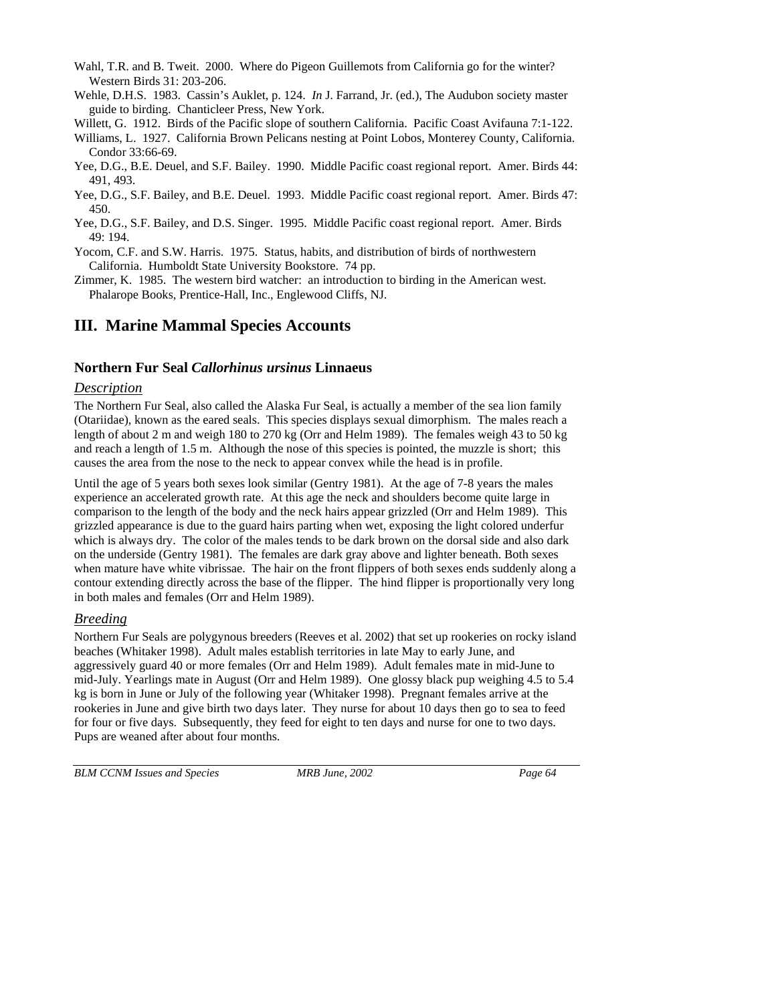- Wahl, T.R. and B. Tweit. 2000. Where do Pigeon Guillemots from California go for the winter? Western Birds 31: 203-206.
- Wehle, D.H.S. 1983. Cassin's Auklet, p. 124. *In* J. Farrand, Jr. (ed.), The Audubon society master guide to birding. Chanticleer Press, New York.
- Willett, G. 1912. Birds of the Pacific slope of southern California. Pacific Coast Avifauna 7:1-122.
- Williams, L. 1927. California Brown Pelicans nesting at Point Lobos, Monterey County, California. Condor 33:66-69.
- Yee, D.G., B.E. Deuel, and S.F. Bailey. 1990. Middle Pacific coast regional report. Amer. Birds 44: 491, 493.
- Yee, D.G., S.F. Bailey, and B.E. Deuel. 1993. Middle Pacific coast regional report. Amer. Birds 47: 450.
- Yee, D.G., S.F. Bailey, and D.S. Singer. 1995. Middle Pacific coast regional report. Amer. Birds 49: 194.
- Yocom, C.F. and S.W. Harris. 1975. Status, habits, and distribution of birds of northwestern California. Humboldt State University Bookstore. 74 pp.
- Zimmer, K. 1985. The western bird watcher: an introduction to birding in the American west. Phalarope Books, Prentice-Hall, Inc., Englewood Cliffs, NJ.

# **III. Marine Mammal Species Accounts**

## **Northern Fur Seal** *Callorhinus ursinus* **Linnaeus**

### *Description*

The Northern Fur Seal, also called the Alaska Fur Seal, is actually a member of the sea lion family (Otariidae), known as the eared seals. This species displays sexual dimorphism. The males reach a length of about 2 m and weigh 180 to 270 kg (Orr and Helm 1989). The females weigh 43 to 50 kg and reach a length of 1.5 m. Although the nose of this species is pointed, the muzzle is short; this causes the area from the nose to the neck to appear convex while the head is in profile.

Until the age of 5 years both sexes look similar (Gentry 1981). At the age of 7-8 years the males experience an accelerated growth rate. At this age the neck and shoulders become quite large in comparison to the length of the body and the neck hairs appear grizzled (Orr and Helm 1989). This grizzled appearance is due to the guard hairs parting when wet, exposing the light colored underfur which is always dry. The color of the males tends to be dark brown on the dorsal side and also dark on the underside (Gentry 1981). The females are dark gray above and lighter beneath. Both sexes when mature have white vibrissae. The hair on the front flippers of both sexes ends suddenly along a contour extending directly across the base of the flipper. The hind flipper is proportionally very long in both males and females (Orr and Helm 1989).

## *Breeding*

Northern Fur Seals are polygynous breeders (Reeves et al. 2002) that set up rookeries on rocky island beaches (Whitaker 1998). Adult males establish territories in late May to early June, and aggressively guard 40 or more females (Orr and Helm 1989). Adult females mate in mid-June to mid-July. Yearlings mate in August (Orr and Helm 1989). One glossy black pup weighing 4.5 to 5.4 kg is born in June or July of the following year (Whitaker 1998). Pregnant females arrive at the rookeries in June and give birth two days later. They nurse for about 10 days then go to sea to feed for four or five days. Subsequently, they feed for eight to ten days and nurse for one to two days. Pups are weaned after about four months.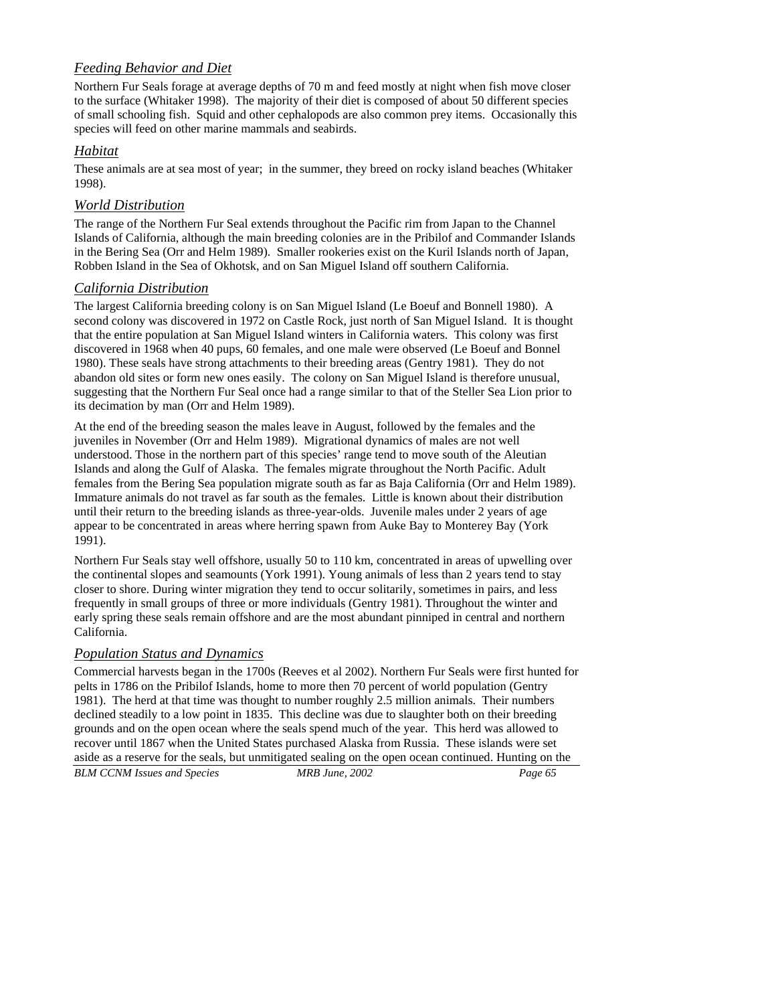## *Feeding Behavior and Diet*

Northern Fur Seals forage at average depths of 70 m and feed mostly at night when fish move closer to the surface (Whitaker 1998). The majority of their diet is composed of about 50 different species of small schooling fish. Squid and other cephalopods are also common prey items. Occasionally this species will feed on other marine mammals and seabirds.

## *Habitat*

These animals are at sea most of year; in the summer, they breed on rocky island beaches (Whitaker 1998).

## *World Distribution*

The range of the Northern Fur Seal extends throughout the Pacific rim from Japan to the Channel Islands of California, although the main breeding colonies are in the Pribilof and Commander Islands in the Bering Sea (Orr and Helm 1989). Smaller rookeries exist on the Kuril Islands north of Japan, Robben Island in the Sea of Okhotsk, and on San Miguel Island off southern California.

## *California Distribution*

The largest California breeding colony is on San Miguel Island (Le Boeuf and Bonnell 1980). A second colony was discovered in 1972 on Castle Rock, just north of San Miguel Island. It is thought that the entire population at San Miguel Island winters in California waters. This colony was first discovered in 1968 when 40 pups, 60 females, and one male were observed (Le Boeuf and Bonnel 1980). These seals have strong attachments to their breeding areas (Gentry 1981). They do not abandon old sites or form new ones easily. The colony on San Miguel Island is therefore unusual, suggesting that the Northern Fur Seal once had a range similar to that of the Steller Sea Lion prior to its decimation by man (Orr and Helm 1989).

At the end of the breeding season the males leave in August, followed by the females and the juveniles in November (Orr and Helm 1989). Migrational dynamics of males are not well understood. Those in the northern part of this species' range tend to move south of the Aleutian Islands and along the Gulf of Alaska. The females migrate throughout the North Pacific. Adult females from the Bering Sea population migrate south as far as Baja California (Orr and Helm 1989). Immature animals do not travel as far south as the females. Little is known about their distribution until their return to the breeding islands as three-year-olds. Juvenile males under 2 years of age appear to be concentrated in areas where herring spawn from Auke Bay to Monterey Bay (York 1991).

Northern Fur Seals stay well offshore, usually 50 to 110 km, concentrated in areas of upwelling over the continental slopes and seamounts (York 1991). Young animals of less than 2 years tend to stay closer to shore. During winter migration they tend to occur solitarily, sometimes in pairs, and less frequently in small groups of three or more individuals (Gentry 1981). Throughout the winter and early spring these seals remain offshore and are the most abundant pinniped in central and northern California.

## *Population Status and Dynamics*

*BLM CCNM Issues and Species MRB June, 2002 Page 65*  Commercial harvests began in the 1700s (Reeves et al 2002). Northern Fur Seals were first hunted for pelts in 1786 on the Pribilof Islands, home to more then 70 percent of world population (Gentry 1981). The herd at that time was thought to number roughly 2.5 million animals. Their numbers declined steadily to a low point in 1835. This decline was due to slaughter both on their breeding grounds and on the open ocean where the seals spend much of the year. This herd was allowed to recover until 1867 when the United States purchased Alaska from Russia. These islands were set aside as a reserve for the seals, but unmitigated sealing on the open ocean continued. Hunting on the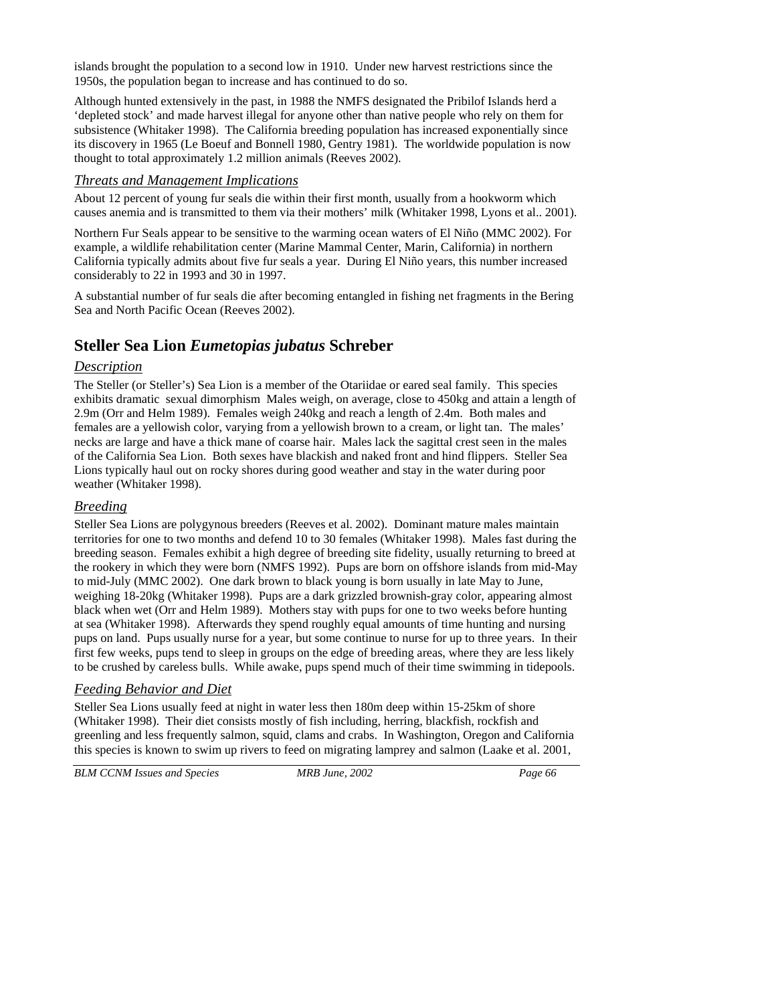islands brought the population to a second low in 1910. Under new harvest restrictions since the 1950s, the population began to increase and has continued to do so.

Although hunted extensively in the past, in 1988 the NMFS designated the Pribilof Islands herd a 'depleted stock' and made harvest illegal for anyone other than native people who rely on them for subsistence (Whitaker 1998). The California breeding population has increased exponentially since its discovery in 1965 (Le Boeuf and Bonnell 1980, Gentry 1981). The worldwide population is now thought to total approximately 1.2 million animals (Reeves 2002).

## *Threats and Management Implications*

About 12 percent of young fur seals die within their first month, usually from a hookworm which causes anemia and is transmitted to them via their mothers' milk (Whitaker 1998, Lyons et al.. 2001).

Northern Fur Seals appear to be sensitive to the warming ocean waters of El Niño (MMC 2002). For example, a wildlife rehabilitation center (Marine Mammal Center, Marin, California) in northern California typically admits about five fur seals a year. During El Niño years, this number increased considerably to 22 in 1993 and 30 in 1997.

A substantial number of fur seals die after becoming entangled in fishing net fragments in the Bering Sea and North Pacific Ocean (Reeves 2002).

# **Steller Sea Lion** *Eumetopias jubatus* **Schreber**

## *Description*

The Steller (or Steller's) Sea Lion is a member of the Otariidae or eared seal family. This species exhibits dramatic sexual dimorphism Males weigh, on average, close to 450kg and attain a length of 2.9m (Orr and Helm 1989). Females weigh 240kg and reach a length of 2.4m. Both males and females are a yellowish color, varying from a yellowish brown to a cream, or light tan. The males' necks are large and have a thick mane of coarse hair. Males lack the sagittal crest seen in the males of the California Sea Lion. Both sexes have blackish and naked front and hind flippers. Steller Sea Lions typically haul out on rocky shores during good weather and stay in the water during poor weather (Whitaker 1998).

## *Breeding*

Steller Sea Lions are polygynous breeders (Reeves et al. 2002). Dominant mature males maintain territories for one to two months and defend 10 to 30 females (Whitaker 1998). Males fast during the breeding season. Females exhibit a high degree of breeding site fidelity, usually returning to breed at the rookery in which they were born (NMFS 1992). Pups are born on offshore islands from mid-May to mid-July (MMC 2002). One dark brown to black young is born usually in late May to June, weighing 18-20kg (Whitaker 1998). Pups are a dark grizzled brownish-gray color, appearing almost black when wet (Orr and Helm 1989). Mothers stay with pups for one to two weeks before hunting at sea (Whitaker 1998). Afterwards they spend roughly equal amounts of time hunting and nursing pups on land. Pups usually nurse for a year, but some continue to nurse for up to three years. In their first few weeks, pups tend to sleep in groups on the edge of breeding areas, where they are less likely to be crushed by careless bulls. While awake, pups spend much of their time swimming in tidepools.

## *Feeding Behavior and Diet*

Steller Sea Lions usually feed at night in water less then 180m deep within 15-25km of shore (Whitaker 1998). Their diet consists mostly of fish including, herring, blackfish, rockfish and greenling and less frequently salmon, squid, clams and crabs. In Washington, Oregon and California this species is known to swim up rivers to feed on migrating lamprey and salmon (Laake et al. 2001,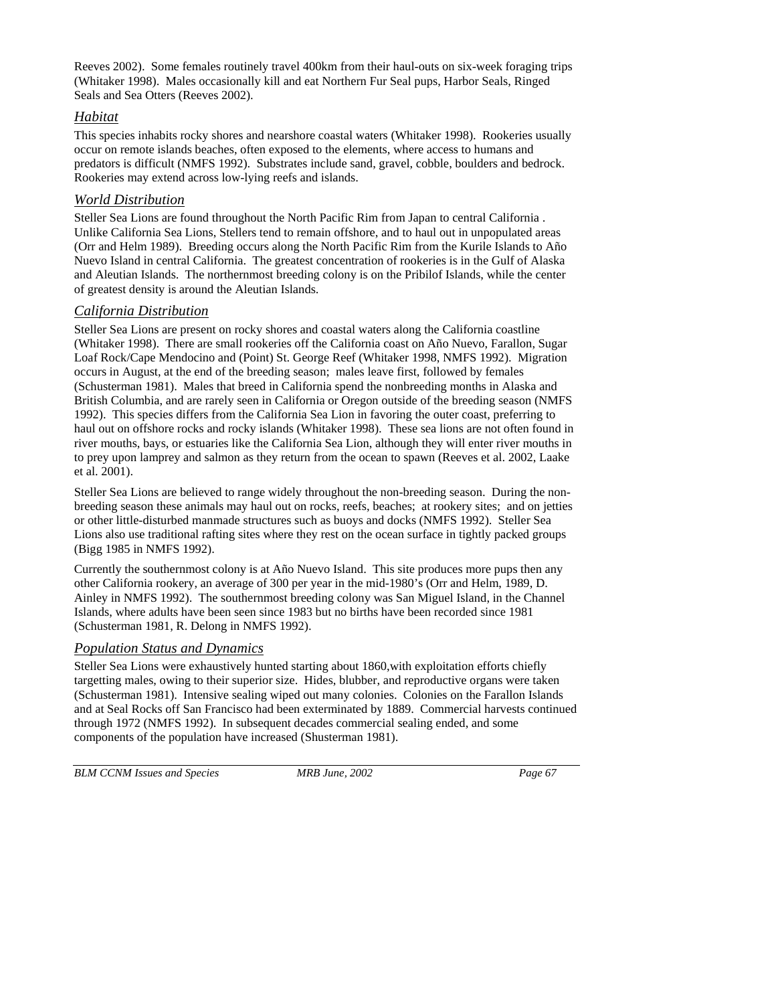Reeves 2002). Some females routinely travel 400km from their haul-outs on six-week foraging trips (Whitaker 1998). Males occasionally kill and eat Northern Fur Seal pups, Harbor Seals, Ringed Seals and Sea Otters (Reeves 2002).

## *Habitat*

This species inhabits rocky shores and nearshore coastal waters (Whitaker 1998). Rookeries usually occur on remote islands beaches, often exposed to the elements, where access to humans and predators is difficult (NMFS 1992). Substrates include sand, gravel, cobble, boulders and bedrock. Rookeries may extend across low-lying reefs and islands.

## *World Distribution*

Steller Sea Lions are found throughout the North Pacific Rim from Japan to central California . Unlike California Sea Lions, Stellers tend to remain offshore, and to haul out in unpopulated areas (Orr and Helm 1989). Breeding occurs along the North Pacific Rim from the Kurile Islands to Año Nuevo Island in central California. The greatest concentration of rookeries is in the Gulf of Alaska and Aleutian Islands. The northernmost breeding colony is on the Pribilof Islands, while the center of greatest density is around the Aleutian Islands.

## *California Distribution*

Steller Sea Lions are present on rocky shores and coastal waters along the California coastline (Whitaker 1998). There are small rookeries off the California coast on Año Nuevo, Farallon, Sugar Loaf Rock/Cape Mendocino and (Point) St. George Reef (Whitaker 1998, NMFS 1992). Migration occurs in August, at the end of the breeding season; males leave first, followed by females (Schusterman 1981). Males that breed in California spend the nonbreeding months in Alaska and British Columbia, and are rarely seen in California or Oregon outside of the breeding season (NMFS 1992). This species differs from the California Sea Lion in favoring the outer coast, preferring to haul out on offshore rocks and rocky islands (Whitaker 1998). These sea lions are not often found in river mouths, bays, or estuaries like the California Sea Lion, although they will enter river mouths in to prey upon lamprey and salmon as they return from the ocean to spawn (Reeves et al. 2002, Laake et al. 2001).

Steller Sea Lions are believed to range widely throughout the non-breeding season. During the nonbreeding season these animals may haul out on rocks, reefs, beaches; at rookery sites; and on jetties or other little-disturbed manmade structures such as buoys and docks (NMFS 1992). Steller Sea Lions also use traditional rafting sites where they rest on the ocean surface in tightly packed groups (Bigg 1985 in NMFS 1992).

Currently the southernmost colony is at Año Nuevo Island. This site produces more pups then any other California rookery, an average of 300 per year in the mid-1980's (Orr and Helm, 1989, D. Ainley in NMFS 1992). The southernmost breeding colony was San Miguel Island, in the Channel Islands, where adults have been seen since 1983 but no births have been recorded since 1981 (Schusterman 1981, R. Delong in NMFS 1992).

## *Population Status and Dynamics*

Steller Sea Lions were exhaustively hunted starting about 1860,with exploitation efforts chiefly targetting males, owing to their superior size. Hides, blubber, and reproductive organs were taken (Schusterman 1981). Intensive sealing wiped out many colonies. Colonies on the Farallon Islands and at Seal Rocks off San Francisco had been exterminated by 1889. Commercial harvests continued through 1972 (NMFS 1992). In subsequent decades commercial sealing ended, and some components of the population have increased (Shusterman 1981).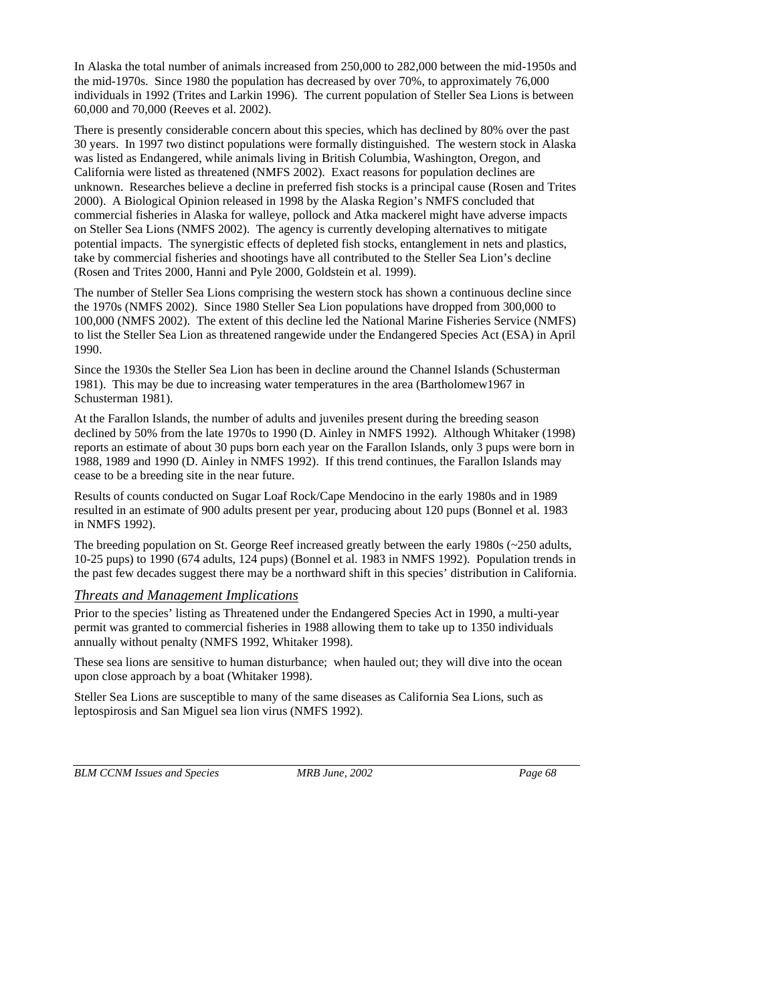In Alaska the total number of animals increased from 250,000 to 282,000 between the mid-1950s and the mid-1970s. Since 1980 the population has decreased by over 70%, to approximately 76,000 individuals in 1992 (Trites and Larkin 1996). The current population of Steller Sea Lions is between 60,000 and 70,000 (Reeves et al. 2002).

There is presently considerable concern about this species, which has declined by 80% over the past 30 years. In 1997 two distinct populations were formally distinguished. The western stock in Alaska was listed as Endangered, while animals living in British Columbia, Washington, Oregon, and California were listed as threatened (NMFS 2002). Exact reasons for population declines are unknown. Researches believe a decline in preferred fish stocks is a principal cause (Rosen and Trites 2000). A Biological Opinion released in 1998 by the Alaska Region's NMFS concluded that commercial fisheries in Alaska for walleye, pollock and Atka mackerel might have adverse impacts on Steller Sea Lions (NMFS 2002). The agency is currently developing alternatives to mitigate potential impacts. The synergistic effects of depleted fish stocks, entanglement in nets and plastics, take by commercial fisheries and shootings have all contributed to the Steller Sea Lion's decline (Rosen and Trites 2000, Hanni and Pyle 2000, Goldstein et al. 1999).

The number of Steller Sea Lions comprising the western stock has shown a continuous decline since the 1970s (NMFS 2002). Since 1980 Steller Sea Lion populations have dropped from 300,000 to 100,000 (NMFS 2002). The extent of this decline led the National Marine Fisheries Service (NMFS) to list the Steller Sea Lion as threatened rangewide under the Endangered Species Act (ESA) in April 1990.

Since the 1930s the Steller Sea Lion has been in decline around the Channel Islands (Schusterman 1981). This may be due to increasing water temperatures in the area (Bartholomew1967 in Schusterman 1981).

At the Farallon Islands, the number of adults and juveniles present during the breeding season declined by 50% from the late 1970s to 1990 (D. Ainley in NMFS 1992). Although Whitaker (1998) reports an estimate of about 30 pups born each year on the Farallon Islands, only 3 pups were born in 1988, 1989 and 1990 (D. Ainley in NMFS 1992). If this trend continues, the Farallon Islands may cease to be a breeding site in the near future.

Results of counts conducted on Sugar Loaf Rock/Cape Mendocino in the early 1980s and in 1989 resulted in an estimate of 900 adults present per year, producing about 120 pups (Bonnel et al. 1983 in NMFS 1992).

The breeding population on St. George Reef increased greatly between the early 1980s (~250 adults, 10-25 pups) to 1990 (674 adults, 124 pups) (Bonnel et al. 1983 in NMFS 1992). Population trends in the past few decades suggest there may be a northward shift in this species' distribution in California.

### *Threats and Management Implications*

Prior to the species' listing as Threatened under the Endangered Species Act in 1990, a multi-year permit was granted to commercial fisheries in 1988 allowing them to take up to 1350 individuals annually without penalty (NMFS 1992, Whitaker 1998).

These sea lions are sensitive to human disturbance; when hauled out; they will dive into the ocean upon close approach by a boat (Whitaker 1998).

Steller Sea Lions are susceptible to many of the same diseases as California Sea Lions, such as leptospirosis and San Miguel sea lion virus (NMFS 1992).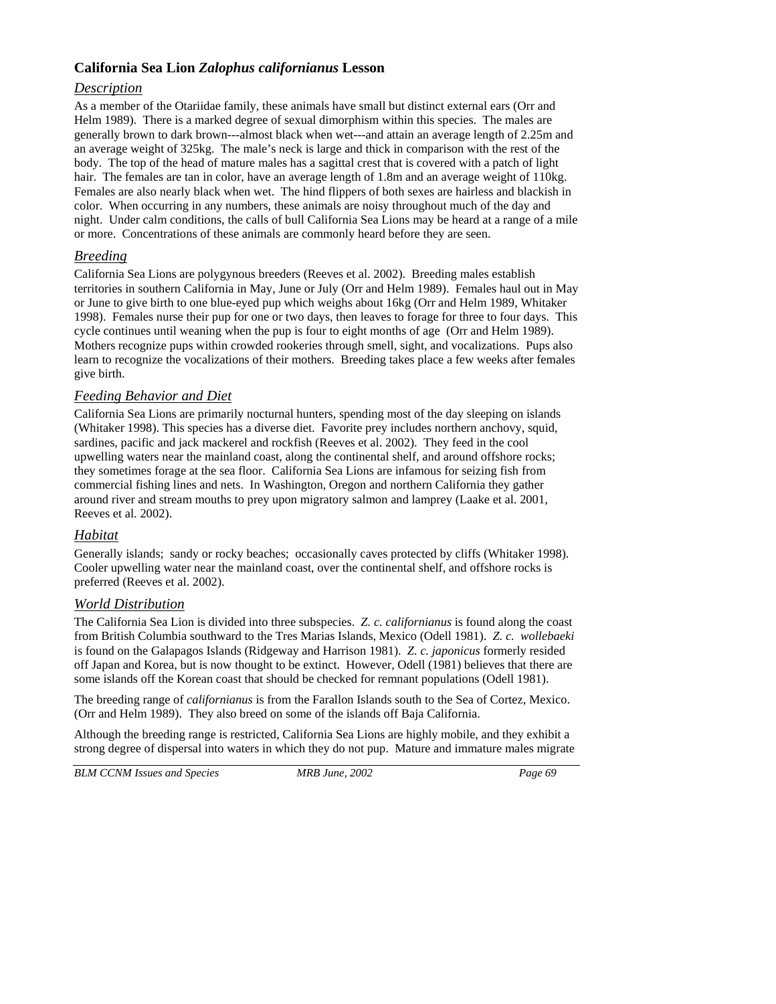## **California Sea Lion** *Zalophus californianus* **Lesson**

## *Description*

As a member of the Otariidae family, these animals have small but distinct external ears (Orr and Helm 1989). There is a marked degree of sexual dimorphism within this species. The males are generally brown to dark brown---almost black when wet---and attain an average length of 2.25m and an average weight of 325kg. The male's neck is large and thick in comparison with the rest of the body. The top of the head of mature males has a sagittal crest that is covered with a patch of light hair. The females are tan in color, have an average length of 1.8m and an average weight of 110kg. Females are also nearly black when wet. The hind flippers of both sexes are hairless and blackish in color. When occurring in any numbers, these animals are noisy throughout much of the day and night. Under calm conditions, the calls of bull California Sea Lions may be heard at a range of a mile or more. Concentrations of these animals are commonly heard before they are seen.

## *Breeding*

California Sea Lions are polygynous breeders (Reeves et al. 2002). Breeding males establish territories in southern California in May, June or July (Orr and Helm 1989). Females haul out in May or June to give birth to one blue-eyed pup which weighs about 16kg (Orr and Helm 1989, Whitaker 1998). Females nurse their pup for one or two days, then leaves to forage for three to four days. This cycle continues until weaning when the pup is four to eight months of age (Orr and Helm 1989). Mothers recognize pups within crowded rookeries through smell, sight, and vocalizations. Pups also learn to recognize the vocalizations of their mothers. Breeding takes place a few weeks after females give birth.

## *Feeding Behavior and Diet*

California Sea Lions are primarily nocturnal hunters, spending most of the day sleeping on islands (Whitaker 1998). This species has a diverse diet. Favorite prey includes northern anchovy, squid, sardines, pacific and jack mackerel and rockfish (Reeves et al. 2002). They feed in the cool upwelling waters near the mainland coast, along the continental shelf, and around offshore rocks; they sometimes forage at the sea floor. California Sea Lions are infamous for seizing fish from commercial fishing lines and nets. In Washington, Oregon and northern California they gather around river and stream mouths to prey upon migratory salmon and lamprey (Laake et al. 2001, Reeves et al. 2002).

## *Habitat*

Generally islands; sandy or rocky beaches; occasionally caves protected by cliffs (Whitaker 1998). Cooler upwelling water near the mainland coast, over the continental shelf, and offshore rocks is preferred (Reeves et al. 2002).

## *World Distribution*

The California Sea Lion is divided into three subspecies. *Z. c. californianus* is found along the coast from British Columbia southward to the Tres Marias Islands, Mexico (Odell 1981). *Z. c. wollebaeki* is found on the Galapagos Islands (Ridgeway and Harrison 1981). *Z. c. japonicus* formerly resided off Japan and Korea, but is now thought to be extinct. However, Odell (1981) believes that there are some islands off the Korean coast that should be checked for remnant populations (Odell 1981).

The breeding range of *californianus* is from the Farallon Islands south to the Sea of Cortez, Mexico. (Orr and Helm 1989). They also breed on some of the islands off Baja California.

Although the breeding range is restricted, California Sea Lions are highly mobile, and they exhibit a strong degree of dispersal into waters in which they do not pup. Mature and immature males migrate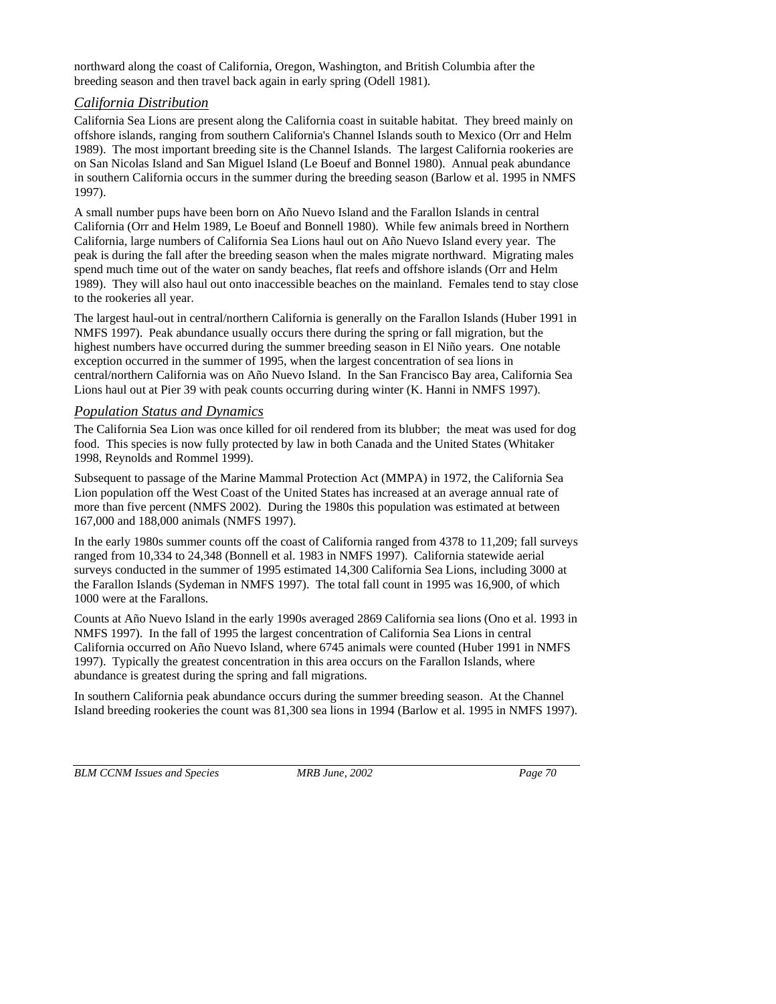northward along the coast of California, Oregon, Washington, and British Columbia after the breeding season and then travel back again in early spring (Odell 1981).

### *California Distribution*

California Sea Lions are present along the California coast in suitable habitat. They breed mainly on offshore islands, ranging from southern California's Channel Islands south to Mexico (Orr and Helm 1989). The most important breeding site is the Channel Islands. The largest California rookeries are on San Nicolas Island and San Miguel Island (Le Boeuf and Bonnel 1980). Annual peak abundance in southern California occurs in the summer during the breeding season (Barlow et al. 1995 in NMFS 1997).

A small number pups have been born on Año Nuevo Island and the Farallon Islands in central California (Orr and Helm 1989, Le Boeuf and Bonnell 1980). While few animals breed in Northern California, large numbers of California Sea Lions haul out on Año Nuevo Island every year. The peak is during the fall after the breeding season when the males migrate northward. Migrating males spend much time out of the water on sandy beaches, flat reefs and offshore islands (Orr and Helm 1989). They will also haul out onto inaccessible beaches on the mainland. Females tend to stay close to the rookeries all year.

The largest haul-out in central/northern California is generally on the Farallon Islands (Huber 1991 in NMFS 1997). Peak abundance usually occurs there during the spring or fall migration, but the highest numbers have occurred during the summer breeding season in El Niño years. One notable exception occurred in the summer of 1995, when the largest concentration of sea lions in central/northern California was on Año Nuevo Island. In the San Francisco Bay area, California Sea Lions haul out at Pier 39 with peak counts occurring during winter (K. Hanni in NMFS 1997).

### *Population Status and Dynamics*

The California Sea Lion was once killed for oil rendered from its blubber; the meat was used for dog food. This species is now fully protected by law in both Canada and the United States (Whitaker 1998, Reynolds and Rommel 1999).

Subsequent to passage of the Marine Mammal Protection Act (MMPA) in 1972, the California Sea Lion population off the West Coast of the United States has increased at an average annual rate of more than five percent (NMFS 2002). During the 1980s this population was estimated at between 167,000 and 188,000 animals (NMFS 1997).

In the early 1980s summer counts off the coast of California ranged from 4378 to 11,209; fall surveys ranged from 10,334 to 24,348 (Bonnell et al. 1983 in NMFS 1997). California statewide aerial surveys conducted in the summer of 1995 estimated 14,300 California Sea Lions, including 3000 at the Farallon Islands (Sydeman in NMFS 1997). The total fall count in 1995 was 16,900, of which 1000 were at the Farallons.

Counts at Año Nuevo Island in the early 1990s averaged 2869 California sea lions (Ono et al. 1993 in NMFS 1997). In the fall of 1995 the largest concentration of California Sea Lions in central California occurred on Año Nuevo Island, where 6745 animals were counted (Huber 1991 in NMFS 1997). Typically the greatest concentration in this area occurs on the Farallon Islands, where abundance is greatest during the spring and fall migrations.

In southern California peak abundance occurs during the summer breeding season. At the Channel Island breeding rookeries the count was 81,300 sea lions in 1994 (Barlow et al. 1995 in NMFS 1997).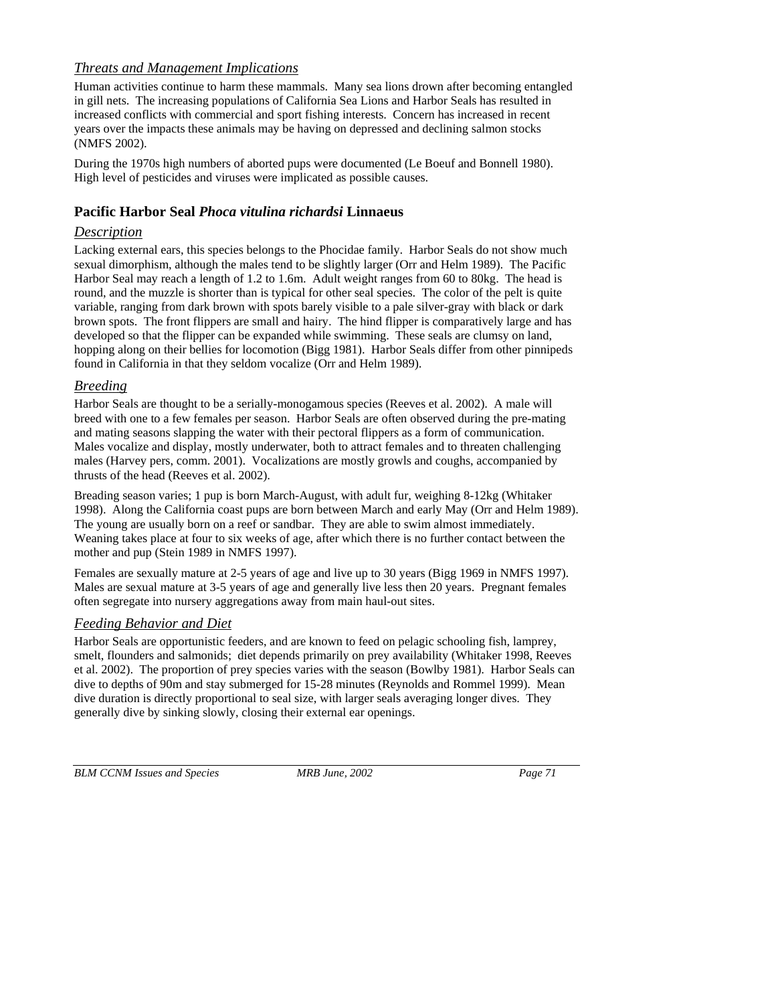## *Threats and Management Implications*

Human activities continue to harm these mammals. Many sea lions drown after becoming entangled in gill nets. The increasing populations of California Sea Lions and Harbor Seals has resulted in increased conflicts with commercial and sport fishing interests. Concern has increased in recent years over the impacts these animals may be having on depressed and declining salmon stocks (NMFS 2002).

During the 1970s high numbers of aborted pups were documented (Le Boeuf and Bonnell 1980). High level of pesticides and viruses were implicated as possible causes.

## **Pacific Harbor Seal** *Phoca vitulina richardsi* **Linnaeus**

## *Description*

Lacking external ears, this species belongs to the Phocidae family. Harbor Seals do not show much sexual dimorphism, although the males tend to be slightly larger (Orr and Helm 1989). The Pacific Harbor Seal may reach a length of 1.2 to 1.6m. Adult weight ranges from 60 to 80kg. The head is round, and the muzzle is shorter than is typical for other seal species. The color of the pelt is quite variable, ranging from dark brown with spots barely visible to a pale silver-gray with black or dark brown spots. The front flippers are small and hairy. The hind flipper is comparatively large and has developed so that the flipper can be expanded while swimming. These seals are clumsy on land, hopping along on their bellies for locomotion (Bigg 1981). Harbor Seals differ from other pinnipeds found in California in that they seldom vocalize (Orr and Helm 1989).

## *Breeding*

Harbor Seals are thought to be a serially-monogamous species (Reeves et al. 2002). A male will breed with one to a few females per season. Harbor Seals are often observed during the pre-mating and mating seasons slapping the water with their pectoral flippers as a form of communication. Males vocalize and display, mostly underwater, both to attract females and to threaten challenging males (Harvey pers, comm. 2001). Vocalizations are mostly growls and coughs, accompanied by thrusts of the head (Reeves et al. 2002).

Breading season varies; 1 pup is born March-August, with adult fur, weighing 8-12kg (Whitaker 1998). Along the California coast pups are born between March and early May (Orr and Helm 1989). The young are usually born on a reef or sandbar. They are able to swim almost immediately. Weaning takes place at four to six weeks of age, after which there is no further contact between the mother and pup (Stein 1989 in NMFS 1997).

Females are sexually mature at 2-5 years of age and live up to 30 years (Bigg 1969 in NMFS 1997). Males are sexual mature at 3-5 years of age and generally live less then 20 years. Pregnant females often segregate into nursery aggregations away from main haul-out sites.

## *Feeding Behavior and Diet*

Harbor Seals are opportunistic feeders, and are known to feed on pelagic schooling fish, lamprey, smelt, flounders and salmonids; diet depends primarily on prey availability (Whitaker 1998, Reeves et al. 2002). The proportion of prey species varies with the season (Bowlby 1981). Harbor Seals can dive to depths of 90m and stay submerged for 15-28 minutes (Reynolds and Rommel 1999). Mean dive duration is directly proportional to seal size, with larger seals averaging longer dives. They generally dive by sinking slowly, closing their external ear openings.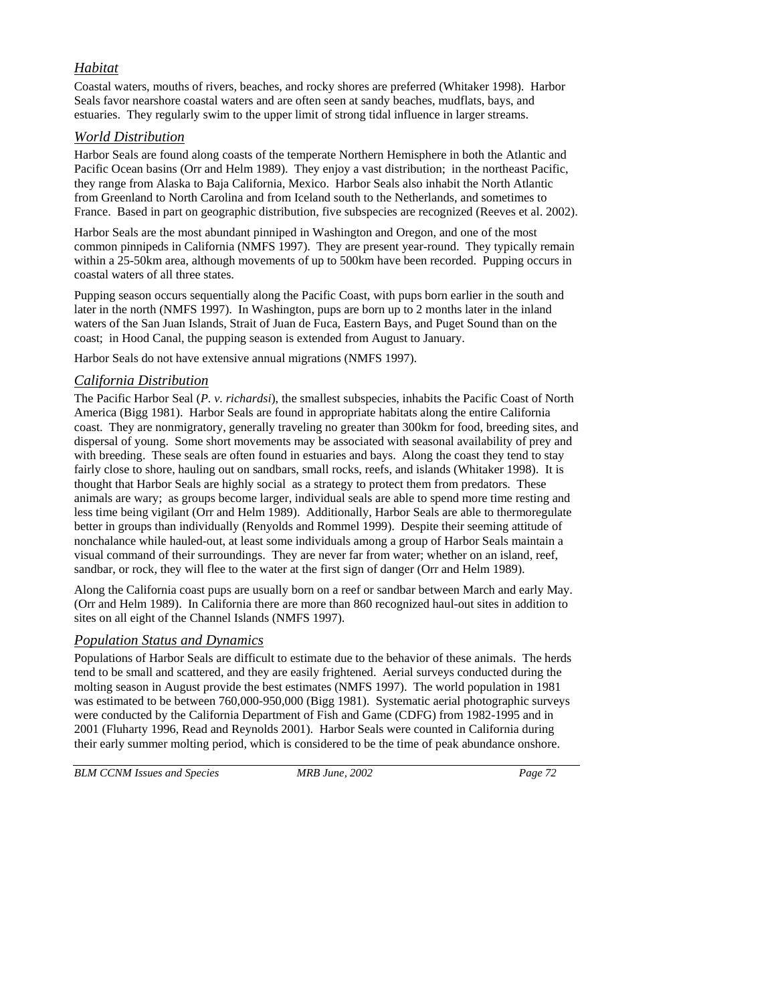## *Habitat*

Coastal waters, mouths of rivers, beaches, and rocky shores are preferred (Whitaker 1998). Harbor Seals favor nearshore coastal waters and are often seen at sandy beaches, mudflats, bays, and estuaries. They regularly swim to the upper limit of strong tidal influence in larger streams.

## *World Distribution*

Harbor Seals are found along coasts of the temperate Northern Hemisphere in both the Atlantic and Pacific Ocean basins (Orr and Helm 1989). They enjoy a vast distribution; in the northeast Pacific, they range from Alaska to Baja California, Mexico. Harbor Seals also inhabit the North Atlantic from Greenland to North Carolina and from Iceland south to the Netherlands, and sometimes to France. Based in part on geographic distribution, five subspecies are recognized (Reeves et al. 2002).

Harbor Seals are the most abundant pinniped in Washington and Oregon, and one of the most common pinnipeds in California (NMFS 1997). They are present year-round. They typically remain within a 25-50km area, although movements of up to 500km have been recorded. Pupping occurs in coastal waters of all three states.

Pupping season occurs sequentially along the Pacific Coast, with pups born earlier in the south and later in the north (NMFS 1997). In Washington, pups are born up to 2 months later in the inland waters of the San Juan Islands, Strait of Juan de Fuca, Eastern Bays, and Puget Sound than on the coast; in Hood Canal, the pupping season is extended from August to January.

Harbor Seals do not have extensive annual migrations (NMFS 1997).

## *California Distribution*

The Pacific Harbor Seal (*P. v. richardsi*), the smallest subspecies, inhabits the Pacific Coast of North America (Bigg 1981). Harbor Seals are found in appropriate habitats along the entire California coast. They are nonmigratory, generally traveling no greater than 300km for food, breeding sites, and dispersal of young. Some short movements may be associated with seasonal availability of prey and with breeding. These seals are often found in estuaries and bays. Along the coast they tend to stay fairly close to shore, hauling out on sandbars, small rocks, reefs, and islands (Whitaker 1998). It is thought that Harbor Seals are highly social as a strategy to protect them from predators. These animals are wary; as groups become larger, individual seals are able to spend more time resting and less time being vigilant (Orr and Helm 1989). Additionally, Harbor Seals are able to thermoregulate better in groups than individually (Renyolds and Rommel 1999). Despite their seeming attitude of nonchalance while hauled-out, at least some individuals among a group of Harbor Seals maintain a visual command of their surroundings. They are never far from water; whether on an island, reef, sandbar, or rock, they will flee to the water at the first sign of danger (Orr and Helm 1989).

Along the California coast pups are usually born on a reef or sandbar between March and early May. (Orr and Helm 1989). In California there are more than 860 recognized haul-out sites in addition to sites on all eight of the Channel Islands (NMFS 1997).

## *Population Status and Dynamics*

Populations of Harbor Seals are difficult to estimate due to the behavior of these animals. The herds tend to be small and scattered, and they are easily frightened. Aerial surveys conducted during the molting season in August provide the best estimates (NMFS 1997). The world population in 1981 was estimated to be between 760,000-950,000 (Bigg 1981). Systematic aerial photographic surveys were conducted by the California Department of Fish and Game (CDFG) from 1982-1995 and in 2001 (Fluharty 1996, Read and Reynolds 2001). Harbor Seals were counted in California during their early summer molting period, which is considered to be the time of peak abundance onshore.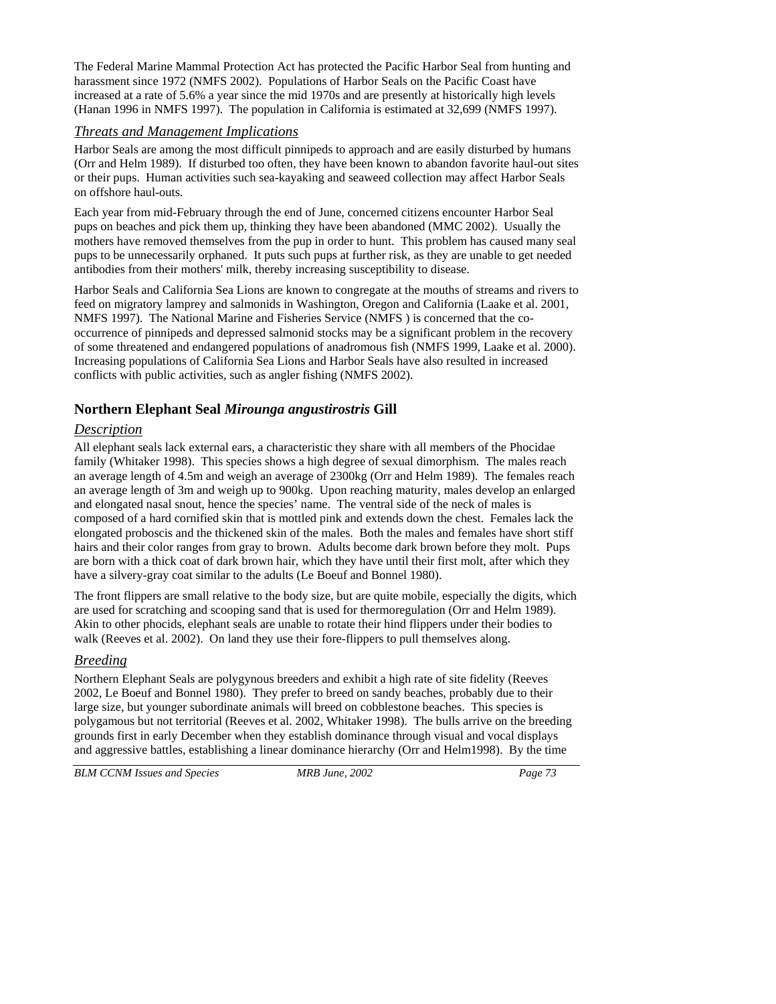The Federal Marine Mammal Protection Act has protected the Pacific Harbor Seal from hunting and harassment since 1972 (NMFS 2002). Populations of Harbor Seals on the Pacific Coast have increased at a rate of 5.6% a year since the mid 1970s and are presently at historically high levels (Hanan 1996 in NMFS 1997). The population in California is estimated at 32,699 (NMFS 1997).

## *Threats and Management Implications*

Harbor Seals are among the most difficult pinnipeds to approach and are easily disturbed by humans (Orr and Helm 1989). If disturbed too often, they have been known to abandon favorite haul-out sites or their pups. Human activities such sea-kayaking and seaweed collection may affect Harbor Seals on offshore haul-outs.

Each year from mid-February through the end of June, concerned citizens encounter Harbor Seal pups on beaches and pick them up, thinking they have been abandoned (MMC 2002). Usually the mothers have removed themselves from the pup in order to hunt. This problem has caused many seal pups to be unnecessarily orphaned. It puts such pups at further risk, as they are unable to get needed antibodies from their mothers' milk, thereby increasing susceptibility to disease.

Harbor Seals and California Sea Lions are known to congregate at the mouths of streams and rivers to feed on migratory lamprey and salmonids in Washington, Oregon and California (Laake et al. 2001, NMFS 1997). The National Marine and Fisheries Service (NMFS ) is concerned that the cooccurrence of pinnipeds and depressed salmonid stocks may be a significant problem in the recovery of some threatened and endangered populations of anadromous fish (NMFS 1999, Laake et al. 2000). Increasing populations of California Sea Lions and Harbor Seals have also resulted in increased conflicts with public activities, such as angler fishing (NMFS 2002).

# **Northern Elephant Seal** *Mirounga angustirostris* **Gill**

# *Description*

All elephant seals lack external ears, a characteristic they share with all members of the Phocidae family (Whitaker 1998). This species shows a high degree of sexual dimorphism. The males reach an average length of 4.5m and weigh an average of 2300kg (Orr and Helm 1989). The females reach an average length of 3m and weigh up to 900kg. Upon reaching maturity, males develop an enlarged and elongated nasal snout, hence the species' name. The ventral side of the neck of males is composed of a hard cornified skin that is mottled pink and extends down the chest. Females lack the elongated proboscis and the thickened skin of the males. Both the males and females have short stiff hairs and their color ranges from gray to brown. Adults become dark brown before they molt. Pups are born with a thick coat of dark brown hair, which they have until their first molt, after which they have a silvery-gray coat similar to the adults (Le Boeuf and Bonnel 1980).

The front flippers are small relative to the body size, but are quite mobile, especially the digits, which are used for scratching and scooping sand that is used for thermoregulation (Orr and Helm 1989). Akin to other phocids, elephant seals are unable to rotate their hind flippers under their bodies to walk (Reeves et al. 2002). On land they use their fore-flippers to pull themselves along.

# *Breeding*

Northern Elephant Seals are polygynous breeders and exhibit a high rate of site fidelity (Reeves 2002, Le Boeuf and Bonnel 1980). They prefer to breed on sandy beaches, probably due to their large size, but younger subordinate animals will breed on cobblestone beaches. This species is polygamous but not territorial (Reeves et al. 2002, Whitaker 1998). The bulls arrive on the breeding grounds first in early December when they establish dominance through visual and vocal displays and aggressive battles, establishing a linear dominance hierarchy (Orr and Helm1998). By the time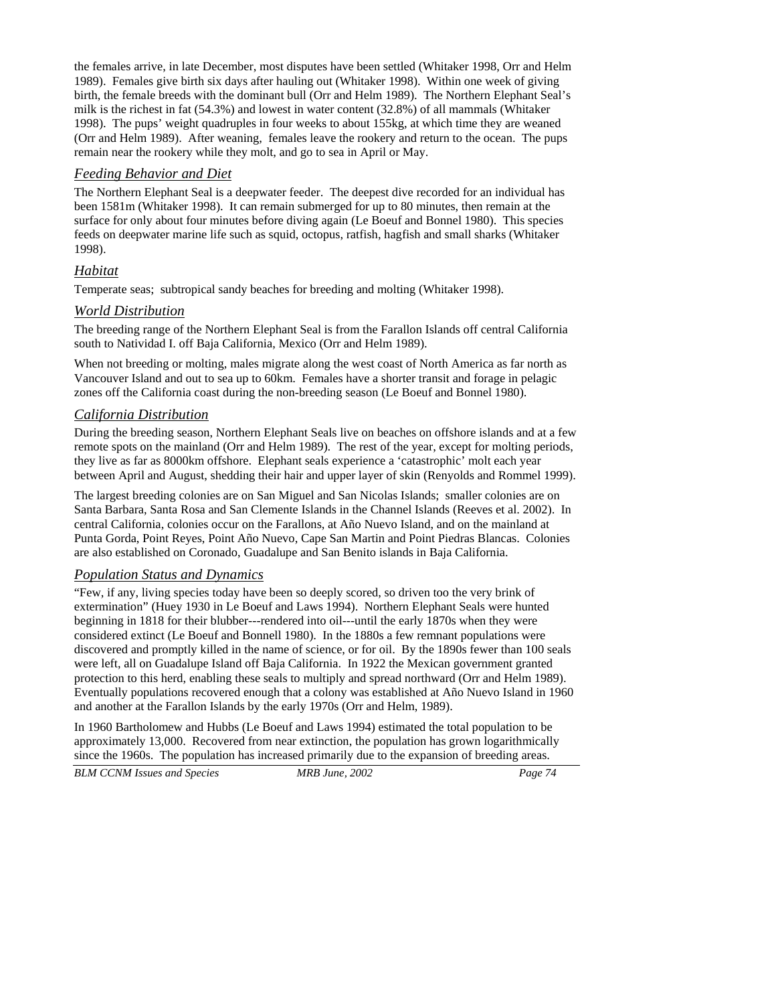the females arrive, in late December, most disputes have been settled (Whitaker 1998, Orr and Helm 1989). Females give birth six days after hauling out (Whitaker 1998). Within one week of giving birth, the female breeds with the dominant bull (Orr and Helm 1989). The Northern Elephant Seal's milk is the richest in fat (54.3%) and lowest in water content (32.8%) of all mammals (Whitaker 1998). The pups' weight quadruples in four weeks to about 155kg, at which time they are weaned (Orr and Helm 1989). After weaning, females leave the rookery and return to the ocean. The pups remain near the rookery while they molt, and go to sea in April or May.

# *Feeding Behavior and Diet*

The Northern Elephant Seal is a deepwater feeder. The deepest dive recorded for an individual has been 1581m (Whitaker 1998). It can remain submerged for up to 80 minutes, then remain at the surface for only about four minutes before diving again (Le Boeuf and Bonnel 1980). This species feeds on deepwater marine life such as squid, octopus, ratfish, hagfish and small sharks (Whitaker 1998).

# *Habitat*

Temperate seas; subtropical sandy beaches for breeding and molting (Whitaker 1998).

## *World Distribution*

The breeding range of the Northern Elephant Seal is from the Farallon Islands off central California south to Natividad I. off Baja California, Mexico (Orr and Helm 1989).

When not breeding or molting, males migrate along the west coast of North America as far north as Vancouver Island and out to sea up to 60km. Females have a shorter transit and forage in pelagic zones off the California coast during the non-breeding season (Le Boeuf and Bonnel 1980).

## *California Distribution*

During the breeding season, Northern Elephant Seals live on beaches on offshore islands and at a few remote spots on the mainland (Orr and Helm 1989). The rest of the year, except for molting periods, they live as far as 8000km offshore. Elephant seals experience a 'catastrophic' molt each year between April and August, shedding their hair and upper layer of skin (Renyolds and Rommel 1999).

The largest breeding colonies are on San Miguel and San Nicolas Islands; smaller colonies are on Santa Barbara, Santa Rosa and San Clemente Islands in the Channel Islands (Reeves et al. 2002). In central California, colonies occur on the Farallons, at Año Nuevo Island, and on the mainland at Punta Gorda, Point Reyes, Point Año Nuevo, Cape San Martin and Point Piedras Blancas. Colonies are also established on Coronado, Guadalupe and San Benito islands in Baja California.

## *Population Status and Dynamics*

"Few, if any, living species today have been so deeply scored, so driven too the very brink of extermination" (Huey 1930 in Le Boeuf and Laws 1994). Northern Elephant Seals were hunted beginning in 1818 for their blubber---rendered into oil---until the early 1870s when they were considered extinct (Le Boeuf and Bonnell 1980). In the 1880s a few remnant populations were discovered and promptly killed in the name of science, or for oil. By the 1890s fewer than 100 seals were left, all on Guadalupe Island off Baja California. In 1922 the Mexican government granted protection to this herd, enabling these seals to multiply and spread northward (Orr and Helm 1989). Eventually populations recovered enough that a colony was established at Año Nuevo Island in 1960 and another at the Farallon Islands by the early 1970s (Orr and Helm, 1989).

In 1960 Bartholomew and Hubbs (Le Boeuf and Laws 1994) estimated the total population to be approximately 13,000. Recovered from near extinction, the population has grown logarithmically since the 1960s. The population has increased primarily due to the expansion of breeding areas.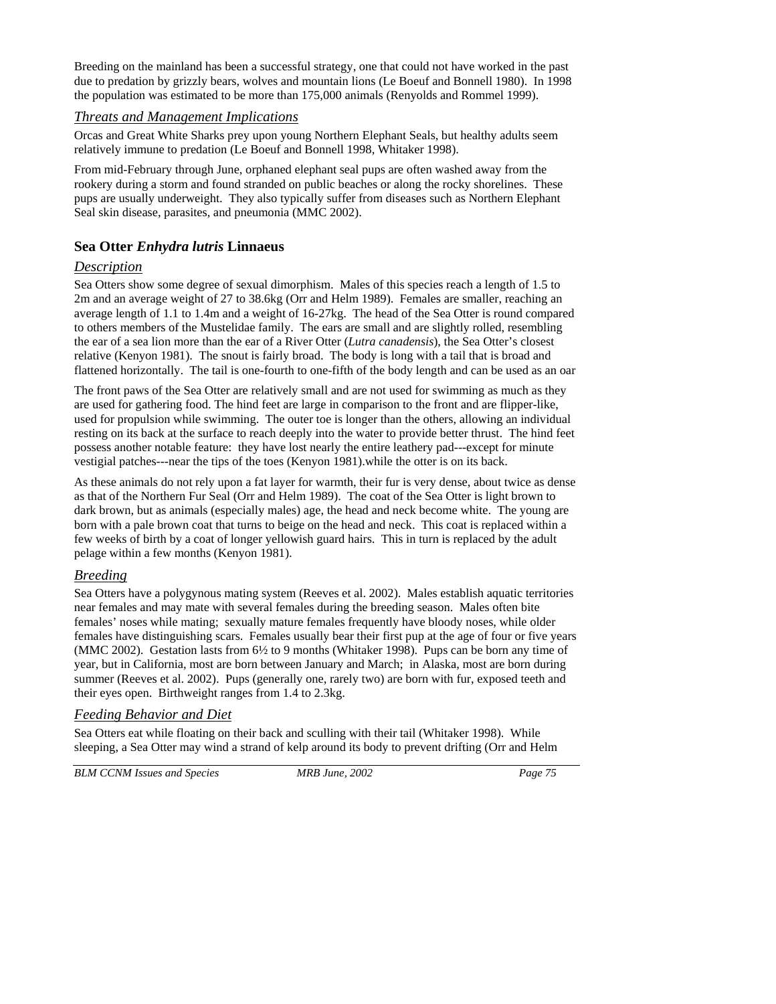Breeding on the mainland has been a successful strategy, one that could not have worked in the past due to predation by grizzly bears, wolves and mountain lions (Le Boeuf and Bonnell 1980). In 1998 the population was estimated to be more than 175,000 animals (Renyolds and Rommel 1999).

## *Threats and Management Implications*

Orcas and Great White Sharks prey upon young Northern Elephant Seals, but healthy adults seem relatively immune to predation (Le Boeuf and Bonnell 1998, Whitaker 1998).

From mid-February through June, orphaned elephant seal pups are often washed away from the rookery during a storm and found stranded on public beaches or along the rocky shorelines. These pups are usually underweight. They also typically suffer from diseases such as Northern Elephant Seal skin disease, parasites, and pneumonia (MMC 2002).

## **Sea Otter** *Enhydra lutris* **Linnaeus**

## *Description*

Sea Otters show some degree of sexual dimorphism. Males of this species reach a length of 1.5 to 2m and an average weight of 27 to 38.6kg (Orr and Helm 1989). Females are smaller, reaching an average length of 1.1 to 1.4m and a weight of 16-27kg. The head of the Sea Otter is round compared to others members of the Mustelidae family. The ears are small and are slightly rolled, resembling the ear of a sea lion more than the ear of a River Otter (*Lutra canadensis*), the Sea Otter's closest relative (Kenyon 1981). The snout is fairly broad. The body is long with a tail that is broad and flattened horizontally. The tail is one-fourth to one-fifth of the body length and can be used as an oar

The front paws of the Sea Otter are relatively small and are not used for swimming as much as they are used for gathering food. The hind feet are large in comparison to the front and are flipper-like, used for propulsion while swimming. The outer toe is longer than the others, allowing an individual resting on its back at the surface to reach deeply into the water to provide better thrust. The hind feet possess another notable feature: they have lost nearly the entire leathery pad---except for minute vestigial patches---near the tips of the toes (Kenyon 1981).while the otter is on its back.

As these animals do not rely upon a fat layer for warmth, their fur is very dense, about twice as dense as that of the Northern Fur Seal (Orr and Helm 1989). The coat of the Sea Otter is light brown to dark brown, but as animals (especially males) age, the head and neck become white. The young are born with a pale brown coat that turns to beige on the head and neck. This coat is replaced within a few weeks of birth by a coat of longer yellowish guard hairs. This in turn is replaced by the adult pelage within a few months (Kenyon 1981).

## *Breeding*

Sea Otters have a polygynous mating system (Reeves et al. 2002). Males establish aquatic territories near females and may mate with several females during the breeding season. Males often bite females' noses while mating; sexually mature females frequently have bloody noses, while older females have distinguishing scars. Females usually bear their first pup at the age of four or five years (MMC 2002). Gestation lasts from 6½ to 9 months (Whitaker 1998). Pups can be born any time of year, but in California, most are born between January and March; in Alaska, most are born during summer (Reeves et al. 2002). Pups (generally one, rarely two) are born with fur, exposed teeth and their eyes open. Birthweight ranges from 1.4 to 2.3kg.

## *Feeding Behavior and Diet*

Sea Otters eat while floating on their back and sculling with their tail (Whitaker 1998). While sleeping, a Sea Otter may wind a strand of kelp around its body to prevent drifting (Orr and Helm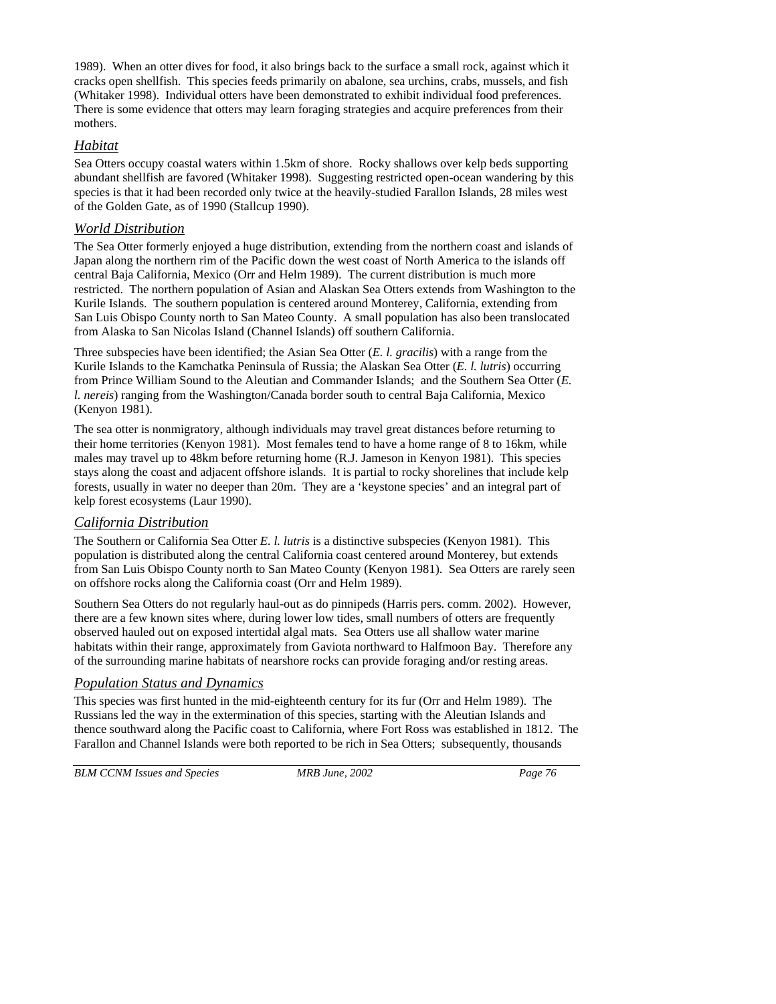1989). When an otter dives for food, it also brings back to the surface a small rock, against which it cracks open shellfish. This species feeds primarily on abalone, sea urchins, crabs, mussels, and fish (Whitaker 1998). Individual otters have been demonstrated to exhibit individual food preferences. There is some evidence that otters may learn foraging strategies and acquire preferences from their mothers.

## *Habitat*

Sea Otters occupy coastal waters within 1.5km of shore. Rocky shallows over kelp beds supporting abundant shellfish are favored (Whitaker 1998). Suggesting restricted open-ocean wandering by this species is that it had been recorded only twice at the heavily-studied Farallon Islands, 28 miles west of the Golden Gate, as of 1990 (Stallcup 1990).

# *World Distribution*

The Sea Otter formerly enjoyed a huge distribution, extending from the northern coast and islands of Japan along the northern rim of the Pacific down the west coast of North America to the islands off central Baja California, Mexico (Orr and Helm 1989). The current distribution is much more restricted. The northern population of Asian and Alaskan Sea Otters extends from Washington to the Kurile Islands. The southern population is centered around Monterey, California, extending from San Luis Obispo County north to San Mateo County. A small population has also been translocated from Alaska to San Nicolas Island (Channel Islands) off southern California.

Three subspecies have been identified; the Asian Sea Otter (*E. l. gracilis*) with a range from the Kurile Islands to the Kamchatka Peninsula of Russia; the Alaskan Sea Otter (*E. l. lutris*) occurring from Prince William Sound to the Aleutian and Commander Islands; and the Southern Sea Otter (*E. l. nereis*) ranging from the Washington/Canada border south to central Baja California, Mexico (Kenyon 1981).

The sea otter is nonmigratory, although individuals may travel great distances before returning to their home territories (Kenyon 1981). Most females tend to have a home range of 8 to 16km, while males may travel up to 48km before returning home (R.J. Jameson in Kenyon 1981). This species stays along the coast and adjacent offshore islands. It is partial to rocky shorelines that include kelp forests, usually in water no deeper than 20m. They are a 'keystone species' and an integral part of kelp forest ecosystems (Laur 1990).

# *California Distribution*

The Southern or California Sea Otter *E. l. lutris* is a distinctive subspecies (Kenyon 1981). This population is distributed along the central California coast centered around Monterey, but extends from San Luis Obispo County north to San Mateo County (Kenyon 1981). Sea Otters are rarely seen on offshore rocks along the California coast (Orr and Helm 1989).

Southern Sea Otters do not regularly haul-out as do pinnipeds (Harris pers. comm. 2002). However, there are a few known sites where, during lower low tides, small numbers of otters are frequently observed hauled out on exposed intertidal algal mats. Sea Otters use all shallow water marine habitats within their range, approximately from Gaviota northward to Halfmoon Bay. Therefore any of the surrounding marine habitats of nearshore rocks can provide foraging and/or resting areas.

# *Population Status and Dynamics*

This species was first hunted in the mid-eighteenth century for its fur (Orr and Helm 1989). The Russians led the way in the extermination of this species, starting with the Aleutian Islands and thence southward along the Pacific coast to California, where Fort Ross was established in 1812. The Farallon and Channel Islands were both reported to be rich in Sea Otters; subsequently, thousands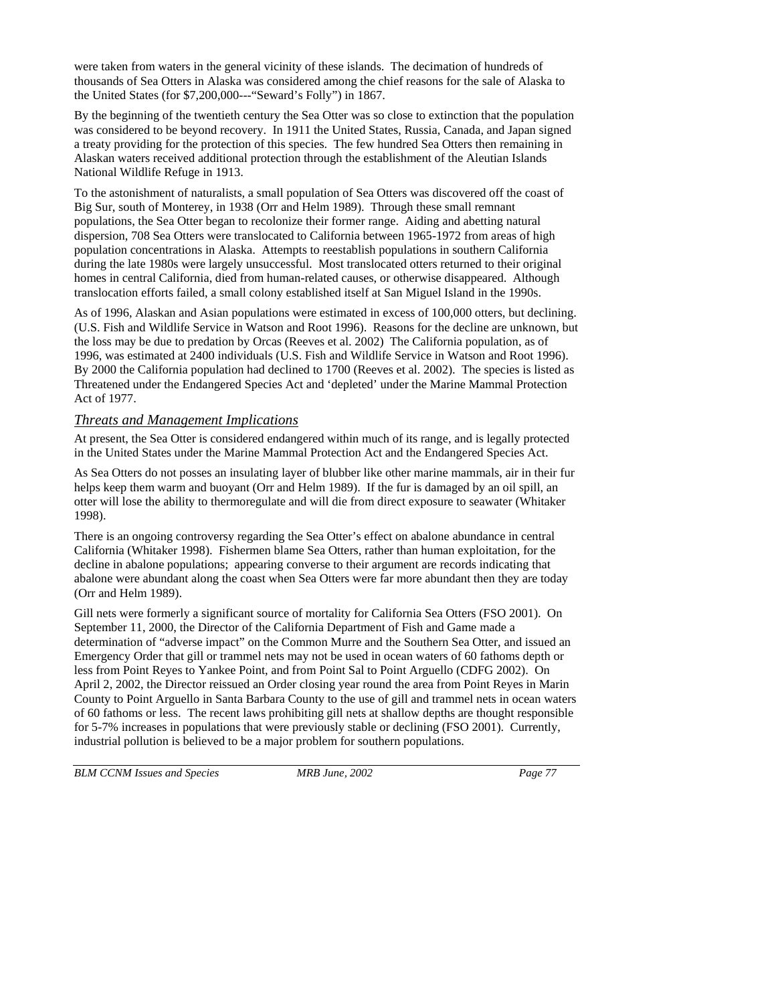were taken from waters in the general vicinity of these islands. The decimation of hundreds of thousands of Sea Otters in Alaska was considered among the chief reasons for the sale of Alaska to the United States (for \$7,200,000---"Seward's Folly") in 1867.

By the beginning of the twentieth century the Sea Otter was so close to extinction that the population was considered to be beyond recovery. In 1911 the United States, Russia, Canada, and Japan signed a treaty providing for the protection of this species. The few hundred Sea Otters then remaining in Alaskan waters received additional protection through the establishment of the Aleutian Islands National Wildlife Refuge in 1913.

To the astonishment of naturalists, a small population of Sea Otters was discovered off the coast of Big Sur, south of Monterey, in 1938 (Orr and Helm 1989). Through these small remnant populations, the Sea Otter began to recolonize their former range. Aiding and abetting natural dispersion, 708 Sea Otters were translocated to California between 1965-1972 from areas of high population concentrations in Alaska. Attempts to reestablish populations in southern California during the late 1980s were largely unsuccessful. Most translocated otters returned to their original homes in central California, died from human-related causes, or otherwise disappeared. Although translocation efforts failed, a small colony established itself at San Miguel Island in the 1990s.

As of 1996, Alaskan and Asian populations were estimated in excess of 100,000 otters, but declining. (U.S. Fish and Wildlife Service in Watson and Root 1996). Reasons for the decline are unknown, but the loss may be due to predation by Orcas (Reeves et al. 2002) The California population, as of 1996, was estimated at 2400 individuals (U.S. Fish and Wildlife Service in Watson and Root 1996). By 2000 the California population had declined to 1700 (Reeves et al. 2002). The species is listed as Threatened under the Endangered Species Act and 'depleted' under the Marine Mammal Protection Act of 1977.

## *Threats and Management Implications*

At present, the Sea Otter is considered endangered within much of its range, and is legally protected in the United States under the Marine Mammal Protection Act and the Endangered Species Act.

As Sea Otters do not posses an insulating layer of blubber like other marine mammals, air in their fur helps keep them warm and buoyant (Orr and Helm 1989). If the fur is damaged by an oil spill, an otter will lose the ability to thermoregulate and will die from direct exposure to seawater (Whitaker 1998).

There is an ongoing controversy regarding the Sea Otter's effect on abalone abundance in central California (Whitaker 1998). Fishermen blame Sea Otters, rather than human exploitation, for the decline in abalone populations; appearing converse to their argument are records indicating that abalone were abundant along the coast when Sea Otters were far more abundant then they are today (Orr and Helm 1989).

Gill nets were formerly a significant source of mortality for California Sea Otters (FSO 2001). On September 11, 2000, the Director of the California Department of Fish and Game made a determination of "adverse impact" on the Common Murre and the Southern Sea Otter, and issued an Emergency Order that gill or trammel nets may not be used in ocean waters of 60 fathoms depth or less from Point Reyes to Yankee Point, and from Point Sal to Point Arguello (CDFG 2002). On April 2, 2002, the Director reissued an Order closing year round the area from Point Reyes in Marin County to Point Arguello in Santa Barbara County to the use of gill and trammel nets in ocean waters of 60 fathoms or less. The recent laws prohibiting gill nets at shallow depths are thought responsible for 5-7% increases in populations that were previously stable or declining (FSO 2001). Currently, industrial pollution is believed to be a major problem for southern populations.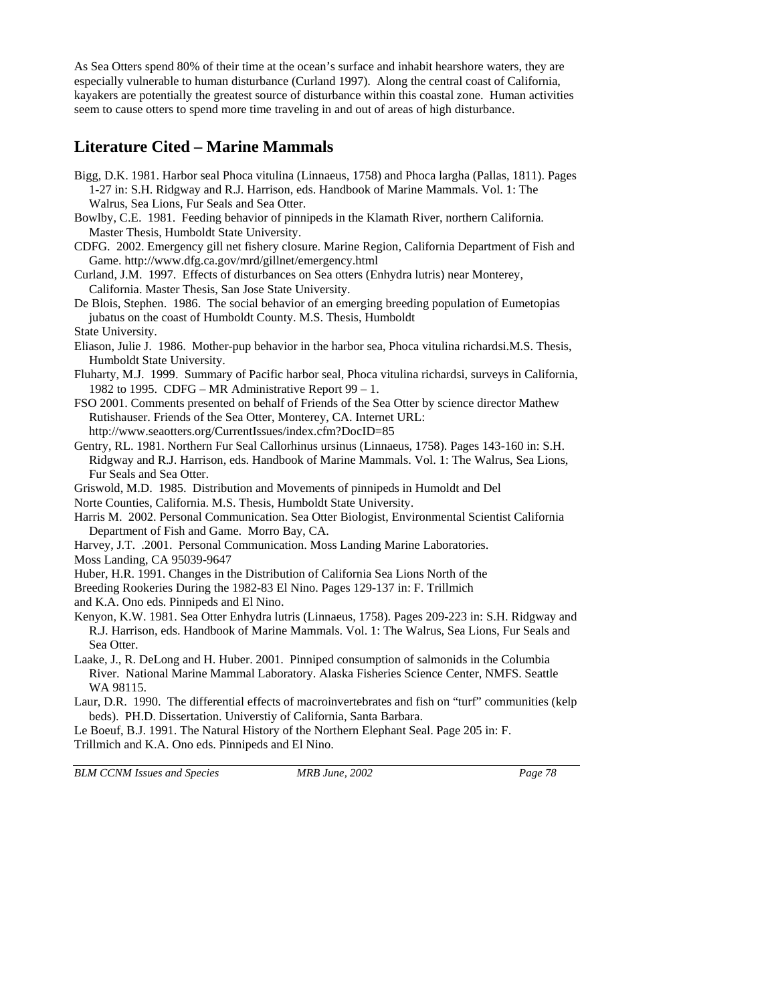As Sea Otters spend 80% of their time at the ocean's surface and inhabit hearshore waters, they are especially vulnerable to human disturbance (Curland 1997). Along the central coast of California, kayakers are potentially the greatest source of disturbance within this coastal zone. Human activities seem to cause otters to spend more time traveling in and out of areas of high disturbance.

# **Literature Cited – Marine Mammals**

- Bigg, D.K. 1981. Harbor seal Phoca vitulina (Linnaeus, 1758) and Phoca largha (Pallas, 1811). Pages 1-27 in: S.H. Ridgway and R.J. Harrison, eds. Handbook of Marine Mammals. Vol. 1: The Walrus, Sea Lions, Fur Seals and Sea Otter.
- Bowlby, C.E. 1981. Feeding behavior of pinnipeds in the Klamath River, northern California. Master Thesis, Humboldt State University.
- CDFG. 2002. Emergency gill net fishery closure. Marine Region, California Department of Fish and Game. http://www.dfg.ca.gov/mrd/gillnet/emergency.html
- Curland, J.M. 1997. Effects of disturbances on Sea otters (Enhydra lutris) near Monterey, California. Master Thesis, San Jose State University.
- De Blois, Stephen. 1986. The social behavior of an emerging breeding population of Eumetopias jubatus on the coast of Humboldt County. M.S. Thesis, Humboldt
- State University.
- Eliason, Julie J. 1986. Mother-pup behavior in the harbor sea, Phoca vitulina richardsi.M.S. Thesis, Humboldt State University.
- Fluharty, M.J. 1999. Summary of Pacific harbor seal, Phoca vitulina richardsi, surveys in California, 1982 to 1995. CDFG – MR Administrative Report  $99 - 1$ .
- FSO 2001. Comments presented on behalf of Friends of the Sea Otter by science director Mathew Rutishauser. Friends of the Sea Otter, Monterey, CA. Internet URL: http://www.seaotters.org/CurrentIssues/index.cfm?DocID=85
- Gentry, RL. 1981. Northern Fur Seal Callorhinus ursinus (Linnaeus, 1758). Pages 143-160 in: S.H. Ridgway and R.J. Harrison, eds. Handbook of Marine Mammals. Vol. 1: The Walrus, Sea Lions, Fur Seals and Sea Otter.
- Griswold, M.D. 1985. Distribution and Movements of pinnipeds in Humoldt and Del
- Norte Counties, California. M.S. Thesis, Humboldt State University.
- Harris M. 2002. Personal Communication. Sea Otter Biologist, Environmental Scientist California Department of Fish and Game. Morro Bay, CA.
- Harvey, J.T. .2001. Personal Communication. Moss Landing Marine Laboratories.
- Moss Landing, CA 95039-9647
- Huber, H.R. 1991. Changes in the Distribution of California Sea Lions North of the
- Breeding Rookeries During the 1982-83 El Nino. Pages 129-137 in: F. Trillmich
- and K.A. Ono eds. Pinnipeds and El Nino.
- Kenyon, K.W. 1981. Sea Otter Enhydra lutris (Linnaeus, 1758). Pages 209-223 in: S.H. Ridgway and R.J. Harrison, eds. Handbook of Marine Mammals. Vol. 1: The Walrus, Sea Lions, Fur Seals and Sea Otter.
- Laake, J., R. DeLong and H. Huber. 2001. Pinniped consumption of salmonids in the Columbia River. National Marine Mammal Laboratory. Alaska Fisheries Science Center, NMFS. Seattle WA 98115.
- Laur, D.R. 1990. The differential effects of macroinvertebrates and fish on "turf" communities (kelp beds). PH.D. Dissertation. Universtiy of California, Santa Barbara.

Le Boeuf, B.J. 1991. The Natural History of the Northern Elephant Seal. Page 205 in: F. Trillmich and K.A. Ono eds. Pinnipeds and El Nino.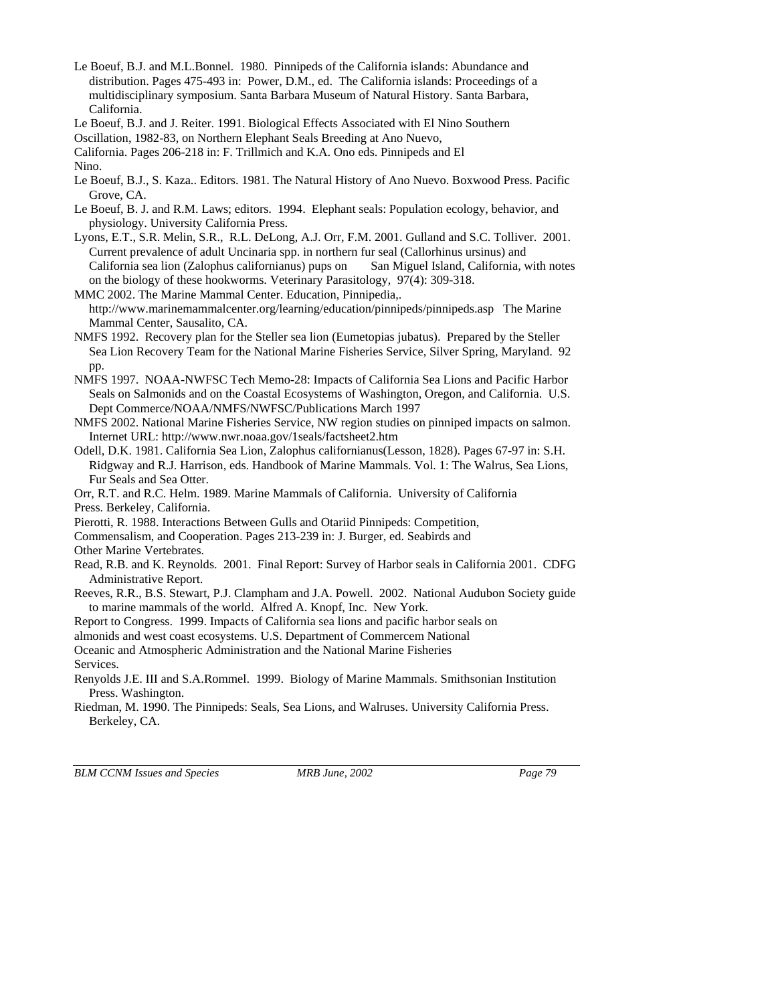- Le Boeuf, B.J. and M.L.Bonnel. 1980. Pinnipeds of the California islands: Abundance and distribution. Pages 475-493 in: Power, D.M., ed. The California islands: Proceedings of a multidisciplinary symposium. Santa Barbara Museum of Natural History. Santa Barbara, California.
- Le Boeuf, B.J. and J. Reiter. 1991. Biological Effects Associated with El Nino Southern

Oscillation, 1982-83, on Northern Elephant Seals Breeding at Ano Nuevo,

California. Pages 206-218 in: F. Trillmich and K.A. Ono eds. Pinnipeds and El

Nino.

- Le Boeuf, B.J., S. Kaza.. Editors. 1981. The Natural History of Ano Nuevo. Boxwood Press. Pacific Grove, CA.
- Le Boeuf, B. J. and R.M. Laws; editors. 1994. Elephant seals: Population ecology, behavior, and physiology. University California Press.
- Lyons, E.T., S.R. Melin, S.R., R.L. DeLong, A.J. Orr, F.M. 2001. Gulland and S.C. Tolliver. 2001. Current prevalence of adult Uncinaria spp. in northern fur seal (Callorhinus ursinus) and California sea lion (Zalophus californianus) pups on San Miguel Island, California, with notes on the biology of these hookworms. Veterinary Parasitology, 97(4): 309-318.
- MMC 2002. The Marine Mammal Center. Education, Pinnipedia,. http://www.marinemammalcenter.org/learning/education/pinnipeds/pinnipeds.asp The Marine Mammal Center, Sausalito, CA.
- NMFS 1992. Recovery plan for the Steller sea lion (Eumetopias jubatus). Prepared by the Steller Sea Lion Recovery Team for the National Marine Fisheries Service, Silver Spring, Maryland. 92 pp.
- NMFS 1997. NOAA-NWFSC Tech Memo-28: Impacts of California Sea Lions and Pacific Harbor Seals on Salmonids and on the Coastal Ecosystems of Washington, Oregon, and California. U.S. Dept Commerce/NOAA/NMFS/NWFSC/Publications March 1997
- NMFS 2002. National Marine Fisheries Service, NW region studies on pinniped impacts on salmon. Internet URL: http://www.nwr.noaa.gov/1seals/factsheet2.htm
- Odell, D.K. 1981. California Sea Lion, Zalophus californianus(Lesson, 1828). Pages 67-97 in: S.H. Ridgway and R.J. Harrison, eds. Handbook of Marine Mammals. Vol. 1: The Walrus, Sea Lions, Fur Seals and Sea Otter.

Orr, R.T. and R.C. Helm. 1989. Marine Mammals of California. University of California Press. Berkeley, California.

- Pierotti, R. 1988. Interactions Between Gulls and Otariid Pinnipeds: Competition,
- Commensalism, and Cooperation. Pages 213-239 in: J. Burger, ed. Seabirds and

Other Marine Vertebrates.

- Read, R.B. and K. Reynolds. 2001. Final Report: Survey of Harbor seals in California 2001. CDFG Administrative Report.
- Reeves, R.R., B.S. Stewart, P.J. Clampham and J.A. Powell. 2002. National Audubon Society guide to marine mammals of the world. Alfred A. Knopf, Inc. New York.

Report to Congress. 1999. Impacts of California sea lions and pacific harbor seals on

almonids and west coast ecosystems. U.S. Department of Commercem National

Oceanic and Atmospheric Administration and the National Marine Fisheries

Services.

- Renyolds J.E. III and S.A.Rommel. 1999. Biology of Marine Mammals. Smithsonian Institution Press. Washington.
- Riedman, M. 1990. The Pinnipeds: Seals, Sea Lions, and Walruses. University California Press. Berkeley, CA.